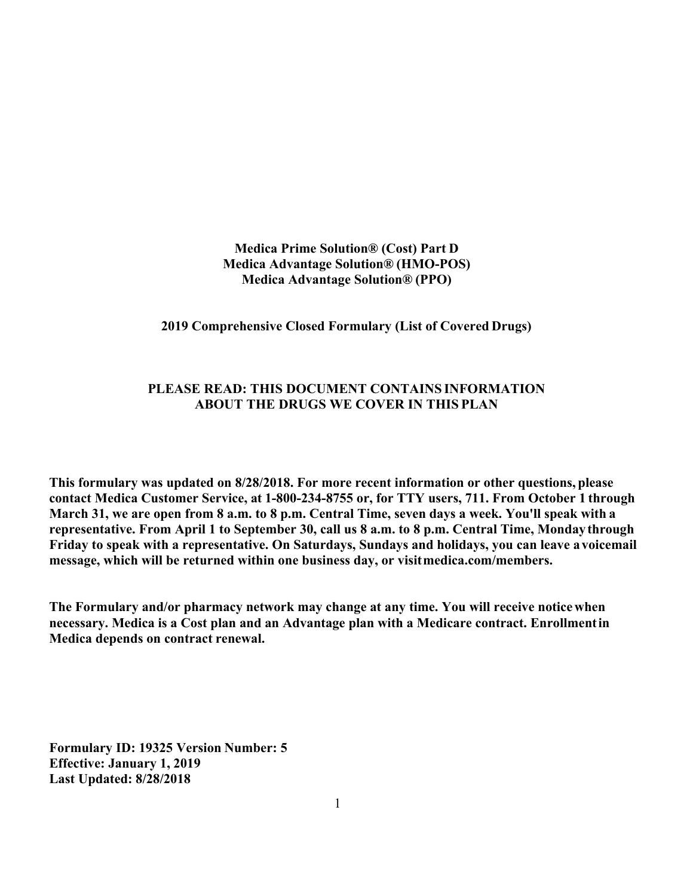**Medica Prime Solution® (Cost) Part D Medica Advantage Solution® (HMO-POS) Medica Advantage Solution® (PPO)**

**2019 Comprehensive Closed Formulary (List of Covered Drugs)**

#### **PLEASE READ: THIS DOCUMENT CONTAINS INFORMATION ABOUT THE DRUGS WE COVER IN THIS PLAN**

**This formulary was updated on 8/28/2018. For more recent information or other questions, please contact Medica Customer Service, at 1-800-234-8755 or, for TTY users, 711. From October 1 through March 31, we are open from 8 a.m. to 8 p.m. Central Time, seven days a week. You'll speak with a representative. From April 1 to September 30, call us 8 a.m. to 8 p.m. Central Time, Monday through Friday to speak with a representative. On Saturdays, Sundays and holidays, you can leave avoicemail message, which will be returned within one business day, or visit medica.com/members.**

**The Formulary and/or pharmacy network may change at any time. You will receive notice when necessary. Medica is a Cost plan and an Advantage plan with a Medicare contract. Enrollmentin Medica depends on contract renewal.**

**Formulary ID: 19325 Version Number: 5 Effective: January 1, 2019 Last Updated: 8/28/2018**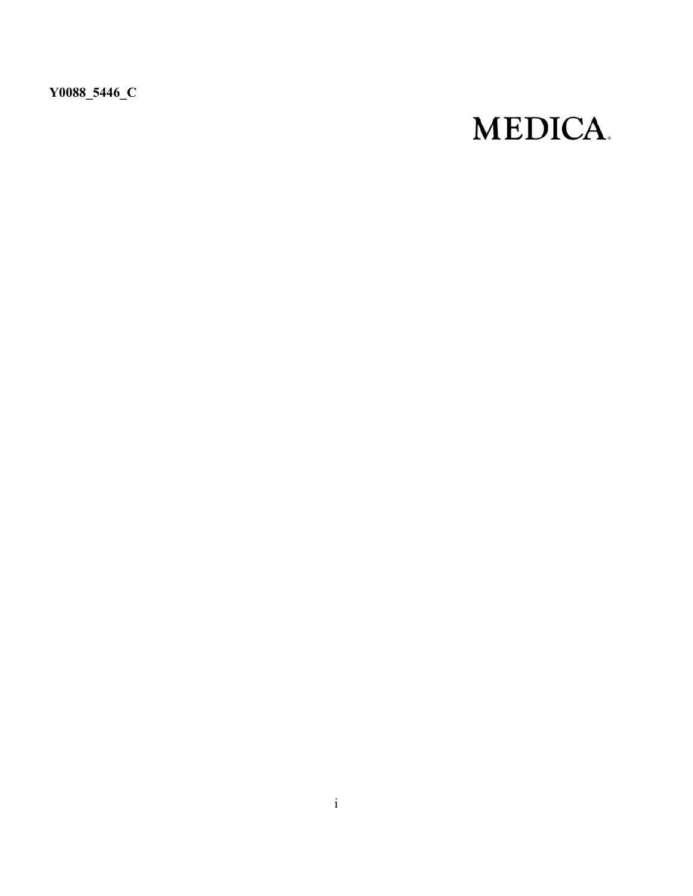**Y0088\_5446\_C**

# **MEDICA.**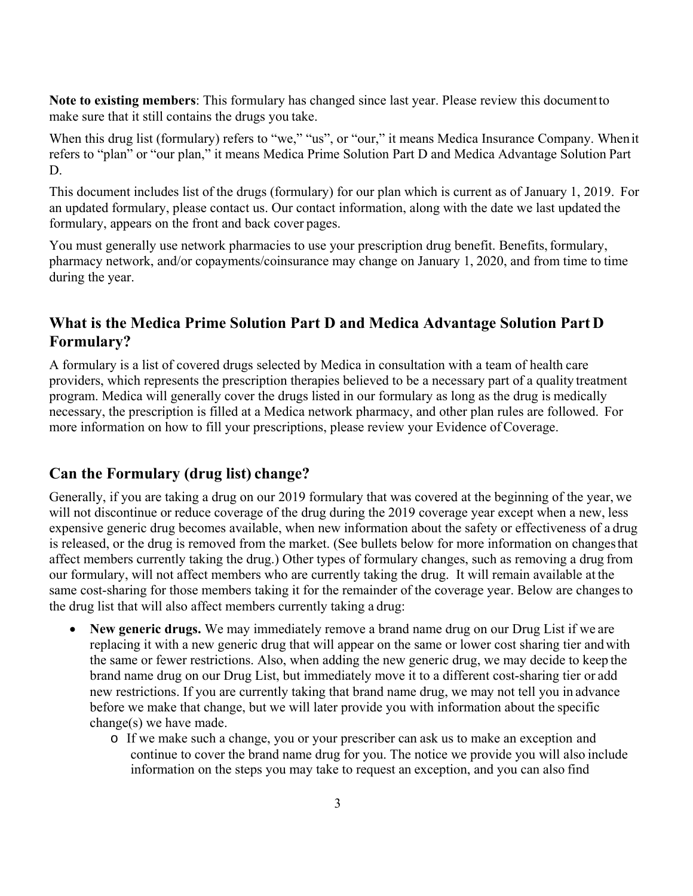**Note to existing members**: This formulary has changed since last year. Please review this document to make sure that it still contains the drugs you take.

When this drug list (formulary) refers to "we," "us", or "our," it means Medica Insurance Company. When it refers to "plan" or "our plan," it means Medica Prime Solution Part D and Medica Advantage Solution Part D.

This document includes list of the drugs (formulary) for our plan which is current as of January 1, 2019. For an updated formulary, please contact us. Our contact information, along with the date we last updated the formulary, appears on the front and back cover pages.

You must generally use network pharmacies to use your prescription drug benefit. Benefits, formulary, pharmacy network, and/or copayments/coinsurance may change on January 1, 2020, and from time to time during the year.

# **What is the Medica Prime Solution Part D and Medica Advantage Solution Part D Formulary?**

A formulary is a list of covered drugs selected by Medica in consultation with a team of health care providers, which represents the prescription therapies believed to be a necessary part of a quality treatment program. Medica will generally cover the drugs listed in our formulary as long as the drug is medically necessary, the prescription is filled at a Medica network pharmacy, and other plan rules are followed. For more information on how to fill your prescriptions, please review your Evidence of Coverage.

## **Can the Formulary (drug list) change?**

Generally, if you are taking a drug on our 2019 formulary that was covered at the beginning of the year, we will not discontinue or reduce coverage of the drug during the 2019 coverage year except when a new, less expensive generic drug becomes available, when new information about the safety or effectiveness of a drug is released, or the drug is removed from the market. (See bullets below for more information on changes that affect members currently taking the drug.) Other types of formulary changes, such as removing a drug from our formulary, will not affect members who are currently taking the drug. It will remain available at the same cost-sharing for those members taking it for the remainder of the coverage year. Below are changes to the drug list that will also affect members currently taking a drug:

- **New generic drugs.** We may immediately remove a brand name drug on our Drug List if we are replacing it with a new generic drug that will appear on the same or lower cost sharing tier and with the same or fewer restrictions. Also, when adding the new generic drug, we may decide to keep the brand name drug on our Drug List, but immediately move it to a different cost-sharing tier or add new restrictions. If you are currently taking that brand name drug, we may not tell you in advance before we make that change, but we will later provide you with information about the specific change(s) we have made.
	- o If we make such a change, you or your prescriber can ask us to make an exception and continue to cover the brand name drug for you. The notice we provide you will also include information on the steps you may take to request an exception, and you can also find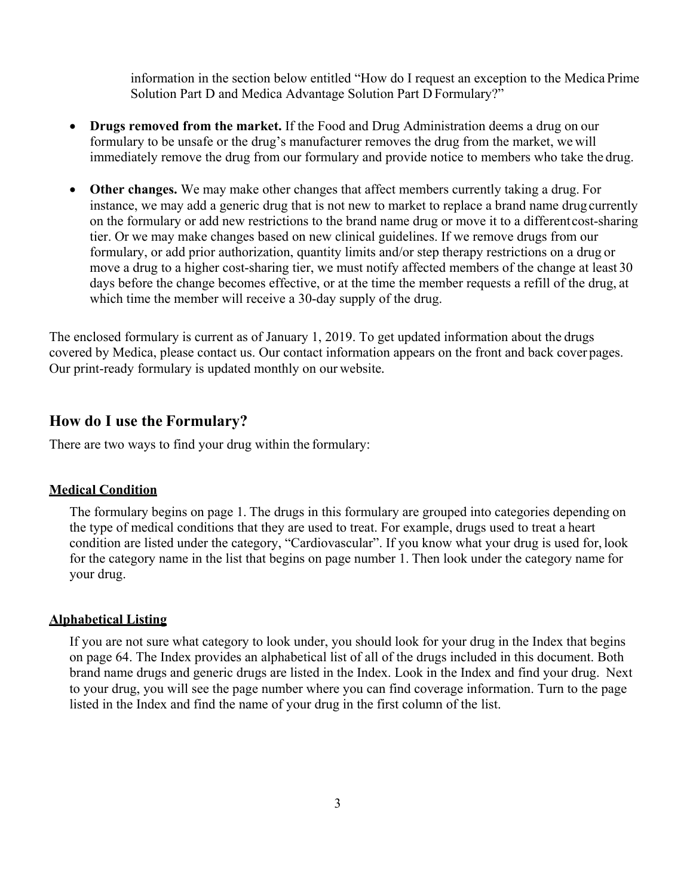information in the section below entitled "How do I request an exception to the Medica Prime Solution Part D and Medica Advantage Solution Part D Formulary?"

- **Drugs removed from the market.** If the Food and Drug Administration deems a drug on our formulary to be unsafe or the drug's manufacturer removes the drug from the market, we will immediately remove the drug from our formulary and provide notice to members who take the drug.
- **Other changes.** We may make other changes that affect members currently taking a drug. For instance, we may add a generic drug that is not new to market to replace a brand name drug currently on the formulary or add new restrictions to the brand name drug or move it to a different cost-sharing tier. Or we may make changes based on new clinical guidelines. If we remove drugs from our formulary, or add prior authorization, quantity limits and/or step therapy restrictions on a drug or move a drug to a higher cost-sharing tier, we must notify affected members of the change at least 30 days before the change becomes effective, or at the time the member requests a refill of the drug, at which time the member will receive a 30-day supply of the drug.

The enclosed formulary is current as of January 1, 2019. To get updated information about the drugs covered by Medica, please contact us. Our contact information appears on the front and back cover pages. Our print-ready formulary is updated monthly on our website*.*

#### **How do I use the Formulary?**

There are two ways to find your drug within the formulary:

#### **Medical Condition**

The formulary begins on page 1. The drugs in this formulary are grouped into categories depending on the type of medical conditions that they are used to treat. For example, drugs used to treat a heart condition are listed under the category, "Cardiovascular". If you know what your drug is used for, look for the category name in the list that begins on page number 1. Then look under the category name for your drug.

#### **Alphabetical Listing**

If you are not sure what category to look under, you should look for your drug in the Index that begins on page 64. The Index provides an alphabetical list of all of the drugs included in this document. Both brand name drugs and generic drugs are listed in the Index. Look in the Index and find your drug. Next to your drug, you will see the page number where you can find coverage information. Turn to the page listed in the Index and find the name of your drug in the first column of the list.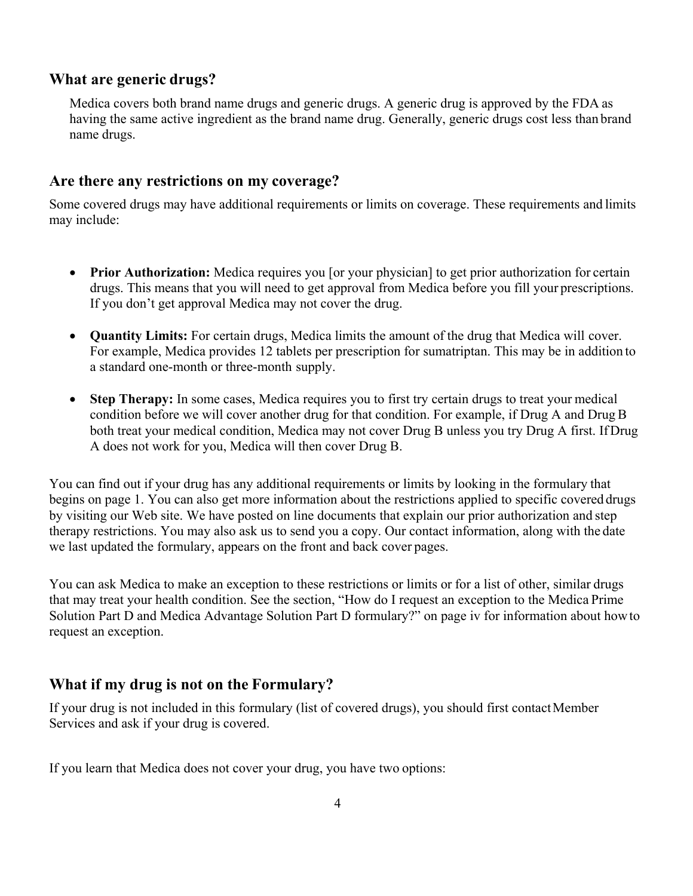#### **What are generic drugs?**

Medica covers both brand name drugs and generic drugs. A generic drug is approved by the FDA as having the same active ingredient as the brand name drug. Generally, generic drugs cost less than brand name drugs.

#### **Are there any restrictions on my coverage?**

Some covered drugs may have additional requirements or limits on coverage. These requirements and limits may include:

- **Prior Authorization:** Medica requires you [or your physician] to get prior authorization for certain drugs. This means that you will need to get approval from Medica before you fill your prescriptions. If you don't get approval Medica may not cover the drug.
- **Quantity Limits:** For certain drugs, Medica limits the amount of the drug that Medica will cover. For example, Medica provides 12 tablets per prescription for sumatriptan. This may be in addition to a standard one-month or three-month supply.
- Step Therapy: In some cases, Medica requires you to first try certain drugs to treat your medical condition before we will cover another drug for that condition. For example, if Drug A and Drug B both treat your medical condition, Medica may not cover Drug B unless you try Drug A first. If Drug A does not work for you, Medica will then cover Drug B.

You can find out if your drug has any additional requirements or limits by looking in the formulary that begins on page 1. You can also get more information about the restrictions applied to specific covered drugs by visiting our Web site. We have posted on line documents that explain our prior authorization and step therapy restrictions. You may also ask us to send you a copy. Our contact information, along with the date we last updated the formulary, appears on the front and back cover pages.

You can ask Medica to make an exception to these restrictions or limits or for a list of other, similar drugs that may treat your health condition. See the section, "How do I request an exception to the Medica Prime Solution Part D and Medica Advantage Solution Part D formulary?" on page iv for information about how to request an exception.

#### **What if my drug is not on the Formulary?**

If your drug is not included in this formulary (list of covered drugs), you should first contact Member Services and ask if your drug is covered.

If you learn that Medica does not cover your drug, you have two options: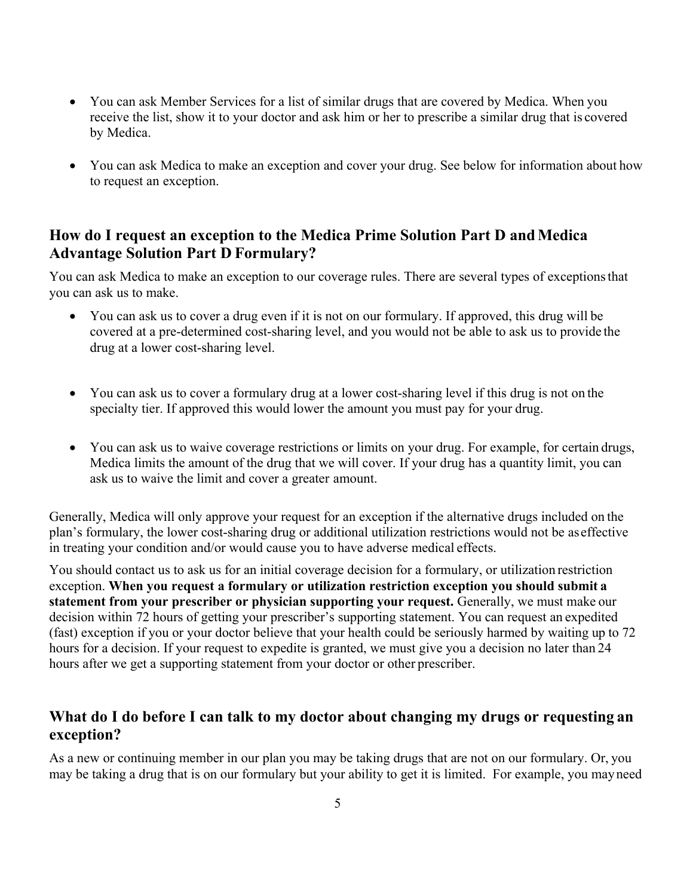- You can ask Member Services for a list of similar drugs that are covered by Medica. When you receive the list, show it to your doctor and ask him or her to prescribe a similar drug that is covered by Medica.
- You can ask Medica to make an exception and cover your drug. See below for information about how to request an exception.

# **How do I request an exception to the Medica Prime Solution Part D and Medica Advantage Solution Part D Formulary?**

You can ask Medica to make an exception to our coverage rules. There are several types of exceptions that you can ask us to make.

- You can ask us to cover a drug even if it is not on our formulary. If approved, this drug will be covered at a pre-determined cost-sharing level, and you would not be able to ask us to provide the drug at a lower cost-sharing level.
- You can ask us to cover a formulary drug at a lower cost-sharing level if this drug is not on the specialty tier. If approved this would lower the amount you must pay for your drug.
- You can ask us to waive coverage restrictions or limits on your drug. For example, for certain drugs, Medica limits the amount of the drug that we will cover. If your drug has a quantity limit, you can ask us to waive the limit and cover a greater amount.

Generally, Medica will only approve your request for an exception if the alternative drugs included on the plan's formulary, the lower cost-sharing drug or additional utilization restrictions would not be as effective in treating your condition and/or would cause you to have adverse medical effects.

You should contact us to ask us for an initial coverage decision for a formulary, or utilization restriction exception. **When you request a formulary or utilization restriction exception you should submit a statement from your prescriber or physician supporting your request.** Generally, we must make our decision within 72 hours of getting your prescriber's supporting statement. You can request an expedited (fast) exception if you or your doctor believe that your health could be seriously harmed by waiting up to 72 hours for a decision. If your request to expedite is granted, we must give you a decision no later than 24 hours after we get a supporting statement from your doctor or other prescriber.

## **What do I do before I can talk to my doctor about changing my drugs or requesting an exception?**

As a new or continuing member in our plan you may be taking drugs that are not on our formulary. Or, you may be taking a drug that is on our formulary but your ability to get it is limited. For example, you may need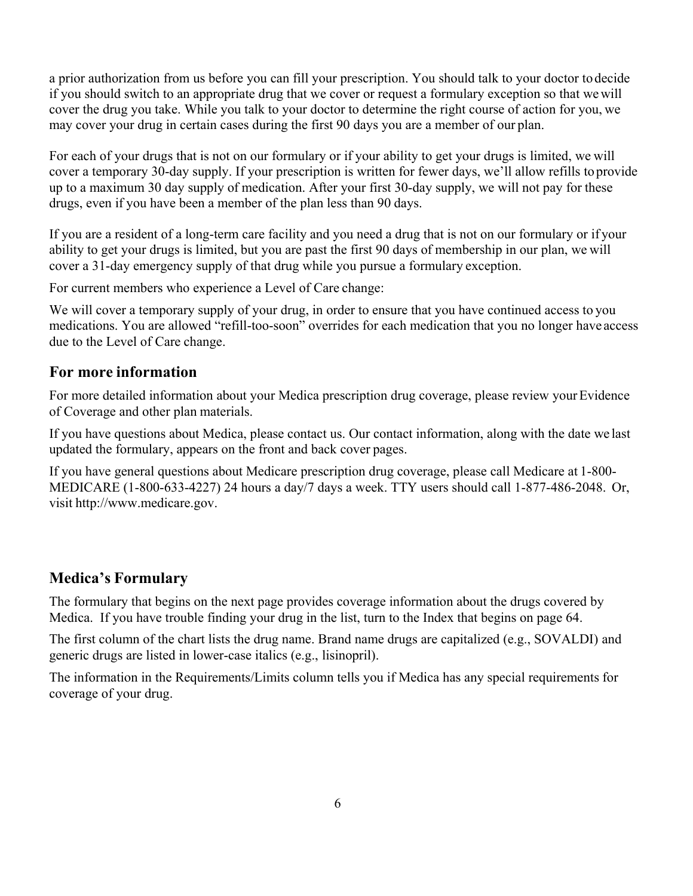a prior authorization from us before you can fill your prescription. You should talk to your doctor to decide if you should switch to an appropriate drug that we cover or request a formulary exception so that we will cover the drug you take. While you talk to your doctor to determine the right course of action for you, we may cover your drug in certain cases during the first 90 days you are a member of our plan.

For each of your drugs that is not on our formulary or if your ability to get your drugs is limited, we will cover a temporary 30-day supply. If your prescription is written for fewer days, we'll allow refills to provide up to a maximum 30 day supply of medication. After your first 30-day supply, we will not pay for these drugs, even if you have been a member of the plan less than 90 days.

If you are a resident of a long-term care facility and you need a drug that is not on our formulary or if your ability to get your drugs is limited, but you are past the first 90 days of membership in our plan, we will cover a 31-day emergency supply of that drug while you pursue a formulary exception.

For current members who experience a Level of Care change:

We will cover a temporary supply of your drug, in order to ensure that you have continued access to you medications. You are allowed "refill-too-soon" overrides for each medication that you no longer have access due to the Level of Care change.

#### **For more information**

For more detailed information about your Medica prescription drug coverage, please review your Evidence of Coverage and other plan materials.

If you have questions about Medica, please contact us. Our contact information, along with the date we last updated the formulary, appears on the front and back cover pages.

If you have general questions about Medicare prescription drug coverage, please call Medicare at 1-800- MEDICARE (1-800-633-4227) 24 hours a day/7 days a week. TTY users should call 1-877-486-2048. Or, visit http://www.medicare.gov.

# **Medica's Formulary**

The formulary that begins on the next page provides coverage information about the drugs covered by Medica. If you have trouble finding your drug in the list, turn to the Index that begins on page 64.

The first column of the chart lists the drug name. Brand name drugs are capitalized (e.g., SOVALDI) and generic drugs are listed in lower-case italics (e.g., lisinopril).

The information in the Requirements/Limits column tells you if Medica has any special requirements for coverage of your drug.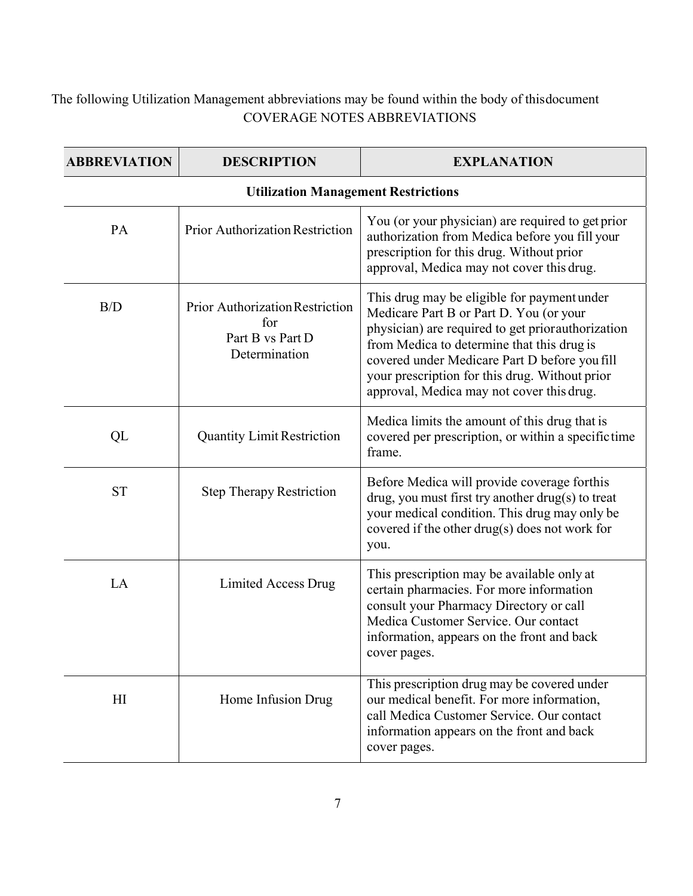# The following Utilization Management abbreviations may be found within the body of this document COVERAGE NOTES ABBREVIATIONS

| <b>ABBREVIATION</b> | <b>DESCRIPTION</b>                                                          | <b>EXPLANATION</b>                                                                                                                                                                                                                                                                                                                        |
|---------------------|-----------------------------------------------------------------------------|-------------------------------------------------------------------------------------------------------------------------------------------------------------------------------------------------------------------------------------------------------------------------------------------------------------------------------------------|
|                     | <b>Utilization Management Restrictions</b>                                  |                                                                                                                                                                                                                                                                                                                                           |
| PA                  | <b>Prior Authorization Restriction</b>                                      | You (or your physician) are required to get prior<br>authorization from Medica before you fill your<br>prescription for this drug. Without prior<br>approval, Medica may not cover this drug.                                                                                                                                             |
| B/D                 | Prior Authorization Restriction<br>for<br>Part B vs Part D<br>Determination | This drug may be eligible for payment under<br>Medicare Part B or Part D. You (or your<br>physician) are required to get priorauthorization<br>from Medica to determine that this drug is<br>covered under Medicare Part D before you fill<br>your prescription for this drug. Without prior<br>approval, Medica may not cover this drug. |
| QL                  | <b>Quantity Limit Restriction</b>                                           | Medica limits the amount of this drug that is<br>covered per prescription, or within a specific time<br>frame.                                                                                                                                                                                                                            |
| <b>ST</b>           | <b>Step Therapy Restriction</b>                                             | Before Medica will provide coverage forthis<br>drug, you must first try another drug(s) to treat<br>your medical condition. This drug may only be<br>covered if the other drug(s) does not work for<br>you.                                                                                                                               |
| LA                  | <b>Limited Access Drug</b>                                                  | This prescription may be available only at<br>certain pharmacies. For more information<br>consult your Pharmacy Directory or call<br>Medica Customer Service. Our contact<br>information, appears on the front and back<br>cover pages.                                                                                                   |
| H <sub>I</sub>      | Home Infusion Drug                                                          | This prescription drug may be covered under<br>our medical benefit. For more information,<br>call Medica Customer Service. Our contact<br>information appears on the front and back<br>cover pages.                                                                                                                                       |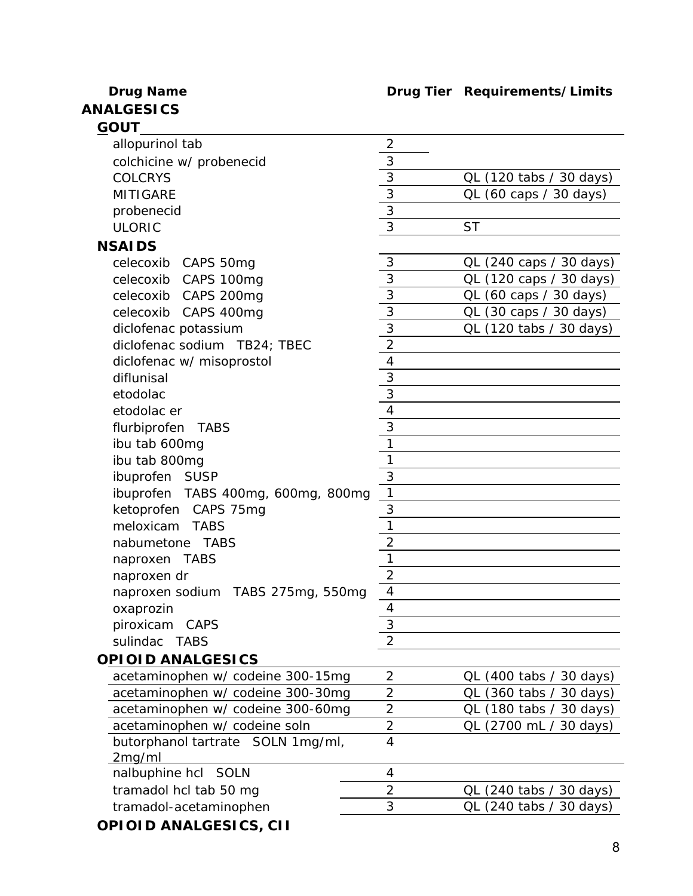# **ANALGESICS** *GOUT*

# **Drug Name Drug Tier Requirements/Limits**

| <u>ו טטט </u>                             |                                  |                         |
|-------------------------------------------|----------------------------------|-------------------------|
| allopurinol tab                           | $\overline{2}$                   |                         |
| colchicine w/ probenecid                  | 3                                |                         |
| <b>COLCRYS</b>                            | $\mathfrak{Z}$                   | QL (120 tabs / 30 days) |
| <b>MITIGARE</b>                           | 3                                | QL (60 caps / 30 days)  |
| probenecid                                | 3                                |                         |
| <b>ULORIC</b>                             | $\overline{3}$                   | <b>ST</b>               |
| <b>NSAIDS</b>                             |                                  |                         |
| celecoxib CAPS 50mg                       | 3                                | QL (240 caps / 30 days) |
| celecoxib CAPS 100mg                      | $\mathfrak{Z}$                   | QL (120 caps / 30 days) |
| celecoxib CAPS 200mg                      | $\overline{3}$                   | QL (60 caps / 30 days)  |
| celecoxib CAPS 400mg                      | $\overline{3}$                   | QL (30 caps / 30 days)  |
| diclofenac potassium                      | $\overline{3}$                   | QL (120 tabs / 30 days) |
| diclofenac sodium TB24; TBEC              | $\overline{2}$                   |                         |
| diclofenac w/ misoprostol                 | $\overline{\mathbf{4}}$          |                         |
| diflunisal                                | 3                                |                         |
| etodolac                                  | $\mathfrak{Z}$                   |                         |
| etodolac er                               | $\overline{4}$                   |                         |
| flurbiprofen TABS                         | 3                                |                         |
| ibu tab 600mg                             | 1                                |                         |
| ibu tab 800mg                             | 1                                |                         |
| ibuprofen SUSP                            | 3                                |                         |
| ibuprofen TABS 400mg, 600mg, 800mg        | $\mathbf{1}$                     |                         |
| ketoprofen CAPS 75mg                      | 3                                |                         |
| meloxicam TABS                            | 1                                |                         |
| nabumetone TABS                           | 2                                |                         |
| naproxen TABS                             | 1                                |                         |
| naproxen dr                               | $\overline{2}$                   |                         |
| naproxen sodium TABS 275mg, 550mg         | $\overline{4}$                   |                         |
| oxaprozin                                 | 4                                |                         |
| piroxicam CAPS                            | 3                                |                         |
| sulindac TABS                             | 2                                |                         |
| <b>OPIOID ANALGESICS</b>                  |                                  |                         |
| acetaminophen w/ codeine 300-15mg         | $\overline{2}$                   |                         |
|                                           |                                  | QL (400 tabs / 30 days) |
| acetaminophen w/ codeine 300-30mg         | $\overline{2}$<br>$\overline{2}$ | QL (360 tabs / 30 days) |
| acetaminophen w/ codeine 300-60mg         |                                  | QL (180 tabs / 30 days) |
| acetaminophen w/ codeine soln             | $\overline{2}$<br>$\overline{4}$ | QL (2700 mL / 30 days)  |
| butorphanol tartrate SOLN 1mg/ml,         |                                  |                         |
| 2 <sub>mg/ml</sub><br>nalbuphine hcl SOLN | 4                                |                         |
|                                           | $\overline{2}$                   |                         |
| tramadol hcl tab 50 mg                    | 3                                | QL (240 tabs / 30 days) |
| tramadol-acetaminophen                    |                                  | QL (240 tabs / 30 days) |
| OPIOID ANALGESICS, CII                    |                                  |                         |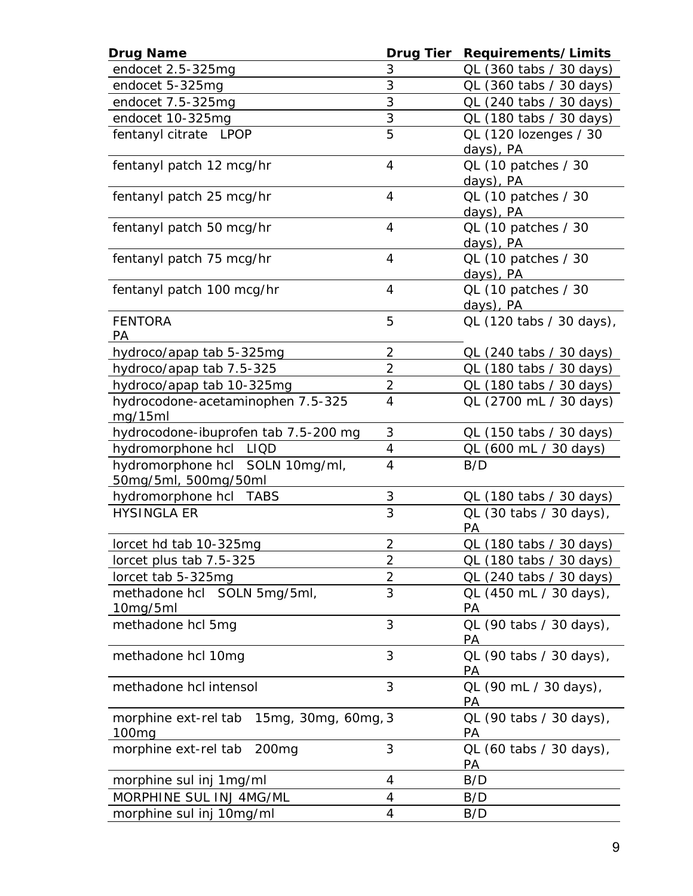| <b>Drug Name</b>                                                 | <b>Drug Tier</b> | Requirements/Limits                |
|------------------------------------------------------------------|------------------|------------------------------------|
| endocet 2.5-325mg                                                | 3                | QL (360 tabs / 30 days)            |
| endocet 5-325mg                                                  | 3                | QL (360 tabs / 30 days)            |
| endocet 7.5-325mg                                                | 3                | QL (240 tabs / 30 days)            |
| endocet 10-325mg                                                 | 3                | QL (180 tabs / 30 days)            |
| fentanyl citrate LPOP                                            | 5                | QL (120 lozenges / 30<br>days), PA |
| fentanyl patch 12 mcg/hr                                         | 4                | QL (10 patches / 30<br>days), PA   |
| fentanyl patch 25 mcg/hr                                         | 4                | QL (10 patches / 30<br>days), PA   |
| fentanyl patch 50 mcg/hr                                         | 4                | QL (10 patches / 30<br>days), PA   |
| fentanyl patch 75 mcg/hr                                         | 4                | QL (10 patches / 30<br>days), PA   |
| fentanyl patch 100 mcg/hr                                        | 4                | QL (10 patches / 30<br>days), PA   |
| <b>FENTORA</b><br>PA                                             | 5                | QL (120 tabs / 30 days),           |
| hydroco/apap tab 5-325mg                                         | 2                | QL (240 tabs / 30 days)            |
| hydroco/apap tab 7.5-325                                         | $\overline{2}$   | QL (180 tabs / 30 days)            |
| hydroco/apap tab 10-325mg                                        | $\overline{2}$   | QL (180 tabs / 30 days)            |
| hydrocodone-acetaminophen 7.5-325<br>mg/15ml                     | 4                | QL (2700 mL / 30 days)             |
| hydrocodone-ibuprofen tab 7.5-200 mg                             | 3                | QL (150 tabs / 30 days)            |
| hydromorphone hcl LIQD                                           | 4                | QL (600 mL / 30 days)              |
| hydromorphone hcl SOLN 10mg/ml,<br>50mg/5ml, 500mg/50ml          | $\overline{4}$   | B/D                                |
| hydromorphone hcl TABS                                           | 3                | QL (180 tabs / 30 days)            |
| <b>HYSINGLA ER</b>                                               | 3                | QL (30 tabs / 30 days),<br>PA      |
| lorcet hd tab 10-325mg                                           | $\overline{2}$   | QL (180 tabs / 30 days)            |
| lorcet plus tab 7.5-325                                          | 2                | QL (180 tabs / 30 days)            |
| lorcet tab 5-325mg                                               | $\overline{2}$   | QL (240 tabs / 30 days)            |
| methadone hcl SOLN 5mg/5ml,<br>10mg/5ml                          | 3                | QL (450 mL / 30 days),<br>РA       |
| methadone hcl 5mg                                                | 3                | QL (90 tabs / 30 days),<br>PA      |
| methadone hcl 10mg                                               | 3                | QL (90 tabs / 30 days),<br>PА      |
| methadone hcl intensol                                           | 3                | QL (90 mL / 30 days),<br>PА        |
| 15mg, 30mg, 60mg, 3<br>morphine ext-rel tab<br>100 <sub>mg</sub> |                  | QL (90 tabs / 30 days),<br>РA      |
| 200 <sub>mg</sub><br>morphine ext-rel tab                        | 3                | QL (60 tabs / 30 days),<br>PA      |
| morphine sul inj 1mg/ml                                          | 4                | B/D                                |
| MORPHINE SUL INJ 4MG/ML                                          | 4                | B/D                                |
| morphine sul inj 10mg/ml                                         | 4                | B/D                                |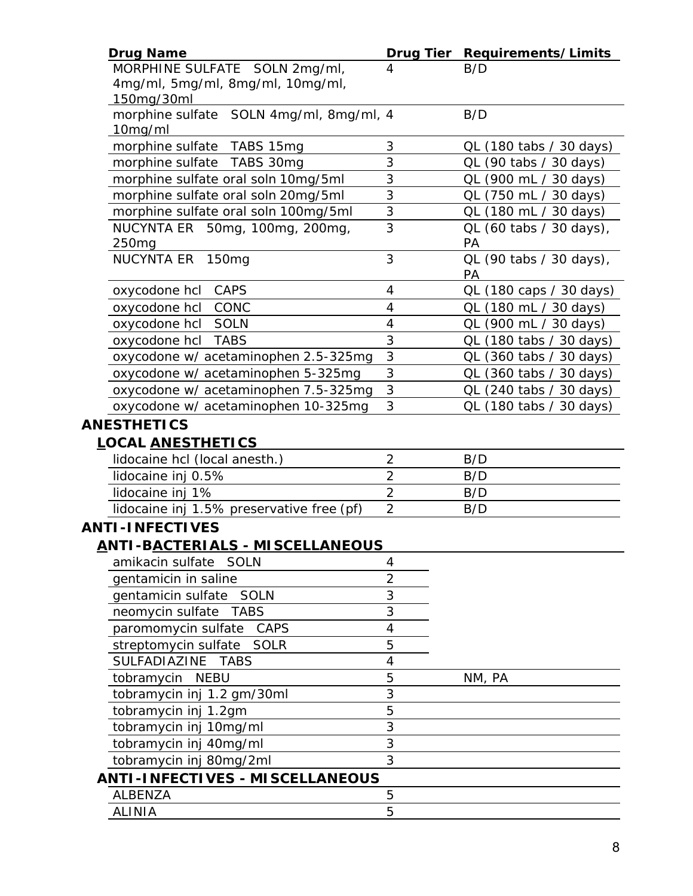| <b>Drug Name</b>                                   |                | Drug Tier Requirements/Limits |
|----------------------------------------------------|----------------|-------------------------------|
| MORPHINE SULFATE SOLN 2mg/ml,                      | 4              | B/D                           |
| 4mg/ml, 5mg/ml, 8mg/ml, 10mg/ml,                   |                |                               |
| 150mg/30ml                                         |                |                               |
| morphine sulfate SOLN 4mg/ml, 8mg/ml, 4<br>10mg/ml |                | B/D                           |
| morphine sulfate TABS 15mg                         | 3              | QL (180 tabs / 30 days)       |
| morphine sulfate<br>TABS 30mg                      | 3              | QL (90 tabs / 30 days)        |
| morphine sulfate oral soln 10mg/5ml                | 3              | QL (900 mL / 30 days)         |
| morphine sulfate oral soln 20mg/5ml                | 3              | QL (750 mL / 30 days)         |
| morphine sulfate oral soln 100mg/5ml               | 3              | QL (180 mL / 30 days)         |
| NUCYNTA ER 50mg, 100mg, 200mg,                     | 3              | QL (60 tabs / 30 days),       |
| 250 <sub>mg</sub>                                  |                | PA                            |
| NUCYNTA ER 150mg                                   | 3              | QL (90 tabs / 30 days),<br>PA |
| oxycodone hcl CAPS                                 | 4              | QL (180 caps / 30 days)       |
| CONC<br>oxycodone hcl                              | 4              | QL (180 mL / 30 days)         |
| <b>SOLN</b><br>oxycodone hcl                       | 4              | QL (900 mL / 30 days)         |
| oxycodone hcl<br><b>TABS</b>                       | 3              | QL (180 tabs / 30 days)       |
| oxycodone w/ acetaminophen 2.5-325mg               | $\sqrt{3}$     | QL (360 tabs / 30 days)       |
| oxycodone w/ acetaminophen 5-325mg                 | 3              | QL (360 tabs / 30 days)       |
| oxycodone w/ acetaminophen 7.5-325mg               | 3              | QL (240 tabs / 30 days)       |
| oxycodone w/ acetaminophen 10-325mg                | 3              | QL (180 tabs / 30 days)       |
| <b>ANESTHETICS</b>                                 |                |                               |
| <b>LOCAL ANESTHETICS</b>                           |                |                               |
| lidocaine hcl (local anesth.)                      | $\overline{2}$ | B/D                           |
| lidocaine inj 0.5%                                 | $\overline{2}$ | B/D                           |
| lidocaine inj 1%                                   | $\overline{2}$ | B/D                           |
| lidocaine inj 1.5% preservative free (pf)          | $\overline{2}$ | B/D                           |
| <b>ANTI-INFECTIVES</b>                             |                |                               |
| ANTI-BACTERIALS - MISCELLANEOUS                    |                |                               |
| amikacin sulfate SOLN                              | 4              |                               |
| gentamicin in saline                               | $\overline{2}$ |                               |
| gentamicin sulfate SOLN                            | 3              |                               |
| neomycin sulfate<br><b>TABS</b>                    | 3              |                               |
| paromomycin sulfate<br>CAPS                        | 4              |                               |
| streptomycin sulfate<br>SOLR                       | 5              |                               |
| <b>SULFADIAZINE</b><br><b>TABS</b>                 | 4              |                               |
| tobramycin NEBU                                    | 5              | NM, PA                        |
| tobramycin inj 1.2 gm/30ml                         | 3              |                               |
| tobramycin inj 1.2gm                               | 5              |                               |
| tobramycin inj 10mg/ml                             | 3              |                               |
| tobramycin inj 40mg/ml                             | 3              |                               |
| tobramycin inj 80mg/2ml                            | 3              |                               |
| <b>ANTI-INFECTIVES - MISCELLANEOUS</b>             |                |                               |
| <b>ALBENZA</b>                                     | 5              |                               |
| <b>ALINIA</b>                                      | 5              |                               |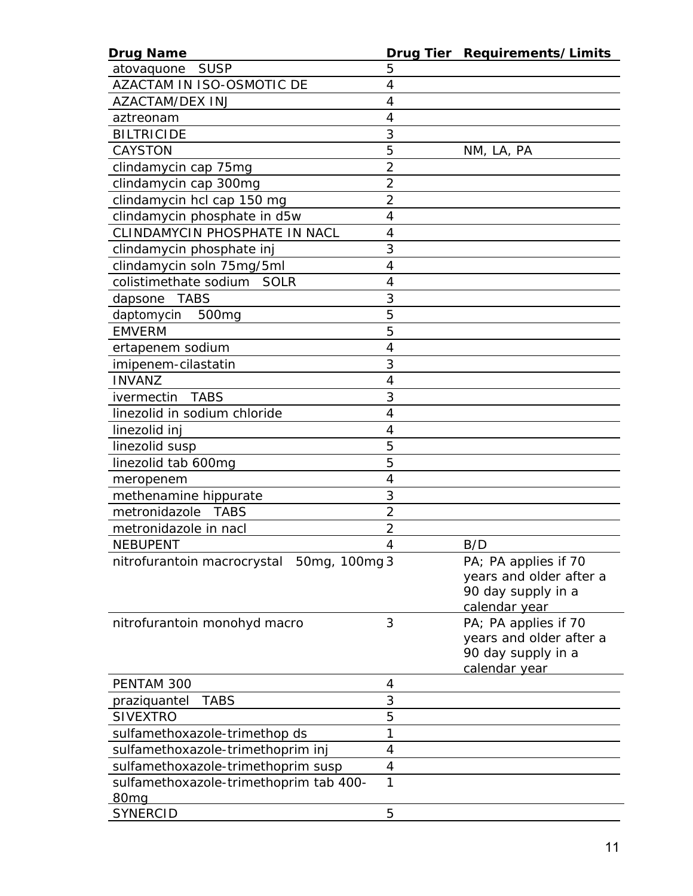| <b>Drug Name</b>                          |                | Drug Tier Requirements/Limits |
|-------------------------------------------|----------------|-------------------------------|
| atovaquone SUSP                           | 5              |                               |
| AZACTAM IN ISO-OSMOTIC DE                 | 4              |                               |
| <b>AZACTAM/DEX INJ</b>                    | 4              |                               |
| aztreonam                                 | 4              |                               |
| <b>BILTRICIDE</b>                         | 3              |                               |
| <b>CAYSTON</b>                            | 5              | NM, LA, PA                    |
| clindamycin cap 75mg                      | $\overline{2}$ |                               |
| clindamycin cap 300mg                     | $\overline{2}$ |                               |
| clindamycin hcl cap 150 mg                | $\overline{2}$ |                               |
| clindamycin phosphate in d5w              | 4              |                               |
| CLINDAMYCIN PHOSPHATE IN NACL             | 4              |                               |
| clindamycin phosphate inj                 | 3              |                               |
| clindamycin soln 75mg/5ml                 | 4              |                               |
| colistimethate sodium SOLR                | 4              |                               |
| TABS<br>dapsone                           | 3              |                               |
| daptomycin<br>500 <sub>mg</sub>           | 5              |                               |
| <b>EMVERM</b>                             | 5              |                               |
| ertapenem sodium                          | 4              |                               |
| imipenem-cilastatin                       | 3              |                               |
| <b>INVANZ</b>                             | 4              |                               |
| <b>TABS</b><br>ivermectin                 | 3              |                               |
| linezolid in sodium chloride              | 4              |                               |
| linezolid inj                             | 4              |                               |
| linezolid susp                            | 5              |                               |
| linezolid tab 600mg                       | 5              |                               |
| meropenem                                 | 4              |                               |
| methenamine hippurate                     | 3              |                               |
| metronidazole TABS                        | $\overline{2}$ |                               |
| metronidazole in nacl                     | $\overline{2}$ |                               |
| <b>NEBUPENT</b>                           | 4              | B/D                           |
| nitrofurantoin macrocrystal 50mg, 100mg 3 |                | PA; PA applies if 70          |
|                                           |                | years and older after a       |
|                                           |                | 90 day supply in a            |
|                                           |                | calendar year                 |
| nitrofurantoin monohyd macro              | 3              | PA; PA applies if 70          |
|                                           |                | years and older after a       |
|                                           |                | 90 day supply in a            |
|                                           |                | calendar year                 |
| PENTAM 300                                | 4              |                               |
| <b>TABS</b><br>praziquantel               | 3              |                               |
| <b>SIVEXTRO</b>                           | 5              |                               |
| sulfamethoxazole-trimethop ds             | 1              |                               |
| sulfamethoxazole-trimethoprim inj         | 4              |                               |
| sulfamethoxazole-trimethoprim susp        | 4              |                               |
| sulfamethoxazole-trimethoprim tab 400-    | 1              |                               |
| 80 <sub>mq</sub>                          |                |                               |
| <b>SYNERCID</b>                           | 5              |                               |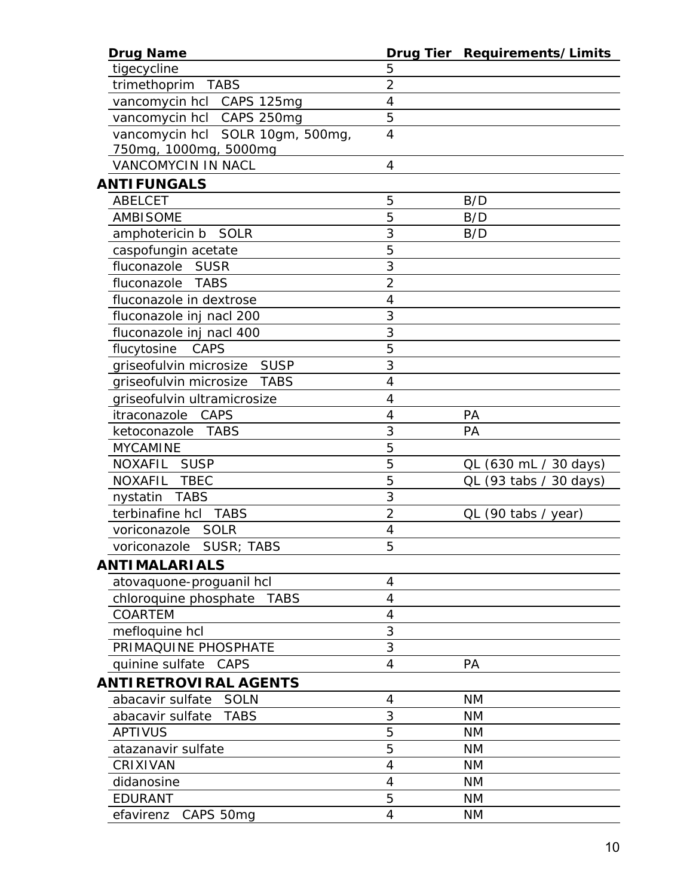| <b>Drug Name</b>                      |                | Drug Tier Requirements/Limits |
|---------------------------------------|----------------|-------------------------------|
| tigecycline                           | 5              |                               |
| trimethoprim<br>TABS                  | $\overline{2}$ |                               |
| vancomycin hcl CAPS 125mg             | 4              |                               |
| vancomycin hcl CAPS 250mg             | 5              |                               |
| vancomycin hcl SOLR 10gm, 500mg,      | $\overline{4}$ |                               |
| 750mg, 1000mg, 5000mg                 |                |                               |
| <b>VANCOMYCIN IN NACL</b>             | 4              |                               |
| <b>ANTIFUNGALS</b>                    |                |                               |
| <b>ABELCET</b>                        | 5              | B/D                           |
| <b>AMBISOME</b>                       | 5              | B/D                           |
| <i>amphotericin b</i> SOLR            | 3              | B/D                           |
| caspofungin acetate                   | 5              |                               |
| fluconazole SUSR                      | 3              |                               |
| fluconazole TABS                      | $\overline{2}$ |                               |
| fluconazole in dextrose               | 4              |                               |
| fluconazole inj nacl 200              | 3              |                               |
| fluconazole inj nacl 400              | 3              |                               |
| flucytosine<br>CAPS                   | 5              |                               |
| griseofulvin microsize SUSP           | 3              |                               |
| griseofulvin microsize<br><b>TABS</b> | 4              |                               |
| griseofulvin ultramicrosize           | 4              |                               |
| CAPS<br>itraconazole                  | 4              | PA                            |
| TABS<br>ketoconazole                  | 3              | PA                            |
| <b>MYCAMINE</b>                       | 5              |                               |
| <b>NOXAFIL</b><br><b>SUSP</b>         | 5              | QL (630 mL / 30 days)         |
| NOXAFIL TBEC                          | 5              | QL (93 tabs / 30 days)        |
| nystatin TABS                         | 3              |                               |
| terbinafine hcl<br><b>TABS</b>        | $\overline{2}$ | $QL$ (90 tabs / year)         |
| SOLR<br>voriconazole                  | 4              |                               |
| voriconazole SUSR; TABS               | 5              |                               |
| <b>ANTIMALARIALS</b>                  |                |                               |
| atovaquone-proguanil hcl              | 4              |                               |
| chloroquine phosphate<br><b>TABS</b>  | 4              |                               |
| <b>COARTEM</b>                        | 4              |                               |
| mefloquine hcl                        | 3              |                               |
| PRIMAQUINE PHOSPHATE                  | 3              |                               |
| quinine sulfate<br>CAPS               | 4              | PA                            |
|                                       |                |                               |
| <b>ANTIRETROVIRAL AGENTS</b>          |                |                               |
| abacavir sulfate<br>SOLN              | 4              | <b>NM</b>                     |
| <b>TABS</b><br>abacavir sulfate       | 3              | <b>NM</b>                     |
| <b>APTIVUS</b>                        | 5              | <b>NM</b>                     |
| atazanavir sulfate                    | 5              | <b>NM</b>                     |
| CRIXIVAN                              | 4              | <b>NM</b>                     |
| didanosine                            | $\overline{4}$ | <b>NM</b>                     |
| <b>EDURANT</b>                        | 5              | <b>NM</b>                     |
| efavirenz CAPS 50mg                   | 4              | <b>NM</b>                     |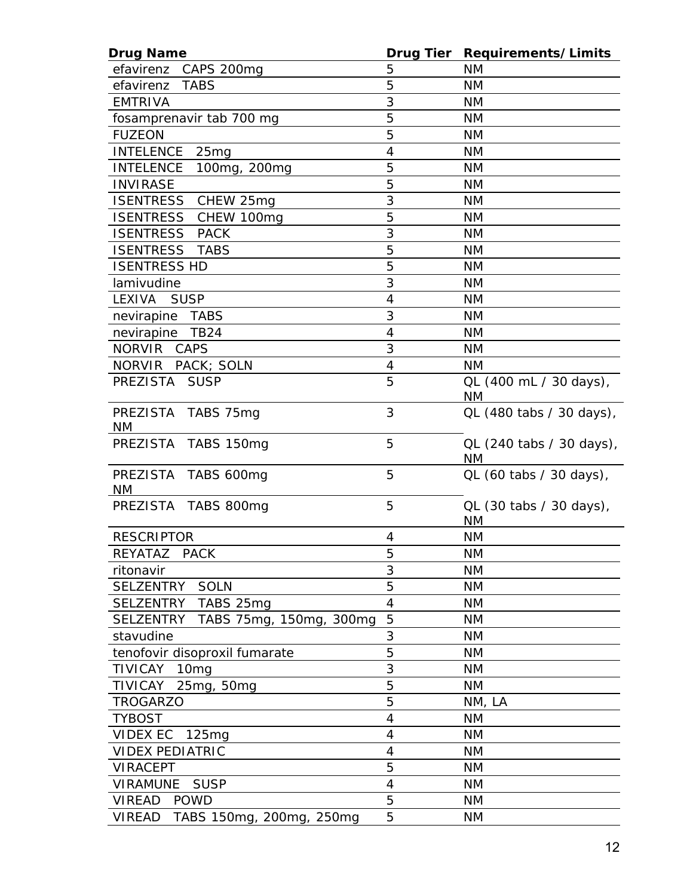| <b>Drug Name</b>                            |                          | Drug Tier Requirements/Limits        |
|---------------------------------------------|--------------------------|--------------------------------------|
| efavirenz CAPS 200mg                        | 5                        | <b>NM</b>                            |
| efavirenz<br><b>TABS</b>                    | 5                        | <b>NM</b>                            |
| <b>EMTRIVA</b>                              | 3                        | <b>NM</b>                            |
| fosamprenavir tab 700 mg                    | 5                        | <b>NM</b>                            |
| <b>FUZEON</b>                               | 5                        | <b>NM</b>                            |
| <b>INTELENCE</b><br>25mg                    | 4                        | <b>NM</b>                            |
| <b>INTELENCE</b><br>100mg, 200mg            | 5                        | <b>NM</b>                            |
| <b>INVIRASE</b>                             | 5                        | <b>NM</b>                            |
| ISENTRESS CHEW 25mg                         | 3                        | <b>NM</b>                            |
| ISENTRESS CHEW 100mg                        | 5                        | <b>NM</b>                            |
| <b>ISENTRESS</b><br><b>PACK</b>             | 3                        | <b>NM</b>                            |
| ISENTRESS TABS                              | $\overline{5}$           | <b>NM</b>                            |
| <b>ISENTRESS HD</b>                         | 5                        | <b>NM</b>                            |
| lamivudine                                  | 3                        | <b>NM</b>                            |
| LEXIVA<br><b>SUSP</b>                       | $\overline{4}$           | <b>NM</b>                            |
| nevirapine TABS                             | 3                        | <b>NM</b>                            |
| nevirapine TB24                             | 4                        | <b>NM</b>                            |
| NORVIR CAPS                                 | 3                        | <b>NM</b>                            |
| NORVIR PACK; SOLN                           | 4                        | <b>NM</b>                            |
| PREZISTA SUSP                               | 5                        | QL (400 mL / 30 days),               |
|                                             |                          | <b>NM</b>                            |
| PREZISTA TABS 75mg<br><b>NM</b>             | 3                        | QL (480 tabs / 30 days),             |
| PREZISTA TABS 150mg                         | 5                        | QL (240 tabs / 30 days),<br>ΝM       |
| PREZISTA TABS 600mg<br><b>NM</b>            | 5                        | QL (60 tabs / 30 days),              |
| PREZISTA TABS 800mg                         | 5                        | QL (30 tabs / 30 days),<br><b>NM</b> |
| <b>RESCRIPTOR</b>                           | $\overline{4}$           | <b>NM</b>                            |
| <b>REYATAZ</b><br><b>PACK</b>               | 5                        | <b>NM</b>                            |
| ritonavir                                   | 3                        | <b>NM</b>                            |
| <b>SELZENTRY</b><br><b>SOLN</b>             | 5                        | <b>NM</b>                            |
| <b>SELZENTRY</b><br>TABS 25mg               | $\overline{4}$           | <b>NM</b>                            |
| <b>SELZENTRY</b><br>TABS 75mg, 150mg, 300mg | 5                        | <b>NM</b>                            |
| stavudine                                   | 3                        | <b>NM</b>                            |
| tenofovir disoproxil fumarate               | 5                        | <b>NM</b>                            |
| <b>TIVICAY</b><br>10 <sub>mg</sub>          | 3                        | <b>NM</b>                            |
| 25mg, 50mg<br><b>TIVICAY</b>                | 5                        | <b>NM</b>                            |
| <b>TROGARZO</b>                             | 5                        | NM, LA                               |
| <b>TYBOST</b>                               | $\overline{\mathcal{A}}$ | <b>NM</b>                            |
|                                             | $\overline{4}$           | <b>NM</b>                            |
| <b>VIDEX EC</b><br>125mg                    | 4                        |                                      |
| <b>VIDEX PEDIATRIC</b>                      | 5                        | <b>NM</b>                            |
| <b>VIRACEPT</b>                             |                          | <b>NM</b>                            |
| <b>VIRAMUNE</b><br><b>SUSP</b>              | 4                        | <b>NM</b>                            |
| <b>VIREAD</b><br><b>POWD</b>                | 5                        | <b>NM</b>                            |
| <b>VIREAD</b><br>TABS 150mg, 200mg, 250mg   | 5                        | ΝM                                   |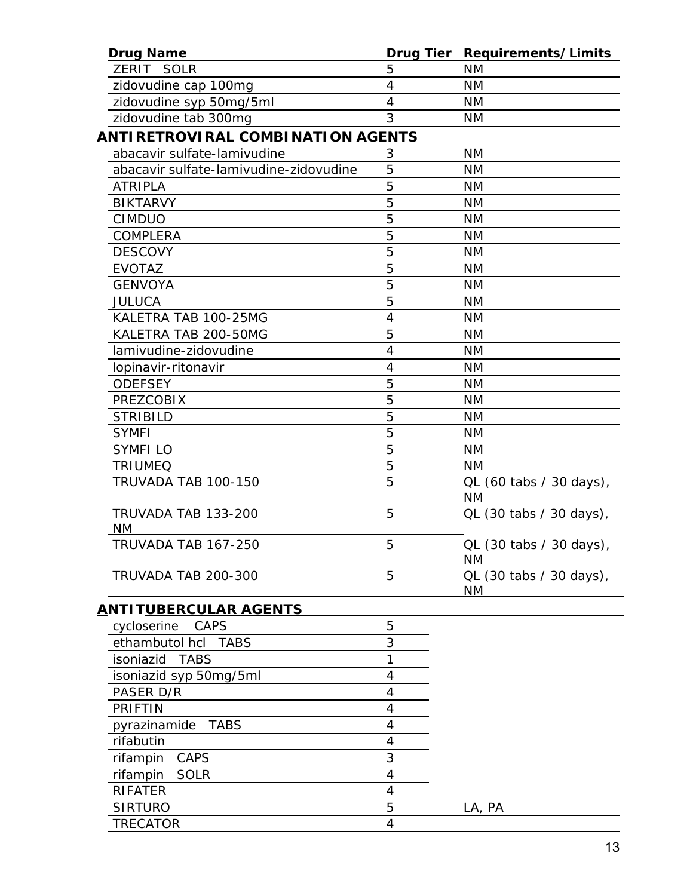| <b>Drug Name</b>                       | Drug Tier | Requirements/Limits                  |
|----------------------------------------|-----------|--------------------------------------|
| ZERIT SOLR                             | 5         | <b>NM</b>                            |
| zidovudine cap 100mg                   | 4         | <b>NM</b>                            |
| zidovudine syp 50mg/5ml                | 4         | <b>NM</b>                            |
| zidovudine tab 300mg                   | 3         | <b>NM</b>                            |
| ANTIRETROVIRAL COMBINATION AGENTS      |           |                                      |
| abacavir sulfate-lamivudine            | 3         | <b>NM</b>                            |
| abacavir sulfate-lamivudine-zidovudine | 5         | <b>NM</b>                            |
| <b>ATRIPLA</b>                         | 5         | <b>NM</b>                            |
| <b>BIKTARVY</b>                        | 5         | <b>NM</b>                            |
| <b>CIMDUO</b>                          | 5         | <b>NM</b>                            |
| COMPLERA                               | 5         | <b>NM</b>                            |
| <b>DESCOVY</b>                         | 5         | <b>NM</b>                            |
| <b>EVOTAZ</b>                          | 5         | <b>NM</b>                            |
| <b>GENVOYA</b>                         | 5         | <b>NM</b>                            |
| <b>JULUCA</b>                          | 5         | <b>NM</b>                            |
| KALETRA TAB 100-25MG                   | 4         | <b>NM</b>                            |
| KALETRA TAB 200-50MG                   | 5         | <b>NM</b>                            |
| lamivudine-zidovudine                  | 4         | <b>NM</b>                            |
| lopinavir-ritonavir                    | 4         | <b>NM</b>                            |
| <b>ODEFSEY</b>                         | 5         | <b>NM</b>                            |
| <b>PREZCOBIX</b>                       | 5         | <b>NM</b>                            |
| <b>STRIBILD</b>                        | 5         | <b>NM</b>                            |
| <b>SYMFI</b>                           | 5         | <b>NM</b>                            |
| <b>SYMFILO</b>                         | 5         | <b>NM</b>                            |
| <b>TRIUMEQ</b>                         | 5         | <b>NM</b>                            |
| TRUVADA TAB 100-150                    | 5         | QL (60 tabs / 30 days),<br><b>NM</b> |
| TRUVADA TAB 133-200<br><b>NM</b>       | 5         | QL (30 tabs / 30 days),              |
| TRUVADA TAB 167-250                    | 5         | QL (30 tabs / 30 days),<br><b>NM</b> |
| TRUVADA TAB 200-300                    | 5         | QL (30 tabs / 30 days),<br><b>NM</b> |
| <u>A</u> NTI T <u>UBERCULAR AGENTS</u> |           |                                      |
| cycloserine<br><b>CAPS</b>             | 5         |                                      |
| ethambutol hcl<br><b>TABS</b>          | 3         |                                      |
| isoniazid<br><b>TABS</b>               | 1         |                                      |
| isoniazid syp 50mg/5ml                 | 4         |                                      |
| PASER D/R                              | 4         |                                      |
| <b>PRIFTIN</b>                         | 4         |                                      |
| <b>TABS</b><br>pyrazinamide            | 4         |                                      |
| rifabutin                              | 4         |                                      |
| rifampin CAPS                          | 3         |                                      |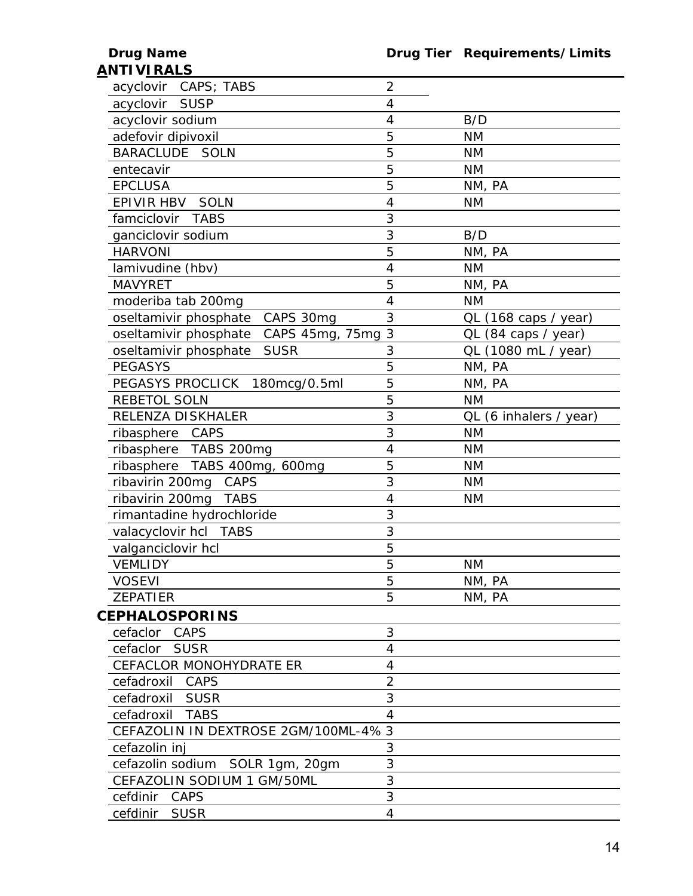| <u>ANTI VIRALS</u>                    |                |                        |
|---------------------------------------|----------------|------------------------|
| acyclovir CAPS; TABS                  | $\overline{2}$ |                        |
| acyclovir SUSP                        | $\overline{4}$ |                        |
| acyclovir sodium                      | 4              | B/D                    |
| adefovir dipivoxil                    | 5              | <b>NM</b>              |
| BARACLUDE SOLN                        | 5              | <b>NM</b>              |
| entecavir                             | 5              | <b>NM</b>              |
| <b>EPCLUSA</b>                        | 5              | NM, PA                 |
| EPIVIR HBV<br><b>SOLN</b>             | 4              | <b>NM</b>              |
| famciclovir<br><b>TABS</b>            | 3              |                        |
| ganciclovir sodium                    | 3              | B/D                    |
| <b>HARVONI</b>                        | 5              | NM, PA                 |
| lamivudine (hbv)                      | 4              | <b>NM</b>              |
| <b>MAVYRET</b>                        | 5              | NM, PA                 |
| moderiba tab 200mg                    | 4              | <b>NM</b>              |
| oseltamivir phosphate<br>CAPS 30mg    | 3              | QL (168 caps / year)   |
| oseltamivir phosphate CAPS 45mg, 75mg | 3              | QL (84 caps / year)    |
| <b>SUSR</b><br>oseltamivir phosphate  | 3              | QL (1080 mL / year)    |
| <b>PEGASYS</b>                        | 5              | NM, PA                 |
| PEGASYS PROCLICK 180mcg/0.5ml         | 5              | NM, PA                 |
| REBETOL SOLN                          | 5              | <b>NM</b>              |
| RELENZA DISKHALER                     | 3              | QL (6 inhalers / year) |
| ribasphere CAPS                       | 3              | <b>NM</b>              |
| ribasphere TABS 200mg                 | 4              | <b>NM</b>              |
| ribasphere TABS 400mg, 600mg          | 5              | <b>NM</b>              |
| ribavirin 200mg<br>CAPS               | 3              | <b>NM</b>              |
| ribavirin 200mg<br>TABS               | $\overline{4}$ | <b>NM</b>              |
| rimantadine hydrochloride             | 3              |                        |
| valacyclovir hcl TABS                 | 3              |                        |
| valganciclovir hcl                    | 5              |                        |
| <b>VEMLIDY</b>                        | 5              | <b>NM</b>              |
| <b>VOSEVI</b>                         | 5              | NM, PA                 |
| <b>ZEPATIER</b>                       | 5              | NM, PA                 |
| <b>CEPHALOSPORINS</b>                 |                |                        |
| cefaclor CAPS                         | 3              |                        |
| cefaclor<br><b>SUSR</b>               | 4              |                        |
| <b>CEFACLOR MONOHYDRATE ER</b>        | 4              |                        |
| CAPS<br>cefadroxil                    | $\overline{2}$ |                        |
| cefadroxil SUSR                       | 3              |                        |
| <b>TABS</b><br>cefadroxil             | $\overline{4}$ |                        |
| CEFAZOLIN IN DEXTROSE 2GM/100ML-4% 3  |                |                        |
| cefazolin inj                         | 3              |                        |
| cefazolin sodium SOLR 1gm, 20gm       | 3              |                        |
| CEFAZOLIN SODIUM 1 GM/50ML            | 3              |                        |
| CAPS<br>cefdinir                      | 3              |                        |
| cefdinir SUSR                         | $\overline{4}$ |                        |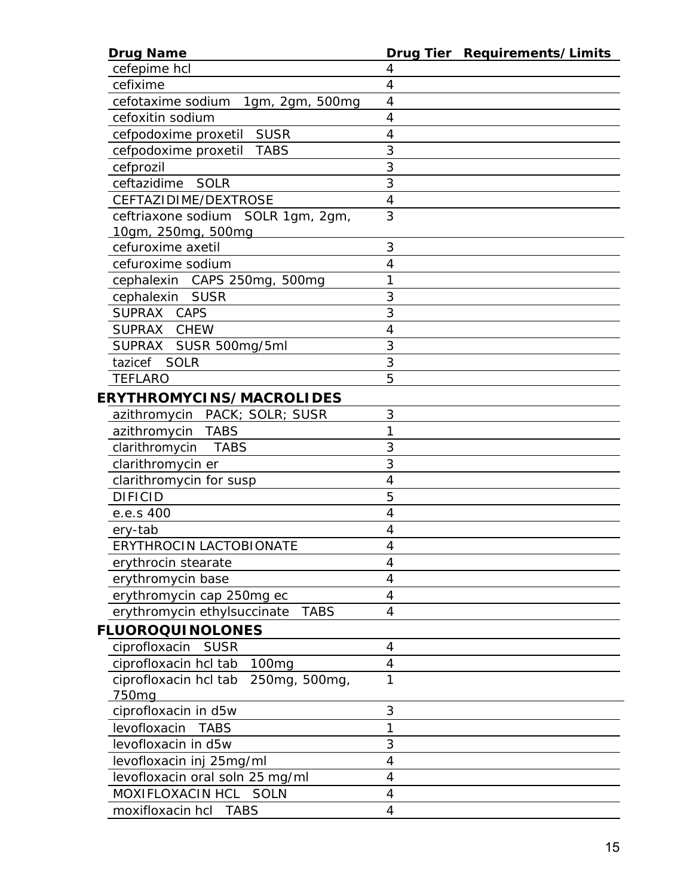| <b>Drug Name</b>                                        | Drug Tier Requirements/Limits |
|---------------------------------------------------------|-------------------------------|
| cefepime hcl                                            | 4                             |
| cefixime                                                | 4                             |
| cefotaxime sodium<br>1gm, 2gm, 500mg                    | 4                             |
| cefoxitin sodium                                        | 4                             |
| cefpodoxime proxetil SUSR                               | 4                             |
| <b>TABS</b><br>cefpodoxime proxetil                     | 3                             |
| cefprozil                                               | 3                             |
| ceftazidime SOLR                                        | 3                             |
| CEFTAZIDIME/DEXTROSE                                    | 4                             |
| ceftriaxone sodium SOLR 1gm, 2gm,<br>10gm, 250mg, 500mg | 3                             |
| cefuroxime axetil                                       | 3                             |
| cefuroxime sodium                                       | 4                             |
| cephalexin CAPS 250mg, 500mg                            | 1                             |
| cephalexin SUSR                                         | 3                             |
| SUPRAX CAPS                                             | 3                             |
| SUPRAX CHEW                                             | $\overline{4}$                |
| SUPRAX SUSR 500mg/5ml                                   | 3                             |
| tazicef SOLR                                            | 3                             |
| <b>TEFLARO</b>                                          | 5                             |
| <b>ERYTHROMYCINS/MACROLIDES</b>                         |                               |
| azithromycin PACK; SOLR; SUSR                           | 3                             |
| azithromycin TABS                                       | 1                             |
| clarithromycin TABS                                     | 3                             |
| clarithromycin er                                       | 3                             |
| clarithromycin for susp                                 | $\overline{4}$                |
| <b>DIFICID</b>                                          | 5                             |
| e.e.s 400                                               | 4                             |
| ery-tab                                                 | 4                             |
| <b>ERYTHROCIN LACTOBIONATE</b>                          | $\overline{4}$                |
| erythrocin stearate                                     | 4                             |
| erythromycin base                                       | 4                             |
| erythromycin cap 250mg ec                               | 4                             |
| erythromycin ethylsuccinate<br><b>TABS</b>              | $\overline{4}$                |
| <b>FLUOROQUINOLONES</b>                                 |                               |
| ciprofloxacin<br><b>SUSR</b>                            | 4                             |
| ciprofloxacin hcl tab<br>100 <sub>mg</sub>              | 4                             |
| ciprofloxacin hcl tab 250mg, 500mg,                     | 1                             |
| 750mg                                                   |                               |
| ciprofloxacin in d5w                                    | 3                             |
| levofloxacin<br><b>TABS</b>                             | 1                             |
| levofloxacin in d5w                                     | 3                             |
| levofloxacin inj 25mg/ml                                | 4                             |
| levofloxacin oral soln 25 mg/ml                         | $\overline{4}$                |
| MOXIFLOXACIN HCL SOLN                                   | 4                             |
| moxifloxacin hcl TABS                                   | $\overline{4}$                |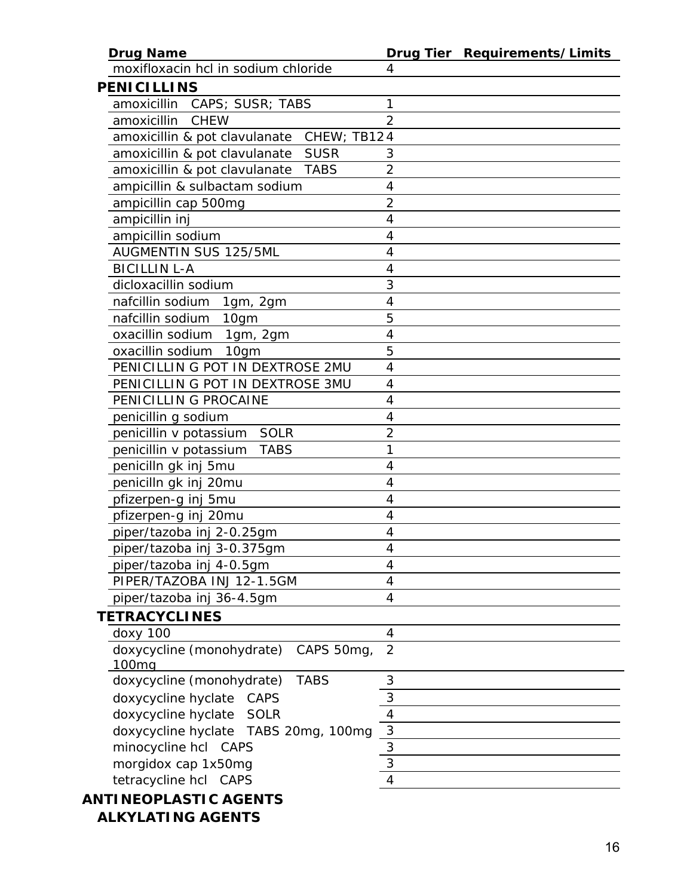| <b>Drug Name</b>                             |                | Drug Tier Requirements/Limits |
|----------------------------------------------|----------------|-------------------------------|
| moxifloxacin hcl in sodium chloride          | 4              |                               |
| <b>PENICILLINS</b>                           |                |                               |
| amoxicillin<br>CAPS; SUSR; TABS              | 1              |                               |
| amoxicillin<br>CHEW                          | $\overline{2}$ |                               |
| amoxicillin & pot clavulanate CHEW; TB124    |                |                               |
| amoxicillin & pot clavulanate<br><b>SUSR</b> | 3              |                               |
| amoxicillin & pot clavulanate<br><b>TABS</b> | $\overline{2}$ |                               |
| ampicillin & sulbactam sodium                | $\overline{4}$ |                               |
| ampicillin cap 500mg                         | $\overline{2}$ |                               |
| ampicillin inj                               | 4              |                               |
| ampicillin sodium                            | 4              |                               |
| AUGMENTIN SUS 125/5ML                        | 4              |                               |
| <b>BICILLIN L-A</b>                          | 4              |                               |
| dicloxacillin sodium                         | 3              |                               |
| nafcillin sodium 1gm, 2gm                    | 4              |                               |
| nafcillin sodium<br>10gm                     | 5              |                               |
| oxacillin sodium<br>1gm, 2gm                 | 4              |                               |
| oxacillin sodium<br>10 <sub>q</sub> m        | 5              |                               |
| PENICILLIN G POT IN DEXTROSE 2MU             | 4              |                               |
| PENICILLIN G POT IN DEXTROSE 3MU             | 4              |                               |
| PENICILLIN G PROCAINE                        | 4              |                               |
| penicillin g sodium                          | 4              |                               |
| SOLR<br>penicillin v potassium               | $\overline{2}$ |                               |
| penicillin v potassium<br><b>TABS</b>        | 1              |                               |
| penicilln gk inj 5mu                         | 4              |                               |
| penicilln gk inj 20mu                        | 4              |                               |
| pfizerpen-g inj 5mu                          | 4              |                               |
| pfizerpen-g inj 20mu                         | 4              |                               |
| piper/tazoba inj 2-0.25gm                    | 4              |                               |
| piper/tazoba inj 3-0.375gm                   | 4              |                               |
| piper/tazoba inj 4-0.5gm                     | 4              |                               |
| PIPER/TAZOBA INJ 12-1.5GM                    | 4              |                               |
| piper/tazoba inj 36-4.5gm                    | 4              |                               |
| <b>TETRACYCLINES</b>                         |                |                               |
| doxy 100                                     | 4              |                               |
| doxycycline (monohydrate)<br>CAPS 50mg,      | $\overline{2}$ |                               |
| 100 <sub>mq</sub>                            |                |                               |
| doxycycline (monohydrate)<br><b>TABS</b>     | 3              |                               |
| doxycycline hyclate CAPS                     | 3              |                               |
| doxycycline hyclate<br><b>SOLR</b>           | 4              |                               |
| doxycycline hyclate TABS 20mg, 100mg         | 3              |                               |
| minocycline hcl CAPS                         | $\overline{3}$ |                               |
| morgidox cap 1x50mg                          | 3              |                               |
| tetracycline hcl CAPS                        | 4              |                               |
| <b>ANTINEOPLASTIC AGENTS</b>                 |                |                               |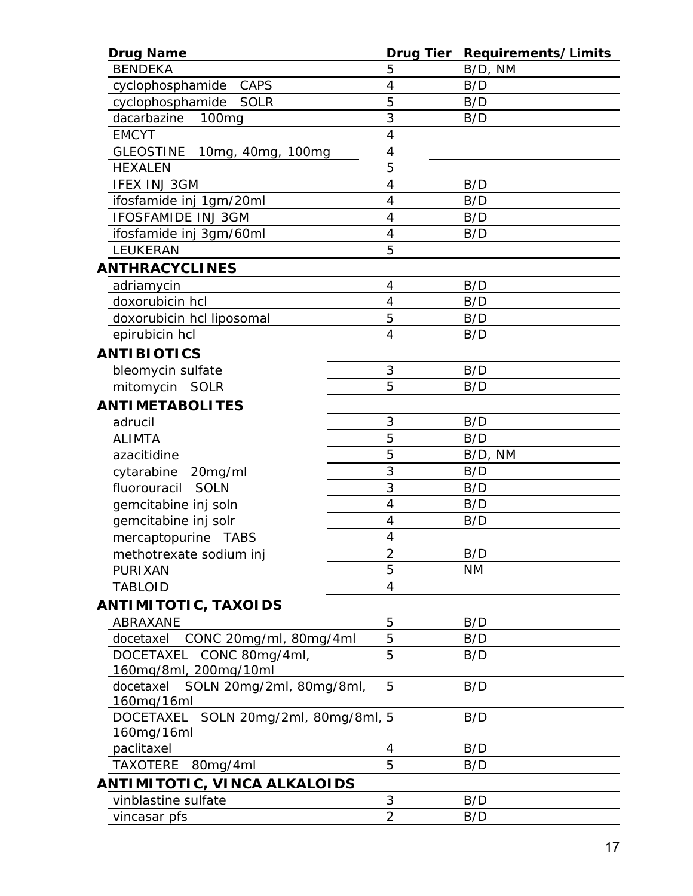| <b>Drug Name</b>                               | <b>Drug Tier</b> | Requirements/Limits |
|------------------------------------------------|------------------|---------------------|
| <b>BENDEKA</b>                                 | 5                | B/D, NM             |
| cyclophosphamide<br><b>CAPS</b>                | 4                | B/D                 |
| cyclophosphamide<br>SOLR                       | 5                | B/D                 |
| dacarbazine<br>100 <sub>mg</sub>               | 3                | B/D                 |
| <b>EMCYT</b>                                   | $\overline{4}$   |                     |
| <b>GLEOSTINE</b><br>10mg, 40mg, 100mg          | $\overline{4}$   |                     |
| <b>HEXALEN</b>                                 | 5                |                     |
| <b>IFEX INJ 3GM</b>                            | $\overline{4}$   | B/D                 |
| ifosfamide inj 1gm/20ml                        | 4                | B/D                 |
| <b>IFOSFAMIDE INJ 3GM</b>                      | 4                | B/D                 |
| ifosfamide inj 3gm/60ml                        | $\overline{4}$   | B/D                 |
| LEUKERAN                                       | 5                |                     |
| <b>ANTHRACYCLINES</b>                          |                  |                     |
| adriamycin                                     | 4                | B/D                 |
| doxorubicin hcl                                | $\overline{4}$   | B/D                 |
| doxorubicin hcl liposomal                      | 5                | B/D                 |
| epirubicin hcl                                 | 4                | B/D                 |
| <b>ANTIBIOTICS</b>                             |                  |                     |
| bleomycin sulfate                              | 3                | B/D                 |
| mitomycin SOLR                                 | 5                | B/D                 |
| <b>ANTIMETABOLITES</b>                         |                  |                     |
| adrucil                                        | 3                | B/D                 |
| <b>ALIMTA</b>                                  | 5                | B/D                 |
| azacitidine                                    | 5                | B/D, NM             |
| cytarabine<br>20mg/ml                          | 3                | B/D                 |
| fluorouracil SOLN                              | 3                | B/D                 |
| gemcitabine inj soln                           | 4                | B/D                 |
| gemcitabine inj solr                           | $\overline{4}$   | B/D                 |
| mercaptopurine TABS                            | 4                |                     |
| methotrexate sodium inj                        | $\overline{2}$   | B/D                 |
| <b>PURIXAN</b>                                 | 5                | <b>NM</b>           |
| <b>TABLOID</b>                                 | $\overline{4}$   |                     |
| ANTIMITOTIC, TAXOIDS                           |                  |                     |
| ABRAXANE                                       | 5                | B/D                 |
| CONC 20mg/ml, 80mg/4ml<br>docetaxel            | 5                | B/D                 |
| CONC 80mg/4ml,<br>DOCETAXEL                    | 5                | B/D                 |
| 160mg/8ml, 200mg/10ml                          |                  |                     |
| docetaxel SOLN 20mg/2ml, 80mg/8ml,             | 5                | B/D                 |
| 160mg/16ml                                     |                  |                     |
| SOLN 20mg/2ml, 80mg/8ml, 5<br><b>DOCETAXEL</b> |                  | B/D                 |
| 160mg/16ml                                     |                  |                     |
| paclitaxel                                     | 4                | B/D                 |
| <b>TAXOTERE</b><br>80mg/4ml                    | 5                | B/D                 |
| ANTIMITOTIC, VINCA ALKALOIDS                   |                  |                     |
| vinblastine sulfate                            | 3                | B/D                 |
| vincasar pfs                                   | $\overline{2}$   | B/D                 |
|                                                |                  |                     |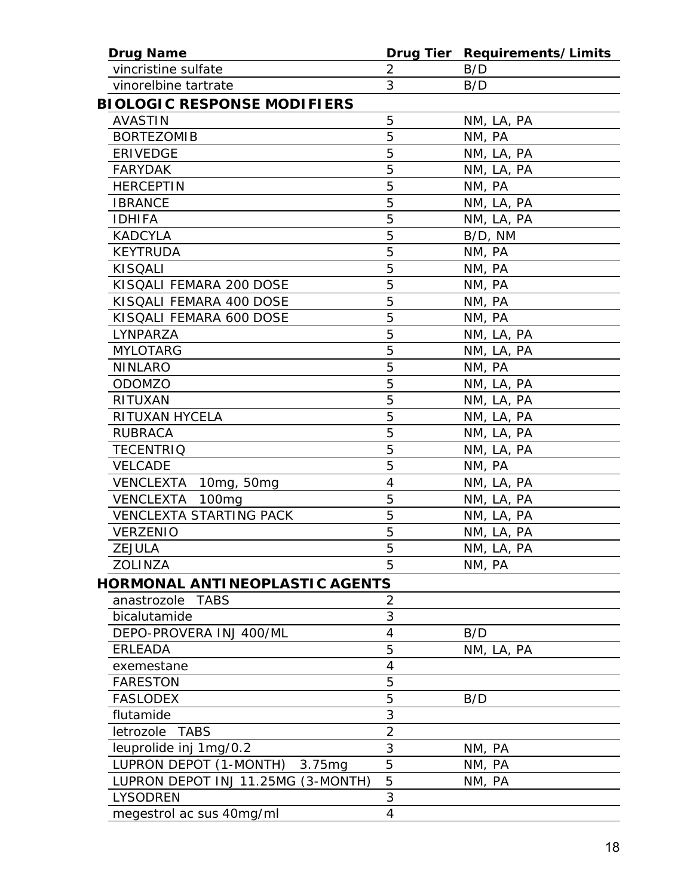| <b>Drug Name</b>                      |                | Drug Tier Requirements/Limits |
|---------------------------------------|----------------|-------------------------------|
| vincristine sulfate                   | $\overline{2}$ | B/D                           |
| vinorelbine tartrate                  | 3              | B/D                           |
| <b>BIOLOGIC RESPONSE MODIFIERS</b>    |                |                               |
| <b>AVASTIN</b>                        | 5              | NM, LA, PA                    |
| <b>BORTEZOMIB</b>                     | 5              | NM, PA                        |
| <b>ERIVEDGE</b>                       | 5              | NM, LA, PA                    |
| <b>FARYDAK</b>                        | 5              | NM, LA, PA                    |
| <b>HERCEPTIN</b>                      | 5              | NM, PA                        |
| <b>IBRANCE</b>                        | 5              | NM, LA, PA                    |
| <b>IDHIFA</b>                         | 5              | NM, LA, PA                    |
| <b>KADCYLA</b>                        | 5              | B/D, NM                       |
| <b>KEYTRUDA</b>                       | 5              | NM, PA                        |
| <b>KISQALI</b>                        | 5              | NM, PA                        |
| KISQALI FEMARA 200 DOSE               | 5              | NM, PA                        |
| KISQALI FEMARA 400 DOSE               | 5              | NM, PA                        |
| KISQALI FEMARA 600 DOSE               | 5              | NM, PA                        |
| LYNPARZA                              | 5              | NM, LA, PA                    |
| <b>MYLOTARG</b>                       | 5              | NM, LA, PA                    |
| <b>NINLARO</b>                        | 5              | NM, PA                        |
| ODOMZO                                | 5              | NM, LA, PA                    |
| <b>RITUXAN</b>                        | 5              | NM, LA, PA                    |
| RITUXAN HYCELA                        | 5              | NM, LA, PA                    |
| <b>RUBRACA</b>                        | 5              | NM, LA, PA                    |
| <b>TECENTRIQ</b>                      | 5              | NM, LA, PA                    |
| <b>VELCADE</b>                        | 5              | NM, PA                        |
| VENCLEXTA 10mg, 50mg                  | 4              | NM, LA, PA                    |
| <b>VENCLEXTA</b><br>100 <sub>mg</sub> | 5              | NM, LA, PA                    |
| <b>VENCLEXTA STARTING PACK</b>        | 5              | NM, LA, PA                    |
| <b>VERZENIO</b>                       | 5              | NM, LA, PA                    |
| <b>ZEJULA</b>                         | 5              | NM, LA, PA                    |
| ZOLINZA                               | 5              | NM, PA                        |
| <b>HORMONAL ANTINEOPLASTIC AGENTS</b> |                |                               |
| anastrozole<br><b>TABS</b>            | $\overline{2}$ |                               |
| bicalutamide                          | 3              |                               |
| DEPO-PROVERA INJ 400/ML               | $\overline{4}$ | B/D                           |
| <b>ERLEADA</b>                        | 5              | NM, LA, PA                    |
| exemestane                            | $\overline{4}$ |                               |
| <b>FARESTON</b>                       | 5              |                               |
| <b>FASLODEX</b>                       | 5              | B/D                           |
| flutamide                             | 3              |                               |
| letrozole<br><b>TABS</b>              | $\overline{2}$ |                               |
| leuprolide inj 1mg/0.2                | 3              | NM, PA                        |
| LUPRON DEPOT (1-MONTH)<br>3.75mg      | 5              | NM, PA                        |
| LUPRON DEPOT INJ 11.25MG (3-MONTH)    | 5              | NM, PA                        |
| <b>LYSODREN</b>                       | 3              |                               |
| megestrol ac sus 40mg/ml              | 4              |                               |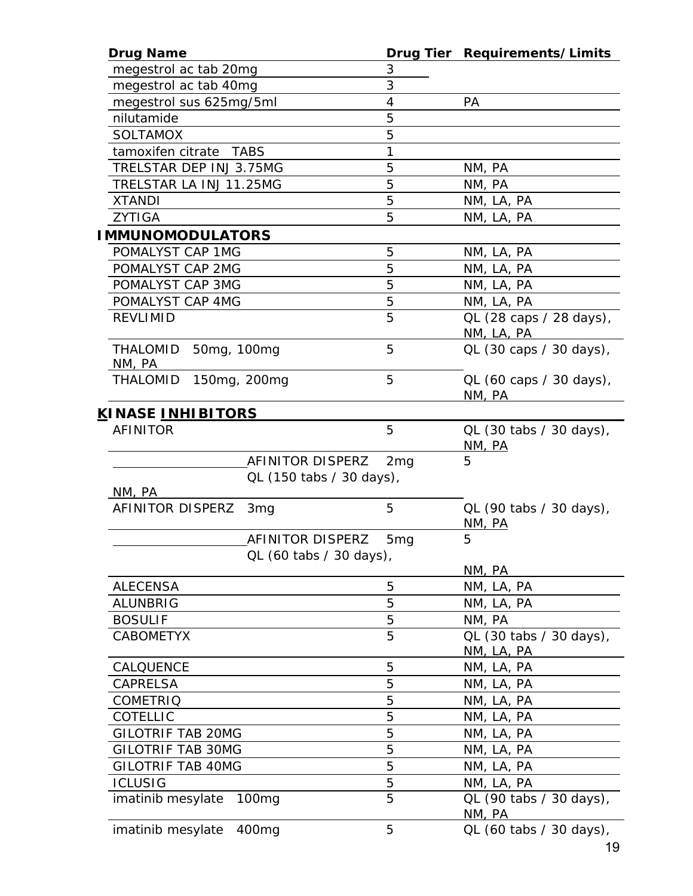| <b>Drug Name</b>                              |                 | Drug Tier Requirements/Limits                  |
|-----------------------------------------------|-----------------|------------------------------------------------|
| megestrol ac tab 20mg                         | 3               |                                                |
| megestrol ac tab 40mg                         | 3               |                                                |
| megestrol sus 625mg/5ml                       | 4               | <b>PA</b>                                      |
| nilutamide                                    | 5               |                                                |
| <b>SOLTAMOX</b>                               | 5               |                                                |
| tamoxifen citrate TABS                        | 1               |                                                |
| TRELSTAR DEP INJ 3.75MG                       | 5               | NM, PA                                         |
| TRELSTAR LA INJ 11.25MG                       | 5               | NM, PA                                         |
| <b>XTANDI</b>                                 | 5               | NM, LA, PA                                     |
| <b>ZYTIGA</b>                                 | 5               | NM, LA, PA                                     |
| <b>IMMUNOMODULATORS</b>                       |                 |                                                |
| POMALYST CAP 1MG                              | 5               | NM, LA, PA                                     |
| POMALYST CAP 2MG                              | 5               | NM, LA, PA                                     |
| POMALYST CAP 3MG                              | 5               | NM, LA, PA                                     |
|                                               | 5               |                                                |
| POMALYST CAP 4MG                              | 5               | NM, LA, PA                                     |
| <b>REVLIMID</b>                               |                 | QL (28 caps / 28 days),<br>NM, LA, PA          |
| THALOMID<br>50mg, 100mg<br>NM, PA             | 5               | QL (30 caps / 30 days),                        |
| <b>THALOMID</b><br>150mg, 200mg               | 5               | QL (60 caps / 30 days),<br>NM, PA              |
| <u>K</u> INASE <u>INHIBITORS</u>              |                 |                                                |
| <b>AFINITOR</b>                               | 5               | QL (30 tabs / 30 days),<br>N <sub>M</sub> , PA |
| AFINITOR DISPERZ                              | 2 <sub>mg</sub> | 5                                              |
| QL (150 tabs / 30 days),<br>NM, PA            |                 |                                                |
| AFINITOR DISPERZ<br>3 <sub>mg</sub>           | 5               | QL (90 tabs / 30 days),<br>NM, PA              |
| AFINITOR DISPERZ                              | 5 <sub>mg</sub> | 5                                              |
| QL (60 tabs / 30 days),                       |                 | NM, PA                                         |
| <b>ALECENSA</b>                               | 5               | NM, LA, PA                                     |
| <b>ALUNBRIG</b>                               | 5               | NM, LA, PA                                     |
|                                               | 5               |                                                |
| <b>BOSULIF</b>                                | 5               | NM, PA                                         |
| <b>CABOMETYX</b>                              |                 | QL (30 tabs / 30 days),<br>NM, LA, PA          |
| CALQUENCE                                     | 5               | NM, LA, PA                                     |
| <b>CAPRELSA</b>                               | 5               | NM, LA, PA                                     |
| <b>COMETRIQ</b>                               | 5               | NM, LA, PA                                     |
| COTELLIC                                      | 5               | NM, LA, PA                                     |
| <b>GILOTRIF TAB 20MG</b>                      | 5               | NM, LA, PA                                     |
| <b>GILOTRIF TAB 30MG</b>                      | 5               | NM, LA, PA                                     |
| <b>GILOTRIF TAB 40MG</b>                      | 5               | NM, LA, PA                                     |
| <b>ICLUSIG</b>                                | 5               | NM, LA, PA                                     |
| <i>imatinib mesylate</i><br>100 <sub>mg</sub> | 5               | QL (90 tabs / 30 days),<br>NM, PA              |
| <i>imatinib mesylate</i><br>400 <sub>mg</sub> | 5               | QL (60 tabs / 30 days),                        |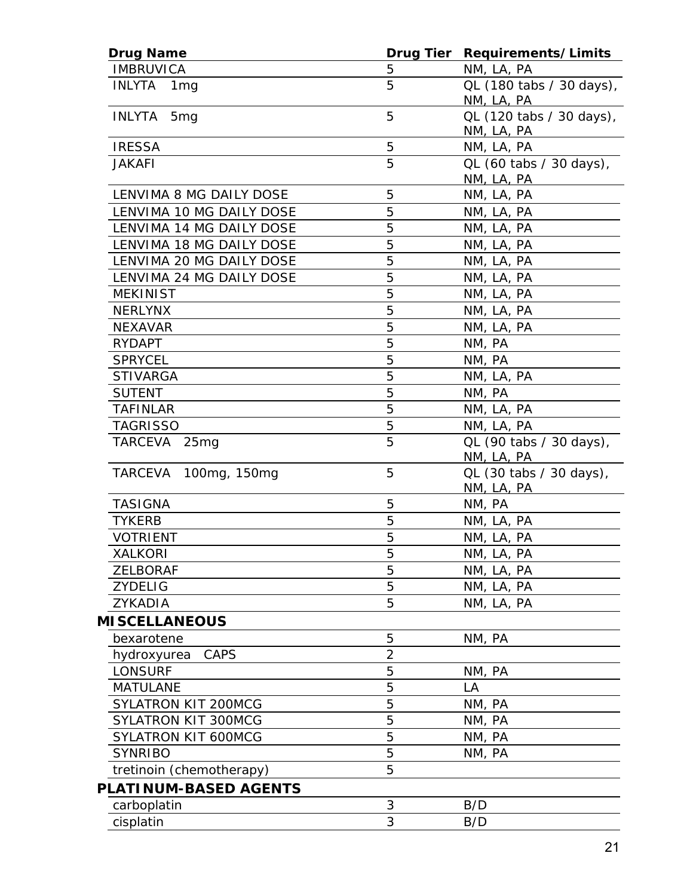| <b>Drug Name</b>                 | Drug Tier      | Requirements/Limits                    |
|----------------------------------|----------------|----------------------------------------|
| <b>IMBRUVICA</b>                 | 5              | NM, LA, PA                             |
| <b>INLYTA</b><br>1 <sub>mg</sub> | 5              | QL (180 tabs / 30 days),<br>NM, LA, PA |
| INLYTA 5mg                       | 5              | QL (120 tabs / 30 days),<br>NM, LA, PA |
| <b>IRESSA</b>                    | 5              | NM, LA, PA                             |
| <b>JAKAFI</b>                    | 5              | QL (60 tabs / 30 days),<br>NM, LA, PA  |
| LENVIMA 8 MG DAILY DOSE          | 5              | NM, LA, PA                             |
| LENVIMA 10 MG DAILY DOSE         | 5              | NM, LA, PA                             |
| LENVIMA 14 MG DAILY DOSE         | 5              | NM, LA, PA                             |
| LENVIMA 18 MG DAILY DOSE         | 5              | NM, LA, PA                             |
| LENVIMA 20 MG DAILY DOSE         | 5              | NM, LA, PA                             |
| LENVIMA 24 MG DAILY DOSE         | 5              | NM, LA, PA                             |
| <b>MEKINIST</b>                  | 5              | NM, LA, PA                             |
| <b>NERLYNX</b>                   | 5              | NM, LA, PA                             |
| <b>NEXAVAR</b>                   | 5              | NM, LA, PA                             |
| <b>RYDAPT</b>                    | 5              | NM, PA                                 |
| <b>SPRYCEL</b>                   | 5              | NM, PA                                 |
| <b>STIVARGA</b>                  | 5              | NM, LA, PA                             |
| <b>SUTENT</b>                    | 5              | NM, PA                                 |
| <b>TAFINLAR</b>                  | 5              | NM, LA, PA                             |
| <b>TAGRISSO</b>                  | 5              | NM, LA, PA                             |
| TARCEVA 25mg                     | 5              | QL (90 tabs / 30 days),<br>NM, LA, PA  |
| TARCEVA<br>100mg, 150mg          | 5              | QL (30 tabs / 30 days),<br>NM, LA, PA  |
| <b>TASIGNA</b>                   | 5              | NM, PA                                 |
| <b>TYKERB</b>                    | 5              | NM, LA, PA                             |
| <b>VOTRIENT</b>                  | 5              | NM, LA, PA                             |
| <b>XALKORI</b>                   | 5              | NM, LA, PA                             |
| <b>ZELBORAF</b>                  | 5              | NM, LA, PA                             |
| <b>ZYDELIG</b>                   | 5              | NM, LA, PA                             |
| ZYKADIA                          | 5              | NM, LA, PA                             |
| <b>MISCELLANEOUS</b>             |                |                                        |
| bexarotene                       | 5              | NM, PA                                 |
| <b>CAPS</b><br>hydroxyurea       | $\overline{2}$ |                                        |
| <b>LONSURF</b>                   | 5              | NM, PA                                 |
| <b>MATULANE</b>                  | 5              | LA                                     |
| <b>SYLATRON KIT 200MCG</b>       | 5              | NM, PA                                 |
| SYLATRON KIT 300MCG              | 5              | NM, PA                                 |
| SYLATRON KIT 600MCG              | 5              | NM, PA                                 |
| <b>SYNRIBO</b>                   | 5              | NM, PA                                 |
| tretinoin (chemotherapy)         | 5              |                                        |
| PLATINUM-BASED AGENTS            |                |                                        |
| carboplatin                      | 3              | B/D                                    |
| cisplatin                        | 3              | B/D                                    |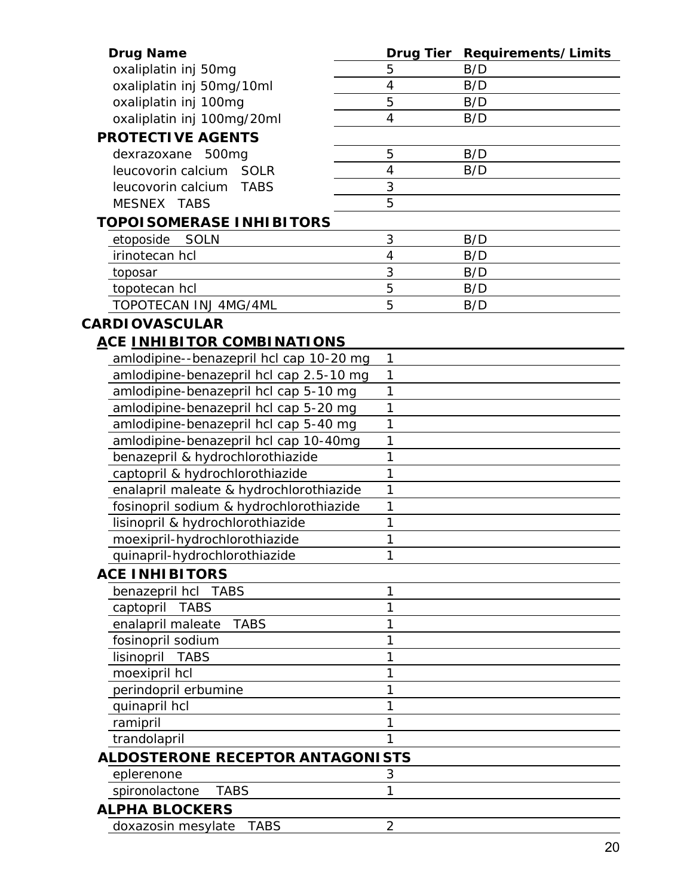| <b>Drug Name</b>                        |                          | Drug Tier Requirements/Limits |
|-----------------------------------------|--------------------------|-------------------------------|
| oxaliplatin inj 50mg                    | 5                        | B/D                           |
| oxaliplatin inj 50mg/10ml               | $\overline{4}$           | B/D                           |
| oxaliplatin inj 100mg                   | 5                        | B/D                           |
| oxaliplatin inj 100mg/20ml              | 4                        | B/D                           |
| <b>PROTECTIVE AGENTS</b>                |                          |                               |
| dexrazoxane 500mg                       | 5                        | B/D                           |
| leucovorin calcium SOLR                 | $\overline{\mathcal{A}}$ | B/D                           |
| leucovorin calcium<br><b>TABS</b>       | 3                        |                               |
| MESNEX TABS                             | 5                        |                               |
| TOPOI SOMERASE INHI BITORS              |                          |                               |
| etoposide SOLN                          | 3                        | B/D                           |
| irinotecan hcl                          | 4                        | B/D                           |
| toposar                                 | 3                        | B/D                           |
| topotecan hcl                           | 5                        | B/D                           |
| TOPOTECAN INJ 4MG/4ML                   | 5                        | B/D                           |
| <b>CARDIOVASCULAR</b>                   |                          |                               |
| <u>ACE INHIBITOR COMBINATIONS</u>       |                          |                               |
| amlodipine--benazepril hcl cap 10-20 mg | 1                        |                               |
| amlodipine-benazepril hcl cap 2.5-10 mg | 1                        |                               |
| amlodipine-benazepril hcl cap 5-10 mg   | 1                        |                               |
| amlodipine-benazepril hcl cap 5-20 mg   | 1                        |                               |
| amlodipine-benazepril hcl cap 5-40 mg   | 1                        |                               |
| amlodipine-benazepril hcl cap 10-40mg   | 1                        |                               |
| benazepril & hydrochlorothiazide        | 1                        |                               |
| captopril & hydrochlorothiazide         | 1                        |                               |
| enalapril maleate & hydrochlorothiazide | 1                        |                               |
| fosinopril sodium & hydrochlorothiazide | 1                        |                               |
| lisinopril & hydrochlorothiazide        | 1                        |                               |
| moexipril-hydrochlorothiazide           | 1                        |                               |
| quinapril-hydrochlorothiazide           |                          |                               |
| <b>ACE INHIBITORS</b>                   |                          |                               |
| benazepril hcl TABS                     | 1                        |                               |
| captopril TABS                          | 1                        |                               |
| <b>TABS</b><br>enalapril maleate        | 1                        |                               |
| fosinopril sodium                       | 1                        |                               |
| lisinopril TABS                         | 1                        |                               |
| moexipril hcl                           | 1                        |                               |
| perindopril erbumine                    | 1                        |                               |
| quinapril hcl                           | 1                        |                               |
| ramipril                                | 1                        |                               |
| trandolapril                            | 1                        |                               |
| <b>ALDOSTERONE RECEPTOR ANTAGONISTS</b> |                          |                               |
| eplerenone                              | 3                        |                               |
| <b>TABS</b><br>spironolactone           | 1                        |                               |
| <b>ALPHA BLOCKERS</b>                   |                          |                               |
| <b>TABS</b><br>doxazosin mesylate       | $\overline{2}$           |                               |
|                                         |                          |                               |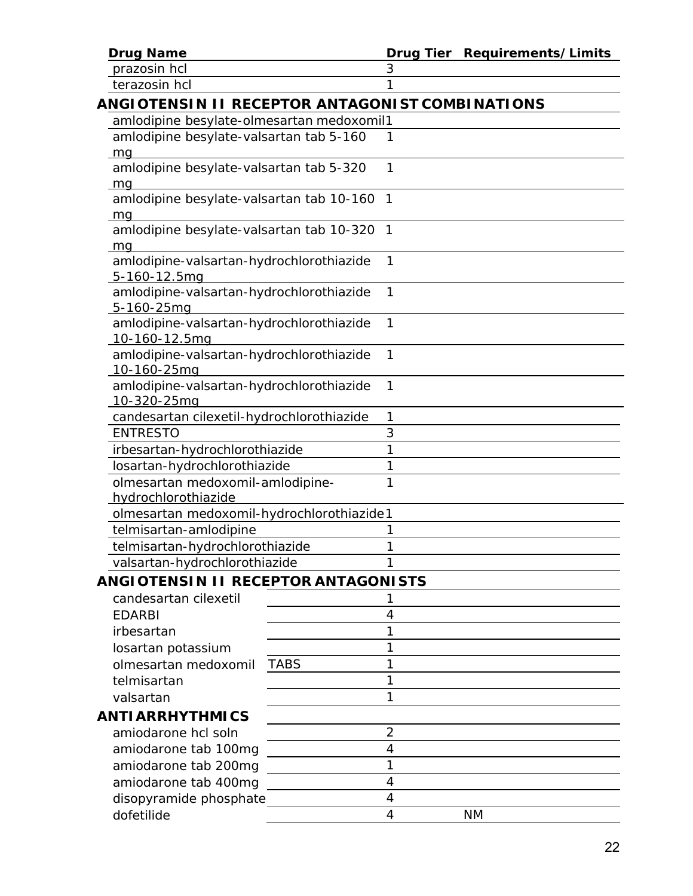**Drug Name Drug Tier Requirements/Limits**

*prazosin hcl* 3

*terazosin hcl* 1

| ANGIOTENSIN II RECEPTOR ANTAGONIST COMBINATIONS |  |
|-------------------------------------------------|--|
| amlodipine besylate-olmesartan medoxomil1       |  |
| amlodipine besylate-valsartan tab 5-160         |  |
| ma                                              |  |

| amlodipine besylate-valsartan tab 5-320    |  |
|--------------------------------------------|--|
| ma                                         |  |
| amlodipine besylate-valsartan tab 10-160 1 |  |
| mg                                         |  |
| amlodipine besylate-valsartan tab 10-320 1 |  |
| ma                                         |  |
| amlodipine-valsartan-hydrochlorothiazide   |  |
| 5-160-12.5mg                               |  |
| amlodipine-valsartan-hydrochlorothiazide   |  |
| 5-160-25mg                                 |  |
| amlodipine-valsartan-hydrochlorothiazide   |  |
|                                            |  |

| 10-160-12.5mg                                                  |  |
|----------------------------------------------------------------|--|
| amlodipine-valsartan-hydrochlorothiazide<br>10-160-25mg        |  |
| amlodipine-valsartan-hydrochlorothiazide<br>$10 - 320 - 25$ ma |  |

| TU UZU ZUITU                              |  |
|-------------------------------------------|--|
| candesartan cilexetil-hydrochlorothiazide |  |
| <b>FNTRESTO</b>                           |  |
| irbesartan-hydrochlorothiazide            |  |
| losartan-hydrochlorothiazide              |  |
| olmesartan medoxomil-amlodipine-          |  |
| hydrochlorothiazide                       |  |

| <u>Tiyal ochibi olmazlar</u>              |  |
|-------------------------------------------|--|
| olmesartan medoxomil-hydrochlorothiazide1 |  |
| telmisartan-amlodipine                    |  |
| telmisartan-hydrochlorothiazide           |  |

*valsartan-hydrochlorothiazide* 1

# *ANGIOTENSIN II RECEPTOR ANTAGONISTS*

| candesartan cilexetil  |             |    |
|------------------------|-------------|----|
| <b>EDARBI</b>          |             |    |
| irbesartan             |             |    |
| losartan potassium     |             |    |
| olmesartan medoxomil   | <b>TABS</b> |    |
| telmisartan            |             |    |
| valsartan              |             |    |
| <b>ANTIARRHYTHMICS</b> |             |    |
| amiodarone hcl soln    |             |    |
| amiodarone tab 100mg   |             |    |
| amiodarone tab 200mg   |             |    |
| amiodarone tab 400mg   |             |    |
| disopyramide phosphate |             |    |
| dofetilide             |             | ΝM |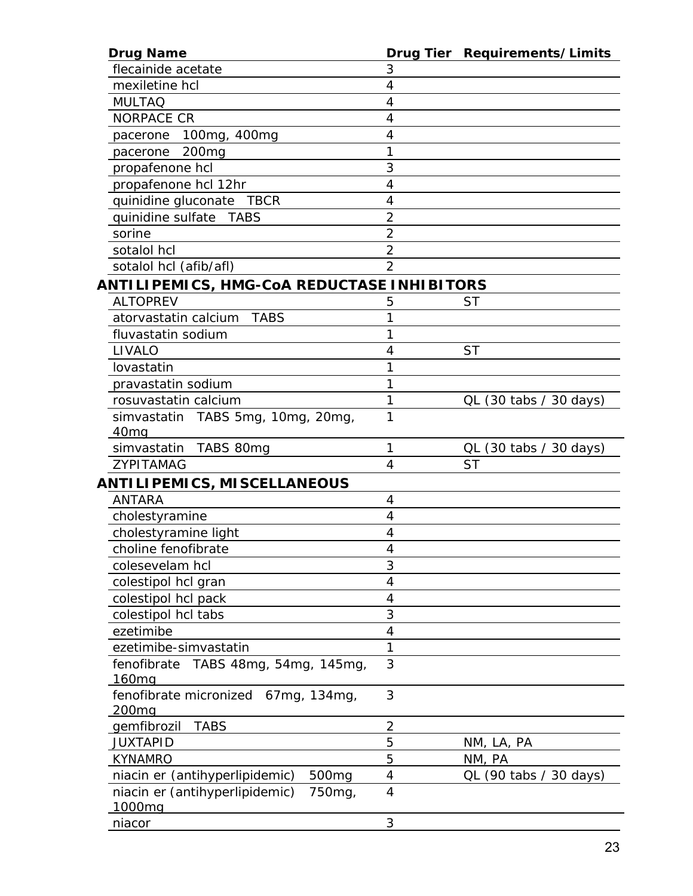| <b>Drug Name</b>                                    |                         | Drug Tier Requirements/Limits |
|-----------------------------------------------------|-------------------------|-------------------------------|
| flecainide acetate                                  | 3                       |                               |
| mexiletine hcl                                      | 4                       |                               |
| <b>MULTAQ</b>                                       | 4                       |                               |
| <b>NORPACE CR</b>                                   | 4                       |                               |
| 100mg, 400mg<br>pacerone                            | 4                       |                               |
| 200 <sub>mg</sub><br>pacerone                       | 1                       |                               |
| propafenone hcl                                     | 3                       |                               |
| propafenone hcl 12hr                                | 4                       |                               |
| quinidine gluconate TBCR                            | 4                       |                               |
| quinidine sulfate<br>TABS                           | $\overline{2}$          |                               |
| sorine                                              | $\overline{2}$          |                               |
| sotalol hcl                                         | $\overline{2}$          |                               |
| sotalol hcl (afib/afl)                              | $\overline{2}$          |                               |
| ANTILIPEMICS, HMG-CoA REDUCTASE INHIBITORS          |                         |                               |
| <b>ALTOPREV</b>                                     | 5                       | <b>ST</b>                     |
| atorvastatin calcium<br><b>TABS</b>                 |                         |                               |
| fluvastatin sodium                                  | 1                       |                               |
| LIVALO                                              | 4                       | <b>ST</b>                     |
| lovastatin                                          |                         |                               |
| pravastatin sodium                                  | 1                       |                               |
| rosuvastatin calcium                                | 1                       | $QL$ (30 tabs / 30 days)      |
| simvastatin TABS 5mg, 10mg, 20mg,                   | 1                       |                               |
| 40 <sub>mg</sub>                                    |                         |                               |
| TABS 80mg<br>simvastatin                            | 1                       | QL (30 tabs / 30 days)        |
| ZYPITAMAG                                           | 4                       | <b>ST</b>                     |
| ANTILIPEMICS, MISCELLANEOUS                         |                         |                               |
| <b>ANTARA</b>                                       | 4                       |                               |
| cholestyramine                                      | 4                       |                               |
| cholestyramine light                                | 4                       |                               |
| choline fenofibrate                                 | 4                       |                               |
| colesevelam hcl                                     | 3                       |                               |
| colestipol hcl gran                                 | 4                       |                               |
| colestipol hcl pack                                 | 4                       |                               |
| colestipol hcl tabs                                 | 3                       |                               |
| ezetimibe                                           | 4                       |                               |
| ezetimibe-simvastatin                               | 1                       |                               |
| fenofibrate<br>TABS 48mg, 54mg, 145mg,              | 3                       |                               |
| 160 <sub>mq</sub>                                   |                         |                               |
| fenofibrate micronized 67mg, 134mg,                 | 3                       |                               |
| 200mg                                               |                         |                               |
| gemfibrozil<br><b>TABS</b>                          | $\overline{\mathbf{c}}$ |                               |
| <b>JUXTAPID</b>                                     | 5                       | NM, LA, PA                    |
| <b>KYNAMRO</b>                                      | 5                       | NM, PA                        |
| niacin er (antihyperlipidemic)<br>500 <sub>mg</sub> | 4                       | QL (90 tabs / 30 days)        |
| niacin er (antihyperlipidemic)<br>750 <sub>mg</sub> | 4                       |                               |
| 1000mg                                              |                         |                               |
| niacor                                              | 3                       |                               |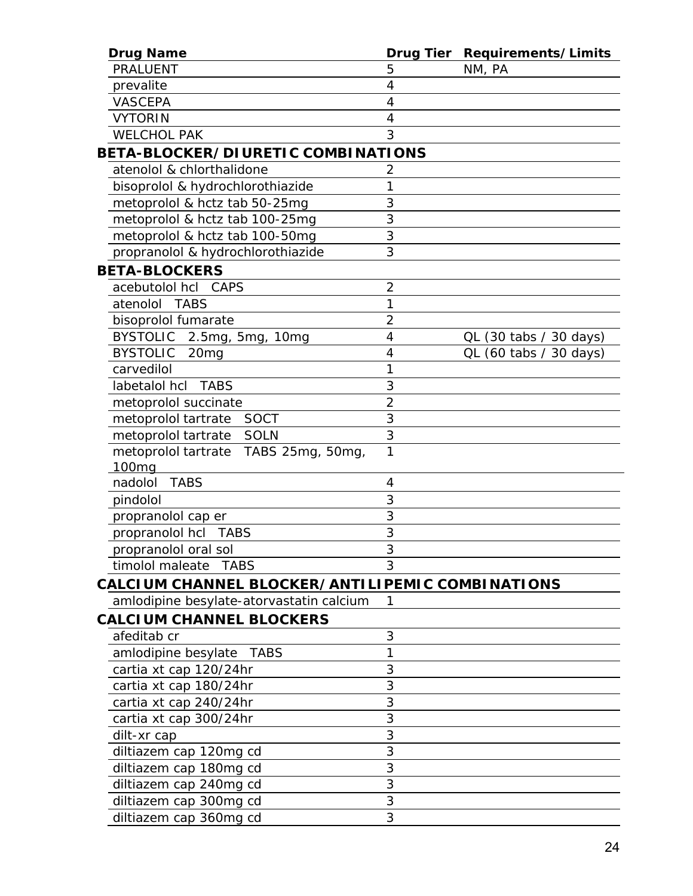| <b>Drug Name</b>                                          | <b>Drug Tier</b> | Requirements/Limits      |
|-----------------------------------------------------------|------------------|--------------------------|
| <b>PRALUENT</b>                                           | 5                | NM, PA                   |
| prevalite                                                 | 4                |                          |
| <b>VASCEPA</b>                                            | 4                |                          |
| <b>VYTORIN</b>                                            | 4                |                          |
| <b>WELCHOL PAK</b>                                        | 3                |                          |
| BETA-BLOCKER/DIURETIC COMBINATIONS                        |                  |                          |
| atenolol & chlorthalidone                                 | 2                |                          |
| bisoprolol & hydrochlorothiazide                          | 1                |                          |
| metoprolol & hctz tab 50-25mg                             | 3                |                          |
| metoprolol & hctz tab 100-25mg                            | 3                |                          |
| metoprolol & hctz tab 100-50mg                            | 3                |                          |
| propranolol & hydrochlorothiazide                         | 3                |                          |
| <b>BETA-BLOCKERS</b>                                      |                  |                          |
| acebutolol hcl CAPS                                       | $\overline{2}$   |                          |
| atenolol TABS                                             | 1                |                          |
| bisoprolol fumarate                                       | $\overline{2}$   |                          |
| BYSTOLIC 2.5mg, 5mg, 10mg                                 | 4                | $QL$ (30 tabs / 30 days) |
| <b>BYSTOLIC</b><br>20 <sub>mg</sub>                       | 4                | $QL$ (60 tabs / 30 days) |
| carvedilol                                                | 1                |                          |
| labetalol hcl<br>TABS                                     | 3                |                          |
| metoprolol succinate                                      | $\overline{2}$   |                          |
| metoprolol tartrate<br>SOCT                               | 3                |                          |
| metoprolol tartrate SOLN                                  | 3                |                          |
| metoprolol tartrate TABS 25mg, 50mg,<br>100 <sub>mg</sub> | 1                |                          |
| nadolol<br><b>TABS</b>                                    | 4                |                          |
| pindolol                                                  | 3                |                          |
| propranolol cap er                                        | 3                |                          |
| propranolol hcl<br><b>TABS</b>                            | 3                |                          |
| propranolol oral sol                                      | 3                |                          |
| timolol maleate TABS                                      | 3                |                          |
| CALCIUM CHANNEL BLOCKER/ANTILIPEMIC COMBINATIONS          |                  |                          |
| amlodipine besylate-atorvastatin calcium                  | 1                |                          |
| <b>CALCIUM CHANNEL BLOCKERS</b>                           |                  |                          |
| afeditab cr                                               | 3                |                          |
| amlodipine besylate TABS                                  | 1                |                          |
| cartia xt cap 120/24hr                                    | 3                |                          |
| cartia xt cap 180/24hr                                    | 3                |                          |
| cartia xt cap 240/24hr                                    | 3                |                          |
| cartia xt cap 300/24hr                                    | 3                |                          |
| dilt-xr cap                                               | 3                |                          |
| diltiazem cap 120mg cd                                    | 3                |                          |
| diltiazem cap 180mg cd                                    | 3                |                          |
| diltiazem cap 240mg cd                                    | 3                |                          |
| diltiazem cap 300mg cd                                    | 3                |                          |
| diltiazem cap 360mg cd                                    | 3                |                          |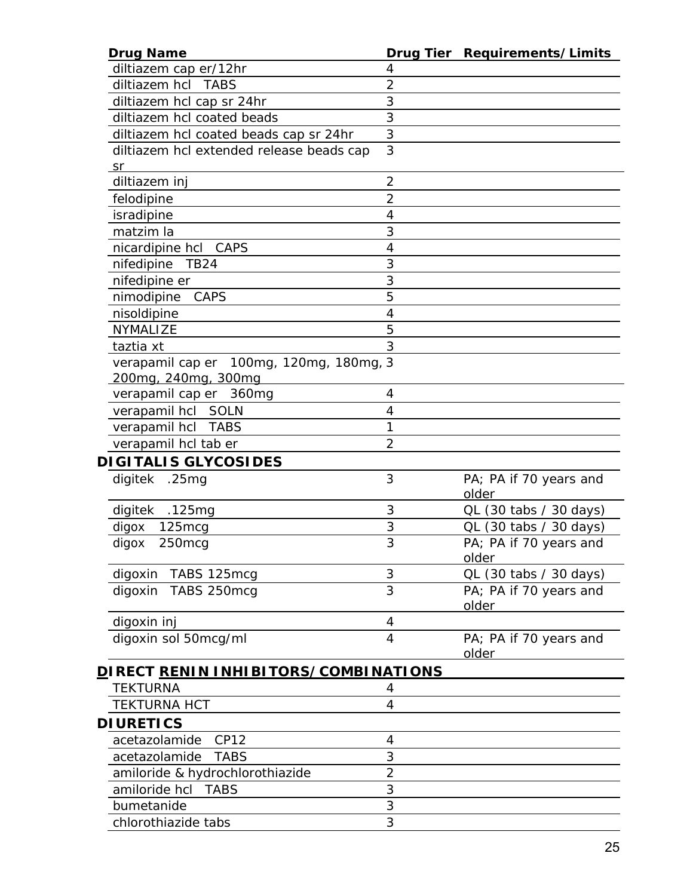| <b>Drug Name</b>                                    |                | Drug Tier Requirements/Limits |
|-----------------------------------------------------|----------------|-------------------------------|
| diltiazem cap er/12hr                               | 4              |                               |
| diltiazem hcl TABS                                  | $\overline{2}$ |                               |
| diltiazem hcl cap sr 24hr                           | 3              |                               |
| diltiazem hcl coated beads                          | 3              |                               |
| diltiazem hcl coated beads cap sr 24hr              | 3              |                               |
| diltiazem hcl extended release beads cap            | 3              |                               |
| <u>_sr</u>                                          |                |                               |
| diltiazem inj                                       | $\overline{2}$ |                               |
| felodipine                                          | $\overline{2}$ |                               |
| isradipine                                          | $\overline{4}$ |                               |
| matzim la                                           | 3              |                               |
| nicardipine hcl CAPS                                | 4              |                               |
| nifedipine<br><b>TB24</b>                           | 3              |                               |
| nifedipine er                                       | 3              |                               |
| nimodipine<br>CAPS                                  | 5              |                               |
| nisoldipine                                         | $\overline{4}$ |                               |
| <b>NYMALIZE</b>                                     | 5              |                               |
| taztia xt                                           | 3              |                               |
| verapamil cap er 100mg, 120mg, 180mg, 3             |                |                               |
| 200mg, 240mg, 300mg                                 |                |                               |
| verapamil cap er 360mg                              | 4              |                               |
| verapamil hcl SOLN                                  | 4              |                               |
| verapamil hcl TABS                                  | 1              |                               |
| verapamil hcl tab er                                | $\overline{2}$ |                               |
| <b>DIGITALIS GLYCOSIDES</b>                         |                |                               |
| .25mg<br>digitek                                    | 3              | PA; PA if 70 years and        |
|                                                     |                | older                         |
| digitek .125mg                                      | 3              | QL (30 tabs / 30 days)        |
| 125mcg<br>digox                                     | 3              | QL (30 tabs / 30 days)        |
| digox<br>250mcg                                     | 3              | PA; PA if 70 years and        |
|                                                     |                | older                         |
| digoxin TABS 125mcg                                 | 3              | QL (30 tabs / 30 days)        |
| TABS 250mcg<br>digoxin                              | 3              | PA; PA if 70 years and        |
|                                                     |                | older                         |
| digoxin inj                                         | $\overline{4}$ |                               |
| digoxin sol 50mcg/ml                                | $\overline{4}$ | PA; PA if 70 years and        |
|                                                     |                | older                         |
| <u>D</u> IRECT <u>RENIN INHIBITORS/COMBINATIONS</u> |                |                               |
| TEKTURNA                                            | 4              |                               |
| <b>TEKTURNA HCT</b>                                 | $\overline{4}$ |                               |
| <b>DI URETICS</b>                                   |                |                               |
| acetazolamide<br>CP12                               | 4              |                               |
|                                                     | 3              |                               |
| acetazolamide<br><b>TABS</b>                        | $\overline{2}$ |                               |
| amiloride & hydrochlorothiazide                     |                |                               |
| amiloride hcl<br>TABS                               | 3              |                               |
| bumetanide                                          | 3              |                               |
| chlorothiazide tabs                                 | 3              |                               |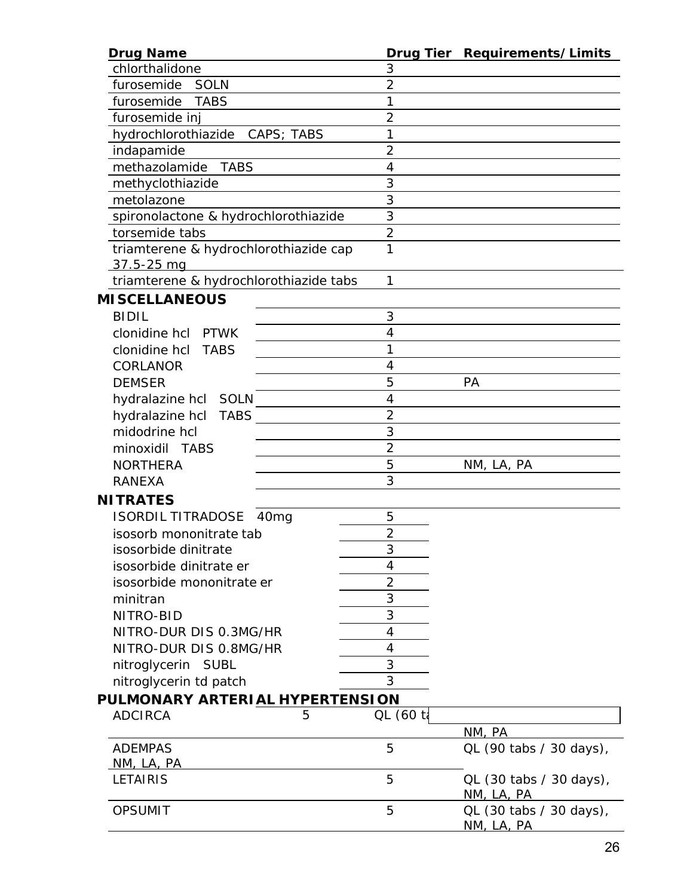| <b>Drug Name</b>                             |                          | Drug Tier Requirements/Limits         |
|----------------------------------------------|--------------------------|---------------------------------------|
| chlorthalidone                               | 3                        |                                       |
| furosemide<br><b>SOLN</b>                    | $\overline{2}$           |                                       |
| furosemide<br><b>TABS</b>                    | 1                        |                                       |
| furosemide inj                               | $\overline{2}$           |                                       |
| hydrochlorothiazide CAPS; TABS               | 1                        |                                       |
| indapamide                                   | $\overline{2}$           |                                       |
| methazolamide<br><b>TABS</b>                 | 4                        |                                       |
| methyclothiazide                             | 3                        |                                       |
| metolazone                                   | 3                        |                                       |
| spironolactone & hydrochlorothiazide         | 3                        |                                       |
| torsemide tabs                               | $\overline{2}$           |                                       |
| triamterene & hydrochlorothiazide cap        | 1                        |                                       |
| <u>37.5-25 mq</u>                            |                          |                                       |
| triamterene & hydrochlorothiazide tabs       | 1                        |                                       |
| <b>MISCELLANEOUS</b>                         |                          |                                       |
| <b>BIDIL</b>                                 | 3                        |                                       |
| clonidine hcl PTWK                           | 4                        |                                       |
| clonidine hcl TABS                           | 1                        |                                       |
| <b>CORLANOR</b>                              | 4                        |                                       |
| <b>DEMSER</b>                                | 5                        | PA                                    |
| hydralazine hcl SOLN                         | 4                        |                                       |
| <b>TABS</b><br>hydralazine hcl               | $\overline{2}$           |                                       |
| midodrine hcl                                | 3                        |                                       |
| minoxidil TABS                               | $\overline{2}$           |                                       |
| <b>NORTHERA</b>                              | 5                        | NM, LA, PA                            |
| <b>RANEXA</b>                                | 3                        |                                       |
| <b>NITRATES</b>                              |                          |                                       |
| <b>ISORDIL TITRADOSE</b><br>40 <sub>mg</sub> | 5                        |                                       |
| isosorb mononitrate tab                      | $\overline{2}$           |                                       |
| isosorbide dinitrate                         | $\overline{\mathcal{E}}$ |                                       |
| isosorbide dinitrate er                      | 4                        |                                       |
| isosorbide mononitrate er                    | $\overline{2}$           |                                       |
| minitran                                     | 3                        |                                       |
| NITRO-BID                                    | 3                        |                                       |
| NITRO-DUR DIS 0.3MG/HR                       | 4                        |                                       |
| NITRO-DUR DIS 0.8MG/HR                       | 4                        |                                       |
| nitroglycerin SUBL                           | 3                        |                                       |
| nitroglycerin td patch                       | 3                        |                                       |
| PULMONARY ARTERIAL HYPERTENSION              |                          |                                       |
| <b>ADCIRCA</b><br>5                          | QL (60 ta                |                                       |
|                                              |                          | NM, PA                                |
| <b>ADEMPAS</b>                               | 5                        | QL (90 tabs / 30 days),               |
| NM, LA, PA                                   |                          |                                       |
| <b>LETAIRIS</b>                              | 5                        | QL (30 tabs / 30 days),<br>NM, LA, PA |
| <b>OPSUMIT</b>                               | 5                        | QL (30 tabs / 30 days),<br>NM, LA, PA |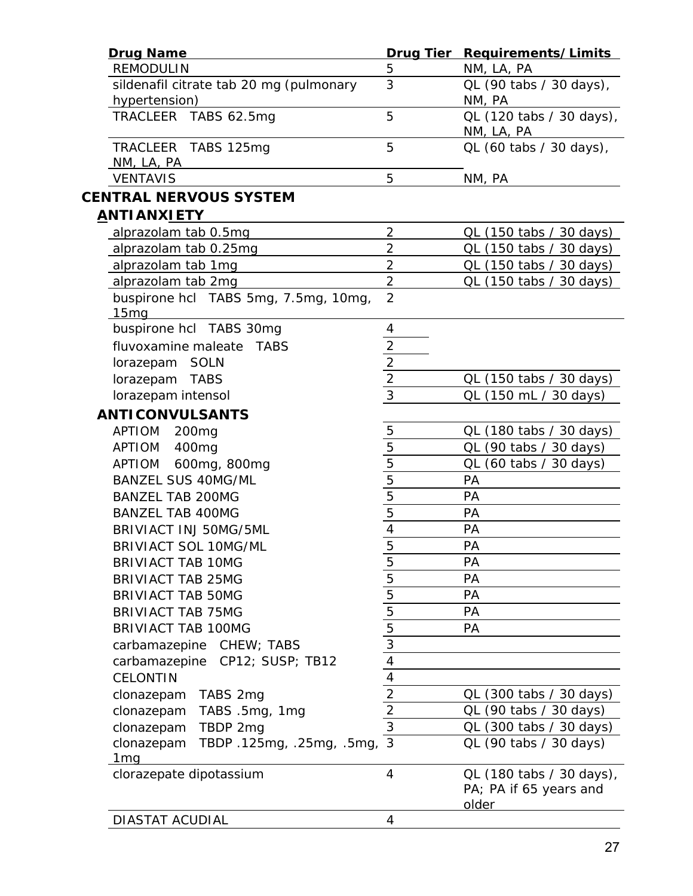| <b>Drug Name</b>                                         |                                                                                                   | Drug Tier Requirements/Limits                               |
|----------------------------------------------------------|---------------------------------------------------------------------------------------------------|-------------------------------------------------------------|
| <b>REMODULIN</b>                                         | 5                                                                                                 | NM, LA, PA                                                  |
| sildenafil citrate tab 20 mg (pulmonary<br>hypertension) | 3                                                                                                 | QL (90 tabs / 30 days),<br>NM, PA                           |
| TRACLEER TABS 62.5mg                                     | 5                                                                                                 | QL (120 tabs / 30 days),<br>NM, LA, PA                      |
| TRACLEER TABS 125mg<br>NM, LA, PA                        | 5                                                                                                 | QL (60 tabs / 30 days),                                     |
| <b>VENTAVIS</b>                                          | 5                                                                                                 | NM, PA                                                      |
| <b>CENTRAL NERVOUS SYSTEM</b>                            |                                                                                                   |                                                             |
| <u>ANTIANXIETY</u>                                       |                                                                                                   |                                                             |
| alprazolam tab 0.5mg                                     | $\overline{2}$                                                                                    | QL (150 tabs / 30 days)                                     |
| alprazolam tab 0.25mg                                    | $\overline{2}$                                                                                    | QL (150 tabs / 30 days)                                     |
| alprazolam tab 1mg                                       | $\overline{2}$                                                                                    | QL (150 tabs / 30 days)                                     |
| alprazolam tab 2mg                                       | $\overline{2}$                                                                                    | QL (150 tabs / 30 days)                                     |
| buspirone hcl TABS 5mg, 7.5mg, 10mg,                     | $\overline{2}$                                                                                    |                                                             |
| 15 <sub>mg</sub>                                         |                                                                                                   |                                                             |
| buspirone hcl TABS 30mg                                  | 4                                                                                                 |                                                             |
| fluvoxamine maleate<br><b>TABS</b>                       |                                                                                                   |                                                             |
| lorazepam SOLN                                           | $\frac{2}{2}$ $\frac{2}{3}$                                                                       |                                                             |
| lorazepam TABS                                           |                                                                                                   | QL (150 tabs / 30 days)                                     |
| lorazepam intensol                                       |                                                                                                   | QL (150 mL / 30 days)                                       |
| <b>ANTICONVULSANTS</b>                                   |                                                                                                   |                                                             |
| APTIOM<br>200 <sub>mg</sub>                              |                                                                                                   | QL (180 tabs / 30 days)                                     |
| <b>APTIOM</b><br>400 <sub>mg</sub>                       |                                                                                                   | QL (90 tabs / 30 days)                                      |
| 600mg, 800mg<br>APTIOM                                   | $\frac{5}{5}$                                                                                     | QL (60 tabs / 30 days)                                      |
| <b>BANZEL SUS 40MG/ML</b>                                |                                                                                                   | PA                                                          |
| <b>BANZEL TAB 200MG</b>                                  | $\frac{5}{5}$ $\frac{5}{4}$ $\frac{4}{5}$                                                         | PA                                                          |
| <b>BANZEL TAB 400MG</b>                                  |                                                                                                   | PA                                                          |
| BRIVIACT INJ 50MG/5ML                                    |                                                                                                   | PA                                                          |
| <b>BRIVIACT SOL 10MG/ML</b>                              |                                                                                                   | PA                                                          |
| <b>BRIVIACT TAB 10MG</b>                                 |                                                                                                   | PA                                                          |
|                                                          |                                                                                                   | PA                                                          |
| <b>BRIVIACT TAB 25MG</b>                                 |                                                                                                   |                                                             |
| <b>BRIVIACT TAB 50MG</b>                                 |                                                                                                   | PA                                                          |
| <b>BRIVIACT TAB 75MG</b>                                 | $\frac{5}{5}$ $\frac{5}{5}$ $\frac{5}{5}$ $\frac{3}{4}$ $\frac{4}{4}$ $\frac{4}{2}$ $\frac{2}{3}$ | PA                                                          |
| <b>BRIVIACT TAB 100MG</b>                                |                                                                                                   | PA                                                          |
| carbamazepine CHEW; TABS                                 |                                                                                                   |                                                             |
| carbamazepine CP12; SUSP; TB12                           |                                                                                                   |                                                             |
| <b>CELONTIN</b>                                          |                                                                                                   |                                                             |
| TABS 2mg<br>clonazepam                                   |                                                                                                   | QL (300 tabs / 30 days)                                     |
| clonazepam<br>TABS .5mg, 1mg                             |                                                                                                   | QL (90 tabs / 30 days)                                      |
| clonazepam<br>TBDP 2mg                                   |                                                                                                   | QL (300 tabs / 30 days)                                     |
| TBDP.125mg, .25mg, .5mg, 3<br>clonazepam<br><u>1mq</u>   |                                                                                                   | QL (90 tabs / 30 days)                                      |
| clorazepate dipotassium                                  | $\overline{4}$                                                                                    | QL (180 tabs / 30 days),<br>PA; PA if 65 years and<br>older |
| DIASTAT ACUDIAL                                          | 4                                                                                                 |                                                             |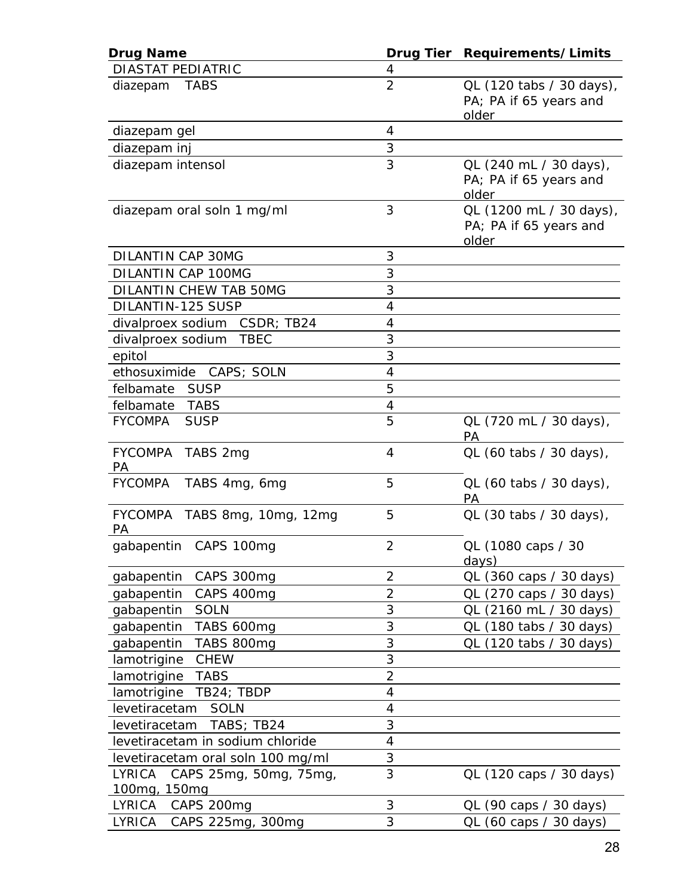| <b>Drug Name</b>                                        |                | Drug Tier Requirements/Limits                               |
|---------------------------------------------------------|----------------|-------------------------------------------------------------|
| <b>DIASTAT PEDIATRIC</b>                                | 4              |                                                             |
| diazepam TABS                                           | $\overline{2}$ | QL (120 tabs / 30 days),<br>PA; PA if 65 years and<br>older |
| diazepam gel                                            | $\overline{4}$ |                                                             |
| diazepam inj                                            | $\sqrt{3}$     |                                                             |
| diazepam intensol                                       | 3              | QL (240 mL / 30 days),<br>PA; PA if 65 years and<br>older   |
| diazepam oral soln 1 mg/ml                              | 3              | QL (1200 mL / 30 days),<br>PA; PA if 65 years and<br>older  |
| DILANTIN CAP 30MG                                       | 3              |                                                             |
| DILANTIN CAP 100MG                                      | 3              |                                                             |
| <b>DILANTIN CHEW TAB 50MG</b>                           | 3              |                                                             |
| DILANTIN-125 SUSP                                       | $\overline{4}$ |                                                             |
| divalproex sodium CSDR; TB24                            | $\overline{4}$ |                                                             |
| divalproex sodium TBEC                                  | 3              |                                                             |
| epitol                                                  | 3              |                                                             |
| ethosuximide CAPS; SOLN                                 | $\overline{4}$ |                                                             |
| felbamate SUSP                                          | 5              |                                                             |
| felbamate TABS                                          | 4              |                                                             |
| <b>FYCOMPA</b><br><b>SUSP</b>                           | 5              | QL (720 mL / 30 days),<br>PA                                |
| FYCOMPA TABS 2mg<br>PA                                  | 4              | QL (60 tabs / 30 days),                                     |
| <b>FYCOMPA</b><br>TABS 4mg, 6mg                         | 5              | QL (60 tabs / 30 days),<br>PA                               |
| FYCOMPA TABS 8mg, 10mg, 12mg<br>PA                      | 5              | QL (30 tabs / 30 days),                                     |
| gabapentin CAPS 100mg                                   | $\overline{c}$ | QL (1080 caps / 30<br>days)                                 |
| gabapentin<br>CAPS 300mg                                | $\overline{2}$ | QL (360 caps / 30 days)                                     |
| gabapentin<br>CAPS 400mg                                | $\overline{2}$ | QL (270 caps / 30 days)                                     |
| gabapentin<br><b>SOLN</b>                               | 3              | QL (2160 mL / 30 days)                                      |
| gabapentin<br>TABS 600mg                                | 3              | QL (180 tabs / 30 days)                                     |
| gabapentin<br>TABS 800mg                                | 3              | QL (120 tabs / 30 days)                                     |
| <b>CHEW</b><br>lamotrigine                              | 3              |                                                             |
| lamotrigine<br><b>TABS</b>                              | $\overline{2}$ |                                                             |
| lamotrigine TB24; TBDP                                  | 4              |                                                             |
| levetiracetam<br><b>SOLN</b>                            | 4              |                                                             |
| TABS; TB24<br>levetiracetam                             | 3              |                                                             |
| levetiracetam in sodium chloride                        | 4              |                                                             |
| levetiracetam oral soln 100 mg/ml                       | 3              |                                                             |
| <b>LYRICA</b><br>CAPS 25mg, 50mg, 75mg,<br>100mg, 150mg | 3              | QL (120 caps / 30 days)                                     |
| LYRICA<br>CAPS 200mg                                    | 3              | QL (90 caps / 30 days)                                      |
| LYRICA<br>CAPS 225mg, 300mg                             | 3              | QL (60 caps / 30 days)                                      |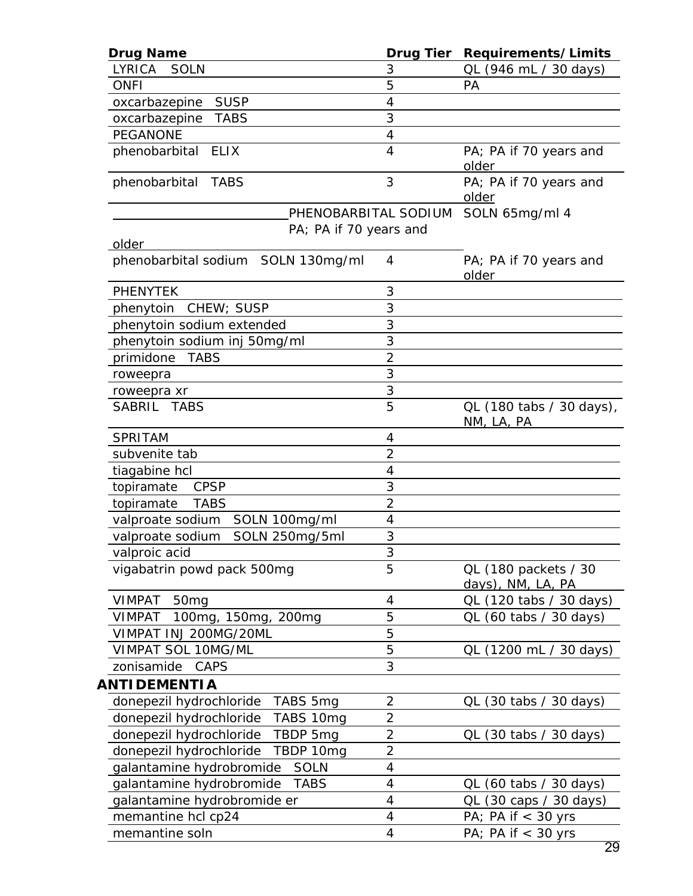| <b>Drug Name</b>                                    |                      | Drug Tier Requirements/Limits          |
|-----------------------------------------------------|----------------------|----------------------------------------|
| LYRICA<br><b>SOLN</b>                               | 3                    | QL (946 mL / 30 days)                  |
| <b>ONFI</b>                                         | 5                    | PA                                     |
| <b>SUSP</b><br>oxcarbazepine                        | 4                    |                                        |
| <b>TABS</b><br>oxcarbazepine                        | 3                    |                                        |
| <b>PEGANONE</b>                                     | 4                    |                                        |
| phenobarbital ELIX                                  | 4                    | PA; PA if 70 years and<br>older        |
| phenobarbital TABS                                  | 3                    | PA; PA if 70 years and<br>older        |
|                                                     | PHENOBARBITAL SODIUM | SOLN 65mg/ml 4                         |
| PA; PA if 70 years and<br>older                     |                      |                                        |
| phenobarbital sodium SOLN 130mg/ml                  | 4                    | PA; PA if 70 years and<br>older        |
| <b>PHENYTEK</b>                                     | 3                    |                                        |
| phenytoin CHEW; SUSP                                | 3                    |                                        |
| phenytoin sodium extended                           | 3                    |                                        |
| phenytoin sodium inj 50mg/ml                        | 3                    |                                        |
| primidone<br><b>TABS</b>                            | $\overline{2}$       |                                        |
| roweepra                                            | 3                    |                                        |
| roweepra xr                                         | 3                    |                                        |
| SABRIL TABS                                         | 5                    | QL (180 tabs / 30 days),<br>NM, LA, PA |
| SPRITAM                                             | $\overline{4}$       |                                        |
| subvenite tab                                       | $\overline{2}$       |                                        |
| tiagabine hcl                                       | 4                    |                                        |
| topiramate<br><b>CPSP</b>                           | 3                    |                                        |
| topiramate<br><b>TABS</b>                           | $\overline{2}$       |                                        |
| SOLN 100mg/ml<br>valproate sodium                   | 4                    |                                        |
| SOLN 250mg/5ml<br>valproate sodium                  | 3                    |                                        |
| valproic acid                                       | 3                    |                                        |
| vigabatrin powd pack 500mg                          | 5                    | QL (180 packets / 30                   |
|                                                     |                      | days), NM, LA, PA                      |
| <b>VIMPAT</b><br>50 <sub>mg</sub>                   | 4                    | QL (120 tabs / 30 days)                |
| 100mg, 150mg,<br><b>VIMPAT</b><br>200 <sub>mg</sub> | 5                    | QL (60 tabs / 30 days)                 |
| VIMPAT INJ 200MG/20ML                               | 5                    |                                        |
| VIMPAT SOL 10MG/ML                                  | 5                    | QL (1200 mL / 30 days)                 |
| zonisamide<br>CAPS                                  | 3                    |                                        |
| ANTIDEMENTIA                                        |                      |                                        |
| donepezil hydrochloride<br>TABS 5mg                 | $\overline{c}$       | QL (30 tabs / 30 days)                 |
| donepezil hydrochloride<br>TABS 10mg                | $\overline{c}$       |                                        |
| donepezil hydrochloride TBDP 5mg                    | $\overline{c}$       | QL (30 tabs / 30 days)                 |
| donepezil hydrochloride<br>TBDP 10mg                | $\overline{2}$       |                                        |
| galantamine hydrobromide<br><b>SOLN</b>             | 4                    |                                        |
| galantamine hydrobromide<br>TABS                    | 4                    | QL (60 tabs / 30 days)                 |
| galantamine hydrobromide er                         | 4                    | QL (30 caps / 30 days)                 |
| memantine hcl cp24                                  | 4                    | PA; PA if $<$ 30 yrs                   |
| memantine soln                                      | 4                    | PA; PA if $<$ 30 yrs                   |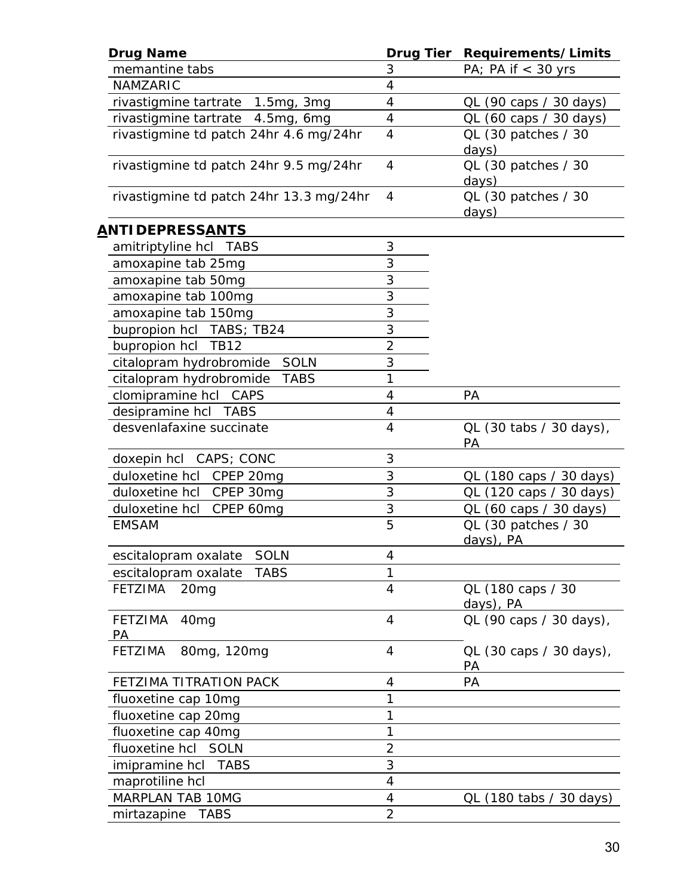| <b>Drug Name</b>                         | <b>Drug Tier</b>         | Requirements/Limits              |
|------------------------------------------|--------------------------|----------------------------------|
| memantine tabs                           | 3                        | PA; PA if $<$ 30 yrs             |
| NAMZARIC                                 | 4                        |                                  |
| rivastigmine tartrate 1.5mg, 3mg         | $\overline{\mathcal{A}}$ | QL (90 caps / 30 days)           |
| rivastigmine tartrate 4.5mg, 6mg         | 4                        | QL (60 caps / 30 days)           |
| rivastigmine td patch 24hr 4.6 mg/24hr   | 4                        | QL (30 patches / 30<br>days)     |
| rivastigmine td patch 24hr 9.5 mg/24hr   | 4                        | QL (30 patches / 30<br>days)     |
| rivastigmine td patch 24hr 13.3 mg/24hr  | $\overline{4}$           | QL (30 patches / 30<br>days)     |
| <u>ANTIDEPRESSANTS</u>                   |                          |                                  |
| amitriptyline hcl TABS                   | 3                        |                                  |
| amoxapine tab 25mg                       | 3                        |                                  |
| amoxapine tab 50mg                       | 3                        |                                  |
| amoxapine tab 100mg                      | 3                        |                                  |
| amoxapine tab 150mg                      | 3                        |                                  |
| bupropion hcl TABS; TB24                 | 3                        |                                  |
| bupropion hcl TB12                       | $\overline{2}$           |                                  |
| citalopram hydrobromide SOLN             | 3                        |                                  |
| citalopram hydrobromide<br><b>TABS</b>   | 1                        |                                  |
| clomipramine hcl CAPS                    | 4                        | PA                               |
| desipramine hcl TABS                     | 4                        |                                  |
| desvenlafaxine succinate                 | 4                        | QL (30 tabs / 30 days),          |
|                                          |                          | PA                               |
| doxepin hcl CAPS; CONC                   | 3                        |                                  |
| duloxetine hcl CPEP 20mg                 | 3                        | QL (180 caps / 30 days)          |
| duloxetine hcl CPEP 30mg                 | 3                        | QL (120 caps / 30 days)          |
| duloxetine hcl CPEP 60mg                 | 3                        | QL (60 caps / 30 days)           |
| <b>EMSAM</b>                             | 5                        | QL (30 patches / 30<br>days), PA |
| escitalopram oxalate SOLN                | 4                        |                                  |
| <b>TABS</b><br>escitalopram oxalate      | 1                        |                                  |
| <b>FETZIMA</b><br>20 <sub>mg</sub>       | 4                        | QL (180 caps / 30<br>days), PA   |
| <b>FETZIMA</b><br>40 <sub>mg</sub><br>PA | 4                        | QL (90 caps / 30 days),          |
| <b>FETZIMA</b><br>80mg, 120mg            | 4                        | QL (30 caps / 30 days),<br>PА    |
| FETZIMA TITRATION PACK                   | 4                        | PA                               |
| fluoxetine cap 10mg                      | 1                        |                                  |
| fluoxetine cap 20mg                      | 1                        |                                  |
| fluoxetine cap 40mg                      | 1                        |                                  |
| fluoxetine hcl SOLN                      | $\overline{2}$           |                                  |
| <i>imipramine hcl</i> TABS               | 3                        |                                  |
| maprotiline hcl                          | 4                        |                                  |
| MARPLAN TAB 10MG                         | 4                        | QL (180 tabs / 30 days)          |
| mirtazapine<br><b>TABS</b>               | $\overline{2}$           |                                  |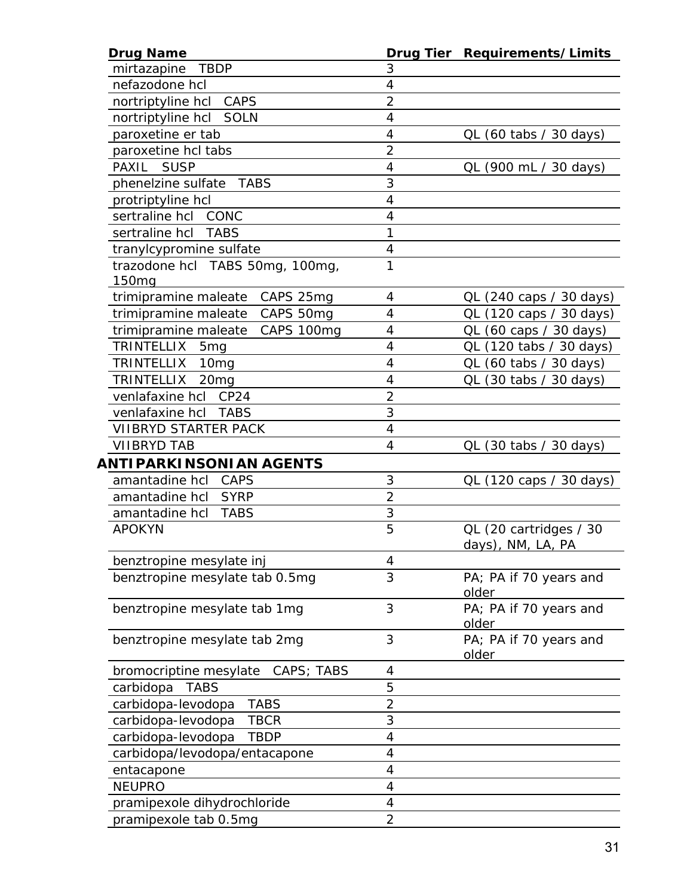| <b>Drug Name</b>                      |                          | Drug Tier Requirements/Limits          |
|---------------------------------------|--------------------------|----------------------------------------|
| mirtazapine<br><b>TBDP</b>            | 3                        |                                        |
| nefazodone hcl                        | $\overline{4}$           |                                        |
| nortriptyline hcl CAPS                | $\overline{2}$           |                                        |
| nortriptyline hcl SOLN                | $\overline{4}$           |                                        |
| paroxetine er tab                     | 4                        | QL (60 tabs / 30 days)                 |
| paroxetine hcl tabs                   | $\overline{2}$           |                                        |
| PAXIL<br><b>SUSP</b>                  | $\overline{4}$           | QL (900 mL / 30 days)                  |
| phenelzine sulfate TABS               | 3                        |                                        |
| protriptyline hcl                     | 4                        |                                        |
| sertraline hcl CONC                   | 4                        |                                        |
| sertraline hcl<br><b>TABS</b>         | 1                        |                                        |
| tranylcypromine sulfate               | $\overline{\mathcal{A}}$ |                                        |
| trazodone hcl TABS 50mg, 100mg,       | 1                        |                                        |
| 150 <sub>mq</sub>                     |                          |                                        |
| trimipramine maleate CAPS 25mg        | 4                        | QL (240 caps / 30 days)                |
| trimipramine maleate CAPS 50mg        | 4                        | QL (120 caps / 30 days)                |
| trimipramine maleate CAPS 100mg       | $\overline{4}$           | QL (60 caps / 30 days)                 |
| TRINTELLIX<br>5 <sub>mg</sub>         | $\overline{4}$           | QL (120 tabs / 30 days)                |
| <b>TRINTELLIX</b><br>10 <sub>mg</sub> | 4                        | QL (60 tabs / 30 days)                 |
| TRINTELLIX<br>20 <sub>mg</sub>        | 4                        | $QL$ (30 tabs / 30 days)               |
| venlafaxine hcl CP24                  | $\overline{2}$           |                                        |
| venlafaxine hcl<br>TABS               | $\overline{3}$           |                                        |
| <b>VIIBRYD STARTER PACK</b>           | 4                        |                                        |
| <b>VIIBRYD TAB</b>                    | 4                        | $QL$ (30 tabs / 30 days)               |
| ANTIPARKINSONIAN AGENTS               |                          |                                        |
| amantadine hcl CAPS                   | 3                        | QL (120 caps / 30 days)                |
| amantadine hcl SYRP                   | $\overline{2}$           |                                        |
| amantadine hcl TABS                   | 3                        |                                        |
| <b>APOKYN</b>                         | $\overline{5}$           | QL (20 cartridges / 30                 |
|                                       |                          | days), NM, LA, PA                      |
| benztropine mesylate inj              | 4                        |                                        |
| benztropine mesylate tab 0.5mg        | 3                        | PA; PA if 70 years and<br>older        |
| benztropine mesylate tab 1mg          | 3                        | PA; PA if 70 years and<br>older        |
| benztropine mesylate tab 2mg          | 3                        | PA; PA if 70 years and<br><u>older</u> |
| bromocriptine mesylate<br>CAPS; TABS  | 4                        |                                        |
| <b>TABS</b><br>carbidopa              | 5                        |                                        |
| <b>TABS</b><br>carbidopa-levodopa     | $\overline{a}$           |                                        |
| carbidopa-levodopa<br><b>TBCR</b>     | 3                        |                                        |
| carbidopa-levodopa<br><b>TBDP</b>     | $\overline{4}$           |                                        |
| carbidopa/levodopa/entacapone         | $\overline{4}$           |                                        |
| entacapone                            | 4                        |                                        |
| <b>NEUPRO</b>                         | 4                        |                                        |
| pramipexole dihydrochloride           | 4                        |                                        |
| pramipexole tab 0.5mg                 | $\overline{2}$           |                                        |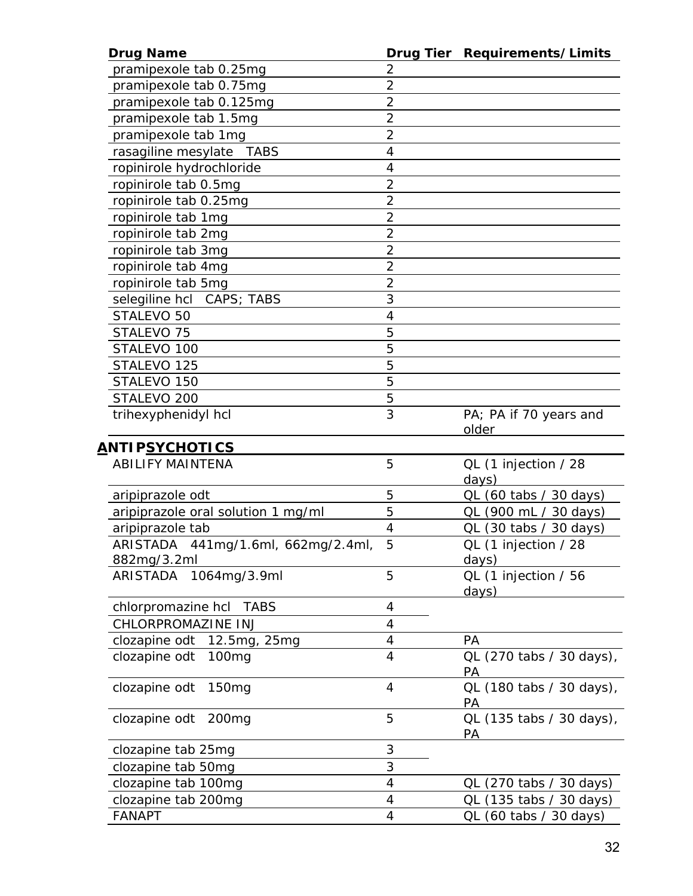| <b>Drug Name</b>                   |                | Drug Tier Requirements/Limits  |
|------------------------------------|----------------|--------------------------------|
| pramipexole tab 0.25mg             | 2              |                                |
| pramipexole tab 0.75mg             | $\overline{2}$ |                                |
| pramipexole tab 0.125mg            | $\overline{2}$ |                                |
| pramipexole tab 1.5mg              | $\overline{2}$ |                                |
| pramipexole tab 1mg                | $\overline{2}$ |                                |
| rasagiline mesylate TABS           | 4              |                                |
| ropinirole hydrochloride           | $\overline{4}$ |                                |
| ropinirole tab 0.5mg               | $\overline{2}$ |                                |
| ropinirole tab 0.25mg              | $\overline{2}$ |                                |
| ropinirole tab 1mg                 | $\overline{2}$ |                                |
| ropinirole tab 2mg                 | $\overline{2}$ |                                |
| ropinirole tab 3mg                 | $\overline{2}$ |                                |
| ropinirole tab 4mg                 | $\overline{2}$ |                                |
| ropinirole tab 5mg                 | $\overline{2}$ |                                |
| selegiline hcl CAPS; TABS          | 3              |                                |
| STALEVO 50                         | $\overline{4}$ |                                |
| STALEVO <sub>75</sub>              | 5              |                                |
| STALEVO 100                        | 5              |                                |
| STALEVO <sub>125</sub>             | 5              |                                |
| STALEVO 150                        | 5              |                                |
| STALEVO <sub>200</sub>             | 5              |                                |
| trihexyphenidyl hcl                | $\overline{3}$ | PA; PA if 70 years and         |
|                                    |                | older                          |
| <u>ANTIPSYCHOTICS</u>              |                |                                |
| <b>ABILIFY MAINTENA</b>            | 5              | QL (1 injection / 28<br>days)  |
| aripiprazole odt                   | 5              | QL (60 tabs / 30 days)         |
| aripiprazole oral solution 1 mg/ml | 5              | QL (900 mL / 30 days)          |
| aripiprazole tab                   | 4              | QL (30 tabs / 30 days)         |
| ARISTADA 441mg/1.6ml, 662mg/2.4ml, | 5              | QL (1 injection / 28           |
| 882mg/3.2ml                        |                | days)                          |
| 1064mg/3.9ml<br>ARISTADA           | 5              | QL (1 injection / 56<br>days)  |
| chlorpromazine hcl TABS            | 4              |                                |
| CHLORPROMAZINE INJ                 | 4              |                                |
| clozapine odt 12.5mg, 25mg         | 4              | PA                             |
| clozapine odt<br>100mg             | $\overline{4}$ | QL (270 tabs / 30 days),<br>PА |
| clozapine odt<br>150 <sub>mg</sub> | 4              | QL (180 tabs / 30 days),<br>PA |
| clozapine odt<br>200 <sub>mg</sub> | 5              | QL (135 tabs / 30 days),<br>PA |
| clozapine tab 25mg                 | 3              |                                |
| clozapine tab 50mg                 | 3              |                                |
| clozapine tab 100mg                | $\overline{4}$ | QL (270 tabs / 30 days)        |
| clozapine tab 200mg                | 4              | QL (135 tabs / 30 days)        |
| <b>FANAPT</b>                      | 4              | QL (60 tabs / 30 days)         |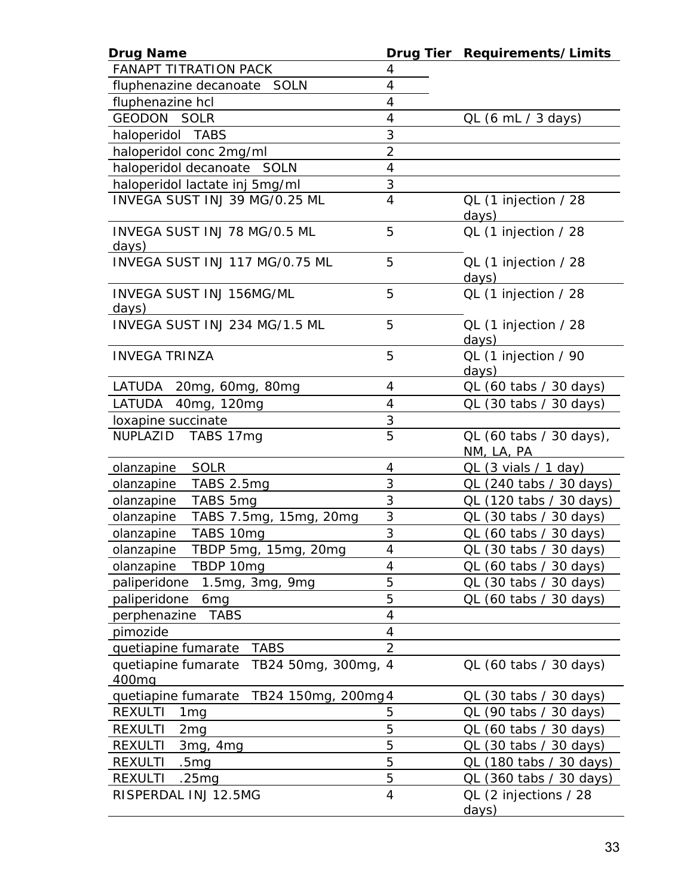| <b>Drug Name</b>                           |                          | Drug Tier Requirements/Limits                                                                                                                                                                                                                          |
|--------------------------------------------|--------------------------|--------------------------------------------------------------------------------------------------------------------------------------------------------------------------------------------------------------------------------------------------------|
| <b>FANAPT TITRATION PACK</b>               | 4                        |                                                                                                                                                                                                                                                        |
| fluphenazine decanoate SOLN                | $\overline{4}$           |                                                                                                                                                                                                                                                        |
| fluphenazine hcl                           | 4                        |                                                                                                                                                                                                                                                        |
| <b>GEODON SOLR</b>                         | $\overline{\mathcal{A}}$ | QL (6 mL / 3 days)                                                                                                                                                                                                                                     |
| haloperidol TABS                           | 3                        |                                                                                                                                                                                                                                                        |
| haloperidol conc 2mg/ml                    | $\overline{2}$           |                                                                                                                                                                                                                                                        |
| haloperidol decanoate SOLN                 | $\overline{4}$           |                                                                                                                                                                                                                                                        |
| haloperidol lactate inj 5mg/ml             | 3                        |                                                                                                                                                                                                                                                        |
| INVEGA SUST INJ 39 MG/0.25 ML              | $\overline{4}$           | QL (1 injection / 28<br>days)                                                                                                                                                                                                                          |
| INVEGA SUST INJ 78 MG/0.5 ML<br>days)      | 5                        | QL (1 injection / 28                                                                                                                                                                                                                                   |
| INVEGA SUST INJ 117 MG/0.75 ML             | 5                        | QL (1 injection / 28<br>days) and the day of the set of the set of the set of the set of the set of the set of the set of the set of the set of the set of the set of the set of the set of the set of the set of the set of the set of the set of the |
| <b>INVEGA SUST INJ 156MG/ML</b>            | 5                        | QL (1 injection / 28                                                                                                                                                                                                                                   |
| days)                                      |                          |                                                                                                                                                                                                                                                        |
| INVEGA SUST INJ 234 MG/1.5 ML              | 5                        | QL (1 injection / 28<br>days)                                                                                                                                                                                                                          |
| <b>INVEGA TRINZA</b>                       | 5                        | QL (1 injection / 90                                                                                                                                                                                                                                   |
|                                            |                          | days)                                                                                                                                                                                                                                                  |
| LATUDA 20mg, 60mg, 80mg                    | $\overline{4}$           | QL (60 tabs / 30 days)                                                                                                                                                                                                                                 |
| LATUDA 40mg, 120mg                         | $\overline{4}$           | QL (30 tabs / 30 days)                                                                                                                                                                                                                                 |
| loxapine succinate                         | 3                        |                                                                                                                                                                                                                                                        |
| NUPLAZID TABS 17mg                         | 5                        | QL (60 tabs / 30 days),<br>NM, LA, PA                                                                                                                                                                                                                  |
| <b>SOLR</b><br>olanzapine                  | 4                        | $QL$ (3 vials / 1 day)                                                                                                                                                                                                                                 |
| olanzapine<br>TABS 2.5mg                   | 3                        | QL (240 tabs / 30 days)                                                                                                                                                                                                                                |
| olanzapine<br>TABS 5mg                     | 3                        | QL (120 tabs / 30 days)                                                                                                                                                                                                                                |
| TABS 7.5mg, 15mg, 20mg<br>olanzapine       | 3                        | QL (30 tabs / 30 days)                                                                                                                                                                                                                                 |
| TABS 10mg<br>olanzapine                    | $\overline{3}$           | QL (60 tabs / 30 days)                                                                                                                                                                                                                                 |
| TBDP 5mg, 15mg, 20mg<br>olanzapine         | $\overline{\mathcal{A}}$ | QL (30 tabs / 30 days)                                                                                                                                                                                                                                 |
| olanzapine<br>TBDP 10mg                    | 4                        | QL (60 tabs / 30 days)                                                                                                                                                                                                                                 |
| 1.5mg, 3mg, 9mg<br>paliperidone            | 5                        | QL (30 tabs / 30 days)                                                                                                                                                                                                                                 |
| paliperidone<br>6 <sub>mg</sub>            | 5                        | QL (60 tabs / 30 days)                                                                                                                                                                                                                                 |
| perphenazine<br><b>TABS</b>                | 4                        |                                                                                                                                                                                                                                                        |
| pimozide                                   | 4                        |                                                                                                                                                                                                                                                        |
| quetiapine fumarate<br><b>TABS</b>         | $\overline{2}$           |                                                                                                                                                                                                                                                        |
| TB24 50mg, 300mg,<br>quetiapine fumarate   | $\overline{4}$           | QL (60 tabs / 30 days)                                                                                                                                                                                                                                 |
| 400 <sub>mq</sub>                          |                          |                                                                                                                                                                                                                                                        |
| quetiapine fumarate<br>TB24 150mg, 200mg 4 |                          | QL (30 tabs / 30 days)                                                                                                                                                                                                                                 |
| <b>REXULTI</b><br>1 <sub>mg</sub>          | 5                        | QL (90 tabs / 30 days)                                                                                                                                                                                                                                 |
| <b>REXULTI</b><br>2 <sub>mg</sub>          | 5                        | QL (60 tabs / 30 days)                                                                                                                                                                                                                                 |
| <b>REXULTI</b><br>3mg, 4mg                 | 5                        | QL (30 tabs / 30 days)                                                                                                                                                                                                                                 |
| <b>REXULTI</b><br>.5 <sub>mg</sub>         | 5                        | QL (180 tabs / 30 days)                                                                                                                                                                                                                                |
| <b>REXULTI</b><br>.25mg                    | 5                        | QL (360 tabs / 30 days)                                                                                                                                                                                                                                |
| RISPERDAL INJ 12.5MG                       | 4                        | QL (2 injections / 28                                                                                                                                                                                                                                  |
|                                            |                          | days)                                                                                                                                                                                                                                                  |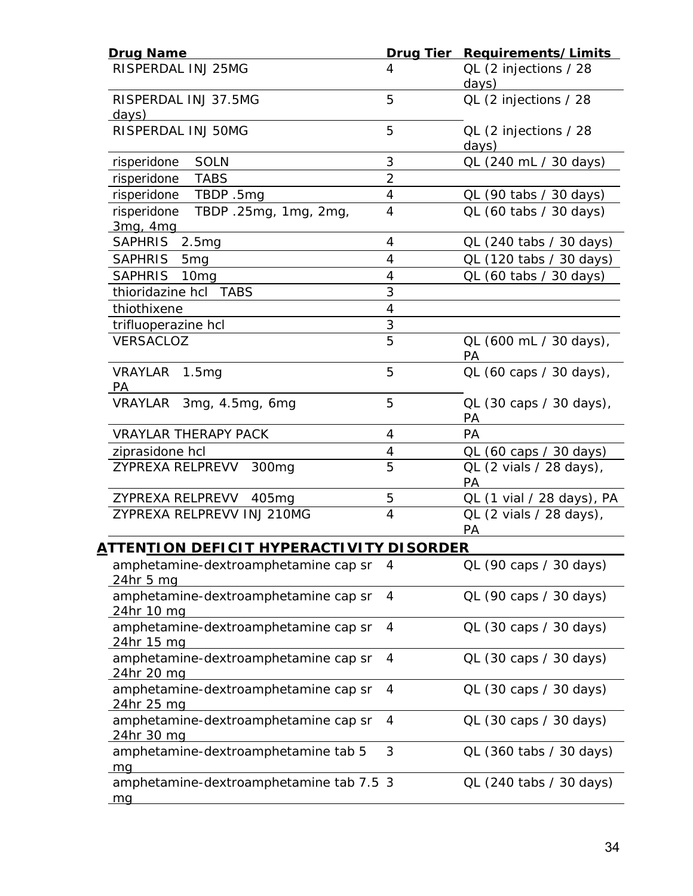| <b>Drug Name</b>                                          |                          | Drug Tier Requirements/Limits  |
|-----------------------------------------------------------|--------------------------|--------------------------------|
| RISPERDAL INJ 25MG                                        | 4                        | QL (2 injections / 28<br>days) |
| RISPERDAL INJ 37.5MG<br><u>days)</u>                      | 5                        | QL (2 injections / 28          |
| RISPERDAL INJ 50MG                                        | 5                        | QL (2 injections / 28<br>days) |
| risperidone SOLN                                          | 3                        | QL (240 mL / 30 days)          |
| risperidone TABS                                          | $\overline{2}$           |                                |
| risperidone TBDP .5mg                                     | 4                        | QL (90 tabs / 30 days)         |
| risperidone TBDP .25mg, 1mg, 2mg,<br>3mg, 4mg             | $\overline{4}$           | QL (60 tabs / 30 days)         |
| SAPHRIS 2.5mg                                             | $\overline{4}$           | QL (240 tabs / 30 days)        |
| SAPHRIS 5mg                                               | 4                        | QL (120 tabs / 30 days)        |
| SAPHRIS 10mg                                              | $\overline{4}$           | QL (60 tabs / 30 days)         |
| thioridazine hcl TABS                                     | 3                        |                                |
| thiothixene                                               | $\overline{4}$           |                                |
| trifluoperazine hcl                                       | 3                        |                                |
| VERSACLOZ                                                 | 5                        | QL (600 mL / 30 days),<br>PA   |
| VRAYLAR 1.5mg<br><b>PA</b>                                | 5                        | QL (60 caps / 30 days),        |
| VRAYLAR 3mg, 4.5mg, 6mg                                   | 5                        | QL (30 caps / 30 days),<br>PA  |
| <b>VRAYLAR THERAPY PACK</b>                               | 4                        | PA                             |
| ziprasidone hcl                                           | $\overline{\mathcal{A}}$ | QL (60 caps / 30 days)         |
| ZYPREXA RELPREVV<br>300 <sub>mg</sub>                     | $\overline{5}$           | QL (2 vials / 28 days),<br>PA  |
| ZYPREXA RELPREVV 405mg                                    | 5                        | QL (1 vial / 28 days), PA      |
| ZYPREXA RELPREVV INJ 210MG                                | $\overline{4}$           | QL (2 vials / 28 days),<br>PA  |
| ATTENTI ON DEFICIT HYPERACTI VITY DISORDER                |                          |                                |
| amphetamine-dextroamphetamine cap sr<br>24hr 5 mg         | 4                        | QL (90 caps / 30 days)         |
| amphetamine-dextroamphetamine cap sr<br>24hr 10 mg        | 4                        | QL (90 caps / 30 days)         |
| amphetamine-dextroamphetamine cap sr<br><u>24hr 15 mg</u> | 4                        | QL (30 caps / 30 days)         |
| amphetamine-dextroamphetamine cap sr<br><u>24hr 20 mg</u> | 4                        | QL (30 caps / 30 days)         |
| amphetamine-dextroamphetamine cap sr<br>24hr 25 mg        | 4                        | QL (30 caps / 30 days)         |
| amphetamine-dextroamphetamine cap sr<br><u>24hr 30 mg</u> | 4                        | QL (30 caps / 30 days)         |
| amphetamine-dextroamphetamine tab 5<br><u>_mq</u>         | 3                        | QL (360 tabs / 30 days)        |
| amphetamine-dextroamphetamine tab 7.5 3<br><u>mg</u>      |                          | QL (240 tabs / 30 days)        |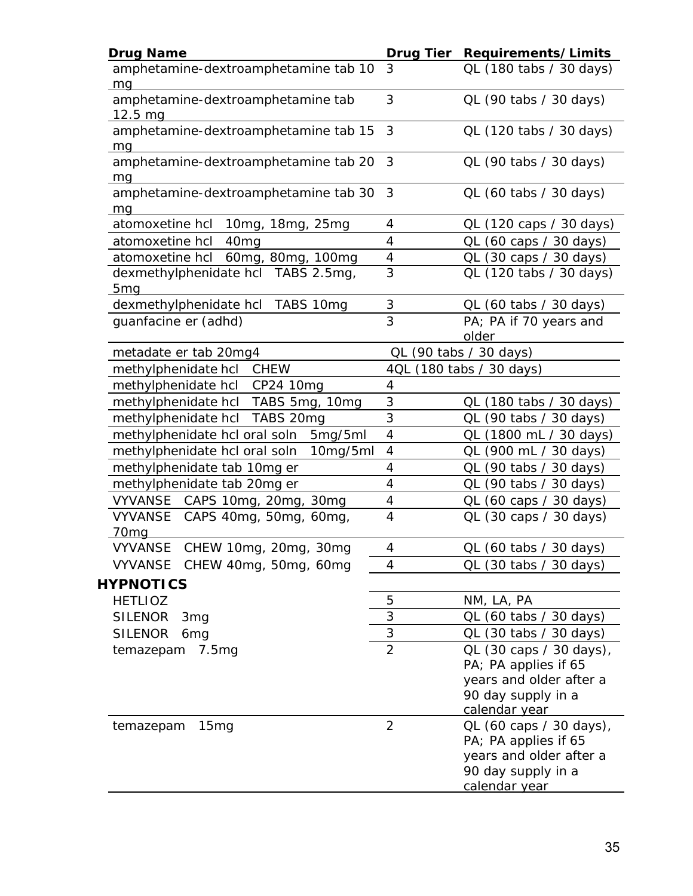| <b>Drug Name</b>                                  | <b>Drug Tier</b>         | Requirements/Limits                                                                                               |
|---------------------------------------------------|--------------------------|-------------------------------------------------------------------------------------------------------------------|
| amphetamine-dextroamphetamine tab 10<br>ma        | 3                        | QL (180 tabs / 30 days)                                                                                           |
| amphetamine-dextroamphetamine tab<br>$12.5 \, mg$ | 3                        | QL (90 tabs / 30 days)                                                                                            |
| amphetamine-dextroamphetamine tab 15<br>mg        | 3                        | QL (120 tabs / 30 days)                                                                                           |
| amphetamine-dextroamphetamine tab 20<br><u>mq</u> | 3                        | QL (90 tabs / 30 days)                                                                                            |
| amphetamine-dextroamphetamine tab 30<br>mq        | 3                        | QL (60 tabs / 30 days)                                                                                            |
| atomoxetine hcl 10mg, 18mg, 25mg                  | 4                        | QL (120 caps / 30 days)                                                                                           |
| atomoxetine hcl<br>40 <sub>mg</sub>               | 4                        | QL (60 caps / 30 days)                                                                                            |
| atomoxetine hcl 60mg, 80mg, 100mg                 | 4                        | QL (30 caps / 30 days)                                                                                            |
| dexmethylphenidate hcl TABS 2.5mg,<br><u>5mq</u>  | 3                        | QL (120 tabs / 30 days)                                                                                           |
| dexmethylphenidate hcl TABS 10mg                  | 3                        | QL (60 tabs / 30 days)                                                                                            |
| guanfacine er (adhd)                              | 3                        | PA; PA if 70 years and<br>older                                                                                   |
| metadate er tab 20mg4                             |                          | QL (90 tabs / 30 days)                                                                                            |
| methylphenidate hcl CHEW                          |                          | 4QL (180 tabs / 30 days)                                                                                          |
| methylphenidate hcl CP24 10mg                     | 4                        |                                                                                                                   |
| methylphenidate hcl TABS 5mg, 10mg                | 3                        | QL (180 tabs / 30 days)                                                                                           |
| methylphenidate hcl TABS 20mg                     | 3                        | QL (90 tabs / 30 days)                                                                                            |
| methylphenidate hcl oral soln<br>5mg/5ml          | 4                        | QL (1800 mL / 30 days)                                                                                            |
| methylphenidate hcl oral soln<br>10mg/5ml         | $\overline{\mathcal{A}}$ | QL (900 mL / 30 days)                                                                                             |
| methylphenidate tab 10mg er                       | 4                        | QL (90 tabs / 30 days)                                                                                            |
| methylphenidate tab 20mg er                       | 4                        | QL (90 tabs / 30 days)                                                                                            |
| VYVANSE CAPS 10mg, 20mg, 30mg                     | 4                        | QL (60 caps / 30 days)                                                                                            |
| VYVANSE CAPS 40mg, 50mg, 60mg,                    | 4                        | QL (30 caps / 30 days)                                                                                            |
| 70 <sub>mg</sub>                                  |                          |                                                                                                                   |
| VYVANSE CHEW 10mg, 20mg, 30mg                     | 4                        | QL (60 tabs / 30 days)                                                                                            |
| VYVANSE CHEW 40mg, 50mg, 60mg<br><b>HYPNOTICS</b> | 4                        | QL (30 tabs / 30 days)                                                                                            |
| <b>HETLIOZ</b>                                    | 5                        | NM, LA, PA                                                                                                        |
| <b>SILENOR</b><br>3 <sub>mg</sub>                 | 3                        | QL (60 tabs / 30 days)                                                                                            |
| <b>SILENOR</b><br>6 <sub>mg</sub>                 | 3                        | QL (30 tabs / 30 days)                                                                                            |
| temazepam 7.5mg                                   | $\overline{2}$           | QL (30 caps / 30 days),<br>PA; PA applies if 65<br>years and older after a<br>90 day supply in a<br>calendar year |
| temazepam<br>15mg                                 | $\overline{2}$           | QL (60 caps / 30 days),<br>PA; PA applies if 65<br>years and older after a<br>90 day supply in a<br>calendar year |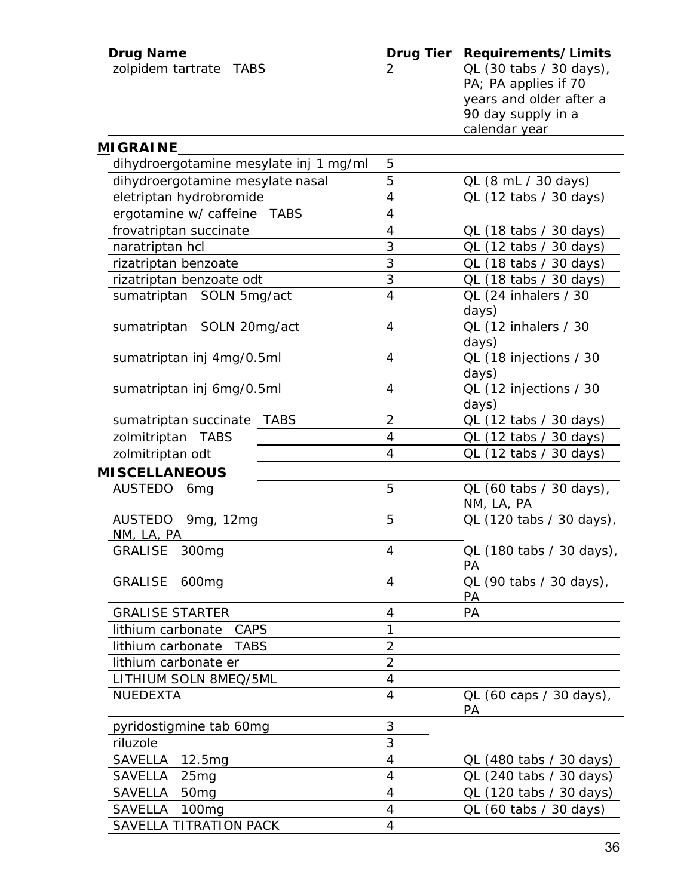| <b>Drug Name</b>                       |                | Drug Tier Requirements/Limits |
|----------------------------------------|----------------|-------------------------------|
| zolpidem tartrate<br>TABS              | 2              | QL (30 tabs / 30 days),       |
|                                        |                | PA; PA applies if 70          |
|                                        |                | years and older after a       |
|                                        |                | 90 day supply in a            |
|                                        |                | calendar year                 |
| <u>M</u> IGRAINE                       |                |                               |
| dihydroergotamine mesylate inj 1 mg/ml | 5              |                               |
| dihydroergotamine mesylate nasal       | 5              | QL (8 mL / 30 days)           |
| eletriptan hydrobromide                | 4              | QL (12 tabs / 30 days)        |
| ergotamine w/ caffeine TABS            | 4              |                               |
| frovatriptan succinate                 | 4              | QL (18 tabs / 30 days)        |
| naratriptan hcl                        | 3              | QL (12 tabs / 30 days)        |
| rizatriptan benzoate                   | 3              | QL (18 tabs / 30 days)        |
| rizatriptan benzoate odt               | $\overline{3}$ | QL (18 tabs / 30 days)        |
| sumatriptan SOLN 5mg/act               | $\overline{4}$ | QL (24 inhalers / 30          |
|                                        |                | days)                         |
| sumatriptan SOLN 20mg/act              | 4              | QL (12 inhalers / 30          |
|                                        |                | days)                         |
| sumatriptan inj 4mg/0.5ml              | 4              | QL (18 injections / 30        |
|                                        |                | days)                         |
| sumatriptan inj 6mg/0.5ml              | 4              | QL (12 injections / 30        |
|                                        |                | days)                         |
| <b>TABS</b><br>sumatriptan succinate   | $\overline{2}$ | QL (12 tabs / 30 days)        |
| zolmitriptan TABS                      | 4              | QL (12 tabs / 30 days)        |
| zolmitriptan odt                       | 4              | QL (12 tabs / 30 days)        |
| <b>MISCELLANEOUS</b>                   |                |                               |
| AUSTEDO 6mg                            | 5              | QL (60 tabs / 30 days),       |
|                                        |                | NM, LA, PA                    |
| AUSTEDO 9mg, 12mg                      | 5              | QL (120 tabs / 30 days),      |
| <u>NM, LA, PA</u>                      |                |                               |
| GRALISE<br>300 <sub>mg</sub>           | 4              | QL (180 tabs / 30 days),      |
|                                        |                | PA                            |
| <b>GRALISE</b><br>600 <sub>mg</sub>    | 4              | QL (90 tabs / 30 days),       |
|                                        |                | PA                            |
| <b>GRALISE STARTER</b>                 | 4              | PA                            |
| CAPS<br>lithium carbonate              | 1              |                               |
| lithium carbonate<br><b>TABS</b>       | $\overline{2}$ |                               |
| lithium carbonate er                   | $\overline{2}$ |                               |
| LITHIUM SOLN 8MEQ/5ML                  | 4              |                               |
| <b>NUEDEXTA</b>                        | 4              | QL (60 caps / 30 days),       |
|                                        |                | PA                            |
| pyridostigmine tab 60mg                | 3              |                               |
| riluzole                               | 3              |                               |
| <b>SAVELLA</b><br>12.5mg               | 4              | QL (480 tabs / 30 days)       |
| <b>SAVELLA</b><br>25mg                 | 4              | QL (240 tabs / 30 days)       |
| SAVELLA<br>50 <sub>mg</sub>            | 4              | QL (120 tabs / 30 days)       |
| 100 <sub>mg</sub><br>SAVELLA           | 4              | QL (60 tabs / 30 days)        |
| SAVELLA TITRATION PACK                 | $\overline{4}$ |                               |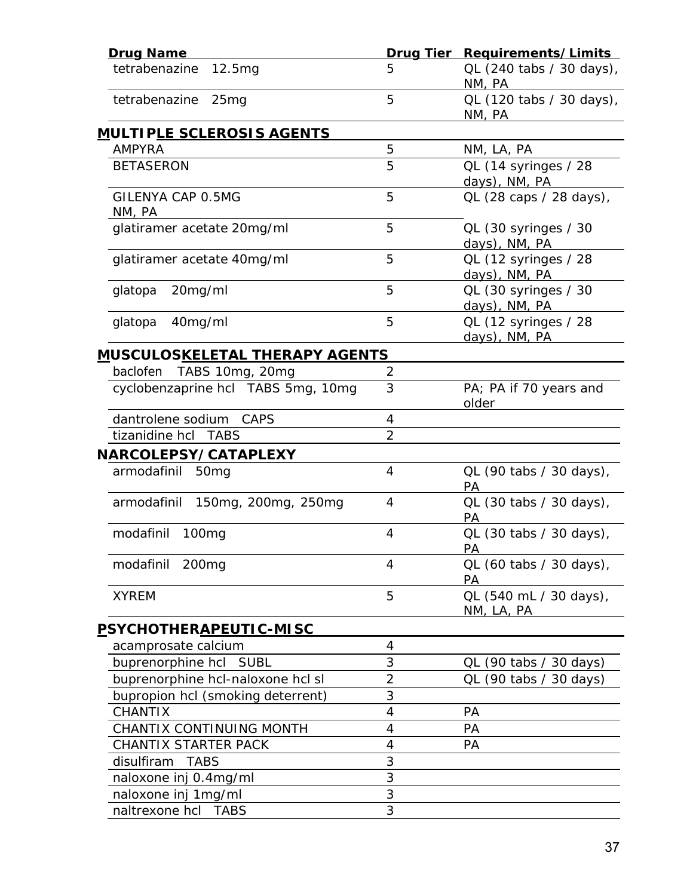| <b>Drug Name</b>                       | Drug Tier      | Requirements/Limits                   |
|----------------------------------------|----------------|---------------------------------------|
| tetrabenazine<br>12.5mg                | 5              | QL (240 tabs / 30 days),<br>NM, PA    |
| tetrabenazine<br>25mg                  | 5              | QL (120 tabs / 30 days),<br>NM, PA    |
| <u>MULTIPLE SCLEROSIS AGENTS</u>       |                |                                       |
| <b>AMPYRA</b>                          | 5              | NM, LA, PA                            |
| <b>BETASERON</b>                       | 5              | QL (14 syringes / 28<br>days), NM, PA |
| GILENYA CAP 0.5MG<br>NM, PA            | 5              | QL (28 caps / 28 days),               |
| glatiramer acetate 20mg/ml             | 5              | QL (30 syringes / 30<br>days), NM, PA |
| glatiramer acetate 40mg/ml             | 5              | QL (12 syringes / 28<br>days), NM, PA |
| 20mg/ml<br>glatopa                     | 5              | QL (30 syringes / 30<br>days), NM, PA |
| 40mg/ml<br>glatopa                     | 5              | QL (12 syringes / 28<br>days), NM, PA |
| <u>MUSCULOSKELETAL THERAPY AGENTS</u>  |                |                                       |
| baclofen<br>TABS 10mg, 20mg            | 2              |                                       |
| cyclobenzaprine hcl TABS 5mg, 10mg     | 3              | PA; PA if 70 years and<br>older       |
| dantrolene sodium<br>CAPS              | 4              |                                       |
| tizanidine hcl TABS                    | $\overline{2}$ |                                       |
| <b>NARCOLEPSY/CATAPLEXY</b>            |                |                                       |
| armodafinil 50mg                       | 4              | QL (90 tabs / 30 days),<br>PА         |
| 150mg, 200mg, 250mg<br>armodafinil     | 4              | QL (30 tabs / 30 days),<br><b>PA</b>  |
| modafinil<br>100 <sub>mg</sub>         | 4              | QL (30 tabs / 30 days),<br><u>PA</u>  |
| modafinil<br>200mg                     | 4              | QL (60 tabs / 30 days),<br>PA         |
| <b>XYREM</b>                           | 5              | QL (540 mL / 30 days),<br>NM, LA, PA  |
| <u>P</u> SYCHOTHER <u>APEUTIC-MISC</u> |                |                                       |
| acamprosate calcium                    | 4              |                                       |
| buprenorphine hcl SUBL                 | 3              | QL (90 tabs / 30 days)                |
| buprenorphine hcl-naloxone hcl sl      | $\overline{2}$ | QL (90 tabs / 30 days)                |
| bupropion hcl (smoking deterrent)      | 3              |                                       |
| <b>CHANTIX</b>                         | 4              | PA                                    |
| CHANTIX CONTINUING MONTH               | 4              | <b>PA</b>                             |
| CHANTIX STARTER PACK                   | 4              | PА                                    |
| disulfiram<br><b>TABS</b>              | 3              |                                       |
| naloxone inj 0.4mg/ml                  | 3              |                                       |
| naloxone inj 1mg/ml                    | 3              |                                       |
| naltrexone hcl TABS                    | 3              |                                       |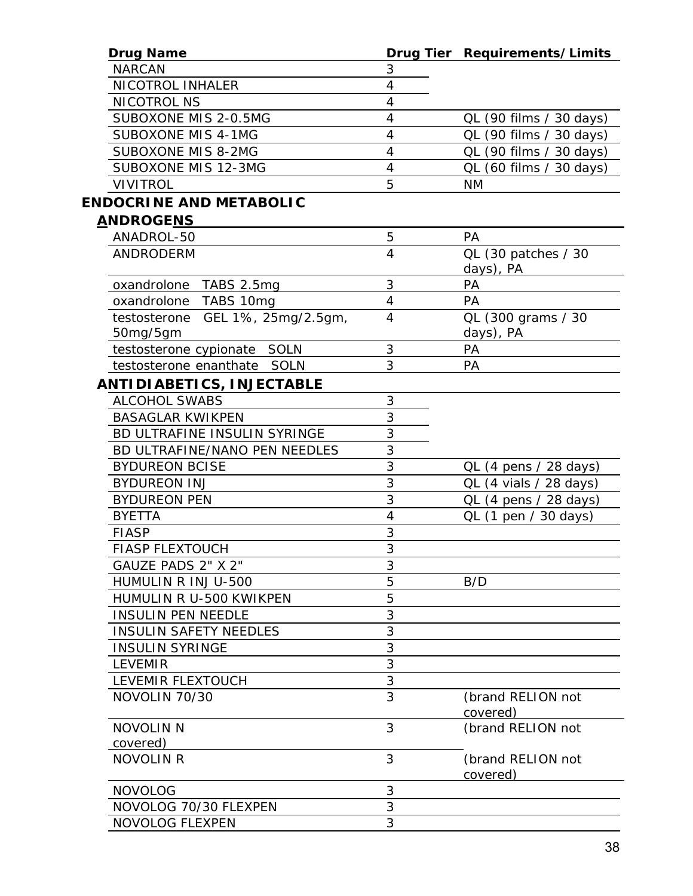| <b>Drug Name</b>                    |                | Drug Tier Requirements/Limits |
|-------------------------------------|----------------|-------------------------------|
| <b>NARCAN</b>                       | 3              |                               |
| NICOTROL INHALER                    | $\overline{4}$ |                               |
| <b>NICOTROL NS</b>                  | $\overline{4}$ |                               |
| SUBOXONE MIS 2-0.5MG                | $\overline{4}$ | QL (90 films / 30 days)       |
| <b>SUBOXONE MIS 4-1MG</b>           | 4              | QL (90 films / 30 days)       |
| <b>SUBOXONE MIS 8-2MG</b>           | $\overline{4}$ | QL (90 films / 30 days)       |
| SUBOXONE MIS 12-3MG                 | $\overline{4}$ | QL (60 films / 30 days)       |
| <b>VIVITROL</b>                     | 5              | <b>NM</b>                     |
| <b>ENDOCRINE AND METABOLIC</b>      |                |                               |
| <b>ANDROGENS</b>                    |                |                               |
| ANADROL-50                          | 5              | <b>PA</b>                     |
| <b>ANDRODERM</b>                    | 4              | QL (30 patches / 30           |
|                                     |                | days), PA                     |
| oxandrolone TABS 2.5mg              | 3              | PA                            |
| oxandrolone TABS 10mg               | 4              | <b>PA</b>                     |
| GEL 1%, 25mg/2.5gm,<br>testosterone | $\overline{4}$ | QL (300 grams / 30            |
| 50mg/5gm                            |                | days), PA                     |
| testosterone cypionate SOLN         | 3              | PA                            |
| testosterone enanthate SOLN         | 3              | <b>PA</b>                     |
| ANTIDIABETICS, INJECTABLE           |                |                               |
| <b>ALCOHOL SWABS</b>                | 3              |                               |
| <b>BASAGLAR KWIKPEN</b>             | 3              |                               |
| BD ULTRAFINE INSULIN SYRINGE        | 3              |                               |
| BD ULTRAFINE/NANO PEN NEEDLES       | 3              |                               |
| <b>BYDUREON BCISE</b>               | 3              | QL (4 pens / 28 days)         |
| <b>BYDUREON INJ</b>                 | 3              | QL (4 vials / 28 days)        |
| <b>BYDUREON PEN</b>                 | 3              | QL (4 pens / 28 days)         |
| <b>BYETTA</b>                       | 4              | QL (1 pen / 30 days)          |
| <b>FIASP</b>                        | 3              |                               |
| <b>FIASP FLEXTOUCH</b>              | 3              |                               |
| GAUZE PADS 2" X 2"                  | 3              |                               |
| HUMULIN R INJ U-500                 | 5              | B/D                           |
| HUMULIN R U-500 KWIKPEN             | 5              |                               |
| <b>INSULIN PEN NEEDLE</b>           | 3              |                               |
| <b>INSULIN SAFETY NEEDLES</b>       | 3              |                               |
| <b>INSULIN SYRINGE</b>              | 3              |                               |
| <b>LEVEMIR</b>                      | 3              |                               |
| LEVEMIR FLEXTOUCH                   | 3              |                               |
| NOVOLIN 70/30                       | 3              | (brand RELION not             |
|                                     |                | covered)                      |
| <b>NOVOLIN N</b>                    | 3              | (brand RELION not             |
| covered)                            |                |                               |
| <b>NOVOLIN R</b>                    | 3              | (brand RELION not             |
|                                     |                | covered)                      |
| <b>NOVOLOG</b>                      | 3              |                               |
| NOVOLOG 70/30 FLEXPEN               | 3              |                               |
| <b>NOVOLOG FLEXPEN</b>              | 3              |                               |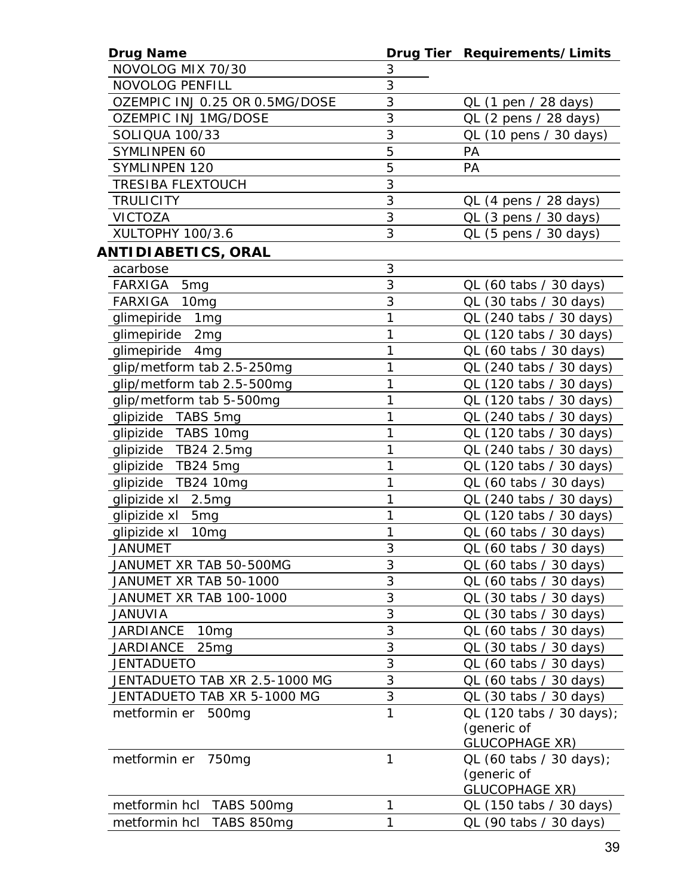| <b>Drug Name</b>                   |   | Drug Tier Requirements/Limits |
|------------------------------------|---|-------------------------------|
| NOVOLOG MIX 70/30                  | 3 |                               |
| <b>NOVOLOG PENFILL</b>             | 3 |                               |
| OZEMPIC INJ 0.25 OR 0.5MG/DOSE     | 3 | QL (1 pen / 28 days)          |
| <b>OZEMPIC INJ 1MG/DOSE</b>        | 3 | QL (2 pens / 28 days)         |
| <b>SOLIQUA 100/33</b>              | 3 | QL (10 pens / 30 days)        |
| SYMLINPEN 60                       | 5 | PA                            |
| <b>SYMLINPEN 120</b>               | 5 | <b>PA</b>                     |
| <b>TRESIBA FLEXTOUCH</b>           | 3 |                               |
| <b>TRULICITY</b>                   | 3 | QL (4 pens / 28 days)         |
| <b>VICTOZA</b>                     | 3 | QL (3 pens / 30 days)         |
| XULTOPHY 100/3.6                   | 3 | $QL$ (5 pens / 30 days)       |
| ANTIDIABETICS, ORAL                |   |                               |
| acarbose                           | 3 |                               |
| FARXIGA 5mg                        | 3 | QL (60 tabs / 30 days)        |
| <b>FARXIGA</b><br>10 <sub>mg</sub> | 3 | QL (30 tabs / 30 days)        |
| glimepiride 1mg                    | 1 | QL (240 tabs / 30 days)       |
| glimepiride 2mg                    | 1 | QL (120 tabs / 30 days)       |
| glimepiride 4mg                    | 1 | QL (60 tabs / 30 days)        |
| glip/metform tab 2.5-250mg         | 1 | QL (240 tabs / 30 days)       |
| glip/metform tab 2.5-500mg         | 1 | QL (120 tabs / 30 days)       |
| glip/metform tab 5-500mg           | 1 | QL (120 tabs / 30 days)       |
| glipizide TABS 5mg                 | 1 | QL (240 tabs / 30 days)       |
| glipizide TABS 10mg                | 1 | QL (120 tabs / 30 days)       |
| glipizide TB24 2.5mg               | 1 | QL (240 tabs / 30 days)       |
| glipizide TB24 5mg                 | 1 | QL (120 tabs / 30 days)       |
| glipizide TB24 10mg                | 1 | QL (60 tabs / 30 days)        |
| glipizide xl 2.5mg                 | 1 | QL (240 tabs / 30 days)       |
| glipizide xl 5mg                   | 1 | QL (120 tabs / 30 days)       |
| glipizide xl<br>10 <sub>mg</sub>   | 1 | QL (60 tabs / 30 days)        |
| JANUMFT                            | 3 | QL (60 tabs / 30 days)        |
| JANUMET XR TAB 50-500MG            | 3 | QL (60 tabs / 30 days)        |
| JANUMET XR TAB 50-1000             | 3 | QL (60 tabs / 30 days)        |
| JANUMET XR TAB 100-1000            | 3 | QL (30 tabs / 30 days)        |
| <b>JANUVIA</b>                     | 3 | QL (30 tabs / 30 days)        |
| JARDIANCE<br>10 <sub>mg</sub>      | 3 | QL (60 tabs / 30 days)        |
| <b>JARDIANCE</b><br>25mg           | 3 | $QL$ (30 tabs / 30 days)      |
| <b>JENTADUETO</b>                  | 3 | QL (60 tabs / 30 days)        |
| JENTADUETO TAB XR 2.5-1000 MG      | 3 | QL (60 tabs / 30 days)        |
| JENTADUETO TAB XR 5-1000 MG        | 3 | QL (30 tabs / 30 days)        |
| metformin er 500mg                 | 1 | QL (120 tabs / 30 days);      |
|                                    |   | (generic of                   |
|                                    |   | <b>GLUCOPHAGE XR)</b>         |
| metformin er 750mg                 | 1 | QL (60 tabs / 30 days);       |
|                                    |   | (generic of                   |
|                                    |   | <b>GLUCOPHAGE XR)</b>         |
| metformin hcl TABS 500mg           | 1 | QL (150 tabs / 30 days)       |
| metformin hcl<br>TABS 850mg        | 1 | QL (90 tabs / 30 days)        |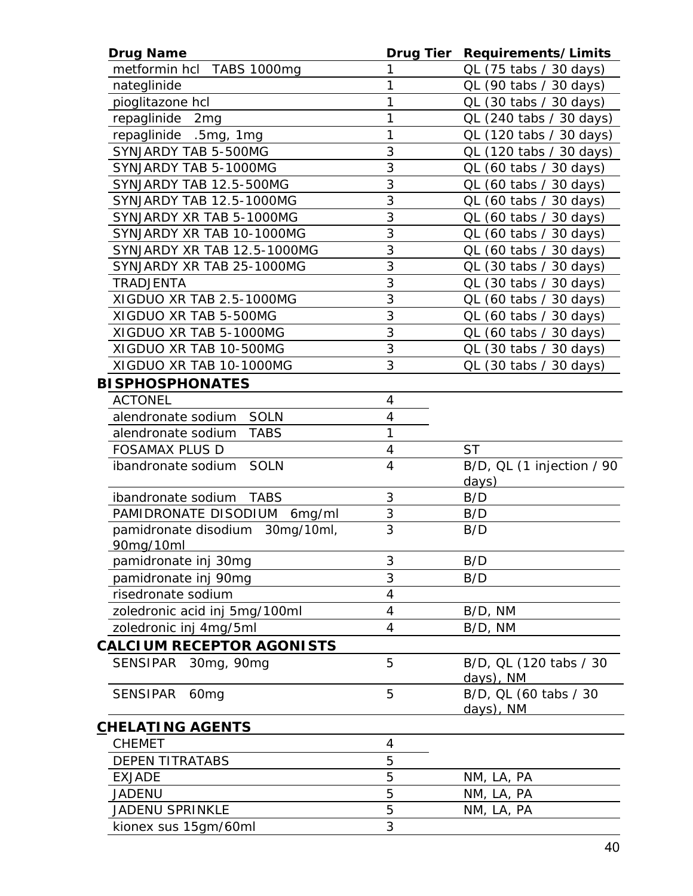| <b>Drug Name</b>                             | <b>Drug Tier</b>    | Requirements/Limits       |
|----------------------------------------------|---------------------|---------------------------|
| metformin hcl TABS 1000mg                    |                     | QL (75 tabs / 30 days)    |
| nateglinide                                  | 1                   | QL (90 tabs / 30 days)    |
| pioglitazone hcl                             | 1                   | QL (30 tabs / 30 days)    |
| repaglinide 2mg                              | 1                   | QL (240 tabs / 30 days)   |
| repaglinide .5mg, 1mg                        | 1                   | QL (120 tabs / 30 days)   |
| SYNJARDY TAB 5-500MG                         | 3                   | QL (120 tabs / 30 days)   |
| SYNJARDY TAB 5-1000MG                        | 3                   | QL (60 tabs / 30 days)    |
| SYNJARDY TAB 12.5-500MG                      | 3                   | QL (60 tabs / 30 days)    |
| SYNJARDY TAB 12.5-1000MG                     | 3                   | QL (60 tabs / 30 days)    |
| SYNJARDY XR TAB 5-1000MG                     | 3                   | QL (60 tabs / 30 days)    |
| SYNJARDY XR TAB 10-1000MG                    | 3                   | QL (60 tabs / 30 days)    |
| SYNJARDY XR TAB 12.5-1000MG                  | 3                   | QL (60 tabs / 30 days)    |
| SYNJARDY XR TAB 25-1000MG                    | 3                   | QL (30 tabs / 30 days)    |
| TRADJENTA                                    | 3                   | QL (30 tabs / 30 days)    |
| XIGDUO XR TAB 2.5-1000MG                     | 3                   | QL (60 tabs / 30 days)    |
| XIGDUO XR TAB 5-500MG                        | 3                   | QL (60 tabs / 30 days)    |
| XIGDUO XR TAB 5-1000MG                       | 3                   | QL (60 tabs / 30 days)    |
| XIGDUO XR TAB 10-500MG                       | 3                   | QL (30 tabs / 30 days)    |
| XIGDUO XR TAB 10-1000MG                      | 3                   | QL (30 tabs / 30 days)    |
| <b>BISPHOSPHONATES</b>                       |                     |                           |
| <b>ACTONEL</b>                               | 4                   |                           |
| alendronate sodium<br><b>SOLN</b>            | 4                   |                           |
| <b>TABS</b><br>alendronate sodium            | 1                   |                           |
| <b>FOSAMAX PLUS D</b>                        | $\overline{4}$      | <b>ST</b>                 |
| <b>SOLN</b><br>ibandronate sodium            | $\overline{4}$      | B/D, QL (1 injection / 90 |
|                                              |                     | days)                     |
| <b>TABS</b><br>ibandronate sodium            | 3                   | B/D                       |
| PAMIDRONATE DISODIUM<br>6mg/ml               | $\mathfrak{Z}$<br>3 | B/D                       |
| pamidronate disodium 30mg/10ml,<br>90mg/10ml |                     | B/D                       |
| pamidronate inj 30mg                         | 3                   | B/D                       |
| pamidronate inj 90mg                         | 3                   | B/D                       |
| risedronate sodium                           | 4                   |                           |
| zoledronic acid inj 5mg/100ml                | $\overline{4}$      | B/D, NM                   |
| zoledronic inj 4mg/5ml                       | 4                   | B/D, NM                   |
| <b>CALCIUM RECEPTOR AGONISTS</b>             |                     |                           |
| SENSIPAR 30mg, 90mg                          | 5                   | B/D, QL (120 tabs / 30    |
|                                              |                     | days), NM                 |
| <b>SENSIPAR</b><br>60 <sub>mg</sub>          | 5                   | B/D, QL (60 tabs / 30     |
|                                              |                     | days), NM                 |
| <u>CHELATING AGENTS</u>                      |                     |                           |
| <b>CHEMET</b>                                | 4                   |                           |
| <b>DEPEN TITRATABS</b>                       | 5                   |                           |
| <b>EXJADE</b>                                | 5                   | NM, LA, PA                |
| <b>JADENU</b>                                | 5                   | NM, LA, PA                |
| <b>JADENU SPRINKLE</b>                       | 5                   | NM, LA, PA                |
| kionex sus 15gm/60ml                         | 3                   |                           |
|                                              |                     |                           |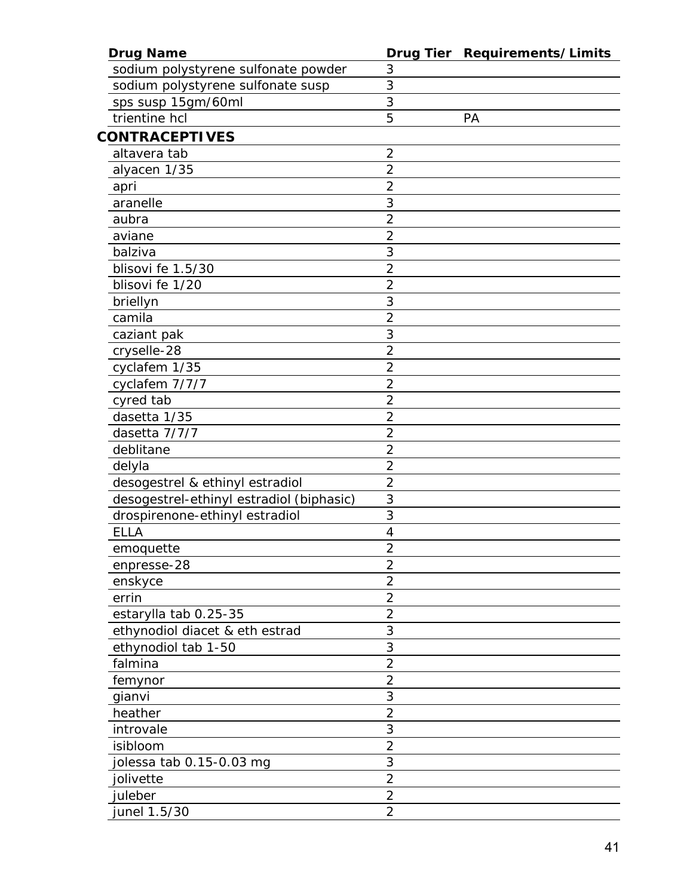| <b>Drug Name</b>                         |                | Drug Tier Requirements/Limits |
|------------------------------------------|----------------|-------------------------------|
| sodium polystyrene sulfonate powder      | 3              |                               |
| sodium polystyrene sulfonate susp        | 3              |                               |
| sps susp 15gm/60ml                       | 3              |                               |
| trientine hcl                            | 5              | PA                            |
| <b>CONTRACEPTIVES</b>                    |                |                               |
| altavera tab                             | $\overline{2}$ |                               |
| alyacen 1/35                             | $\overline{2}$ |                               |
| apri                                     | $\overline{c}$ |                               |
| aranelle                                 | 3              |                               |
| aubra                                    | $\overline{2}$ |                               |
| aviane                                   | $\overline{2}$ |                               |
| balziva                                  | 3              |                               |
| blisovi fe 1.5/30                        | $\overline{a}$ |                               |
| blisovi fe 1/20                          | $\overline{2}$ |                               |
| briellyn                                 | 3              |                               |
| camila                                   | $\overline{2}$ |                               |
| caziant pak                              | 3              |                               |
| cryselle-28                              | $\overline{c}$ |                               |
| cyclafem 1/35                            | $\overline{2}$ |                               |
| cyclafem 7/7/7                           | $\overline{2}$ |                               |
| cyred tab                                | $\overline{2}$ |                               |
| dasetta 1/35                             | $\overline{2}$ |                               |
| dasetta 7/7/7                            | $\overline{2}$ |                               |
| deblitane                                | $\overline{2}$ |                               |
| delyla                                   | $\overline{2}$ |                               |
| desogestrel & ethinyl estradiol          | $\overline{2}$ |                               |
| desogestrel-ethinyl estradiol (biphasic) | 3              |                               |
| drospirenone-ethinyl estradiol           | 3              |                               |
| <b>ELLA</b>                              | 4              |                               |
| emoquette                                | $\overline{2}$ |                               |
| enpresse-28                              | $\overline{2}$ |                               |
| enskyce                                  | $\overline{2}$ |                               |
| errin                                    | $\overline{2}$ |                               |
| estarylla tab 0.25-35                    | $\overline{a}$ |                               |
| ethynodiol diacet & eth estrad           | 3              |                               |
| ethynodiol tab 1-50                      | 3              |                               |
| falmina                                  | $\overline{c}$ |                               |
| femynor                                  | $\overline{c}$ |                               |
| gianvi                                   | 3              |                               |
| heather                                  | $\overline{2}$ |                               |
| introvale                                | 3              |                               |
| isibloom                                 | $\overline{2}$ |                               |
| iolessa tab 0.15-0.03 mg                 | 3              |                               |
| jolivette                                | $\overline{c}$ |                               |
| juleber                                  | $\overline{2}$ |                               |
| junel 1.5/30                             | $\overline{2}$ |                               |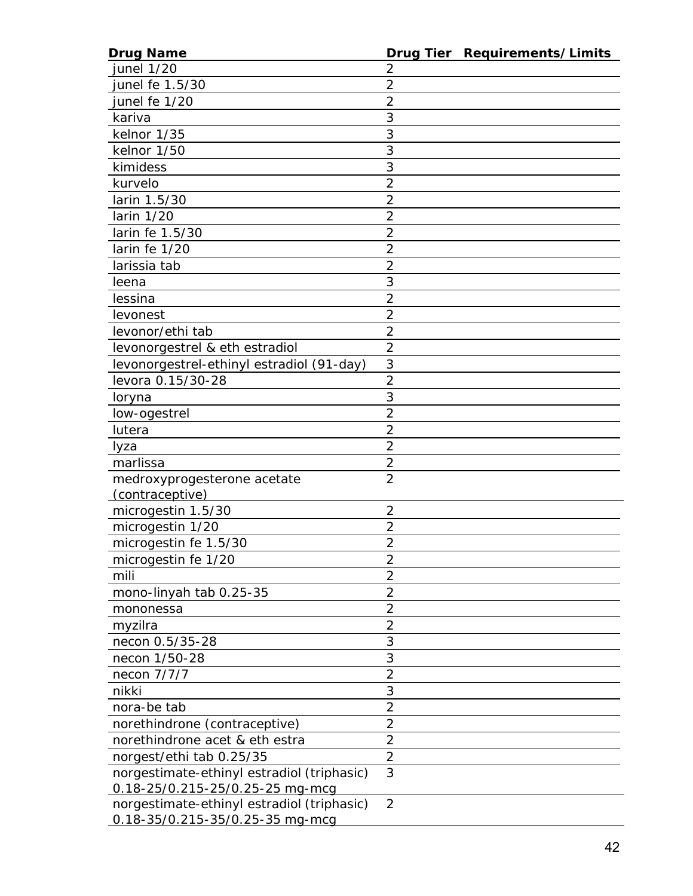| <b>Drug Name</b>                                                              |                | Drug Tier Requirements/Limits |
|-------------------------------------------------------------------------------|----------------|-------------------------------|
| <i>junel</i> 1/20                                                             | 2              |                               |
| junel fe 1.5/30                                                               | 2              |                               |
| junel fe 1/20                                                                 | 2              |                               |
| kariva                                                                        | 3              |                               |
| kelnor 1/35                                                                   | 3              |                               |
| kelnor 1/50                                                                   | 3              |                               |
| kimidess                                                                      | 3              |                               |
| kurvelo                                                                       | $\overline{2}$ |                               |
| larin 1.5/30                                                                  | $\overline{2}$ |                               |
| larin 1/20                                                                    | 2              |                               |
| larin fe 1.5/30                                                               | $\overline{2}$ |                               |
| larin fe 1/20                                                                 | 2              |                               |
| larissia tab                                                                  | $\overline{2}$ |                               |
| leena                                                                         | 3              |                               |
| lessina                                                                       | 2              |                               |
| levonest                                                                      | $\overline{2}$ |                               |
| levonor/ethi tab                                                              | $\overline{2}$ |                               |
| levonorgestrel & eth estradiol                                                | $\overline{2}$ |                               |
| levonorgestrel-ethinyl estradiol (91-day)                                     | 3              |                               |
| levora 0.15/30-28                                                             | $\overline{2}$ |                               |
| loryna                                                                        | 3              |                               |
| low-ogestrel                                                                  | $\overline{2}$ |                               |
| lutera                                                                        | $\overline{2}$ |                               |
| lyza                                                                          | $\overline{2}$ |                               |
| marlissa                                                                      | 2              |                               |
| medroxyprogesterone acetate                                                   | $\overline{2}$ |                               |
| <u>(contraceptive)</u>                                                        |                |                               |
| microgestin 1.5/30                                                            | $\overline{2}$ |                               |
| microgestin 1/20                                                              | 2              |                               |
| microgestin fe 1.5/30                                                         | $\overline{2}$ |                               |
| microgestin fe 1/20                                                           | 2              |                               |
| mili                                                                          | 2              |                               |
| mono-linyah tab 0.25-35                                                       | $\overline{2}$ |                               |
| mononessa                                                                     | $\overline{2}$ |                               |
| myzilra                                                                       | 2              |                               |
| necon 0.5/35-28                                                               | 3              |                               |
| necon 1/50-28                                                                 | 3              |                               |
| necon 7/7/7                                                                   | 2              |                               |
| nikki                                                                         | 3              |                               |
| nora-be tab                                                                   | $\overline{2}$ |                               |
| norethindrone (contraceptive)                                                 | $\overline{2}$ |                               |
| norethindrone acet & eth estra                                                | 2              |                               |
| norgest/ethi tab 0.25/35                                                      | $\overline{2}$ |                               |
| norgestimate-ethinyl estradiol (triphasic)<br>0.18-25/0.215-25/0.25-25 mg-mcg | 3              |                               |
| norgestimate-ethinyl estradiol (triphasic)<br>0.18-35/0.215-35/0.25-35 mg-mcg | $\overline{2}$ |                               |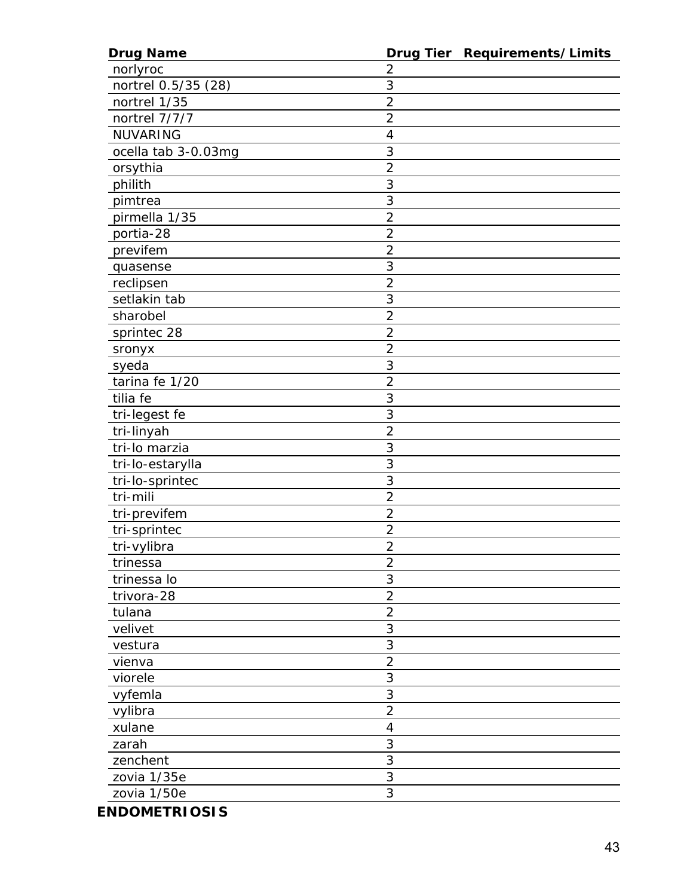| <b>Drug Name</b>    |                | Drug Tier Requirements/Limits |
|---------------------|----------------|-------------------------------|
| norlyroc            | $\overline{2}$ |                               |
| nortrel 0.5/35 (28) | 3              |                               |
| nortrel 1/35        | $\overline{2}$ |                               |
| nortrel 7/7/7       | $\overline{2}$ |                               |
| <b>NUVARING</b>     | $\overline{4}$ |                               |
| ocella tab 3-0.03mg | 3              |                               |
| orsythia            | $\overline{a}$ |                               |
| philith             | 3              |                               |
| pimtrea             | 3              |                               |
| pirmella 1/35       | $\overline{2}$ |                               |
| portia-28           | $\overline{2}$ |                               |
| previfem            | $\overline{2}$ |                               |
| quasense            | 3              |                               |
| reclipsen           | $\overline{c}$ |                               |
| setlakin tab        | 3              |                               |
| sharobel            | $\overline{2}$ |                               |
| sprintec 28         | $\overline{2}$ |                               |
| sronyx              | $\overline{2}$ |                               |
| syeda               | 3              |                               |
| tarina fe 1/20      | $\overline{2}$ |                               |
| tilia fe            | 3              |                               |
| tri-legest fe       | $\overline{3}$ |                               |
| tri-linyah          | $\overline{2}$ |                               |
| tri-lo marzia       | 3              |                               |
| tri-lo-estarylla    | 3              |                               |
| tri-lo-sprintec     | 3              |                               |
| tri-mili            | $\overline{2}$ |                               |
| tri-previfem        | $\overline{2}$ |                               |
| tri-sprintec        | $\overline{2}$ |                               |
| tri-vylibra         | $\overline{2}$ |                               |
| trinessa            | $\overline{2}$ |                               |
| trinessa lo         | 3              |                               |
| trivora-28          | $\overline{2}$ |                               |
| tulana              | $\overline{2}$ |                               |
| velivet             | 3              |                               |
| vestura             | 3              |                               |
| vienva              | $\overline{2}$ |                               |
| viorele             | 3              |                               |
| vyfemla             | 3              |                               |
| vylibra             | $\overline{2}$ |                               |
| xulane              | $\overline{4}$ |                               |
| zarah               | 3              |                               |
| zenchent            | 3              |                               |
| zovia 1/35e         | 3              |                               |
| zovia 1/50e         | 3              |                               |
|                     |                |                               |

*ENDOMETRIOSIS*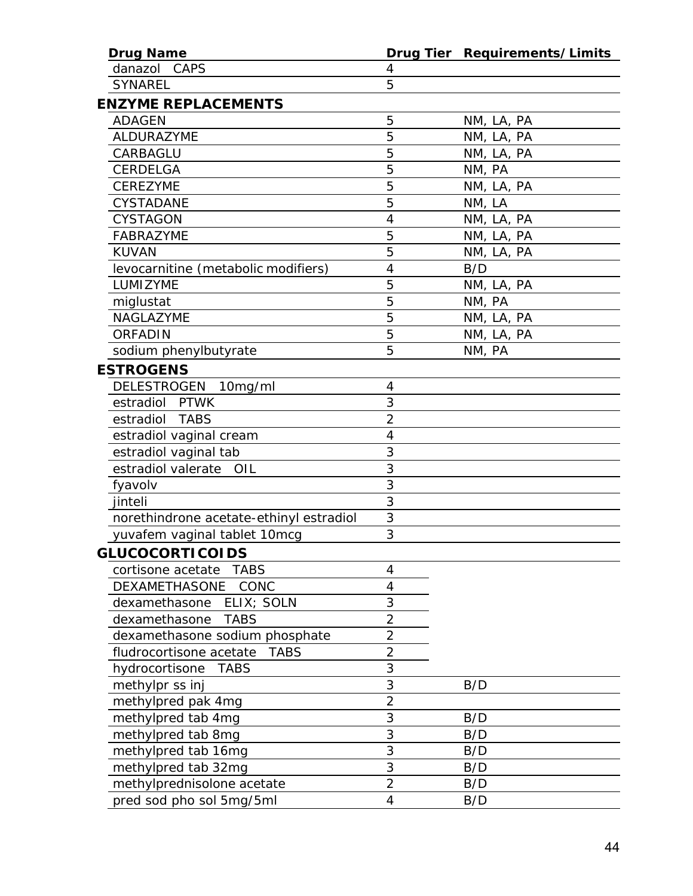| <b>Drug Name</b>                        |                | Drug Tier Requirements/Limits |
|-----------------------------------------|----------------|-------------------------------|
| danazol<br>CAPS                         | 4              |                               |
| <b>SYNAREL</b>                          | 5              |                               |
| <b>ENZYME REPLACEMENTS</b>              |                |                               |
| <b>ADAGEN</b>                           | 5              | NM, LA, PA                    |
| ALDURAZYME                              | 5              | NM, LA, PA                    |
| CARBAGLU                                | 5              | NM, LA, PA                    |
| CERDELGA                                | 5              | NM, PA                        |
| <b>CEREZYME</b>                         | 5              | NM, LA, PA                    |
| CYSTADANE                               | 5              | NM, LA                        |
| <b>CYSTAGON</b>                         | 4              | NM, LA, PA                    |
| <b>FABRAZYME</b>                        | 5              | NM, LA, PA                    |
| <b>KUVAN</b>                            | 5              | NM, LA, PA                    |
| levocarnitine (metabolic modifiers)     | 4              | B/D                           |
| LUMIZYME                                | 5              | NM, LA, PA                    |
| miglustat                               | 5              | NM, PA                        |
| NAGLAZYME                               | 5              | NM, LA, PA                    |
| <b>ORFADIN</b>                          | 5              | NM, LA, PA                    |
| sodium phenylbutyrate                   | 5              | NM, PA                        |
| <b>ESTROGENS</b>                        |                |                               |
| DELESTROGEN 10mg/ml                     | 4              |                               |
| estradiol PTWK                          | 3              |                               |
| estradiol TABS                          | $\overline{2}$ |                               |
| estradiol vaginal cream                 | 4              |                               |
| estradiol vaginal tab                   | 3              |                               |
| estradiol valerate<br>OIL               | 3              |                               |
| fyavolv                                 | 3              |                               |
| jinteli                                 | 3              |                               |
| norethindrone acetate-ethinyl estradiol | 3              |                               |
| yuvafem vaginal tablet 10mcg            | 3              |                               |
| <b>GLUCOCORTICOIDS</b>                  |                |                               |
| cortisone acetate<br><b>TABS</b>        | 4              |                               |
| DEXAMETHASONE<br>CONC                   | $\overline{4}$ |                               |
| dexamethasone<br>ELIX; SOLN             | 3              |                               |
| dexamethasone<br><b>TABS</b>            | $\overline{2}$ |                               |
| dexamethasone sodium phosphate          | $\overline{2}$ |                               |
| fludrocortisone acetate<br><b>TABS</b>  | $\overline{2}$ |                               |
| hydrocortisone<br><b>TABS</b>           | 3              |                               |
| methylpr ss inj                         | 3              | B/D                           |
| methylpred pak 4mg                      | $\overline{2}$ |                               |
| methylpred tab 4mg                      | 3              | B/D                           |
| methylpred tab 8mg                      | 3              | B/D                           |
| methylpred tab 16mg                     | 3              | B/D                           |
| methylpred tab 32mg                     | 3              | B/D                           |
| methylprednisolone acetate              | $\overline{2}$ | B/D                           |
| pred sod pho sol 5mg/5ml                | 4              | B/D                           |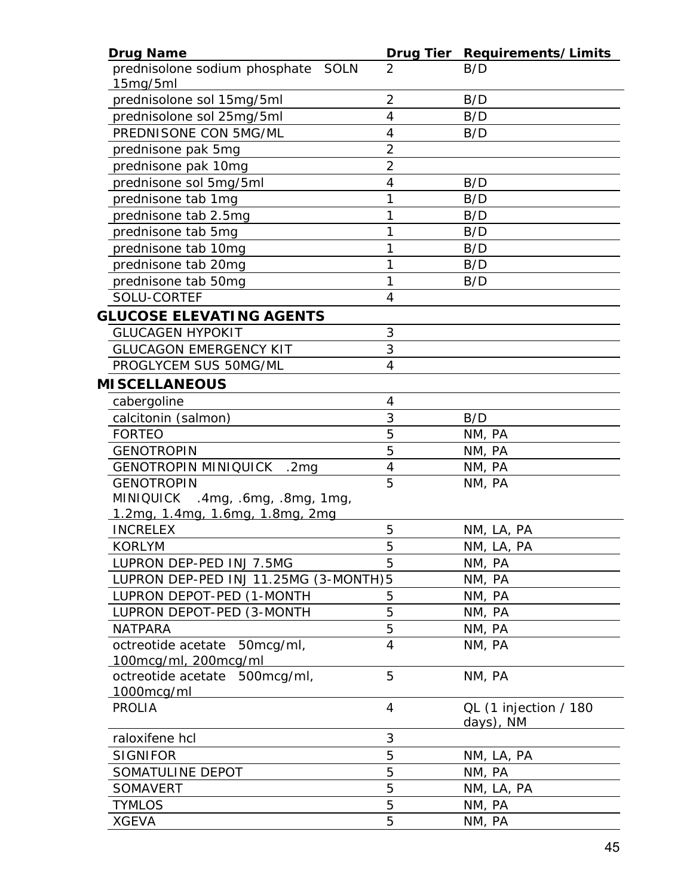| <b>Drug Name</b>                                         |                | Drug Tier Requirements/Limits      |
|----------------------------------------------------------|----------------|------------------------------------|
| prednisolone sodium phosphate<br><b>SOLN</b><br>15mg/5ml | 2              | B/D                                |
| prednisolone sol 15mg/5ml                                | $\overline{2}$ | B/D                                |
| prednisolone sol 25mg/5ml                                | $\overline{4}$ | B/D                                |
| PREDNISONE CON 5MG/ML                                    | 4              | B/D                                |
| prednisone pak 5mg                                       | $\overline{2}$ |                                    |
| prednisone pak 10mg                                      | $\overline{2}$ |                                    |
| prednisone sol 5mg/5ml                                   | $\overline{4}$ | B/D                                |
| prednisone tab 1mg                                       | 1              | B/D                                |
| prednisone tab 2.5mg                                     | 1              | B/D                                |
| prednisone tab 5mg                                       | 1              | B/D                                |
| prednisone tab 10mg                                      | 1              | B/D                                |
| prednisone tab 20mg                                      | 1              | B/D                                |
| prednisone tab 50mg                                      | 1              | B/D                                |
| SOLU-CORTEF                                              | 4              |                                    |
| <b>GLUCOSE ELEVATING AGENTS</b>                          |                |                                    |
| <b>GLUCAGEN HYPOKIT</b>                                  | 3              |                                    |
| <b>GLUCAGON EMERGENCY KIT</b>                            | 3              |                                    |
| PROGLYCEM SUS 50MG/ML                                    | $\overline{4}$ |                                    |
| <b>MISCELLANEOUS</b>                                     |                |                                    |
| cabergoline                                              | 4              |                                    |
| calcitonin (salmon)                                      | 3              | B/D                                |
| <b>FORTEO</b>                                            | 5              | NM, PA                             |
| <b>GENOTROPIN</b>                                        | 5              | NM, PA                             |
| <b>GENOTROPIN MINIQUICK</b><br>.2 <sub>mg</sub>          | $\overline{4}$ | NM, PA                             |
| <b>GENOTROPIN</b>                                        | 5              | NM, PA                             |
| <b>MINIQUICK</b><br>$.4$ mg, $.6$ mg, $.8$ mg, $1$ mg,   |                |                                    |
| <u>1.2mg, 1.4mg, 1.6mg, 1.8mg, 2mg</u>                   |                |                                    |
| <b>INCRELEX</b>                                          | 5              | NM, LA, PA                         |
| <b>KORLYM</b>                                            | 5              | NM, LA, PA                         |
| LUPRON DEP-PED INJ 7.5MG                                 | 5              | NM, PA                             |
| LUPRON DEP-PED INJ 11.25MG (3-MONTH)5                    |                | NM, PA                             |
| LUPRON DEPOT-PED (1-MONTH                                | 5              | NM, PA                             |
| LUPRON DEPOT-PED (3-MONTH                                | 5              | NM, PA                             |
| <b>NATPARA</b>                                           | 5              | NM, PA                             |
| octreotide acetate 50mcg/ml,                             | 4              | NM, PA                             |
| 100mcg/ml, 200mcg/ml                                     |                |                                    |
| octreotide acetate 500mcg/ml,                            | 5              | NM, PA                             |
| 1000mcg/ml                                               |                |                                    |
| <b>PROLIA</b>                                            | $\overline{4}$ | QL (1 injection / 180<br>days), NM |
| raloxifene hcl                                           | 3              |                                    |
| <b>SIGNIFOR</b>                                          | 5              | NM, LA, PA                         |
| SOMATULINE DEPOT                                         | 5              | NM, PA                             |
| <b>SOMAVERT</b>                                          | 5              | NM, LA, PA                         |
| <b>TYMLOS</b>                                            | 5              | NM, PA                             |
| <b>XGEVA</b>                                             | 5              | NM, PA                             |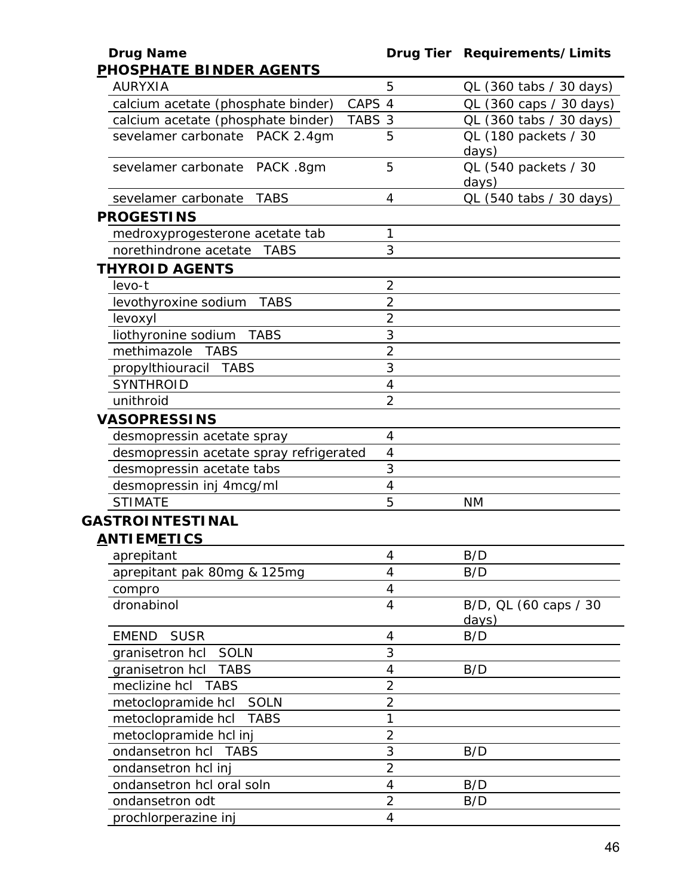| <u>PHOSPHATE BINDER AGENTS</u>          |                          |                                |
|-----------------------------------------|--------------------------|--------------------------------|
| <b>AURYXIA</b>                          | 5                        | QL (360 tabs / 30 days)        |
| calcium acetate (phosphate binder)      | CAPS 4                   | QL (360 caps / 30 days)        |
| calcium acetate (phosphate binder)      | TABS 3                   | QL (360 tabs / 30 days)        |
| sevelamer carbonate PACK 2.4gm          | 5                        | QL (180 packets / 30<br>days)  |
| sevelamer carbonate PACK .8gm           | 5                        | QL (540 packets / 30<br>days)  |
| <b>TABS</b><br>sevelamer carbonate      | 4                        | OL (540 tabs / 30 days)        |
| <b>PROGESTINS</b>                       |                          |                                |
| medroxyprogesterone acetate tab         | 1                        |                                |
| norethindrone acetate<br><b>TABS</b>    | 3                        |                                |
| <b>THYROID AGENTS</b>                   |                          |                                |
| $levo-t$                                | $\overline{2}$           |                                |
| <b>TABS</b><br>levothyroxine sodium     | $\overline{2}$           |                                |
| levoxyl                                 | $\overline{2}$           |                                |
| liothyronine sodium<br><b>TABS</b>      | 3                        |                                |
| methimazole<br><b>TABS</b>              | $\overline{2}$           |                                |
| propylthiouracil TABS                   | 3                        |                                |
| <b>SYNTHROID</b>                        | $\overline{4}$           |                                |
| unithroid                               | $\overline{2}$           |                                |
| <b>VASOPRESSINS</b>                     |                          |                                |
| desmopressin acetate spray              | 4                        |                                |
| desmopressin acetate spray refrigerated | $\overline{4}$           |                                |
| desmopressin acetate tabs               | 3                        |                                |
| desmopressin inj 4mcg/ml                | $\overline{4}$           |                                |
| <b>STIMATE</b>                          | 5                        | <b>NM</b>                      |
| <b>GASTROINTESTINAL</b>                 |                          |                                |
| <b>ANTIEMETICS</b>                      |                          |                                |
| aprepitant                              | 4                        | B/D                            |
| aprepitant pak 80mg & 125mg             | 4                        | B/D                            |
| compro                                  | 4                        |                                |
| dronabinol                              | $\overline{\mathcal{A}}$ | B/D, QL (60 caps / 30<br>days) |
| <b>EMEND</b><br><b>SUSR</b>             | 4                        | B/D                            |
| granisetron hcl SOLN                    | 3                        |                                |
| granisetron hcl<br><b>TABS</b>          | 4                        | B/D                            |
| meclizine hcl<br><b>TABS</b>            | $\overline{2}$           |                                |
| <b>SOLN</b><br>metoclopramide hcl       | $\overline{2}$           |                                |
| metoclopramide hcl<br><b>TABS</b>       | 1                        |                                |
| metoclopramide hcl inj                  | $\overline{2}$           |                                |
| ondansetron hcl TABS                    | 3                        | B/D                            |
| ondansetron hcl inj                     | $\overline{2}$           |                                |
| ondansetron hcl oral soln               | $\overline{\mathcal{A}}$ | B/D                            |
| ondansetron odt                         | $\overline{2}$           | B/D                            |
| prochlorperazine inj                    | $\overline{4}$           |                                |
|                                         |                          |                                |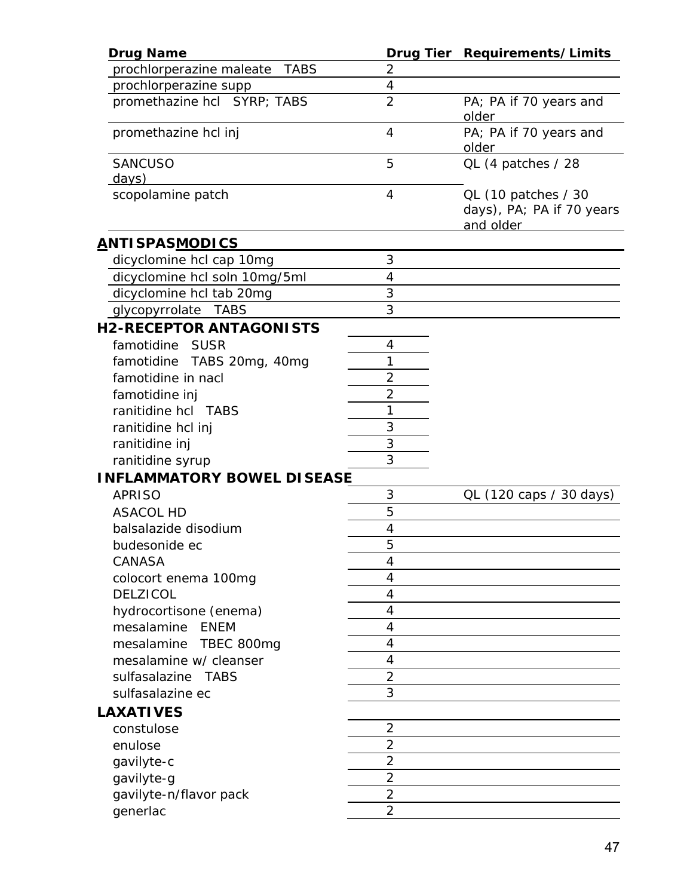| <b>Drug Name</b>                                      | Drug Tier      | Requirements/Limits                                           |
|-------------------------------------------------------|----------------|---------------------------------------------------------------|
| prochlorperazine maleate<br><b>TABS</b>               | 2              |                                                               |
| prochlorperazine supp                                 | $\overline{4}$ |                                                               |
| promethazine hcl SYRP; TABS                           | $\overline{2}$ | PA; PA if 70 years and<br>older                               |
| promethazine hcl inj                                  | 4              | PA; PA if 70 years and<br><u>older</u>                        |
| <b>SANCUSO</b><br>days)                               | 5              | QL (4 patches / 28                                            |
| scopolamine patch                                     | $\overline{4}$ | QL (10 patches / 30<br>days), PA; PA if 70 years<br>and older |
| <u>A</u> NTISPAS <u>MODICS</u>                        |                |                                                               |
| dicyclomine hcl cap 10mg                              | 3              |                                                               |
| dicyclomine hcl soln 10mg/5ml                         | 4              |                                                               |
| dicyclomine hcl tab 20mg                              | 3              |                                                               |
| glycopyrrolate<br>TABS                                | 3              |                                                               |
| <b>H2-RECEPTOR ANTAGONISTS</b>                        |                |                                                               |
| famotidine<br><b>SUSR</b>                             | 4              |                                                               |
| famotidine TABS 20mg, 40mg                            | 1              |                                                               |
| famotidine in nacl                                    | $\overline{2}$ |                                                               |
| famotidine inj                                        | $\overline{2}$ |                                                               |
| ranitidine hcl TABS                                   | 1              |                                                               |
| ranitidine hcl inj                                    | 3              |                                                               |
| ranitidine inj                                        | 3              |                                                               |
|                                                       | 3              |                                                               |
| ranitidine syrup<br><b>INFLAMMATORY BOWEL DISEASE</b> |                |                                                               |
| <b>APRISO</b>                                         | 3              | QL (120 caps / 30 days)                                       |
|                                                       | 5              |                                                               |
| <b>ASACOL HD</b>                                      |                |                                                               |
| balsalazide disodium                                  | 4<br>5         |                                                               |
| budesonide ec                                         |                |                                                               |
| CANASA                                                | 4              |                                                               |
| colocort enema 100mg                                  | 4              |                                                               |
| <b>DELZICOL</b>                                       | 4              |                                                               |
| hydrocortisone (enema)                                | 4              |                                                               |
| mesalamine<br>ENEM                                    | 4              |                                                               |
| mesalamine<br>TBEC 800mg                              | 4              |                                                               |
| mesalamine w/ cleanser                                | 4              |                                                               |
| sulfasalazine TABS                                    | $\overline{2}$ |                                                               |
| sulfasalazine ec                                      | 3              |                                                               |
| <b>LAXATIVES</b>                                      |                |                                                               |
| constulose                                            | $\overline{2}$ |                                                               |
| enulose                                               | $\overline{2}$ |                                                               |
| gavilyte-c                                            | $\overline{2}$ |                                                               |
| gavilyte-g                                            | $\overline{2}$ |                                                               |
| gavilyte-n/flavor pack                                | $\overline{2}$ |                                                               |
| generlac                                              | $\overline{2}$ |                                                               |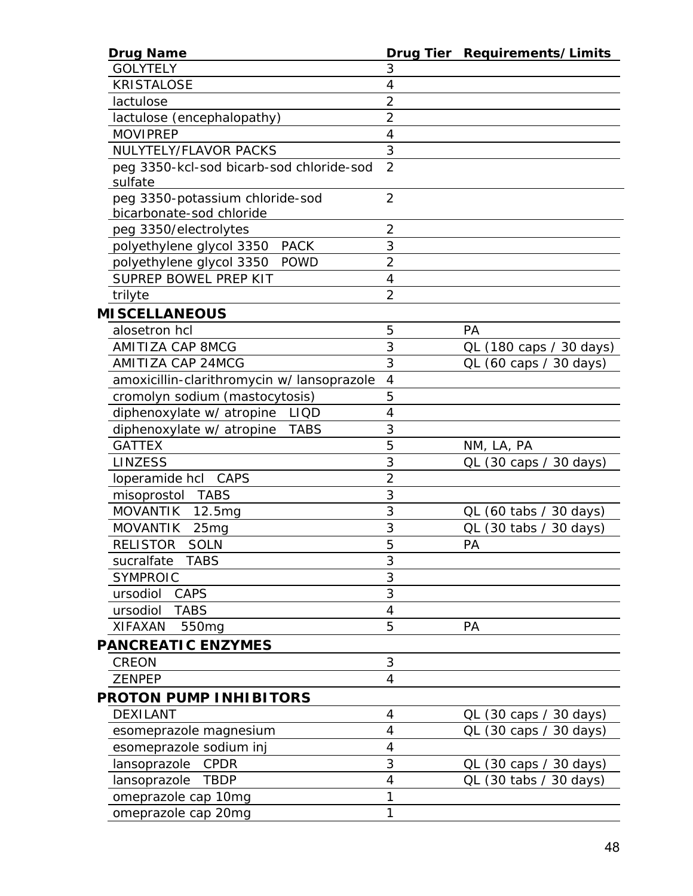| <b>Drug Name</b>                          |                | Drug Tier Requirements/Limits                      |
|-------------------------------------------|----------------|----------------------------------------------------|
| <b>GOLYTELY</b>                           | 3              |                                                    |
| <b>KRISTALOSE</b>                         | 4              |                                                    |
| lactulose                                 | $\overline{2}$ |                                                    |
| lactulose (encephalopathy)                | $\overline{2}$ |                                                    |
| <b>MOVIPREP</b>                           | 4              |                                                    |
| NULYTELY/FLAVOR PACKS                     | 3              |                                                    |
| peg 3350-kcl-sod bicarb-sod chloride-sod  | $\overline{2}$ |                                                    |
| sulfate                                   |                |                                                    |
| peg 3350-potassium chloride-sod           | $\overline{2}$ |                                                    |
| bicarbonate-sod chloride                  |                |                                                    |
| peg 3350/electrolytes                     | $\overline{2}$ |                                                    |
| polyethylene glycol 3350 PACK             | 3              |                                                    |
| polyethylene glycol 3350<br><b>POWD</b>   | $\overline{2}$ |                                                    |
| SUPREP BOWEL PREP KIT                     | 4              |                                                    |
| trilyte                                   | $\overline{2}$ |                                                    |
| <b>MISCELLANEOUS</b>                      |                |                                                    |
| alosetron hcl                             | 5              | <b>PA</b>                                          |
| <b>AMITIZA CAP 8MCG</b>                   | 3              | QL (180 caps / 30 days)                            |
| <b>AMITIZA CAP 24MCG</b>                  | 3              | QL (60 caps / 30 days)                             |
| amoxicillin-clarithromycin w/lansoprazole | 4              |                                                    |
| cromolyn sodium (mastocytosis)            | 5              |                                                    |
| diphenoxylate w/ atropine<br><b>LIQD</b>  | 4              |                                                    |
| diphenoxylate w/ atropine TABS            | 3              |                                                    |
| <b>GATTEX</b>                             | 5              | NM, LA, PA                                         |
| <b>LINZESS</b>                            | 3              | QL (30 caps / 30 days)                             |
| loperamide hcl CAPS                       | $\overline{2}$ |                                                    |
| misoprostol TABS                          | 3              |                                                    |
| MOVANTIK 12.5mg                           | 3              | QL (60 tabs / 30 days)                             |
| <b>MOVANTIK</b><br>25 <sub>mg</sub>       | 3              | $QL$ (30 tabs / 30 days)                           |
| <b>SOLN</b><br><b>RELISTOR</b>            | 5              | PA                                                 |
| sucralfate<br><b>TABS</b>                 | 3              |                                                    |
| <b>SYMPROIC</b>                           | 3              |                                                    |
| CAPS<br>ursodiol                          | 3              |                                                    |
| ursodiol<br><b>TABS</b>                   | 4              |                                                    |
| <b>XIFAXAN</b><br>550 <sub>mg</sub>       | 5              | PA                                                 |
| <b>PANCREATIC ENZYMES</b>                 |                |                                                    |
| <b>CREON</b>                              | 3              |                                                    |
| <b>ZENPEP</b>                             | 4              |                                                    |
| <b>PROTON PUMP INHIBITORS</b>             |                |                                                    |
| <b>DEXILANT</b>                           | 4              | QL (30 caps / 30 days)                             |
| esomeprazole magnesium                    | 4              | QL (30 caps / 30 days)                             |
| esomeprazole sodium inj                   | 4              |                                                    |
| lansoprazole<br><b>CPDR</b>               | 3              |                                                    |
| <b>TBDP</b>                               | 4              | QL (30 caps / 30 days)<br>$QL$ (30 tabs / 30 days) |
| lansoprazole                              | 1              |                                                    |
| omeprazole cap 10mg                       | 1              |                                                    |
| omeprazole cap 20mg                       |                |                                                    |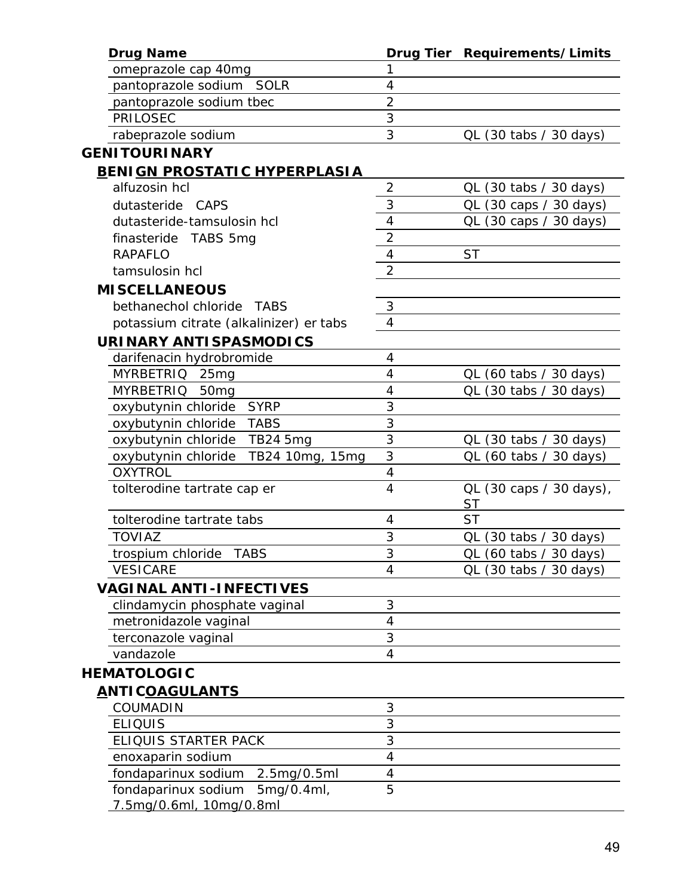| <b>Drug Name</b>                        |                | Drug Tier Requirements/Limits |
|-----------------------------------------|----------------|-------------------------------|
| omeprazole cap 40mg                     | 1              |                               |
| pantoprazole sodium SOLR                | 4              |                               |
| pantoprazole sodium tbec                | $\overline{2}$ |                               |
| PRILOSEC                                | 3              |                               |
| rabeprazole sodium                      | 3              | QL (30 tabs / 30 days)        |
| <b>GENITOURINARY</b>                    |                |                               |
| <b>BENIGN PROSTATIC HYPERPLASIA</b>     |                |                               |
| alfuzosin hcl                           | $\overline{2}$ | QL (30 tabs / 30 days)        |
| dutasteride CAPS                        | 3              | QL (30 caps / 30 days)        |
| dutasteride-tamsulosin hcl              | 4              | QL (30 caps / 30 days)        |
| finasteride TABS 5mg                    | $\overline{2}$ |                               |
| <b>RAPAFLO</b>                          | 4              | <b>ST</b>                     |
| tamsulosin hcl                          | $\overline{2}$ |                               |
| <b>MISCELLANEOUS</b>                    |                |                               |
| bethanechol chloride TABS               | 3              |                               |
| potassium citrate (alkalinizer) er tabs | 4              |                               |
| <b>URINARY ANTISPASMODICS</b>           |                |                               |
| darifenacin hydrobromide                | 4              |                               |
| MYRBETRIQ 25mg                          | 4              | QL (60 tabs / 30 days)        |
| <b>MYRBETRIQ</b><br>50 <sub>mg</sub>    | 4              | QL (30 tabs / 30 days)        |
| oxybutynin chloride<br><b>SYRP</b>      | 3              |                               |
| oxybutynin chloride<br><b>TABS</b>      | 3              |                               |
| oxybutynin chloride<br>TB24 5mg         | 3              | QL (30 tabs / 30 days)        |
| oxybutynin chloride<br>TB24 10mg, 15mg  | 3              | QL (60 tabs / 30 days)        |
| <b>OXYTROL</b>                          | $\overline{4}$ |                               |
| tolterodine tartrate cap er             | 4              | QL (30 caps / 30 days),       |
|                                         |                | <b>ST</b>                     |
| tolterodine tartrate tabs               | 4              | <b>ST</b>                     |
| <b>TOVIAZ</b>                           | 3              | QL (30 tabs / 30 days)        |
| trospium chloride TABS                  | 3              | QL (60 tabs / 30 days)        |
| <b>VESICARE</b>                         | 4              | QL (30 tabs / 30 days)        |
| <b>VAGINAL ANTI-INFECTIVES</b>          |                |                               |
| clindamycin phosphate vaginal           | 3              |                               |
| metronidazole vaginal                   | $\overline{4}$ |                               |
| terconazole vaginal                     | 3              |                               |
| vandazole                               | 4              |                               |
| <b>HEMATOLOGIC</b>                      |                |                               |
| <u>ANTICOAGULANTS</u>                   |                |                               |
| <b>COUMADIN</b>                         | 3              |                               |
| <b>ELIQUIS</b>                          | 3              |                               |
| ELIQUIS STARTER PACK                    | 3              |                               |
| enoxaparin sodium                       | 4              |                               |
| fondaparinux sodium<br>2.5mg/0.5ml      | 4              |                               |
| fondaparinux sodium<br>5mg/0.4ml,       | 5              |                               |
| 7.5mg/0.6ml, 10mg/0.8ml                 |                |                               |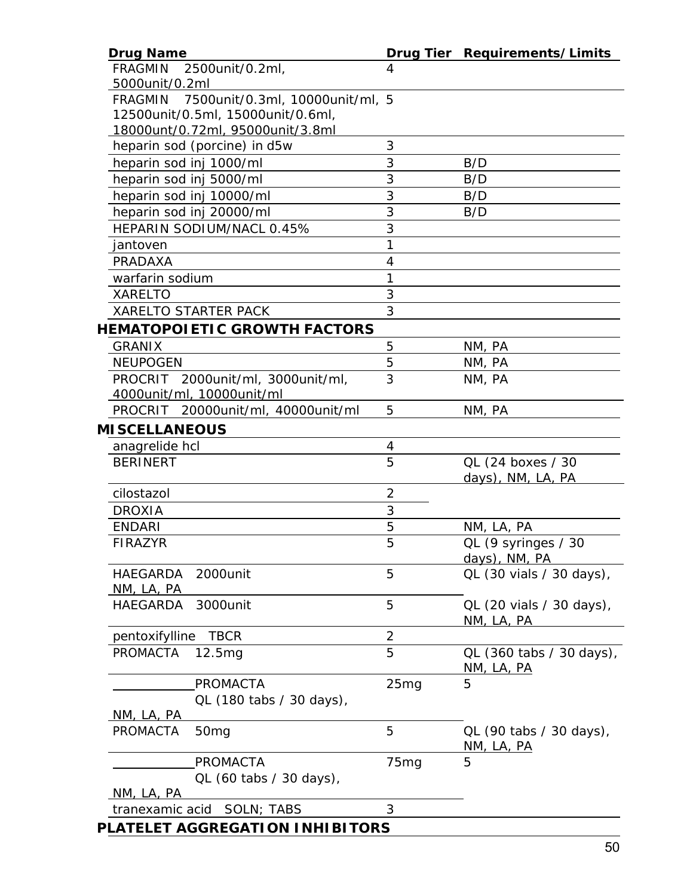| <b>Drug Name</b>                                  |                  | Drug Tier Requirements/Limits     |
|---------------------------------------------------|------------------|-----------------------------------|
| <b>FRAGMIN</b><br>2500unit/0.2ml,                 | 4                |                                   |
| 5000unit/0.2ml                                    |                  |                                   |
| 7500unit/0.3ml, 10000unit/ml, 5<br><b>FRAGMIN</b> |                  |                                   |
| 12500unit/0.5ml, 15000unit/0.6ml,                 |                  |                                   |
| 18000unt/0.72ml, 95000unit/3.8ml                  |                  |                                   |
| heparin sod (porcine) in d5w                      | 3                |                                   |
| heparin sod inj 1000/ml                           | 3                | B/D                               |
| heparin sod inj 5000/ml                           | 3                | B/D                               |
| heparin sod inj 10000/ml                          | 3                | B/D                               |
| heparin sod inj 20000/ml                          | 3                | B/D                               |
| HEPARIN SODIUM/NACL 0.45%                         | 3                |                                   |
| jantoven                                          | 1                |                                   |
| PRADAXA                                           | 4                |                                   |
| warfarin sodium                                   | 1                |                                   |
| <b>XARELTO</b>                                    | 3                |                                   |
| <b>XARELTO STARTER PACK</b>                       | 3                |                                   |
| <b>HEMATOPOIETIC GROWTH FACTORS</b>               |                  |                                   |
| <b>GRANIX</b>                                     | 5                | NM, PA                            |
| <b>NEUPOGEN</b>                                   | 5                | NM, PA                            |
| PROCRIT 2000unit/ml, 3000unit/ml,                 | 3                | NM, PA                            |
| 4000unit/ml, 10000unit/ml                         |                  |                                   |
| PROCRIT 20000unit/ml, 40000unit/ml                | 5                | NM, PA                            |
| <b>MISCELLANEOUS</b>                              |                  |                                   |
|                                                   |                  |                                   |
| anagrelide hcl<br><b>BERINERT</b>                 | 4<br>5           | QL (24 boxes / 30                 |
|                                                   |                  | days), NM, LA, PA                 |
| cilostazol                                        | $\overline{2}$   |                                   |
| <b>DROXIA</b>                                     | 3                |                                   |
| <b>ENDARI</b>                                     | 5                |                                   |
| <b>FIRAZYR</b>                                    | 5                | NM, LA, PA<br>QL (9 syringes / 30 |
|                                                   |                  | days), NM, PA                     |
| 2000unit<br>HAEGARDA                              | 5                | QL (30 vials / 30 days),          |
| <u>NM, LA, PA</u>                                 |                  |                                   |
| HAEGARDA<br>3000unit                              | 5                | QL (20 vials / 30 days),          |
|                                                   |                  | NM, LA, PA                        |
| <b>TBCR</b><br>pentoxifylline                     | $\overline{c}$   |                                   |
| PROMACTA<br>12.5 <sub>ma</sub>                    | 5                | QL (360 tabs / 30 days),          |
|                                                   |                  | <u>NM, LA, PA</u>                 |
| <b>PROMACTA</b>                                   | 25mg             | 5                                 |
| QL (180 tabs / 30 days),                          |                  |                                   |
| <u>NM, LA, PA</u>                                 |                  |                                   |
| <b>PROMACTA</b><br>50 <sub>mg</sub>               | 5                | QL (90 tabs / 30 days),           |
|                                                   |                  | <u>NM, LA, PA</u>                 |
| <b>PROMACTA</b>                                   | 75 <sub>mg</sub> | 5                                 |
| QL (60 tabs / 30 days),                           |                  |                                   |
| <u>NM, LA, PA</u>                                 |                  |                                   |
| tranexamic acid SOLN; TABS                        | 3                |                                   |
| PLATELET AGGREGATION INHIBITORS                   |                  |                                   |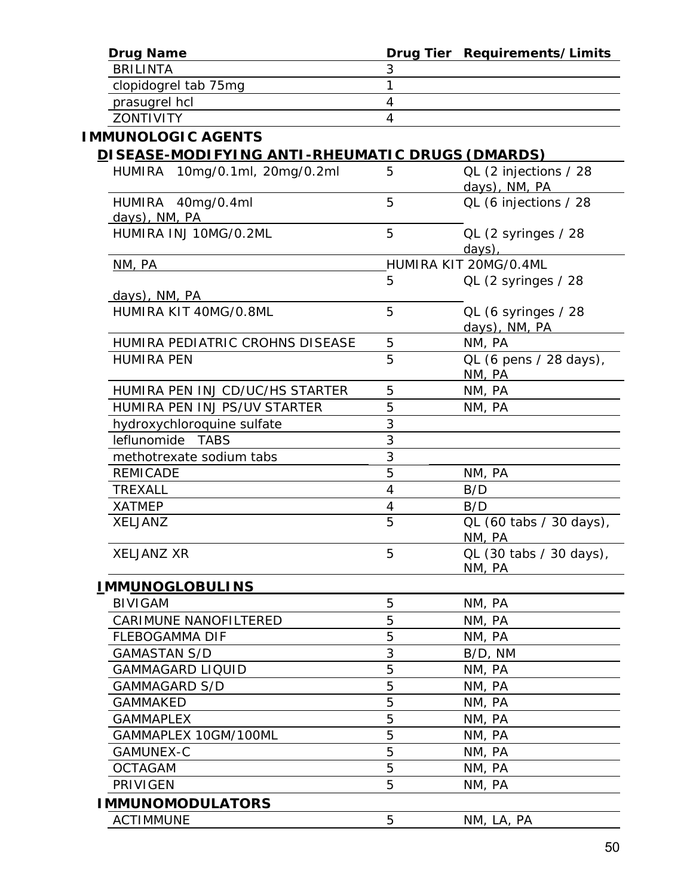| <b>Drug Name</b>                                |                | Drug Tier Requirements/Limits          |
|-------------------------------------------------|----------------|----------------------------------------|
| <b>BRILINTA</b>                                 | 3              |                                        |
| clopidogrel tab 75mg                            | $\mathbf{1}$   |                                        |
| prasugrel hcl                                   | 4              |                                        |
| <b>ZONTIVITY</b>                                | $\overline{4}$ |                                        |
| <b>IMMUNOLOGIC AGENTS</b>                       |                |                                        |
| DISEASE-MODIFYING ANTI-RHEUMATIC DRUGS (DMARDS) |                |                                        |
| HUMIRA 10mg/0.1ml, 20mg/0.2ml                   | 5              | QL (2 injections / 28<br>days), NM, PA |
| HUMIRA 40mg/0.4ml<br>days), NM, PA              | 5              | QL (6 injections / 28                  |
| HUMIRA INJ 10MG/0.2ML                           | 5              | QL (2 syringes / 28<br>days),          |
| NM, PA                                          |                | HUMIRA KIT 20MG/0.4ML                  |
|                                                 | 5              | QL (2 syringes / 28                    |
| days), NM, PA                                   |                |                                        |
| HUMIRA KIT 40MG/0.8ML                           | 5              | QL (6 syringes / 28<br>days), NM, PA   |
| HUMIRA PEDIATRIC CROHNS DISEASE                 | 5              | NM, PA                                 |
| <b>HUMIRA PEN</b>                               | 5              | QL (6 pens / 28 days),<br>NM, PA       |
| HUMIRA PEN INJ CD/UC/HS STARTER                 | 5              | NM, PA                                 |
| HUMIRA PEN INJ PS/UV STARTER                    | 5              | NM, PA                                 |
| hydroxychloroquine sulfate                      | 3              |                                        |
| leflunomide TABS                                | 3              |                                        |
| methotrexate sodium tabs                        | 3              |                                        |
| <b>REMICADE</b>                                 | 5              | NM, PA                                 |
| TREXALL                                         | $\overline{4}$ | B/D                                    |
| <b>XATMEP</b>                                   | $\overline{4}$ | B/D                                    |
| <b>XELJANZ</b>                                  | 5              | QL (60 tabs / 30 days),<br>NM, PA      |
| <b>XELJANZ XR</b>                               | 5              | QL (30 tabs / 30 days),<br>NM, PA      |
| <u>IMMUNOGLOBULINS</u>                          |                |                                        |
| <b>BIVIGAM</b>                                  | 5              | NM, PA                                 |
| <b>CARIMUNE NANOFILTERED</b>                    | 5              | NM, PA                                 |
| <b>FLEBOGAMMA DIF</b>                           | 5              | NM, PA                                 |
| <b>GAMASTAN S/D</b>                             | 3              | B/D, NM                                |
| <b>GAMMAGARD LIQUID</b>                         | 5              | NM, PA                                 |
| <b>GAMMAGARD S/D</b>                            | 5              | NM, PA                                 |
| <b>GAMMAKED</b>                                 | 5              | NM, PA                                 |
| <b>GAMMAPLEX</b>                                | 5              | NM, PA                                 |
| GAMMAPLEX 10GM/100ML                            | 5              | NM, PA                                 |
| GAMUNEX-C                                       | 5              | NM, PA                                 |
| <b>OCTAGAM</b>                                  | 5              | NM, PA                                 |
| <b>PRIVIGEN</b>                                 | 5              | NM, PA                                 |
| <b>IMMUNOMODULATORS</b>                         |                |                                        |
| <b>ACTIMMUNE</b>                                | 5              | NM, LA, PA                             |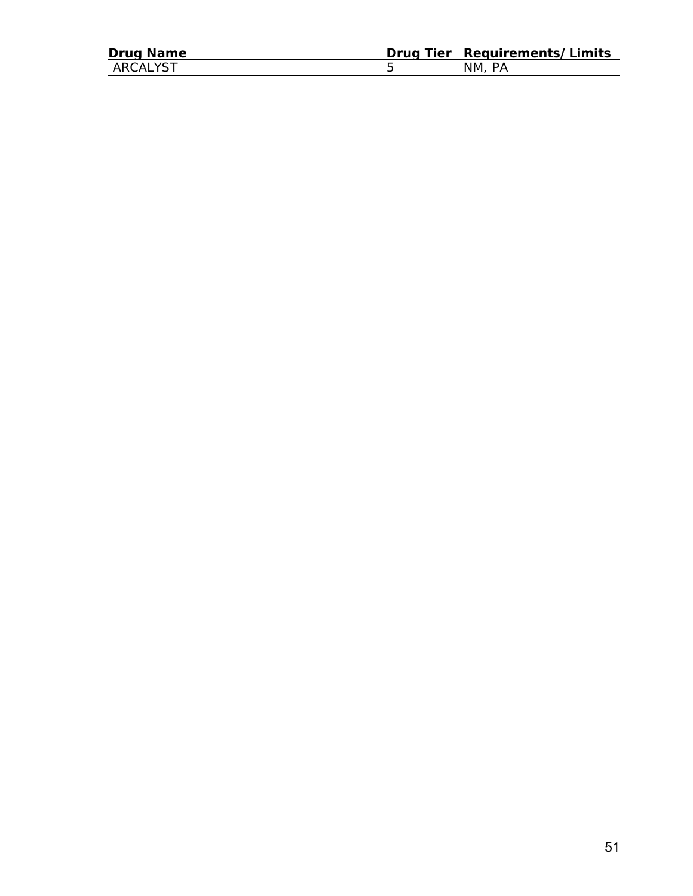| <b>Drug Name</b> | Drug Tier Requirements/Limits |
|------------------|-------------------------------|
| ARCALYST         | NM. PA                        |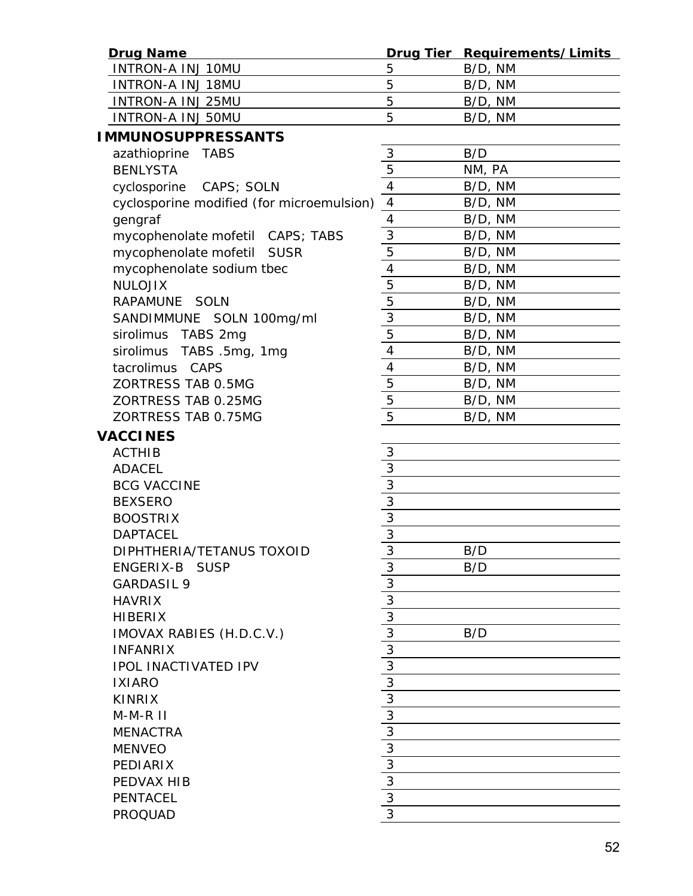| <b>Drug Name</b>                          |                                           | Drug Tier Requirements/Limits |
|-------------------------------------------|-------------------------------------------|-------------------------------|
| <b>INTRON-A INJ 10MU</b>                  | 5                                         | B/D, NM                       |
| <b>INTRON-A INJ 18MU</b>                  | 5                                         | B/D, NM                       |
| <b>INTRON-A INJ 25MU</b>                  | 5                                         | B/D, NM                       |
| <b>INTRON-A INJ 50MU</b>                  | 5                                         | B/D, NM                       |
| <b>IMMUNOSUPPRESSANTS</b>                 |                                           |                               |
| azathioprine TABS                         | 3                                         | B/D                           |
| <b>BENLYSTA</b>                           | $\overline{5}$                            | NM, PA                        |
| cyclosporine CAPS; SOLN                   | $\overline{4}$                            | B/D, NM                       |
| cyclosporine modified (for microemulsion) | $\overline{4}$                            | B/D, NM                       |
| gengraf                                   | 4                                         | B/D, NM                       |
| mycophenolate mofetil CAPS; TABS          | $\sqrt{3}$                                | B/D, NM                       |
| mycophenolate mofetil SUSR                | $\overline{5}$                            | B/D, NM                       |
| mycophenolate sodium tbec                 | $\overline{\mathcal{A}}$                  | B/D, NM                       |
| <b>NULOJIX</b>                            | $\overline{5}$                            | B/D, NM                       |
| RAPAMUNE SOLN                             | $\overline{5}$                            | B/D, NM                       |
| SANDIMMUNE SOLN 100mg/ml                  | 3                                         | B/D, NM                       |
| sirolimus TABS 2mg                        | $\overline{5}$                            | B/D, NM                       |
| sirolimus TABS .5mg, 1mg                  | 4                                         | B/D, NM                       |
| tacrolimus CAPS                           | $\overline{\mathcal{A}}$                  | B/D, NM                       |
| ZORTRESS TAB 0.5MG                        | $\overline{5}$                            | B/D, NM                       |
| ZORTRESS TAB 0.25MG                       | $\overline{5}$                            | B/D, NM                       |
| ZORTRESS TAB 0.75MG                       | $\overline{5}$                            | B/D, NM                       |
| <b>VACCINES</b>                           |                                           |                               |
| <b>ACTHIB</b>                             | 3                                         |                               |
| <b>ADACEL</b>                             |                                           |                               |
| <b>BCG VACCINE</b>                        | $\frac{3}{3}$ $\frac{3}{3}$ $\frac{1}{3}$ |                               |
| <b>BEXSERO</b>                            |                                           |                               |
| <b>BOOSTRIX</b>                           |                                           |                               |
| <b>DAPTACEL</b>                           |                                           |                               |
| DIPHTHERIA/TETANUS TOXOID                 | $\overline{3}$                            | B/D                           |
| ENGERIX-B SUSP                            | 3                                         | B/D                           |
| <b>GARDASIL 9</b>                         | $\frac{3}{3}$                             |                               |
| <b>HAVRIX</b>                             |                                           |                               |
| <b>HIBERIX</b>                            | $\overline{3}$                            |                               |
| IMOVAX RABIES (H.D.C.V.)                  | $\overline{3}$                            | B/D                           |
| <b>INFANRIX</b>                           | 3                                         |                               |
| <b>IPOL INACTIVATED IPV</b>               | $\overline{3}$                            |                               |
| <b>IXIARO</b>                             | $\overline{3}$                            |                               |
| <b>KINRIX</b>                             | $\frac{3}{3}$                             |                               |
| $M-M-R$ $II$                              |                                           |                               |
| <b>MENACTRA</b>                           | 3                                         |                               |
| <b>MENVEO</b>                             | $\overline{3}$                            |                               |
| PEDIARIX                                  | $\overline{3}$                            |                               |
| PEDVAX HIB                                | $\frac{3}{3}$                             |                               |
| <b>PENTACEL</b>                           |                                           |                               |
| <b>PROQUAD</b>                            | 3                                         |                               |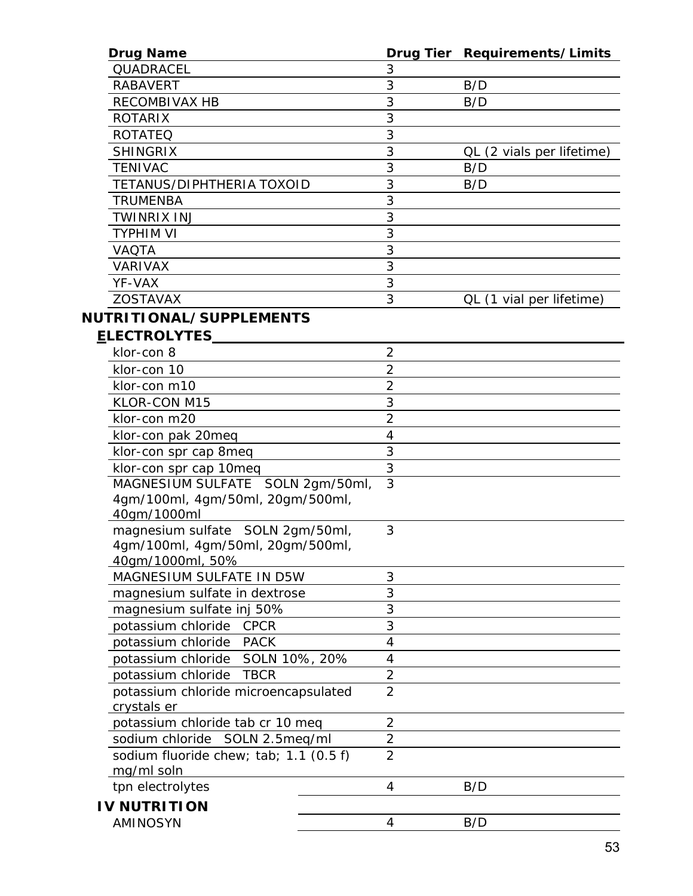| <b>Drug Name</b>                       |                | Drug Tier Requirements/Limits |
|----------------------------------------|----------------|-------------------------------|
| QUADRACEL                              | 3              |                               |
| <b>RABAVERT</b>                        | 3              | B/D                           |
| RECOMBIVAX HB                          | 3              | B/D                           |
| <b>ROTARIX</b>                         | 3              |                               |
| <b>ROTATEQ</b>                         | 3              |                               |
| <b>SHINGRIX</b>                        | 3              | QL (2 vials per lifetime)     |
| TENIVAC                                | 3              | B/D                           |
| TETANUS/DIPHTHERIA TOXOID              | 3              | B/D                           |
| TRUMENBA                               | 3              |                               |
| <b>TWINRIX INJ</b>                     | 3              |                               |
| TYPHIM VI                              | 3              |                               |
| <b>VAQTA</b>                           | 3              |                               |
| <b>VARIVAX</b>                         | 3              |                               |
| YF-VAX                                 | 3              |                               |
| <b>ZOSTAVAX</b>                        | 3              | QL (1 vial per lifetime)      |
| NUTRITIONAL/SUPPLEMENTS                |                |                               |
| <b>ELECTROLYTES</b>                    |                |                               |
| klor-con 8                             | $\overline{2}$ |                               |
| klor-con 10                            | $\overline{2}$ |                               |
| klor-con m10                           | $\overline{2}$ |                               |
| KLOR-CON M15                           | 3              |                               |
| klor-con m20                           | $\overline{2}$ |                               |
| klor-con pak 20meq                     | 4              |                               |
| klor-con spr cap 8meq                  | 3              |                               |
| klor-con spr cap 10meq                 | 3              |                               |
| MAGNESIUM SULFATE SOLN 2gm/50ml,       | $\overline{3}$ |                               |
| 4gm/100ml, 4gm/50ml, 20gm/500ml,       |                |                               |
| 40gm/1000ml                            |                |                               |
| magnesium sulfate SOLN 2gm/50ml,       | 3              |                               |
| 4gm/100ml, 4gm/50ml, 20gm/500ml,       |                |                               |
| 40gm/1000ml, 50%                       |                |                               |
| MAGNESIUM SULFATE IN D5W               | 3              |                               |
| magnesium sulfate in dextrose          | 3              |                               |
| magnesium sulfate inj 50%              | 3              |                               |
| potassium chloride<br><b>CPCR</b>      | 3              |                               |
| potassium chloride<br><b>PACK</b>      | 4              |                               |
| potassium chloride SOLN 10%, 20%       | $\overline{4}$ |                               |
| potassium chloride<br><b>TBCR</b>      | $\overline{2}$ |                               |
| potassium chloride microencapsulated   | $\overline{2}$ |                               |
| crystals er                            |                |                               |
| potassium chloride tab cr 10 meq       | $\overline{2}$ |                               |
| sodium chloride SOLN 2.5meq/ml         | $\overline{2}$ |                               |
| sodium fluoride chew; tab; 1.1 (0.5 f) | $\overline{2}$ |                               |
| mg/ml soln                             |                |                               |
| tpn electrolytes                       | 4              | B/D                           |
| <b>IV NUTRITION</b>                    |                |                               |
| AMINOSYN                               | 4              | B/D                           |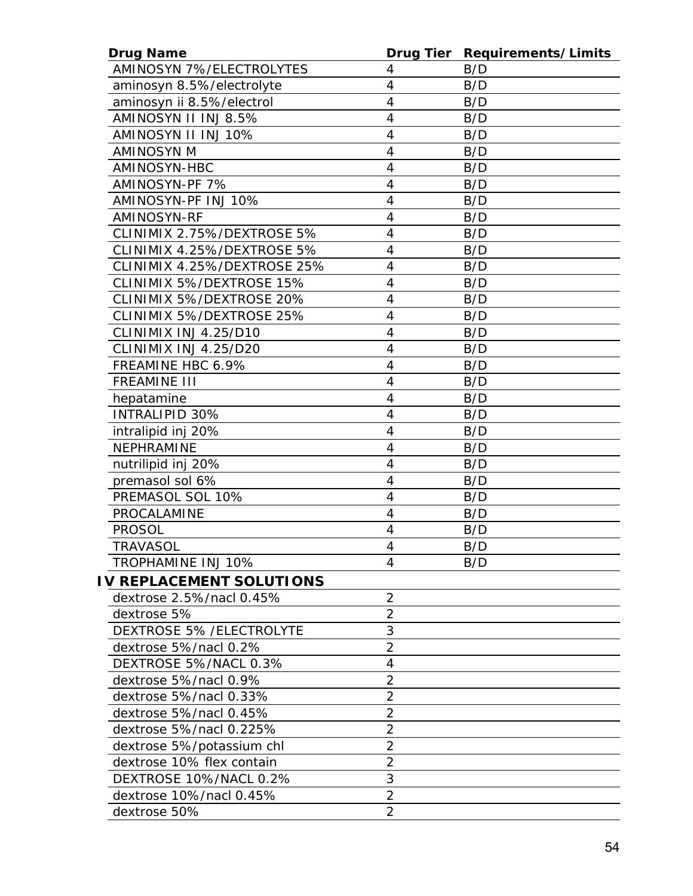| <b>Drug Name</b>                |                          | Drug Tier Requirements/Limits |
|---------------------------------|--------------------------|-------------------------------|
| <b>AMINOSYN 7%/ELECTROLYTES</b> | 4                        | B/D                           |
| aminosyn 8.5%/electrolyte       | $\overline{4}$           | B/D                           |
| aminosyn ii 8.5%/electrol       | 4                        | B/D                           |
| AMINOSYN II INJ 8.5%            | $\overline{4}$           | B/D                           |
| AMINOSYN II INJ 10%             | 4                        | B/D                           |
| <b>AMINOSYN M</b>               | $\overline{4}$           | B/D                           |
| AMINOSYN-HBC                    | 4                        | B/D                           |
| AMINOSYN-PF 7%                  | $\overline{4}$           | B/D                           |
| AMINOSYN-PF INJ 10%             | 4                        | B/D                           |
| <b>AMINOSYN-RF</b>              | 4                        | B/D                           |
| CLINIMIX 2.75%/DEXTROSE 5%      | 4                        | B/D                           |
| CLINIMIX 4.25%/DEXTROSE 5%      | $\overline{4}$           | B/D                           |
| CLINIMIX 4.25%/DEXTROSE 25%     | $\overline{4}$           | B/D                           |
| CLINIMIX 5%/DEXTROSE 15%        | 4                        | B/D                           |
| CLINIMIX 5%/DEXTROSE 20%        | $\overline{\mathcal{A}}$ | B/D                           |
| CLINIMIX 5%/DEXTROSE 25%        | $\overline{4}$           | B/D                           |
| CLINIMIX INJ 4.25/D10           | 4                        | B/D                           |
| CLINIMIX INJ 4.25/D20           | 4                        | B/D                           |
| FREAMINE HBC 6.9%               | 4                        | B/D                           |
| <b>FREAMINE III</b>             | 4                        | B/D                           |
| hepatamine                      | 4                        | B/D                           |
| INTRALIPID 30%                  | $\overline{4}$           | B/D                           |
| intralipid inj 20%              | $\overline{4}$           | B/D                           |
| NEPHRAMINE                      | 4                        | B/D                           |
| nutrilipid inj 20%              | $\overline{4}$           | B/D                           |
| premasol sol 6%                 | 4                        | B/D                           |
| PREMASOL SOL 10%                | $\overline{4}$           | B/D                           |
| PROCALAMINE                     | 4                        | B/D                           |
| <b>PROSOL</b>                   | $\overline{4}$           | B/D                           |
| <b>TRAVASOL</b>                 | 4                        | B/D                           |
| <b>TROPHAMINE INJ 10%</b>       | 4                        | B/D                           |
| <b>IV REPLACEMENT SOLUTIONS</b> |                          |                               |
| dextrose 2.5%/nacl 0.45%        | $\overline{2}$           |                               |
| dextrose 5%                     | $\overline{2}$           |                               |
| <b>DEXTROSE 5% /ELECTROLYTE</b> | 3                        |                               |
| dextrose 5%/nacl 0.2%           | $\overline{2}$           |                               |
| DEXTROSE 5%/NACL 0.3%           | 4                        |                               |
| dextrose 5%/nacl 0.9%           | $\overline{2}$           |                               |
| dextrose 5%/nacl 0.33%          | $\overline{2}$           |                               |
| dextrose 5%/nacl 0.45%          | $\overline{2}$           |                               |
| dextrose 5%/nacl 0.225%         | 2                        |                               |
| dextrose 5%/potassium chl       | $\overline{2}$           |                               |
| dextrose 10% flex contain       | $\overline{2}$           |                               |
| DEXTROSE 10%/NACL 0.2%          | 3                        |                               |
| dextrose 10%/nacl 0.45%         | $\overline{2}$           |                               |
| dextrose 50%                    | $\overline{2}$           |                               |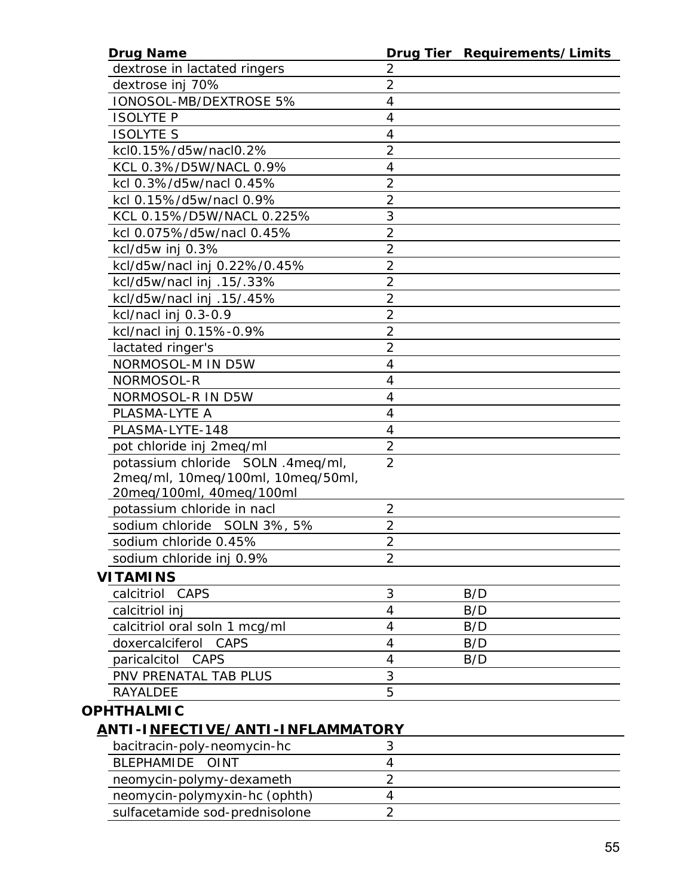| <b>Drug Name</b>                               |                | Drug Tier Requirements/Limits |
|------------------------------------------------|----------------|-------------------------------|
| dextrose in lactated ringers                   | 2              |                               |
| dextrose inj 70%                               | $\overline{2}$ |                               |
| IONOSOL-MB/DEXTROSE 5%                         | 4              |                               |
| <b>ISOLYTE P</b>                               | 4              |                               |
| <b>ISOLYTE S</b>                               | $\overline{4}$ |                               |
| kcl0.15%/d5w/nacl0.2%                          | $\overline{2}$ |                               |
| KCL 0.3%/D5W/NACL 0.9%                         | 4              |                               |
| kcl 0.3%/d5w/nacl 0.45%                        | $\overline{2}$ |                               |
| kcl 0.15%/d5w/nacl 0.9%                        | $\overline{2}$ |                               |
| KCL 0.15%/D5W/NACL 0.225%                      | 3              |                               |
| kcl 0.075%/d5w/nacl 0.45%                      | $\overline{2}$ |                               |
| kcl/d5w inj 0.3%                               | $\overline{2}$ |                               |
| kcl/d5w/nacl inj 0.22%/0.45%                   | $\overline{2}$ |                               |
| kcl/d5w/nacl inj .15/.33%                      | $\overline{2}$ |                               |
| kcl/d5w/nacl inj .15/.45%                      | $\overline{2}$ |                               |
| kcl/nacl inj 0.3-0.9                           | $\overline{2}$ |                               |
| kcl/nacl inj 0.15%-0.9%                        | $\overline{2}$ |                               |
| lactated ringer's                              | $\overline{2}$ |                               |
| NORMOSOL-M IN D5W                              | 4              |                               |
| NORMOSOL-R                                     | 4              |                               |
| NORMOSOL-R IN D5W                              | 4              |                               |
| PLASMA-LYTE A                                  | $\overline{4}$ |                               |
| PLASMA-LYTE-148                                | 4              |                               |
| pot chloride inj 2meq/ml                       | $\overline{2}$ |                               |
| potassium chloride SOLN .4meq/ml,              | $\overline{2}$ |                               |
| 2meq/ml, 10meq/100ml, 10meq/50ml,              |                |                               |
| 20meg/100ml, 40meg/100ml                       |                |                               |
| potassium chloride in nacl                     | $\overline{2}$ |                               |
| sodium chloride SOLN 3%, 5%                    | $\overline{2}$ |                               |
| sodium chloride 0.45%                          | $\overline{2}$ |                               |
| sodium chloride inj 0.9%                       | 2              |                               |
| <b>VITAMINS</b>                                |                |                               |
| CAPS<br>calcitriol                             | 3              | B/D                           |
| calcitriol inj                                 | $\overline{4}$ | B/D                           |
| calcitriol oral soln 1 mcg/ml                  | 4              | B/D                           |
| doxercalciferol CAPS                           | 4              | B/D                           |
| paricalcitol CAPS                              | 4              | B/D                           |
| PNV PRENATAL TAB PLUS                          | 3              |                               |
| <b>RAYALDEE</b>                                | 5              |                               |
| <b>OPHTHALMIC</b>                              |                |                               |
| <u>ANTI - I NFECTI VE/ANTI - I NFLAMMATORY</u> |                |                               |
| bacitracin-poly-neomycin-hc                    | 3              |                               |
| <b>BLEPHAMIDE</b><br><b>OINT</b>               | 4              |                               |
| neomycin-polymy-dexameth                       | $\overline{2}$ |                               |
| neomycin-polymyxin-hc (ophth)                  | 4              |                               |
|                                                | $\overline{2}$ |                               |
| sulfacetamide sod-prednisolone                 |                |                               |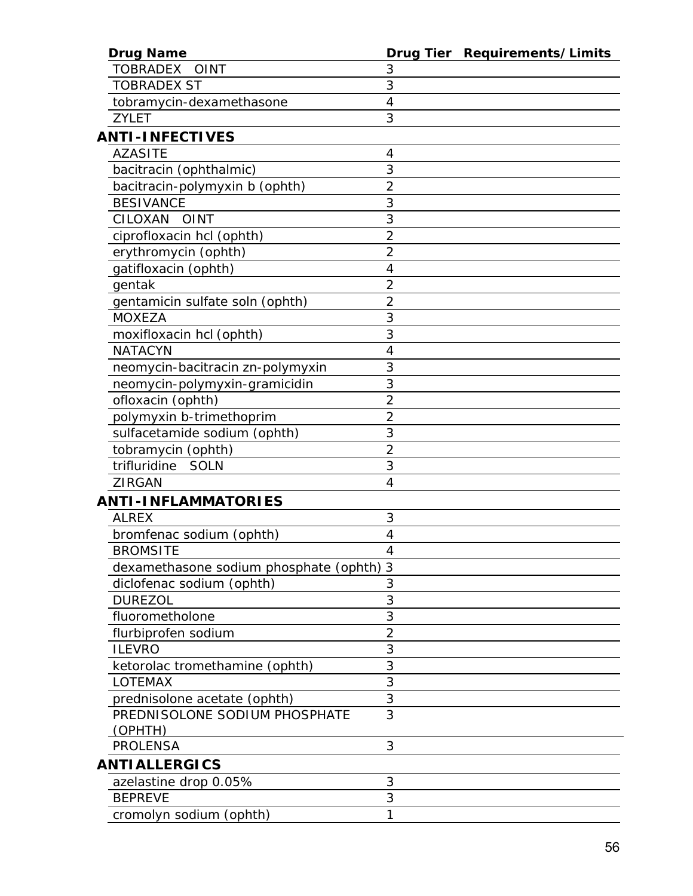| <b>Drug Name</b>                         |                | Drug Tier Requirements/Limits |
|------------------------------------------|----------------|-------------------------------|
| <b>TOBRADEX</b><br><b>OINT</b>           | 3              |                               |
| <b>TOBRADEX ST</b>                       | 3              |                               |
| tobramycin-dexamethasone                 | 4              |                               |
| <b>ZYLET</b>                             | 3              |                               |
| <b>ANTI-INFECTIVES</b>                   |                |                               |
| <b>AZASITE</b>                           | 4              |                               |
| bacitracin (ophthalmic)                  | 3              |                               |
| bacitracin-polymyxin b (ophth)           | $\overline{2}$ |                               |
| <b>BESIVANCE</b>                         | 3              |                               |
| CILOXAN<br><b>OINT</b>                   | 3              |                               |
| ciprofloxacin hcl (ophth)                | $\overline{2}$ |                               |
| erythromycin (ophth)                     | $\overline{2}$ |                               |
| gatifloxacin (ophth)                     | 4              |                               |
| gentak                                   | $\overline{2}$ |                               |
| gentamicin sulfate soln (ophth)          | $\overline{2}$ |                               |
| <b>MOXEZA</b>                            | 3              |                               |
| moxifloxacin hcl (ophth)                 | 3              |                               |
| <b>NATACYN</b>                           | 4              |                               |
| neomycin-bacitracin zn-polymyxin         | 3              |                               |
| neomycin-polymyxin-gramicidin            | 3              |                               |
| ofloxacin (ophth)                        | $\overline{2}$ |                               |
| polymyxin b-trimethoprim                 | $\overline{2}$ |                               |
| sulfacetamide sodium (ophth)             | 3              |                               |
| tobramycin (ophth)                       | $\overline{2}$ |                               |
| trifluridine<br>SOLN                     | 3              |                               |
| <b>ZIRGAN</b>                            | 4              |                               |
| <b>ANTI-INFLAMMATORIES</b>               |                |                               |
| <b>ALREX</b>                             | 3              |                               |
| bromfenac sodium (ophth)                 | 4              |                               |
| <b>BROMSITE</b>                          | 4              |                               |
| dexamethasone sodium phosphate (ophth) 3 |                |                               |
| diclofenac sodium (ophth)                | 3              |                               |
| <b>DUREZOL</b>                           | 3              |                               |
| fluorometholone                          | 3              |                               |
| flurbiprofen sodium                      | $\overline{2}$ |                               |
| <b>ILEVRO</b>                            | 3              |                               |
| ketorolac tromethamine (ophth)           | 3              |                               |
| LOTEMAX                                  | 3              |                               |
| prednisolone acetate (ophth)             | 3              |                               |
| PREDNISOLONE SODIUM PHOSPHATE            | 3              |                               |
| <u>(OPHT</u> H)                          |                |                               |
| <b>PROLENSA</b>                          | 3              |                               |
| <b>ANTIALLERGICS</b>                     |                |                               |
| azelastine drop 0.05%                    | 3              |                               |
| <b>BEPREVE</b>                           | 3              |                               |
| cromolyn sodium (ophth)                  | 1              |                               |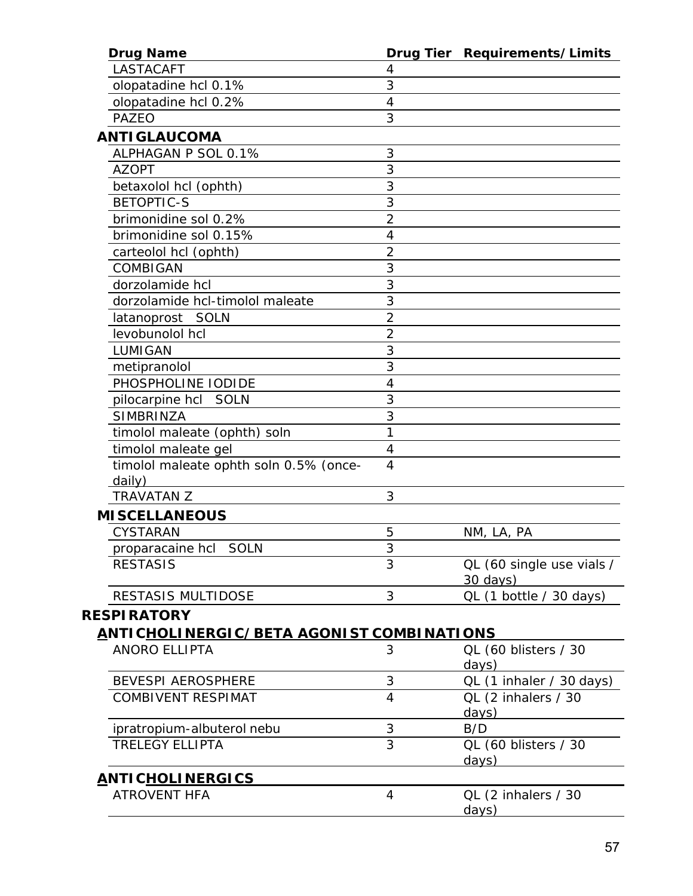| <b>Drug Name</b>                                 |                | Drug Tier Requirements/Limits         |
|--------------------------------------------------|----------------|---------------------------------------|
| <b>LASTACAFT</b>                                 | 4              |                                       |
| olopatadine hcl 0.1%                             | 3              |                                       |
| olopatadine hcl 0.2%                             | 4              |                                       |
| <b>PAZEO</b>                                     | 3              |                                       |
| ANTI GLAUCOMA                                    |                |                                       |
| ALPHAGAN P SOL 0.1%                              | 3              |                                       |
| <b>AZOPT</b>                                     | 3              |                                       |
| betaxolol hcl (ophth)                            | 3              |                                       |
| <b>BETOPTIC-S</b>                                | 3              |                                       |
| brimonidine sol 0.2%                             | $\overline{2}$ |                                       |
| brimonidine sol 0.15%                            | $\overline{4}$ |                                       |
| carteolol hcl (ophth)                            | $\overline{2}$ |                                       |
| COMBIGAN                                         | 3              |                                       |
| dorzolamide hcl                                  | 3              |                                       |
| dorzolamide hcl-timolol maleate                  | 3              |                                       |
| latanoprost<br>SOLN                              | $\overline{2}$ |                                       |
| levobunolol hcl                                  | $\overline{2}$ |                                       |
| LUMIGAN                                          | 3              |                                       |
| metipranolol                                     | 3              |                                       |
| PHOSPHOLINE IODIDE                               | 4              |                                       |
| <i>pilocarpine hcl</i> SOLN                      | 3              |                                       |
| <b>SIMBRINZA</b>                                 | 3              |                                       |
| timolol maleate (ophth) soln                     | 1              |                                       |
| timolol maleate gel                              | 4              |                                       |
| timolol maleate ophth soln 0.5% (once-           | $\overline{4}$ |                                       |
| daily)                                           |                |                                       |
| <b>TRAVATAN Z</b>                                | 3              |                                       |
| <b>MISCELLANEOUS</b>                             |                |                                       |
| <b>CYSTARAN</b>                                  | 5              | NM, LA, PA                            |
| <i>proparacaine hcl</i> SOLN                     | 3              |                                       |
| <b>RESTASIS</b>                                  | 3              | QL (60 single use vials /<br>30 days) |
| <b>RESTASIS MULTIDOSE</b>                        | 3              | QL (1 bottle / 30 days)               |
| <b>RESPIRATORY</b>                               |                |                                       |
| <u>ANTICHOLINERGIC/BETA AGONIST COMBINATIONS</u> |                |                                       |
| <b>ANORO ELLIPTA</b>                             | 3              | QL (60 blisters / 30                  |
|                                                  |                | days)                                 |
| <b>BEVESPI AEROSPHERE</b>                        | 3              | QL (1 inhaler / 30 days)              |
| <b>COMBIVENT RESPIMAT</b>                        | 4              | QL (2 inhalers / 30                   |
|                                                  |                | days)                                 |
| ipratropium-albuterol nebu                       | 3              | B/D                                   |
| <b>TRELEGY ELLIPTA</b>                           | $\overline{3}$ | QL (60 blisters / 30                  |
|                                                  |                | days)                                 |
| <u>ANTICHOLINERGICS</u>                          |                |                                       |
| <b>ATROVENT HFA</b>                              | 4              | QL (2 inhalers / 30<br>days)          |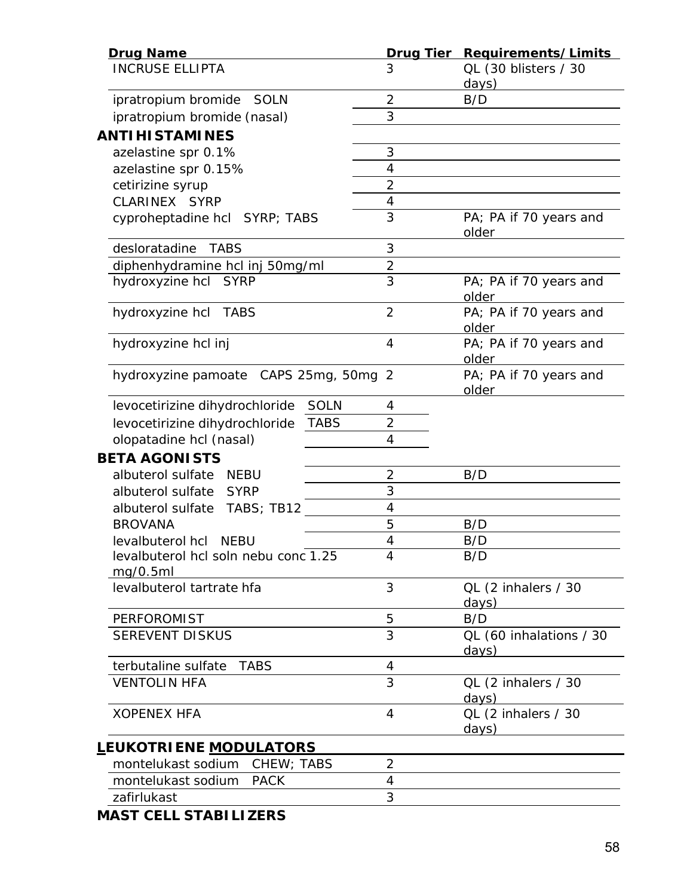| <b>Drug Name</b>                                 |                | Drug Tier Requirements/Limits    |
|--------------------------------------------------|----------------|----------------------------------|
| <b>INCRUSE ELLIPTA</b>                           | 3              | QL (30 blisters / 30<br>days)    |
| ipratropium bromide SOLN                         | $\overline{2}$ | B/D                              |
| ipratropium bromide (nasal)                      | 3              |                                  |
| <b>ANTIHISTAMINES</b>                            |                |                                  |
| azelastine spr 0.1%                              | 3              |                                  |
| azelastine spr 0.15%                             | 4              |                                  |
| cetirizine syrup                                 | $\overline{2}$ |                                  |
| CLARINEX SYRP                                    | 4              |                                  |
| cyproheptadine hcl SYRP; TABS                    | 3              | PA; PA if 70 years and<br>older  |
| desloratadine<br><b>TABS</b>                     | 3              |                                  |
| diphenhydramine hcl inj 50mg/ml                  | $\overline{2}$ |                                  |
| hydroxyzine hcl SYRP                             | 3              | PA; PA if 70 years and<br>older  |
| hydroxyzine hcl TABS                             | $\overline{2}$ | PA; PA if 70 years and<br>older  |
| hydroxyzine hcl inj                              | $\overline{4}$ | PA; PA if 70 years and<br>older  |
| hydroxyzine pamoate CAPS 25mg, 50mg 2            |                | PA; PA if 70 years and<br>older  |
| <b>SOLN</b><br>levocetirizine dihydrochloride    | 4              |                                  |
| <b>TABS</b><br>levocetirizine dihydrochloride    | $\overline{2}$ |                                  |
| olopatadine hcl (nasal)                          | 4              |                                  |
| <b>BETA AGONISTS</b>                             |                |                                  |
| albuterol sulfate<br><b>NEBU</b>                 | 2              | B/D                              |
| albuterol sulfate<br>SYRP                        | 3              |                                  |
| albuterol sulfate TABS; TB12                     | 4              |                                  |
| <b>BROVANA</b>                                   | 5              | B/D                              |
| levalbuterol hcl NEBU                            | 4              | B/D                              |
| levalbuterol hcl soln nebu conc 1.25<br>mg/0.5ml | 4              | B/D                              |
| levalbuterol tartrate hfa                        | 3              | QL (2 inhalers / 30<br>days)     |
| <b>PERFOROMIST</b>                               | 5              | B/D                              |
| <b>SEREVENT DISKUS</b>                           | 3              | QL (60 inhalations / 30<br>days) |
| terbutaline sulfate<br><b>TABS</b>               | 4              |                                  |
| <b>VENTOLIN HFA</b>                              | 3              | QL (2 inhalers / 30<br>days)     |
| <b>XOPENEX HFA</b>                               | $\overline{4}$ | QL (2 inhalers / 30<br>days)     |
| <u>L</u> EUKOTRI ENE <u>MODULATORS</u>           |                |                                  |
| montelukast sodium CHEW; TABS                    | $\overline{2}$ |                                  |
| montelukast sodium<br><b>PACK</b>                | 4              |                                  |
| zafirlukast                                      | 3              |                                  |

*MAST CELL STABILIZERS*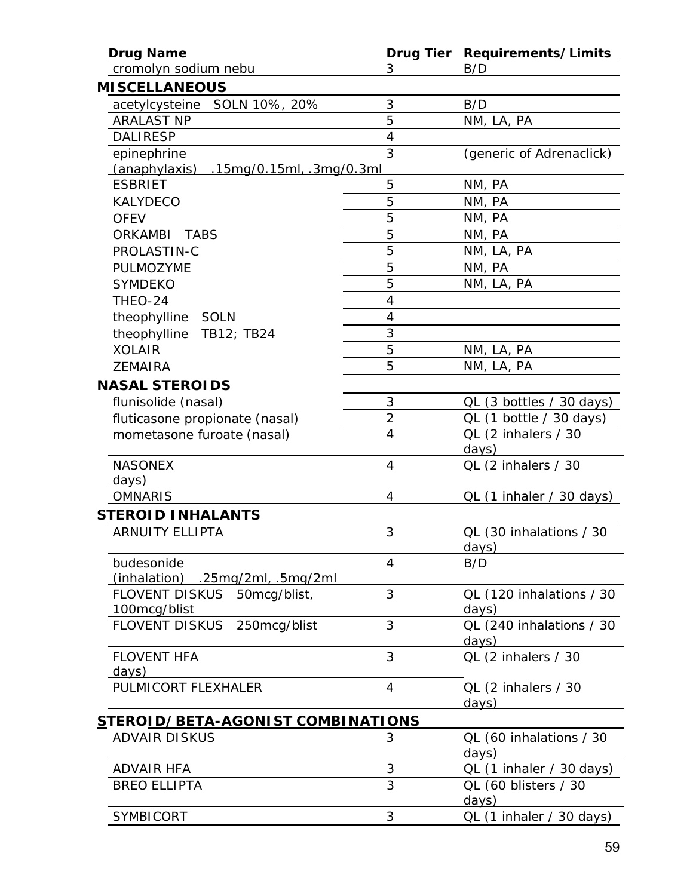| <b>Drug Name</b>                                 |                | Drug Tier Requirements/Limits           |
|--------------------------------------------------|----------------|-----------------------------------------|
| cromolyn sodium nebu                             | 3              | B/D                                     |
| <b>MISCELLANEOUS</b>                             |                |                                         |
| SOLN 10%, 20%<br>acetylcysteine                  | 3              | B/D                                     |
| <b>ARALAST NP</b>                                | 5              | NM, LA, PA                              |
| <b>DALIRESP</b>                                  | $\overline{4}$ |                                         |
| epinephrine                                      | 3              | (generic of Adrenaclick)                |
| $(anaphylaxis)$ .15mg/0.15ml, .3mg/0.3ml         |                |                                         |
| <b>ESBRIET</b>                                   | 5              | NM, PA                                  |
| <b>KALYDECO</b>                                  | 5              | NM, PA                                  |
| <b>OFEV</b>                                      | 5              | NM, PA                                  |
| <b>ORKAMBI</b><br>TABS                           | 5              | NM, PA                                  |
| PROLASTIN-C                                      | 5              | NM, LA, PA                              |
| PULMOZYME                                        | 5              | NM, PA                                  |
| <b>SYMDEKO</b>                                   | 5              | NM, LA, PA                              |
| THEO-24                                          | $\overline{4}$ |                                         |
| theophylline SOLN                                | $\overline{4}$ |                                         |
| theophylline<br>TB12; TB24                       | 3              |                                         |
| <b>XOLAIR</b>                                    | 5              | NM, LA, PA                              |
| <b>ZEMAIRA</b>                                   | 5              | NM, LA, PA                              |
| <b>NASAL STEROIDS</b>                            |                |                                         |
| flunisolide (nasal)                              | 3              | QL (3 bottles / 30 days)                |
| fluticasone propionate (nasal)                   | $\overline{2}$ | QL (1 bottle / 30 days)                 |
| mometasone furoate (nasal)                       | $\overline{4}$ | QL (2 inhalers / 30<br>days)            |
| <b>NASONEX</b><br>days)                          | $\overline{4}$ | QL (2 inhalers / 30                     |
| <b>OMNARIS</b>                                   | 4              | QL (1 inhaler / 30 days)                |
| <b>STEROID INHALANTS</b>                         |                |                                         |
| <b>ARNUITY ELLIPTA</b>                           | 3              | QL (30 inhalations / 30<br><u>days)</u> |
| budesonide<br>$(inhalation)$ .25mg/2ml, .5mg/2ml | 4              | B/D                                     |
| FLOVENT DISKUS 50mcg/blist,<br>100mcg/blist      | 3              | QL (120 inhalations / 30<br>days)       |
| <b>FLOVENT DISKUS</b><br>250mcg/blist            | 3              | QL (240 inhalations / 30<br>days)       |
| <b>FLOVENT HFA</b><br><u>days)</u>               | 3              | QL (2 inhalers / 30                     |
| PULMICORT FLEXHALER                              | $\overline{4}$ | QL (2 inhalers / 30<br><u>days)</u>     |
| <u>STEROID/BETA-AGONIST COMBINATIONS</u>         |                |                                         |
| <b>ADVAIR DISKUS</b>                             | 3              | QL (60 inhalations / 30<br>days)        |
| <b>ADVAIR HFA</b>                                | 3              | QL (1 inhaler / 30 days)                |
| <b>BREO ELLIPTA</b>                              | 3              | QL (60 blisters / 30<br>days)           |
| <b>SYMBICORT</b>                                 | 3              | QL (1 inhaler / 30 days)                |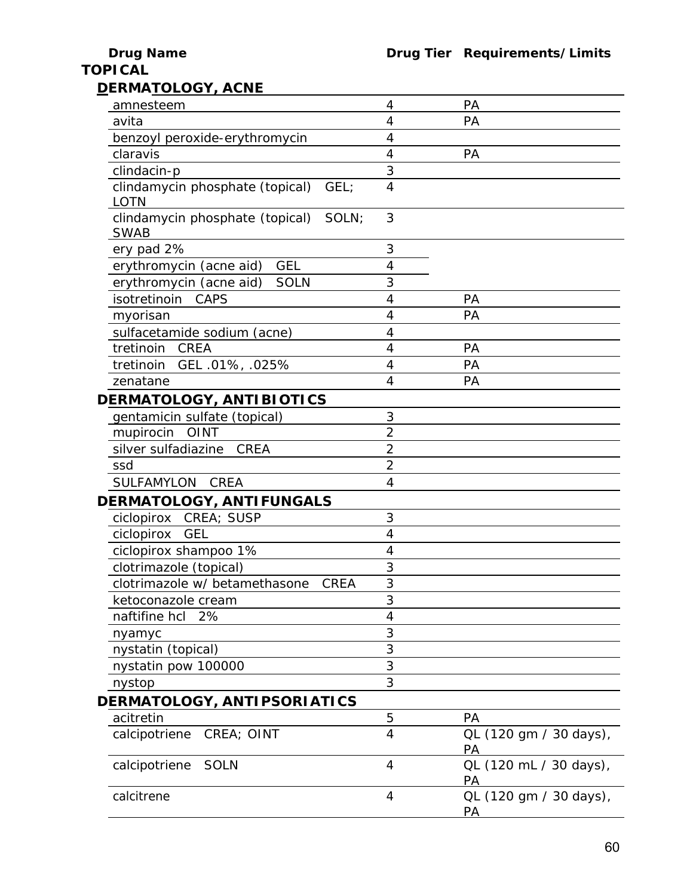## **TOPICAL**

| amnesteem                                               | 4              | PA                                  |
|---------------------------------------------------------|----------------|-------------------------------------|
| avita                                                   | 4              | PA                                  |
| benzoyl peroxide-erythromycin                           | 4              |                                     |
| claravis                                                | 4              | PA                                  |
| clindacin-p                                             | 3              |                                     |
| clindamycin phosphate (topical)<br>GEL;                 | $\overline{4}$ |                                     |
| <b>LOTN</b>                                             |                |                                     |
| clindamycin phosphate (topical)<br>SOLN:<br><b>SWAB</b> | 3              |                                     |
| ery pad 2%                                              | 3              |                                     |
| <b>GEL</b><br>erythromycin (acne aid)                   | 4              |                                     |
| <b>SOLN</b><br>erythromycin (acne aid)                  | 3              |                                     |
| <b>CAPS</b><br>isotretinoin                             | 4              | PA                                  |
| myorisan                                                | 4              | PA                                  |
| sulfacetamide sodium (acne)                             | 4              |                                     |
| tretinoin<br>CREA                                       | 4              | PA                                  |
| tretinoin<br>GEL .01%, .025%                            | 4              | PA                                  |
| zenatane                                                | 4              | PA                                  |
| DERMATOLOGY, ANTIBIOTICS                                |                |                                     |
| gentamicin sulfate (topical)                            | 3              |                                     |
| mupirocin OINT                                          | $\overline{2}$ |                                     |
| silver sulfadiazine<br><b>CREA</b>                      | $\overline{2}$ |                                     |
| ssd                                                     | $\overline{2}$ |                                     |
| <b>SULFAMYLON</b><br><b>CREA</b>                        | 4              |                                     |
| DERMATOLOGY, ANTIFUNGALS                                |                |                                     |
| ciclopirox CREA; SUSP                                   | 3              |                                     |
| ciclopirox<br><b>GEL</b>                                | 4              |                                     |
| ciclopirox shampoo 1%                                   | 4              |                                     |
| clotrimazole (topical)                                  | 3              |                                     |
| <b>CREA</b><br>clotrimazole w/betamethasone             | 3              |                                     |
| ketoconazole cream                                      | 3              |                                     |
| naftifine hcl 2%                                        | 4              |                                     |
| nyamyc                                                  | 3              |                                     |
| nystatin (topical)                                      | 3              |                                     |
| nystatin pow 100000                                     | 3              |                                     |
| nystop                                                  | 3              |                                     |
| DERMATOLOGY, ANTIPSORIATICS                             |                |                                     |
| acitretin                                               | 5              | PA                                  |
| calcipotriene<br>CREA; OINT                             | 4              | QL (120 gm / 30 days),<br>PA        |
| <b>SOLN</b><br>calcipotriene                            | 4              | QL (120 mL / 30 days),<br><b>PA</b> |
| calcitrene                                              | 4              | QL (120 gm / 30 days),<br>PA        |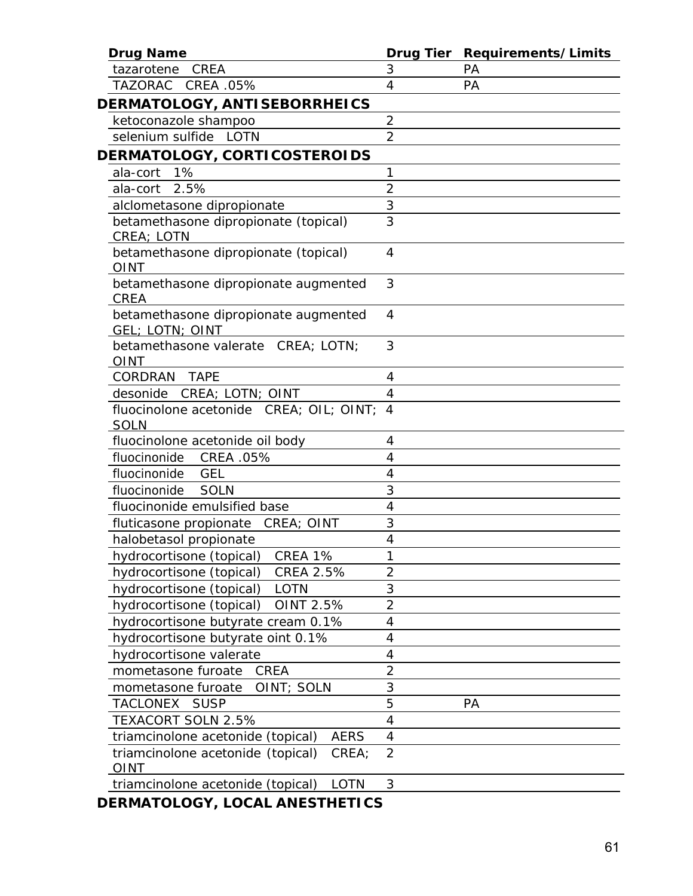| <b>Drug Name</b>                                          | <b>Drug Tier</b> | Requirements/Limits |
|-----------------------------------------------------------|------------------|---------------------|
| tazarotene<br>CREA                                        | 3                | PA                  |
| <b>TAZORAC</b><br>CREA .05%                               | 4                | PA                  |
| DERMATOLOGY, ANTISEBORRHEICS                              |                  |                     |
| ketoconazole shampoo                                      | $\overline{2}$   |                     |
| selenium sulfide LOTN                                     | $\overline{2}$   |                     |
| DERMATOLOGY, CORTICOSTEROIDS                              |                  |                     |
| 1%<br>ala-cort                                            | 1                |                     |
| 2.5%<br>ala-cort                                          | $\overline{2}$   |                     |
| alclometasone dipropionate                                | 3                |                     |
| betamethasone dipropionate (topical)<br>CREA; LOTN        | 3                |                     |
| betamethasone dipropionate (topical)<br><b>OINT</b>       | 4                |                     |
| betamethasone dipropionate augmented<br><b>CREA</b>       | 3                |                     |
| betamethasone dipropionate augmented<br>GEL; LOTN; OINT   | 4                |                     |
| betamethasone valerate CREA; LOTN;<br><b>OINT</b>         | 3                |                     |
| <b>CORDRAN</b><br><b>TAPE</b>                             | 4                |                     |
| desonide<br>CREA; LOTN; OINT                              | 4                |                     |
| fluocinolone acetonide CREA; OIL; OINT;<br>SOLN           | $\overline{A}$   |                     |
| fluocinolone acetonide oil body                           | 4                |                     |
| fluocinonide<br>CREA .05%                                 | $\overline{4}$   |                     |
| fluocinonide<br><b>GEL</b>                                | 4                |                     |
| <b>SOLN</b><br>fluocinonide                               | 3                |                     |
| fluocinonide emulsified base                              | 4                |                     |
| CREA; OINT<br>fluticasone propionate                      | 3                |                     |
| halobetasol propionate                                    | 4                |                     |
| CREA 1%<br>hydrocortisone (topical)                       |                  |                     |
| <b>CREA 2.5%</b><br>hydrocortisone (topical)              | $\overline{2}$   |                     |
| hydrocortisone (topical)<br><b>LOTN</b>                   | 3                |                     |
| OINT 2.5%<br>hydrocortisone (topical)                     | $\overline{2}$   |                     |
| hydrocortisone butyrate cream 0.1%                        | 4                |                     |
| hydrocortisone butyrate oint 0.1%                         | 4                |                     |
| hydrocortisone valerate                                   | 4                |                     |
| <b>CREA</b><br>mometasone furoate                         | $\overline{2}$   |                     |
| mometasone furoate<br>OINT; SOLN                          | 3                |                     |
| TACLONEX<br><b>SUSP</b>                                   | 5                | PA                  |
| TEXACORT SOLN 2.5%                                        | 4                |                     |
| <b>AERS</b><br>triamcinolone acetonide (topical)          | 4                |                     |
| triamcinolone acetonide (topical)<br>CREA;<br><b>OINT</b> | $\overline{2}$   |                     |
| triamcinolone acetonide (topical)<br>LOTN                 | 3                |                     |

*DERMATOLOGY, LOCAL ANESTHETICS*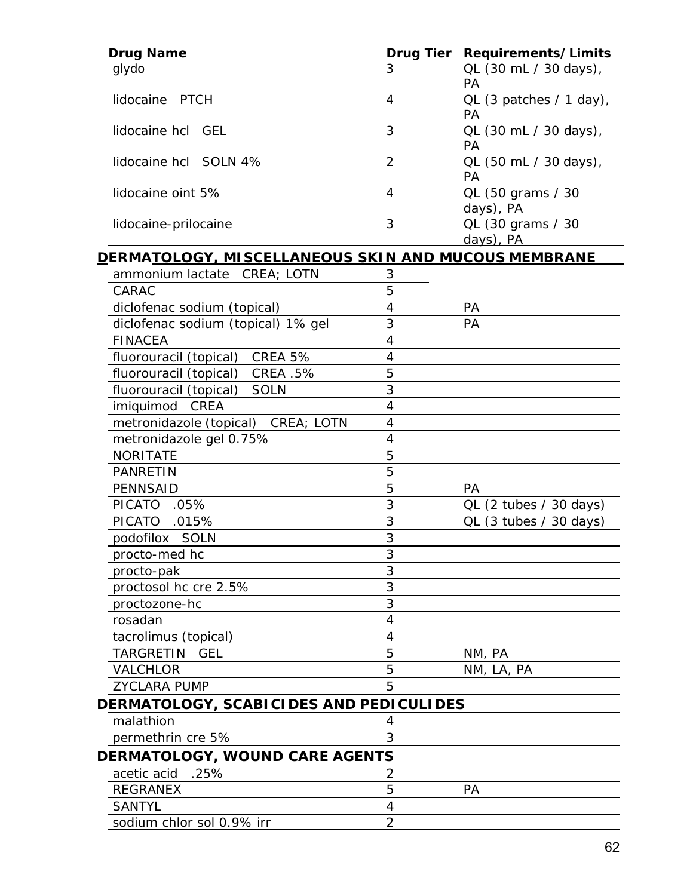| <b>Drug Name</b>                                                    |                          | Drug Tier Requirements/Limits      |
|---------------------------------------------------------------------|--------------------------|------------------------------------|
| glydo                                                               | 3                        | QL (30 mL / 30 days),<br>PA        |
| lidocaine PTCH                                                      | $\overline{4}$           | QL (3 patches / 1 day),<br>PA      |
| lidocaine hcl GEL                                                   | 3                        | QL (30 mL / 30 days),<br>PA        |
| lidocaine hcl SOLN 4%                                               | $\overline{2}$           | QL (50 mL / 30 days),<br><b>PA</b> |
| lidocaine oint 5%                                                   | 4                        | QL (50 grams / 30<br>days), PA     |
| lidocaine-prilocaine                                                | 3                        | QL (30 grams / 30<br>days), PA     |
| <u>D</u> ERMA <u>TOLOGY, MISCELLANEOUS SKIN AND MUCOUS MEMBRANE</u> |                          |                                    |
| ammonium lactate CREA; LOTN                                         | 3                        |                                    |
| CARAC                                                               | 5                        |                                    |
| diclofenac sodium (topical)                                         | 4                        | PA                                 |
| diclofenac sodium (topical) 1% gel                                  | 3                        | <b>PA</b>                          |
| <b>FINACEA</b>                                                      | 4                        |                                    |
| CREA 5%<br>fluorouracil (topical)                                   | $\overline{\mathcal{A}}$ |                                    |
| <b>CREA .5%</b><br>fluorouracil (topical)                           | 5                        |                                    |
| fluorouracil (topical)<br><b>SOLN</b>                               | 3                        |                                    |
| imiquimod CREA                                                      | 4                        |                                    |
| metronidazole (topical) CREA; LOTN                                  | 4                        |                                    |
| metronidazole gel 0.75%                                             | 4                        |                                    |
| <b>NORITATE</b>                                                     | 5                        |                                    |
| <b>PANRETIN</b>                                                     | 5                        |                                    |
| <b>PENNSAID</b>                                                     | 5                        | PA                                 |
| <b>PICATO</b><br>$.05\%$                                            | 3                        | QL (2 tubes / 30 days)             |
| <b>PICATO</b><br>.015%                                              | 3                        | $QL$ (3 tubes / 30 days)           |
| podofilox SOLN                                                      | 3                        |                                    |
| procto-med hc                                                       | n<br>3                   |                                    |
| procto-pak                                                          | 3                        |                                    |
| proctosol hc cre 2.5%                                               | 3                        |                                    |
| proctozone-hc                                                       | 3                        |                                    |
| rosadan                                                             | 4                        |                                    |
| tacrolimus (topical)                                                | 4                        |                                    |
| TARGRETIN<br><b>GEL</b>                                             | 5                        | NM, PA                             |
| VALCHLOR                                                            | 5                        | NM, LA, PA                         |
| <b>ZYCLARA PUMP</b>                                                 | 5                        |                                    |
| DERMATOLOGY, SCABICIDES AND PEDICULIDES                             |                          |                                    |
| malathion                                                           |                          |                                    |
| permethrin cre 5%                                                   | 3                        |                                    |
| DERMATOLOGY, WOUND CARE AGENTS                                      |                          |                                    |
| acetic acid<br>.25%                                                 | 2                        |                                    |
| <b>REGRANEX</b>                                                     | 5                        | PA                                 |
| <b>SANTYL</b>                                                       | 4                        |                                    |
| sodium chlor sol 0.9% irr                                           | $\overline{2}$           |                                    |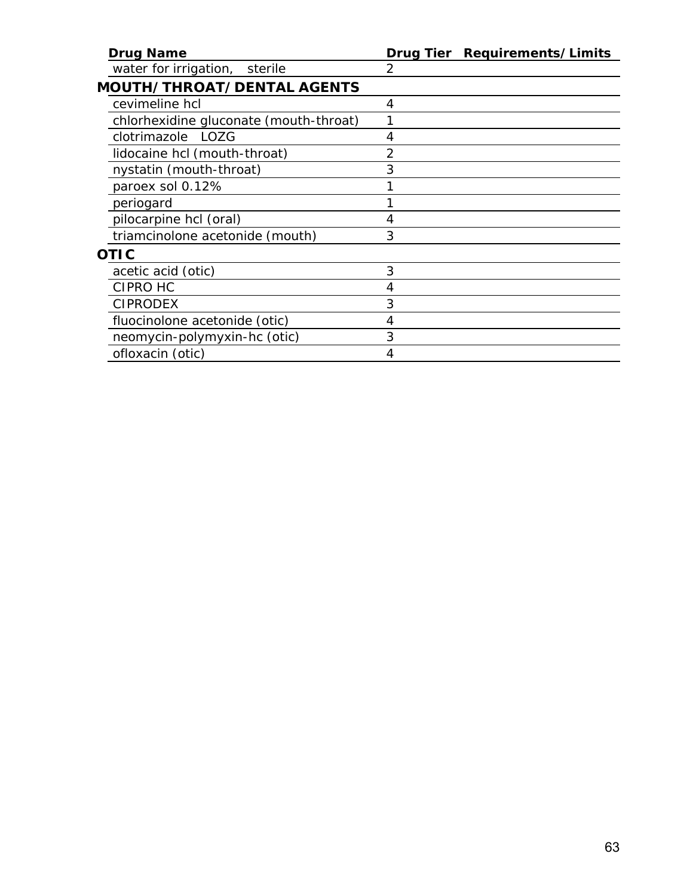| <b>Drug Name</b>                       | Drug Tier Requirements/Limits |
|----------------------------------------|-------------------------------|
| water for irrigation, sterile          | 2                             |
| <b>MOUTH/THROAT/DENTAL AGENTS</b>      |                               |
| cevimeline hcl                         | 4                             |
| chlorhexidine gluconate (mouth-throat) |                               |
| <i>clotrimazole</i> LOZG               | 4                             |
| lidocaine hcl (mouth-throat)           | 2                             |
| nystatin (mouth-throat)                | 3                             |
| paroex sol 0.12%                       |                               |
| periogard                              |                               |
| pilocarpine hcl (oral)                 | 4                             |
| triamcinolone acetonide (mouth)        | 3                             |
| <i>OTIC</i>                            |                               |
| acetic acid (otic)                     | 3                             |
| CIPRO HC                               | 4                             |
| <b>CIPRODEX</b>                        | 3                             |
| fluocinolone acetonide (otic)          | 4                             |
| neomycin-polymyxin-hc (otic)           | 3                             |
| ofloxacin (otic)                       | 4                             |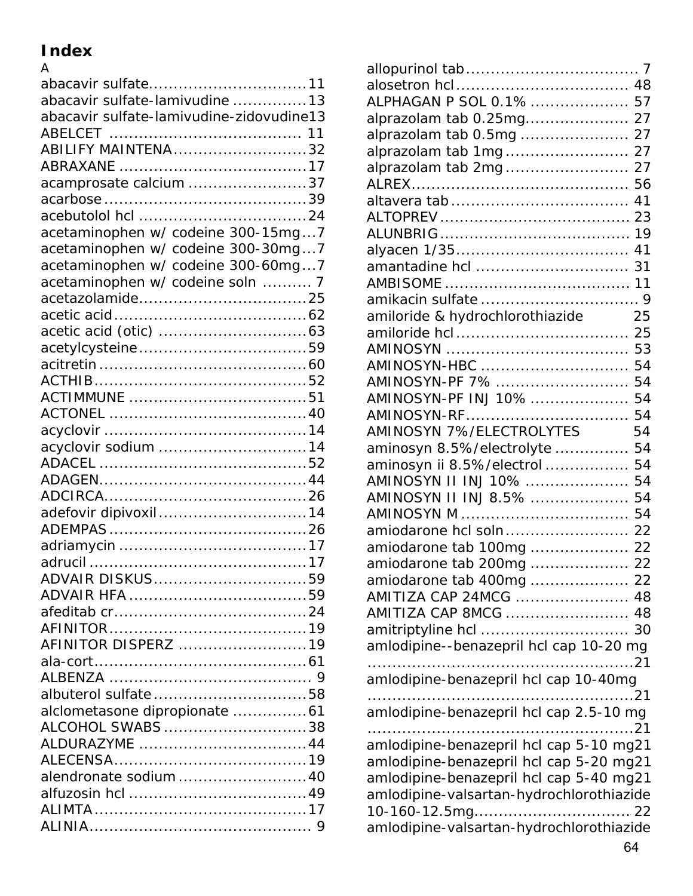## **Index**

| A                                        |
|------------------------------------------|
| abacavir sulfate11                       |
| abacavir sulfate-lamivudine 13           |
| abacavir sulfate-lamivudine-zidovudine13 |
|                                          |
| <b>ABILIFY MAINTENA32</b>                |
|                                          |
| acamprosate calcium 37                   |
|                                          |
|                                          |
| acetaminophen w/ codeine 300-15mg7       |
|                                          |
| acetaminophen w/ codeine 300-30mg7       |
| acetaminophen w/ codeine 300-60mg7       |
| acetaminophen w/ codeine soln  7         |
|                                          |
|                                          |
|                                          |
|                                          |
|                                          |
|                                          |
|                                          |
|                                          |
|                                          |
| acyclovir sodium 14                      |
|                                          |
|                                          |
|                                          |
| adefovir dipivoxil14                     |
|                                          |
|                                          |
|                                          |
| ADVAIR DISKUS59                          |
|                                          |
|                                          |
|                                          |
| AFINITOR DISPERZ 19                      |
|                                          |
|                                          |
| albuterol sulfate58                      |
|                                          |
| alclometasone dipropionate  61           |
| ALCOHOL SWABS38                          |
| ALDURAZYME 44                            |
|                                          |
| alendronate sodium40                     |
|                                          |
|                                          |
|                                          |
|                                          |

| ALPHAGAN P SOL 0.1%  57                  |             |
|------------------------------------------|-------------|
| alprazolam tab 0.25mg 27                 |             |
| alprazolam tab 0.5mg  27                 |             |
|                                          |             |
| alprazolam tab 2mg 27                    |             |
|                                          |             |
|                                          |             |
|                                          |             |
|                                          |             |
|                                          |             |
|                                          |             |
|                                          |             |
|                                          |             |
| amiloride & hydrochlorothiazide          | 25          |
|                                          |             |
|                                          |             |
|                                          |             |
| AMINOSYN-PF 7%  54                       |             |
| AMINOSYN-PF INJ 10%  54                  |             |
| AMINOSYN-RF                              | 54          |
| AMINOSYN 7%/ELECTROLYTES                 | 54          |
| aminosyn 8.5%/electrolyte  54            |             |
| aminosyn ii 8.5%/electrol  54            |             |
| AMINOSYN II INJ 10%  54                  |             |
| AMINOSYN II INJ 8.5%  54                 |             |
|                                          |             |
| amiodarone hcl soln 22                   |             |
| amiodarone tab 100mg  22                 |             |
| amiodarone tab 200mg  22                 |             |
| amiodarone tab 400mg  22                 |             |
| AMITIZA CAP 24MCG  48                    |             |
| AMITIZA CAP 8MCG  48                     |             |
|                                          | 30          |
| amlodipine--benazepril hcl cap 10-20 mg  |             |
|                                          | $\ldots$ 21 |
| amlodipine-benazepril hcl cap 10-40mg    | .21         |
| amlodipine-benazepril hcl cap 2.5-10 mg  |             |
| . 21                                     |             |
| amlodipine-benazepril hcl cap 5-10 mg21  |             |
| amlodipine-benazepril hcl cap 5-20 mg21  |             |
| amlodipine-benazepril hcl cap 5-40 mg21  |             |
| amlodipine-valsartan-hydrochlorothiazide |             |
|                                          |             |
| amlodipine-valsartan-hydrochlorothiazide |             |
|                                          |             |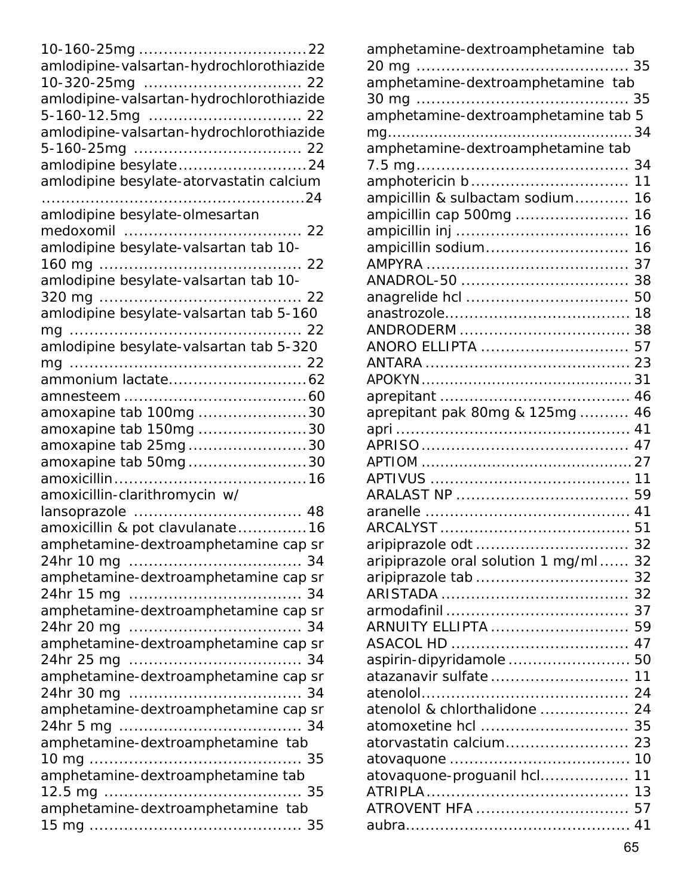| amlodipine-valsartan-hydrochlorothiazide |
|------------------------------------------|
|                                          |
| amlodipine-valsartan-hydrochlorothiazide |
|                                          |
| amlodipine-valsartan-hydrochlorothiazide |
|                                          |
| amlodipine besylate24                    |
| amlodipine besylate-atorvastatin calcium |
|                                          |
| amlodipine besylate-olmesartan           |
|                                          |
| amlodipine besylate-valsartan tab 10-    |
|                                          |
|                                          |
|                                          |
| amlodipine besylate-valsartan tab 5-160  |
|                                          |
| amlodipine besylate-valsartan tab 5-320  |
| $mq$                                     |
|                                          |
|                                          |
| amoxapine tab 100mg 30                   |
| amoxapine tab 150mg 30                   |
| amoxapine tab 25mg30                     |
| amoxapine tab 50mg30                     |
|                                          |
| amoxicillin-clarithromycin w/            |
|                                          |
| amoxicillin & pot clavulanate16          |
| amphetamine-dextroamphetamine cap sr     |
|                                          |
| amphetamine-dextroamphetamine cap sr     |
|                                          |
| amphetamine-dextroamphetamine cap sr     |
|                                          |
| amphetamine-dextroamphetamine cap sr     |
|                                          |
| amphetamine-dextroamphetamine cap sr     |
|                                          |
| amphetamine-dextroamphetamine cap sr     |
|                                          |
| amphetamine-dextroamphetamine tab        |
|                                          |
| amphetamine-dextroamphetamine tab        |
|                                          |
| amphetamine-dextroamphetamine tab        |
|                                          |
|                                          |

| amphetamine-dextroamphetamine tab       |      |
|-----------------------------------------|------|
|                                         | . 35 |
| --<br>amphetamine-dextroamphetamine tab |      |
| $30 \, mg \dots$                        | 35   |
| amphetamine-dextroamphetamine tab 5     |      |
|                                         | . 34 |
|                                         |      |
|                                         | 34   |
|                                         | 11   |
| ampicillin & sulbactam sodium           | 16   |
| ampicillin cap 500mg                    | 16   |
|                                         | 16   |
| ampicillin sodium                       | 16   |
|                                         | 37   |
| ANADROL-50                              | 38   |
|                                         | 50   |
|                                         | 18   |
|                                         | 38   |
| ANORO ELLIPTA                           | 57   |
|                                         | 23   |
|                                         |      |
|                                         | 46   |
|                                         | 46   |
| aprepitant pak 80mg & 125mg             | 41   |
|                                         | 47   |
|                                         |      |
|                                         |      |
|                                         |      |
|                                         | 59   |
|                                         | 41   |
|                                         |      |
|                                         | 32   |
| aripiprazole oral solution 1 mg/ml 32   |      |
|                                         |      |
|                                         |      |
|                                         |      |
| ARNUITY ELLIPTA                         | 59   |
|                                         |      |
| aspirin-dipyridamole  50                |      |
| atazanavir sulfate 11                   |      |
|                                         |      |
| atenolol & chlorthalidone  24           |      |
| atomoxetine hcl  35                     |      |
|                                         |      |
|                                         |      |
| atovaquone-proguanil hcl                | 11   |
|                                         |      |
| ATROVENT HFA  57                        |      |
|                                         |      |
|                                         |      |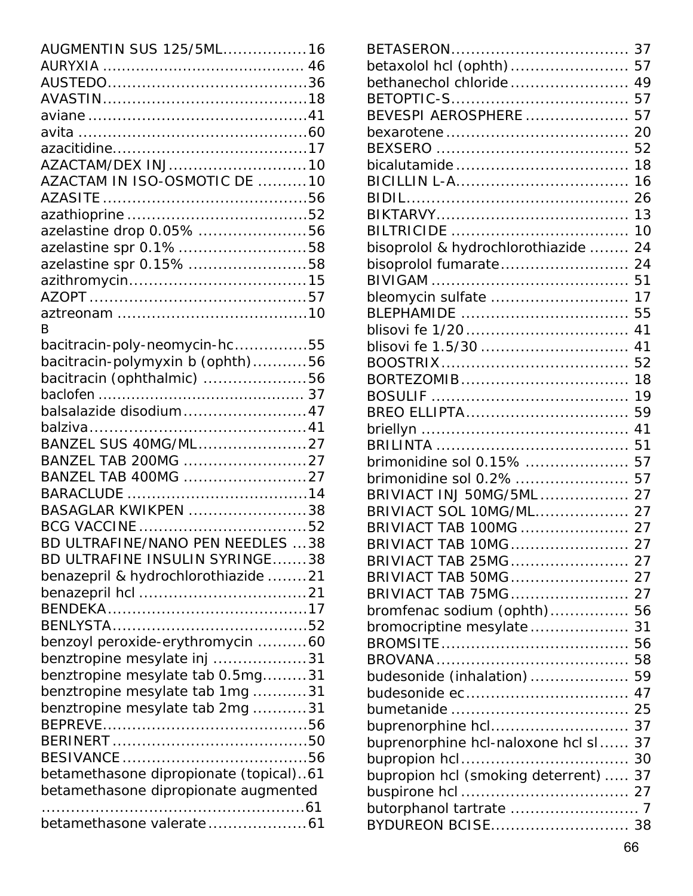| AUGMENTIN SUS 125/5ML 16               |  |
|----------------------------------------|--|
|                                        |  |
|                                        |  |
|                                        |  |
|                                        |  |
|                                        |  |
|                                        |  |
|                                        |  |
| AZACTAM/DEX INJ10                      |  |
| AZACTAM IN ISO-OSMOTIC DE 10           |  |
|                                        |  |
|                                        |  |
| azelastine drop 0.05% 56               |  |
| azelastine spr 0.1%58                  |  |
| azelastine spr 0.15% 58                |  |
|                                        |  |
|                                        |  |
|                                        |  |
| R                                      |  |
| bacitracin-poly-neomycin-hc55          |  |
| bacitracin-polymyxin b (ophth)56       |  |
| bacitracin (ophthalmic) 56             |  |
|                                        |  |
| balsalazide disodium47                 |  |
|                                        |  |
|                                        |  |
| BANZEL SUS 40MG/ML27                   |  |
| BANZEL TAB 200MG 27                    |  |
| BANZEL TAB 400MG 27                    |  |
|                                        |  |
| BASAGLAR KWIKPEN 38                    |  |
|                                        |  |
| BD ULTRAFINE/NANO PEN NEEDLES 38       |  |
| BD ULTRAFINE INSULIN SYRINGE38         |  |
| benazepril & hydrochlorothiazide 21    |  |
|                                        |  |
|                                        |  |
|                                        |  |
| benzoyl peroxide-erythromycin 60       |  |
| benztropine mesylate inj 31            |  |
|                                        |  |
| benztropine mesylate tab 0.5mg31       |  |
| benztropine mesylate tab 1mg31         |  |
| benztropine mesylate tab 2mg 31        |  |
|                                        |  |
|                                        |  |
|                                        |  |
| betamethasone dipropionate (topical)61 |  |
| betamethasone dipropionate augmented   |  |
|                                        |  |
|                                        |  |

| betaxolol hcl (ophth) 57             |    |
|--------------------------------------|----|
| bethanechol chloride 49              |    |
|                                      |    |
| BEVESPI AEROSPHERE  57               |    |
|                                      | 20 |
|                                      | 52 |
|                                      | 18 |
|                                      | 16 |
|                                      |    |
|                                      | 13 |
|                                      | 10 |
| bisoprolol & hydrochlorothiazide  24 |    |
| bisoprolol fumarate 24               |    |
|                                      |    |
| bleomycin sulfate                    | 17 |
| BLEPHAMIDE                           | 55 |
|                                      | 41 |
|                                      | 41 |
|                                      | 52 |
|                                      | 18 |
|                                      | 19 |
| BREO ELLIPTA                         | 59 |
|                                      | 41 |
|                                      | 51 |
| brimonidine sol 0.15%  57            |    |
| brimonidine sol 0.2%  57             |    |
| BRIVIACT INJ 50MG/5ML  27            |    |
| BRIVIACT SOL 10MG/ML 27              |    |
| BRIVIACT TAB 100MG  27               |    |
| BRIVIACT TAB 10MG 27                 |    |
|                                      |    |
|                                      |    |
| BRIVIACT TAB 75MG                    | 27 |
| bromfenac sodium (ophth)             | 56 |
| bromocriptine mesylate               | 31 |
|                                      | 56 |
|                                      | 58 |
| budesonide (inhalation)              | 59 |
|                                      | 47 |
|                                      | 25 |
| buprenorphine hcl                    | 37 |
| buprenorphine hcl-naloxone hcl sl    | 37 |
|                                      | 30 |
| bupropion hcl (smoking deterrent)    | 37 |
|                                      |    |
|                                      |    |
| BYDUREON BCISE 38                    |    |
|                                      |    |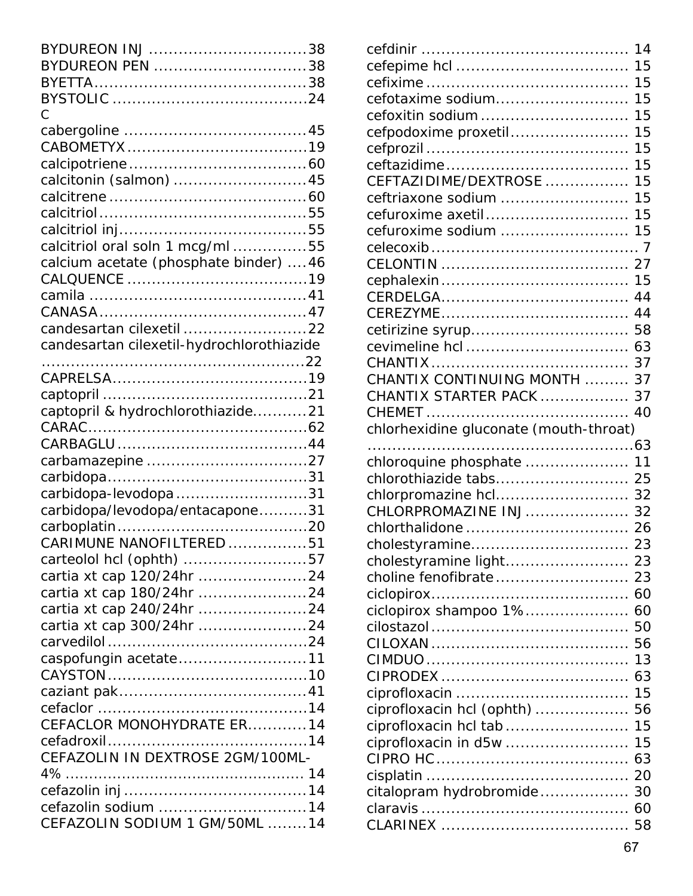| BYDUREON INJ 38                           |  |
|-------------------------------------------|--|
| BYDUREON PEN 38                           |  |
|                                           |  |
|                                           |  |
| Ċ                                         |  |
|                                           |  |
|                                           |  |
|                                           |  |
| calcitonin (salmon) 45                    |  |
|                                           |  |
|                                           |  |
|                                           |  |
| calcitriol oral soln 1 mcg/ml55           |  |
| calcium acetate (phosphate binder)  46    |  |
|                                           |  |
|                                           |  |
|                                           |  |
| candesartan cilexetil 22                  |  |
| candesartan cilexetil-hydrochlorothiazide |  |
|                                           |  |
|                                           |  |
|                                           |  |
| captopril & hydrochlorothiazide21         |  |
|                                           |  |
|                                           |  |
|                                           |  |
|                                           |  |
| carbidopa-levodopa31                      |  |
| carbidopa/levodopa/entacapone31           |  |
|                                           |  |
| CARIMUNE NANOFILTERED 51                  |  |
| carteolol hcl (ophth) 57                  |  |
| cartia xt cap 120/24hr 24                 |  |
| cartia xt cap 180/24hr 24                 |  |
| cartia xt cap 240/24hr 24                 |  |
| cartia xt cap 300/24hr 24                 |  |
|                                           |  |
| caspofungin acetate11                     |  |
|                                           |  |
|                                           |  |
|                                           |  |
| CEFACLOR MONOHYDRATE ER14                 |  |
|                                           |  |
| CEFAZOLIN IN DEXTROSE 2GM/100ML-          |  |
|                                           |  |
|                                           |  |
| cefazolin sodium 14                       |  |
| CEFAZOLIN SODIUM 1 GM/50ML 14             |  |

|                                        | 14       |
|----------------------------------------|----------|
|                                        | 15       |
|                                        | 15       |
| cefotaxime sodium                      | 15       |
| cefoxitin sodium                       | 15       |
| cefpodoxime proxetil                   | 15       |
|                                        | 15       |
|                                        | 15       |
| CEFTAZIDIME/DEXTROSE                   | 15       |
| ceftriaxone sodium                     | 15       |
| cefuroxime axetil                      | 15       |
| cefuroxime sodium                      | 15       |
|                                        |          |
|                                        | 27       |
|                                        | 15       |
|                                        | 44       |
|                                        | 44       |
|                                        | 58       |
|                                        | 63       |
|                                        |          |
| CHANTIX CONTINUING MONTH  37           |          |
| CHANTIX STARTER PACK  37               |          |
|                                        | 40       |
|                                        |          |
|                                        |          |
| chlorhexidine gluconate (mouth-throat) |          |
|                                        |          |
| chloroquine phosphate  11              |          |
|                                        |          |
| chlorpromazine hcl 32                  |          |
| CHLORPROMAZINE INJ 32                  |          |
|                                        |          |
|                                        |          |
|                                        |          |
|                                        |          |
|                                        | 60       |
| ciclopirox shampoo 1% 60               |          |
|                                        | 50       |
|                                        | 56       |
|                                        | 13       |
|                                        | 63       |
|                                        | 15       |
| ciprofloxacin hcl (ophth)              | 56       |
| ciprofloxacin hcl tab                  | 15       |
| ciprofloxacin in d5w                   | 15       |
|                                        | 63       |
|                                        |          |
| citalopram hydrobromide                | 30       |
|                                        | 60<br>58 |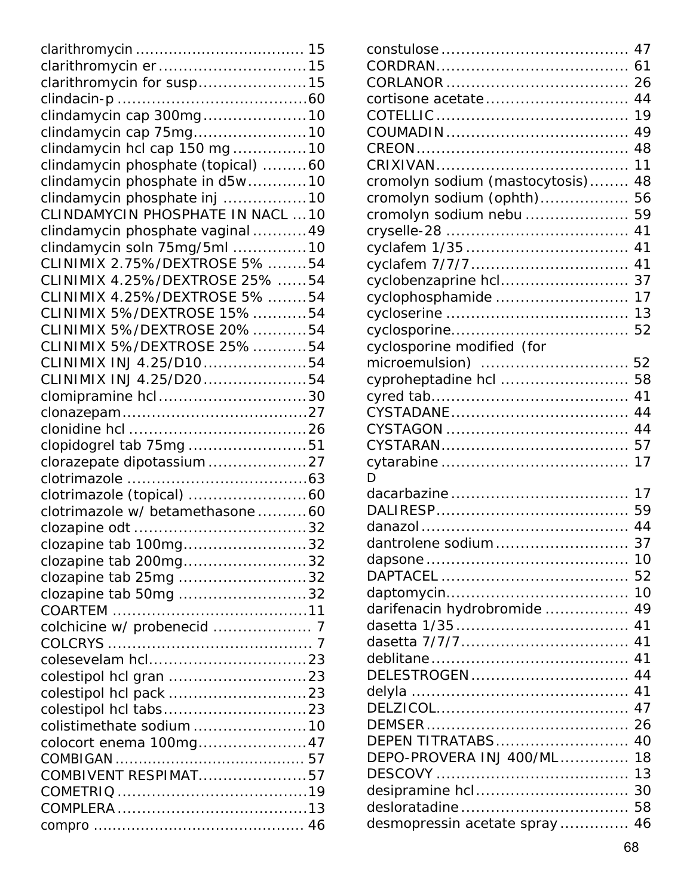| clarithromycin er15                |  |
|------------------------------------|--|
| clarithromycin for susp15          |  |
|                                    |  |
| clindamycin cap 300mg10            |  |
| clindamycin cap 75mg10             |  |
| clindamycin hcl cap 150 mg10       |  |
| clindamycin phosphate (topical) 60 |  |
| clindamycin phosphate in d5w10     |  |
| clindamycin phosphate inj 10       |  |
| CLINDAMYCIN PHOSPHATE IN NACL  10  |  |
| clindamycin phosphate vaginal49    |  |
| clindamycin soln 75mg/5ml 10       |  |
| CLINIMIX 2.75%/DEXTROSE 5% 54      |  |
| CLINIMIX 4.25%/DEXTROSE 25% 54     |  |
| CLINIMIX 4.25%/DEXTROSE 5% 54      |  |
| CLINIMIX 5%/DEXTROSE 15%54         |  |
| CLINIMIX 5%/DEXTROSE 20%54         |  |
| CLINIMIX 5%/DEXTROSE 25%54         |  |
| CLINIMIX INJ 4.25/D1054            |  |
| CLINIMIX INJ 4.25/D2054            |  |
| clomipramine hcl30                 |  |
|                                    |  |
|                                    |  |
| clopidogrel tab 75mg 51            |  |
| clorazepate dipotassium27          |  |
|                                    |  |
|                                    |  |
| clotrimazole w/ betamethasone 60   |  |
|                                    |  |
| clozapine tab 100mg32              |  |
| clozapine tab 200mg32              |  |
| clozapine tab 25mg 32              |  |
| clozapine tab 50mg 32              |  |
| <b>COARTEM</b>                     |  |
|                                    |  |
|                                    |  |
|                                    |  |
|                                    |  |
|                                    |  |
|                                    |  |
| colistimethate sodium 10           |  |
| colocort enema 100mg47             |  |
|                                    |  |
| COMBIVENT RESPIMAT57               |  |
|                                    |  |
|                                    |  |
|                                    |  |

|                                | 26 |
|--------------------------------|----|
| cortisone acetate              | 44 |
|                                | 19 |
|                                | 49 |
|                                | 48 |
|                                | 11 |
| cromolyn sodium (mastocytosis) | 48 |
| cromolyn sodium (ophth)        | 56 |
| cromolyn sodium nebu           | 59 |
|                                | 41 |
|                                | 41 |
|                                | 41 |
| cyclobenzaprine hcl            | 37 |
| cyclophosphamide               | 17 |
|                                | 13 |
|                                | 52 |
| cyclosporine modified (for     |    |
| microemulsion)                 | 52 |
| cyproheptadine hcl             | 58 |
|                                | 41 |
|                                | 44 |
|                                | 44 |
|                                | 57 |
|                                | 17 |
| D.                             |    |
|                                | 17 |
|                                | 59 |
|                                | 44 |
| dantrolene sodium              | 37 |
|                                | 10 |
|                                | 52 |
|                                | 10 |
| darifenacin hydrobromide       | 49 |
|                                | 41 |
|                                | 41 |
|                                | 41 |
| DELESTROGEN                    | 44 |
|                                | 41 |
|                                | 47 |
|                                | 26 |
| DEPEN TITRATABS                | 40 |
| DEPO-PROVERA INJ 400/ML        | 18 |
|                                | 13 |
|                                | 30 |
| desloratadine                  | 58 |
| desmopressin acetate spray     | 46 |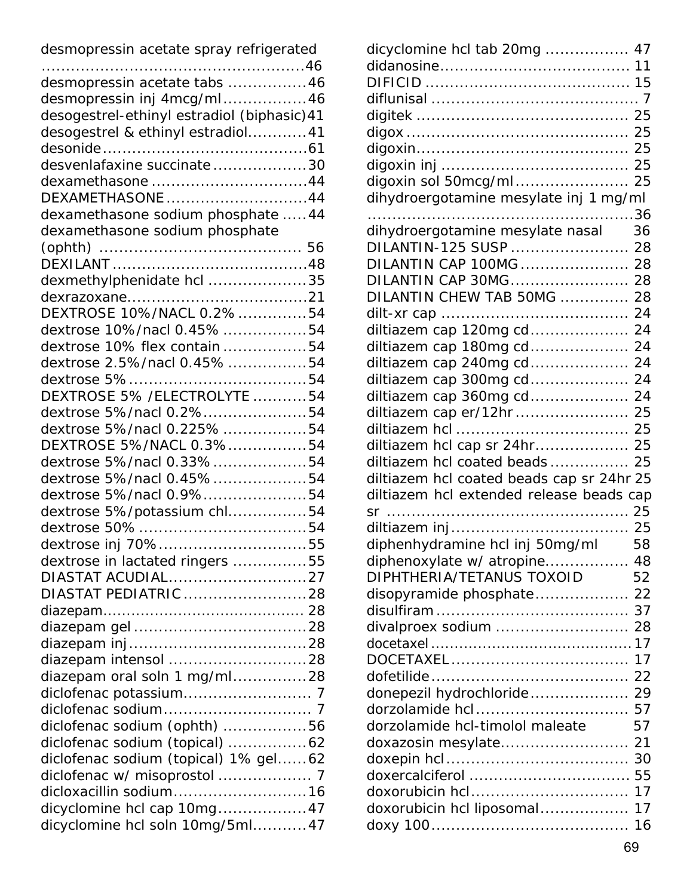| dicyclomine hcl tab 20mg  47              |    |
|-------------------------------------------|----|
|                                           |    |
|                                           |    |
|                                           |    |
|                                           |    |
|                                           | 25 |
|                                           | 25 |
|                                           | 25 |
| digoxin sol 50mcg/ml                      | 25 |
| dihydroergotamine mesylate inj 1 mg/ml    |    |
|                                           |    |
| dihydroergotamine mesylate nasal          | 36 |
| DILANTIN-125 SUSP                         | 28 |
| DILANTIN CAP 100MG  28                    |    |
| DILANTIN CAP 30MG                         | 28 |
| DILANTIN CHEW TAB 50MG                    | 28 |
|                                           | 24 |
| diltiazem cap 120mg cd 24                 |    |
| diltiazem cap 180mg cd                    | 24 |
| diltiazem cap 240mg cd                    | 24 |
| diltiazem cap 300mg cd                    | 24 |
| diltiazem cap 360mg cd                    | 24 |
| diltiazem cap er/12hr                     | 25 |
|                                           | 25 |
| diltiazem hcl cap sr 24hr                 | 25 |
| diltiazem hcl coated beads                | 25 |
| diltiazem hcl coated beads cap sr 24hr 25 |    |
| diltiazem hcl extended release beads cap  |    |
|                                           |    |
|                                           |    |
| diphenhydramine hcl inj 50mg/ml           | 58 |
| diphenoxylate w/ atropine 48              |    |
| DIPHTHERIA/TETANUS TOXOID<br>52           |    |
| disopyramide phosphate 22                 |    |
|                                           |    |
| divalproex sodium  28                     |    |
|                                           |    |
|                                           |    |
|                                           |    |
| donepezil hydrochloride 29                |    |
| dorzolamide hcl 57                        |    |
| dorzolamide hcl-timolol maleate           | 57 |
| doxazosin mesylate                        | 21 |
|                                           |    |
| doxorubicin hcl 17                        |    |
|                                           |    |
|                                           |    |
| doxorubicin hcl liposomal 17              |    |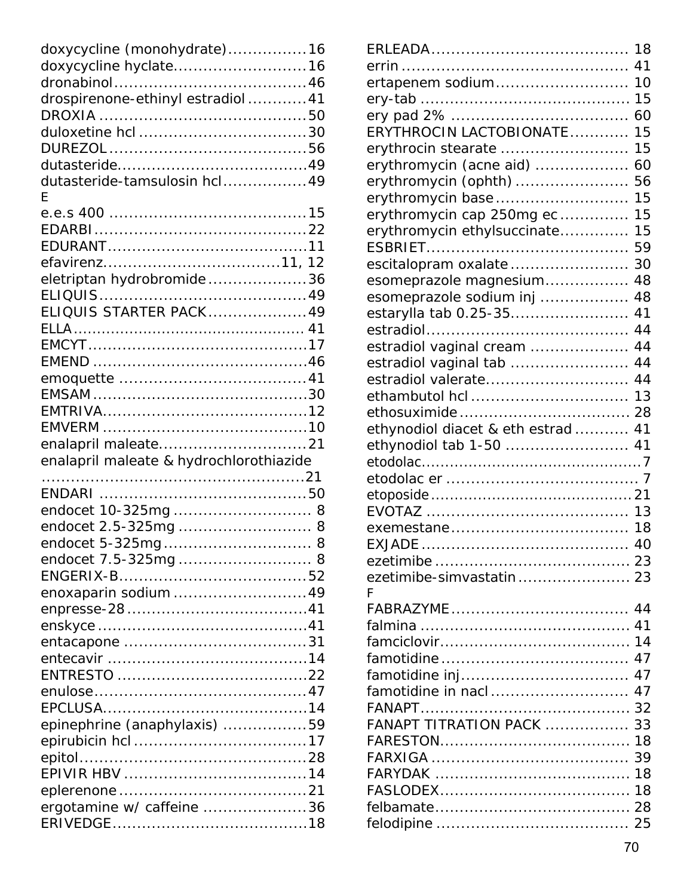| doxycycline (monohydrate)16             |  |
|-----------------------------------------|--|
| doxycycline hyclate16                   |  |
|                                         |  |
| drospirenone-ethinyl estradiol41        |  |
|                                         |  |
|                                         |  |
|                                         |  |
|                                         |  |
| dutasteride-tamsulosin hcl49<br>F       |  |
|                                         |  |
|                                         |  |
|                                         |  |
|                                         |  |
| eletriptan hydrobromide36               |  |
| ELIQUIS STARTER PACK49                  |  |
|                                         |  |
|                                         |  |
|                                         |  |
|                                         |  |
|                                         |  |
|                                         |  |
|                                         |  |
|                                         |  |
|                                         |  |
| enalapril maleate & hydrochlorothiazide |  |
|                                         |  |
|                                         |  |
| endocet 10-325mg 8                      |  |
| endocet 2.5-325mg  8                    |  |
| endocet 5-325mg 8                       |  |
| endocet 7.5-325mg 8                     |  |
|                                         |  |
| enoxaparin sodium49                     |  |
|                                         |  |
|                                         |  |
|                                         |  |
|                                         |  |
|                                         |  |
|                                         |  |
|                                         |  |
| epinephrine (anaphylaxis) 59            |  |
|                                         |  |
|                                         |  |
|                                         |  |
| ergotamine w/ caffeine 36               |  |

|                                | 18 |
|--------------------------------|----|
|                                | 41 |
| ertapenem sodium               | 10 |
|                                | 15 |
|                                | 60 |
| ERYTHROCIN LACTOBIONATE        | 15 |
| erythrocin stearate            | 15 |
| erythromycin (acne aid)        | 60 |
| erythromycin (ophth)           | 56 |
| erythromycin base              | 15 |
| erythromycin cap 250mg ec      | 15 |
| erythromycin ethylsuccinate    | 15 |
|                                | 59 |
| escitalopram oxalate           | 30 |
| esomeprazole magnesium         | 48 |
| esomeprazole sodium inj        | 48 |
| estarylla tab 0.25-35          | 41 |
|                                | 44 |
| estradiol vaginal cream        | 44 |
| estradiol vaginal tab          | 44 |
| estradiol valerate             | 44 |
|                                | 13 |
|                                | 28 |
| ethynodiol diacet & eth estrad | 41 |
| ethynodiol tab 1-50            | 41 |
|                                |    |
|                                |    |
|                                |    |
|                                | 13 |
|                                | 18 |
|                                | 40 |
|                                |    |
|                                |    |
| F                              |    |
|                                |    |
|                                |    |
|                                |    |
|                                |    |
|                                | 47 |
|                                | 47 |
| famotidine in nacl             | 47 |
|                                |    |
| FANAPT TITRATION PACK          | 33 |
|                                | 18 |
|                                | 39 |
|                                | 18 |
|                                | 18 |
|                                |    |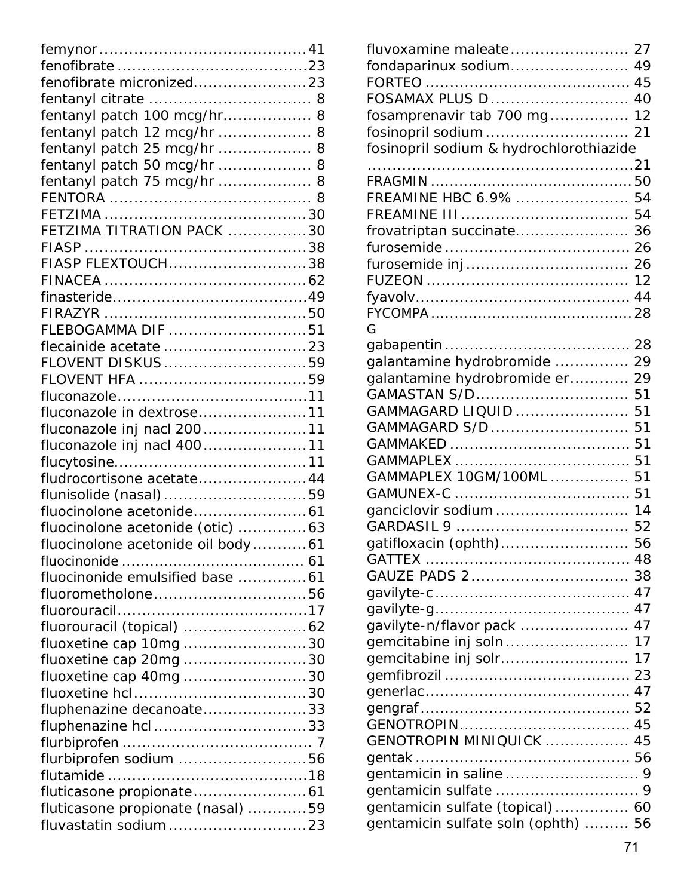| fenofibrate micronized23          |  |
|-----------------------------------|--|
|                                   |  |
| fentanyl patch 100 mcg/hr 8       |  |
| fentanyl patch 12 mcg/hr  8       |  |
| fentanyl patch 25 mcg/hr  8       |  |
| fentanyl patch 50 mcg/hr  8       |  |
| fentanyl patch 75 mcg/hr  8       |  |
|                                   |  |
|                                   |  |
| FETZIMA TITRATION PACK 30         |  |
|                                   |  |
| FIASP FLEXTOUCH38                 |  |
|                                   |  |
|                                   |  |
|                                   |  |
| FLEBOGAMMA DIF 51                 |  |
|                                   |  |
| FLOVENT DISKUS59                  |  |
|                                   |  |
|                                   |  |
| fluconazole in dextrose11         |  |
| fluconazole inj nacl 20011        |  |
| fluconazole inj nacl 40011        |  |
|                                   |  |
| fludrocortisone acetate 44        |  |
| flunisolide (nasal)59             |  |
|                                   |  |
| fluocinolone acetonide (otic) 63  |  |
| fluocinolone acetonide oil body61 |  |
|                                   |  |
| fluocinonide emulsified base 61   |  |
| fluorometholone56                 |  |
|                                   |  |
|                                   |  |
| fluoxetine cap 10mg 30            |  |
| <i>fluoxetine cap 20mg</i> 30     |  |
| fluoxetine cap 40mg 30            |  |
|                                   |  |
| fluphenazine decanoate33          |  |
| fluphenazine hcl33                |  |
|                                   |  |
| flurbiprofen sodium 56            |  |
|                                   |  |
|                                   |  |
| fluticasone propionate (nasal) 59 |  |
|                                   |  |

| fondaparinux sodium 49                  |    |
|-----------------------------------------|----|
|                                         |    |
| FOSAMAX PLUS D  40                      |    |
| fosamprenavir tab 700 mg                | 12 |
|                                         |    |
| fosinopril sodium & hydrochlorothiazide |    |
|                                         |    |
|                                         |    |
| FREAMINE HBC 6.9%                       | 54 |
|                                         | 54 |
| frovatriptan succinate                  | 36 |
|                                         | 26 |
|                                         |    |
|                                         | 12 |
|                                         | 44 |
| G                                       |    |
|                                         |    |
| galantamine hydrobromide                | 29 |
| galantamine hydrobromide er             | 29 |
| GAMASTAN S/D                            | 51 |
| GAMMAGARD LIQUID                        | 51 |
| GAMMAGARD S/D                           | 51 |
|                                         | 51 |
|                                         | 51 |
| GAMMAPLEX 10GM/100ML                    | 51 |
|                                         |    |
|                                         | 14 |
|                                         | 52 |
| gatifloxacin (ophth) 56                 |    |
|                                         |    |
|                                         |    |
|                                         |    |
|                                         |    |
| gavilyte-n/flavor pack  47              |    |
| gemcitabine inj soln 17                 |    |
| gemcitabine inj solr                    | 17 |
|                                         |    |
|                                         |    |
|                                         |    |
|                                         |    |
| GENOTROPIN MINIQUICK  45                |    |
|                                         |    |
|                                         |    |
|                                         |    |
| gentamicin sulfate (topical) 60         |    |
| gentamicin sulfate soln (ophth)  56     |    |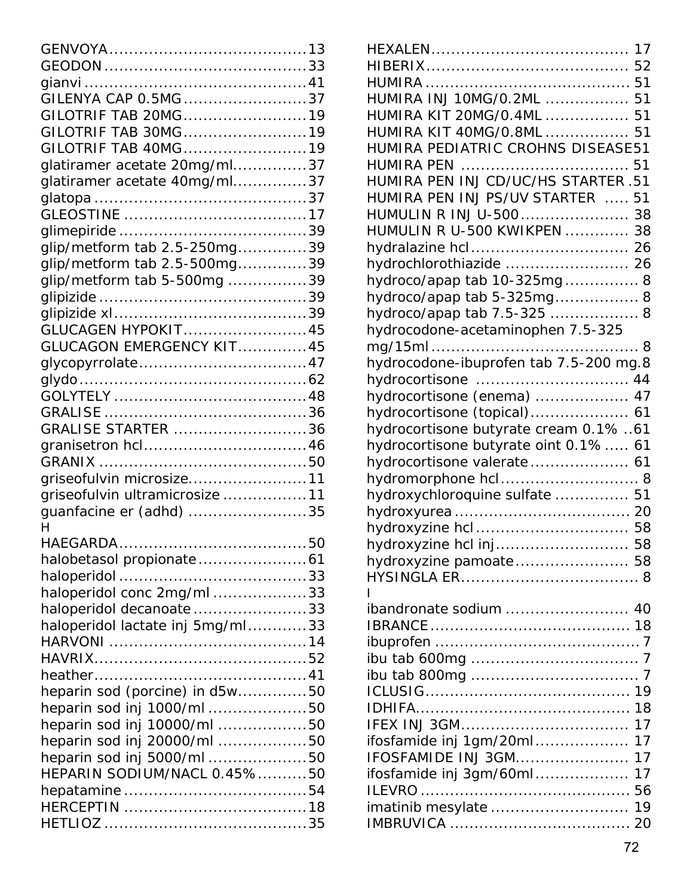| GILENYA CAP 0.5MG 37             |  |
|----------------------------------|--|
| GILOTRIF TAB 20MG19              |  |
| GILOTRIF TAB 30MG19              |  |
| GILOTRIF TAB 40MG19              |  |
| glatiramer acetate 20mg/ml37     |  |
| glatiramer acetate 40mg/ml37     |  |
|                                  |  |
|                                  |  |
|                                  |  |
| glip/metform tab 2.5-250mg39     |  |
| glip/metform tab 2.5-500mg39     |  |
|                                  |  |
| glip/metform tab 5-500mg 39      |  |
|                                  |  |
|                                  |  |
| <b>GLUCAGEN HYPOKIT45</b>        |  |
| GLUCAGON EMERGENCY KIT45         |  |
|                                  |  |
|                                  |  |
|                                  |  |
|                                  |  |
| GRALISE STARTER 36               |  |
|                                  |  |
|                                  |  |
| griseofulvin microsize11         |  |
| griseofulvin ultramicrosize 11   |  |
| guanfacine er (adhd) 35          |  |
| H                                |  |
| HAEGARDA                         |  |
|                                  |  |
|                                  |  |
| haloperidol conc 2mg/ml 33       |  |
| haloperidol decanoate 33         |  |
| haloperidol lactate inj 5mg/ml33 |  |
|                                  |  |
|                                  |  |
|                                  |  |
| heparin sod (porcine) in d5w50   |  |
| heparin sod inj 1000/ml 50       |  |
| heparin sod inj 10000/ml 50      |  |
| heparin sod inj 20000/ml 50      |  |
| heparin sod inj 5000/ml 50       |  |
| HEPARIN SODIUM/NACL 0.45%50      |  |
|                                  |  |
|                                  |  |
|                                  |  |
|                                  |  |

| HUMIRA INJ 10MG/0.2ML  51              |
|----------------------------------------|
| HUMIRA KIT 20MG/0.4ML  51              |
| HUMIRA KIT 40MG/0.8ML  51              |
| HUMIRA PEDIATRIC CROHNS DISEASE51      |
|                                        |
| HUMIRA PEN INJ CD/UC/HS STARTER .51    |
| HUMIRA PEN INJ PS/UV STARTER  51       |
| HUMULIN R INJ U-500 38                 |
| HUMULIN R U-500 KWIKPEN  38            |
|                                        |
|                                        |
| hydrochlorothiazide  26                |
| hydroco/apap tab 10-325mg 8            |
| hydroco/apap tab 5-325mg 8             |
| hydroco/apap tab 7.5-325  8            |
| hydrocodone-acetaminophen 7.5-325      |
|                                        |
| hydrocodone-ibuprofen tab 7.5-200 mg.8 |
| hydrocortisone  44                     |
| hydrocortisone (enema)  47             |
| hydrocortisone (topical) 61            |
| hydrocortisone butyrate cream 0.1% 61  |
| hydrocortisone butyrate oint 0.1% 61   |
| hydrocortisone valerate 61             |
| hydromorphone hcl 8                    |
| hydroxychloroquine sulfate  51         |
|                                        |
| hydroxyzine hcl 58                     |
| hydroxyzine hcl inj 58                 |
| hydroxyzine pamoate 58                 |
|                                        |
|                                        |
| ibandronate sodium  40                 |
|                                        |
|                                        |
|                                        |
|                                        |
|                                        |
|                                        |
|                                        |
| 17                                     |
| ifosfamide inj 1gm/20ml<br>17          |
| <b>IFOSFAMIDE INJ 3GM</b><br>17        |
| 17<br>ifosfamide inj 3gm/60ml          |
|                                        |
| imatinib mesylate  19                  |
|                                        |
|                                        |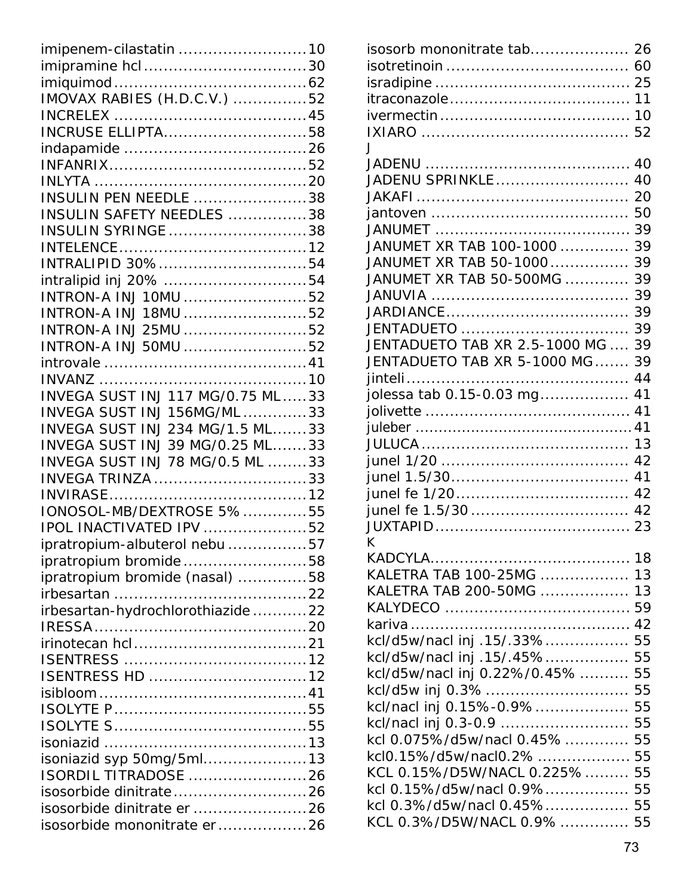| imipenem-cilastatin 10                               |  |
|------------------------------------------------------|--|
|                                                      |  |
|                                                      |  |
| IMOVAX RABIES (H.D.C.V.) 52                          |  |
|                                                      |  |
| <b>INCRUSE ELLIPTA58</b>                             |  |
|                                                      |  |
|                                                      |  |
|                                                      |  |
| INSULIN PEN NEEDLE 38                                |  |
| INSULIN SAFETY NEEDLES 38                            |  |
| <b>INSULIN SYRINGE</b> 38                            |  |
|                                                      |  |
| INTRALIPID 30%54                                     |  |
| intralipid inj 20% 54                                |  |
| INTRON-A INJ 10MU 52                                 |  |
| INTRON-A INJ 18MU 52                                 |  |
| INTRON-A INJ 25MU 52                                 |  |
| INTRON-A INJ 50MU 52                                 |  |
|                                                      |  |
|                                                      |  |
| <b>INVEGA SUST INJ 117 MG/0.75 ML33</b>              |  |
| INVEGA SUST INJ 156MG/ML 33                          |  |
| INVEGA SUST INJ 234 MG/1.5 ML33                      |  |
| INVEGA SUST INJ 39 MG/0.25 ML33                      |  |
| INVEGA SUST INJ 78 MG/0.5 ML 33                      |  |
| INVEGA TRINZA 33                                     |  |
|                                                      |  |
| IONOSOL-MB/DEXTROSE 5%55<br>IPOL INACTIVATED IPV 52  |  |
|                                                      |  |
|                                                      |  |
| ipratropium-albuterol nebu 57                        |  |
| ipratropium bromide58                                |  |
| ipratropium bromide (nasal) 58                       |  |
|                                                      |  |
| irbesartan-hydrochlorothiazide22                     |  |
|                                                      |  |
|                                                      |  |
|                                                      |  |
| ISENTRESS HD 12                                      |  |
|                                                      |  |
|                                                      |  |
|                                                      |  |
|                                                      |  |
| isoniazid syp 50mg/5ml13                             |  |
| <b>ISORDIL TITRADOSE</b> 26                          |  |
| isosorbide dinitrate26<br>isosorbide dinitrate er 26 |  |
| isosorbide mononitrate er26                          |  |

| isosorb mononitrate tab 26        |    |
|-----------------------------------|----|
|                                   |    |
|                                   |    |
|                                   |    |
|                                   |    |
|                                   |    |
| $\mathbf{J}$                      |    |
|                                   |    |
| JADENU SPRINKLE 40                |    |
|                                   |    |
|                                   |    |
|                                   |    |
| JANUMET XR TAB 100-1000           | 39 |
| JANUMET XR TAB 50-1000            | 39 |
| JANUMET XR TAB 50-500MG           | 39 |
|                                   | 39 |
|                                   |    |
| JENTADUETO                        | 39 |
| JENTADUETO TAB XR 2.5-1000 MG  39 |    |
| JENTADUETO TAB XR 5-1000 MG       | 39 |
|                                   |    |
|                                   | 41 |
| jolessa tab 0.15-0.03 mg          |    |
|                                   |    |
|                                   |    |
|                                   |    |
|                                   |    |
|                                   |    |
|                                   |    |
|                                   |    |
|                                   |    |
| K                                 |    |
|                                   |    |
| KALETRA TAB 100-25MG  13          |    |
| KALETRA TAB 200-50MG  13          |    |
|                                   |    |
|                                   |    |
| kcl/d5w/nacl inj .15/.33% 55      |    |
| kcl/d5w/nacl inj .15/.45% 55      |    |
| kcl/d5w/nacl inj 0.22%/0.45%  55  |    |
|                                   |    |
| kcl/nacl inj 0.15%-0.9% 55        |    |
| kcl/nacl inj 0.3-0.9  55          |    |
| kcl 0.075%/d5w/nacl 0.45% 55      |    |
|                                   |    |
| KCL 0.15%/D5W/NACL 0.225% 55      |    |
| kcl 0.15%/d5w/nacl 0.9%55         |    |
| kcl 0.3%/d5w/nacl 0.45% 55        |    |
|                                   |    |
|                                   |    |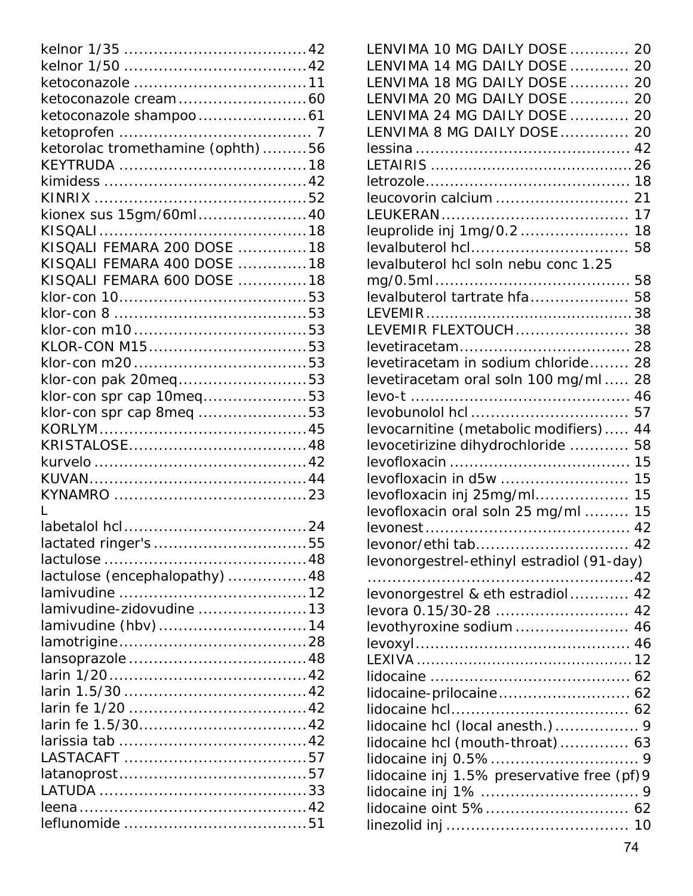| ketorolac tromethamine (ophth)56 |  |
|----------------------------------|--|
|                                  |  |
|                                  |  |
|                                  |  |
|                                  |  |
| kionex sus 15gm/60ml40           |  |
|                                  |  |
| KISQALI FEMARA 200 DOSE 18       |  |
| KISOALI FEMARA 400 DOSE 18       |  |
| KISQALI FEMARA 600 DOSE 18       |  |
|                                  |  |
|                                  |  |
|                                  |  |
| KLOR-CON M1553                   |  |
|                                  |  |
|                                  |  |
| klor-con pak 20meq53             |  |
| klor-con spr cap 10meq53         |  |
| klor-con spr cap 8meq 53         |  |
|                                  |  |
|                                  |  |
|                                  |  |
|                                  |  |
|                                  |  |
| L                                |  |
|                                  |  |
|                                  |  |
|                                  |  |
| lactulose (encephalopathy) 48    |  |
|                                  |  |
|                                  |  |
| lamivudine-zidovudine 13         |  |
| lamivudine (hbv)14               |  |
|                                  |  |
|                                  |  |
|                                  |  |
|                                  |  |
|                                  |  |
|                                  |  |
|                                  |  |
|                                  |  |
|                                  |  |
|                                  |  |
|                                  |  |
|                                  |  |
|                                  |  |

| LENVIMA 10 MG DAILY DOSE  20               |    |
|--------------------------------------------|----|
| LENVIMA 14 MG DAILY DOSE  20               |    |
| LENVIMA 18 MG DAILY DOSE  20               |    |
| LENVIMA 20 MG DAILY DOSE  20               |    |
| LENVIMA 24 MG DAILY DOSE                   | 20 |
| LENVIMA 8 MG DAILY DOSE                    | 20 |
|                                            | 42 |
|                                            |    |
|                                            | 18 |
| leucovorin calcium                         | 21 |
|                                            | 17 |
| leuprolide inj 1mg/0.2                     | 18 |
| levalbuterol hcl                           | 58 |
| levalbuterol hcl soln nebu conc 1.25       |    |
|                                            | 58 |
| levalbuterol tartrate hfa                  | 58 |
|                                            |    |
| LEVEMIR FLEXTOUCH 38                       |    |
|                                            | 28 |
| levetiracetam in sodium chloride           | 28 |
| levetiracetam oral soln 100 mg/ml          | 28 |
|                                            | 46 |
|                                            | 57 |
| levocarnitine (metabolic modifiers)        | 44 |
| levocetirizine dihydrochloride             | 58 |
|                                            | 15 |
| levofloxacin in d5w                        | 15 |
| levofloxacin inj 25mg/ml                   | 15 |
| levofloxacin oral soln 25 mg/ml            | 15 |
|                                            | 42 |
| levonor/ethi tah                           | 42 |
| levonorgestrel-ethinyl estradiol (91-day)  |    |
|                                            |    |
| levonorgestrel & eth estradiol 42          |    |
| levora 0.15/30-28  42                      |    |
| levothyroxine sodium 46                    |    |
|                                            |    |
|                                            |    |
|                                            |    |
|                                            |    |
|                                            |    |
|                                            |    |
| lidocaine hcl (mouth-throat) 63            |    |
|                                            |    |
| lidocaine inj 1.5% preservative free (pf)9 |    |
|                                            |    |
| lidocaine oint 5% 62                       |    |
|                                            |    |
|                                            |    |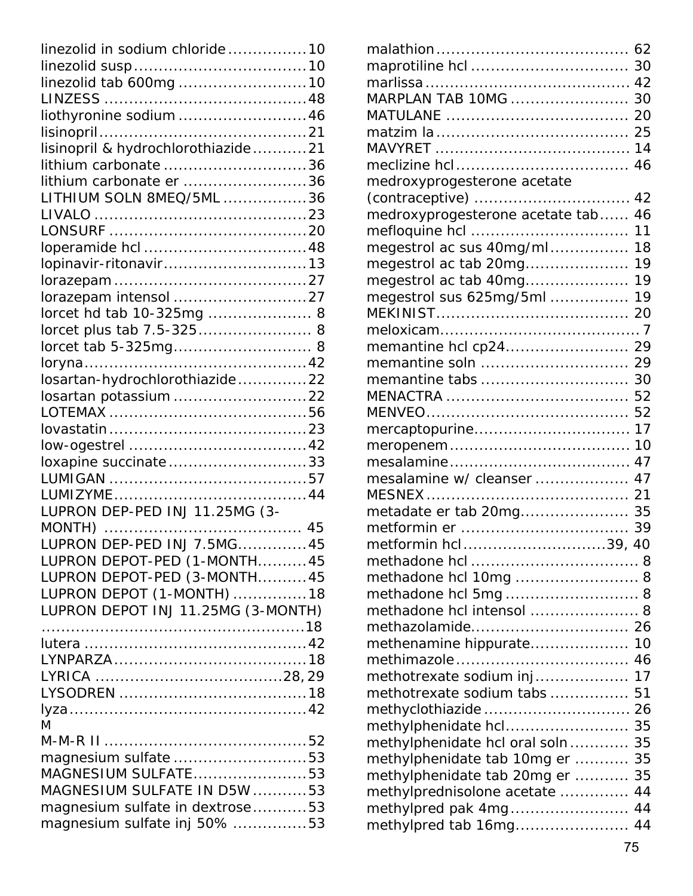| linezolid in sodium chloride10     |  |
|------------------------------------|--|
|                                    |  |
| linezolid tab 600mg 10             |  |
|                                    |  |
| liothyronine sodium  46            |  |
|                                    |  |
| lisinopril & hydrochlorothiazide21 |  |
| lithium carbonate 36               |  |
| lithium carbonate er 36            |  |
| LITHIUM SOLN 8MEQ/5ML 36           |  |
|                                    |  |
|                                    |  |
|                                    |  |
| lopinavir-ritonavir13              |  |
|                                    |  |
|                                    |  |
| lorcet hd tab 10-325mg  8          |  |
| lorcet plus tab 7.5-325 8          |  |
| lorcet tab 5-325mg 8               |  |
|                                    |  |
| losartan-hydrochlorothiazide22     |  |
| losartan potassium22               |  |
|                                    |  |
|                                    |  |
|                                    |  |
| loxapine succinate33               |  |
|                                    |  |
|                                    |  |
| LUPRON DEP-PED INJ 11.25MG (3-     |  |
|                                    |  |
| LUPRON DEP-PED INJ 7.5MG45         |  |
| LUPRON DEPOT-PED (1-MONTH45        |  |
| LUPRON DEPOT-PED (3-MONTH45        |  |
| LUPRON DEPOT (1-MONTH) 18          |  |
| LUPRON DEPOT INJ 11.25MG (3-MONTH) |  |
|                                    |  |
|                                    |  |
|                                    |  |
|                                    |  |
|                                    |  |
|                                    |  |
| M                                  |  |
| magnesium sulfate 53               |  |
| MAGNESIUM SULFATE53                |  |
| MAGNESIUM SULFATE IN D5W 53        |  |
| magnesium sulfate in dextrose53    |  |
|                                    |  |
| magnesium sulfate inj 50% 53       |  |

| MARPLAN TAB 10MG                 | 30 |
|----------------------------------|----|
|                                  | 20 |
|                                  |    |
|                                  |    |
|                                  | 46 |
| medroxyprogesterone acetate      |    |
|                                  | 42 |
| medroxyprogesterone acetate tab  | 46 |
|                                  | 11 |
| megestrol ac sus 40mg/ml         | 18 |
| megestrol ac tab 20mg            | 19 |
| megestrol ac tab 40mg            | 19 |
| megestrol sus 625mg/5ml          | 19 |
|                                  |    |
|                                  |    |
| memantine hcl cp24 29            |    |
| memantine soln                   | 29 |
| memantine tabs                   | 30 |
|                                  | 52 |
|                                  | 52 |
| mercaptopurine                   | 17 |
|                                  | 10 |
|                                  | 47 |
| mesalamine w/ cleanser           | 47 |
| MESNEX                           |    |
| metadate er tab 20mg 35          |    |
|                                  | 39 |
| metformin hcl39,                 | 40 |
|                                  |    |
| methadone hcl 10mg  8            |    |
| methadone hcl 5mg 8              |    |
| methadone hcl intensol  8        |    |
|                                  |    |
| methenamine hippurate 10         |    |
|                                  |    |
| methotrexate sodium inj 17       |    |
| methotrexate sodium tabs         | 51 |
|                                  |    |
| methylphenidate hcl 35           |    |
| methylphenidate hcl oral soln 35 |    |
| methylphenidate tab 10mg er      | 35 |
| methylphenidate tab 20mg er  35  |    |
| methylprednisolone acetate       | 44 |
| methylpred pak 4mg 44            |    |
| methylpred tab 16mg 44           |    |
|                                  |    |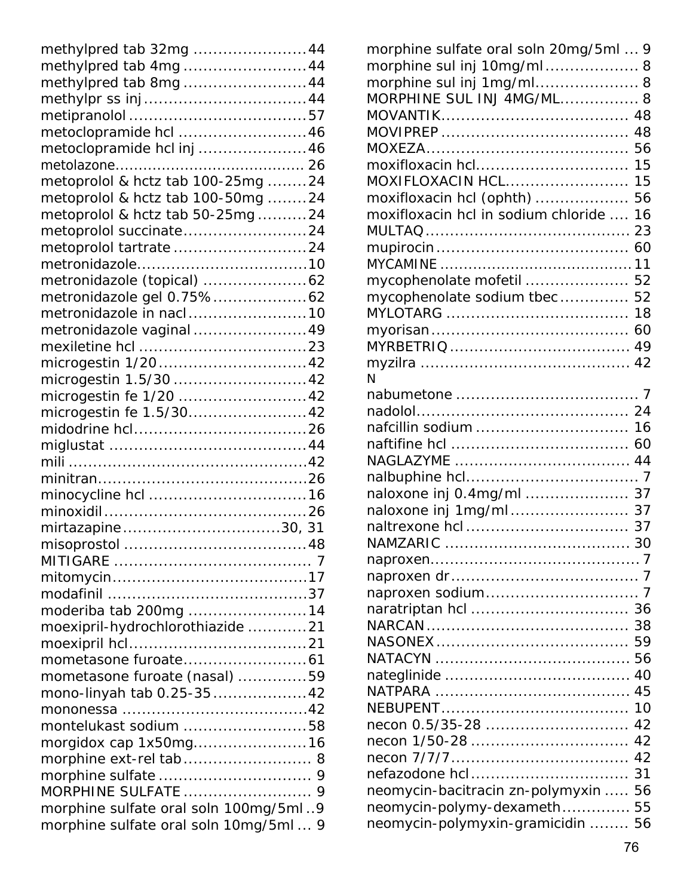| methylpred tab 32mg 44                |
|---------------------------------------|
| methylpred tab 4mg44                  |
| methylpred tab 8mg44                  |
|                                       |
|                                       |
| metoclopramide hcl 46                 |
| metoclopramide hcl inj 46             |
|                                       |
| metoprolol & hctz tab 100-25mg 24     |
| metoprolol & hctz tab 100-50mg 24     |
| metoprolol & hctz tab 50-25mg24       |
| metoprolol succinate24                |
| metoprolol tartrate 24                |
|                                       |
| metronidazole (topical) 62            |
| metronidazole gel 0.75%62             |
| metronidazole in nacl10               |
| metronidazole vaginal 49              |
|                                       |
| microgestin 1/20 42                   |
| microgestin 1.5/30  42                |
| microgestin fe 1/20  42               |
| microgestin fe 1.5/3042               |
|                                       |
|                                       |
|                                       |
|                                       |
|                                       |
|                                       |
| mirtazapine30, 31                     |
|                                       |
|                                       |
|                                       |
|                                       |
| moderiba tab 200mg 14                 |
| moexipril-hydrochlorothiazide 21      |
|                                       |
|                                       |
| mometasone furoate (nasal) 59         |
| mono-linyah tab 0.25-3542             |
|                                       |
| montelukast sodium 58                 |
| morgidox cap 1x50mg16                 |
| morphine ext-rel tab 8                |
|                                       |
|                                       |
| morphine sulfate oral soln 100mg/5ml9 |
| morphine sulfate oral soln 10mg/5ml 9 |

| morphine sulfate oral soln 20mg/5ml  9 |    |
|----------------------------------------|----|
| morphine sul inj 10mg/ml 8             |    |
| morphine sul inj 1mg/ml 8              |    |
| MORPHINE SUL INJ 4MG/ML 8              |    |
|                                        |    |
|                                        | 48 |
|                                        |    |
| moxifloxacin hcl                       | 15 |
| MOXIFLOXACIN HCL                       | 15 |
| moxifloxacin hcl (ophth)               | 56 |
| moxifloxacin hcl in sodium chloride    | 16 |
|                                        | 23 |
|                                        | 60 |
|                                        |    |
| mycophenolate mofetil  52              |    |
| mycophenolate sodium tbec              | 52 |
|                                        | 18 |
|                                        | 60 |
|                                        |    |
|                                        |    |
| N                                      |    |
|                                        |    |
|                                        |    |
| nafcillin sodium  16                   |    |
|                                        | 60 |
|                                        |    |
|                                        |    |
| naloxone inj 0.4mg/ml  37              |    |
| naloxone inj 1mg/ml 37                 |    |
|                                        | 37 |
|                                        |    |
|                                        |    |
|                                        |    |
| naproxen sodium                        |    |
|                                        |    |
|                                        | 38 |
|                                        | 59 |
|                                        | 56 |
|                                        | 40 |
|                                        | 45 |
|                                        | 10 |
| $necon$ 0.5/35-28                      | 42 |
| necon 1/50-28                          | 42 |
|                                        | 42 |
|                                        | 31 |
| neomycin-bacitracin zn-polymyxin       | 56 |
| neomycin-polymy-dexameth 55            |    |
| neomycin-polymyxin-gramicidin  56      |    |
|                                        |    |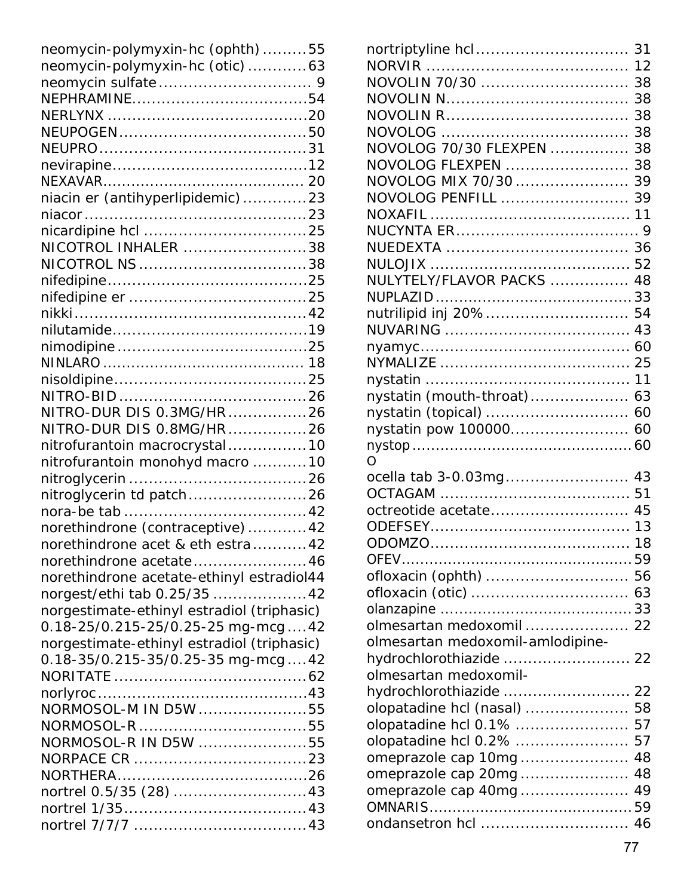| neomycin-polymyxin-hc (ophth)55            |  |
|--------------------------------------------|--|
| neomycin-polymyxin-hc (otic)63             |  |
|                                            |  |
|                                            |  |
|                                            |  |
|                                            |  |
|                                            |  |
|                                            |  |
|                                            |  |
| niacin er (antihyperlipidemic)23           |  |
|                                            |  |
|                                            |  |
| NICOTROL INHALER 38                        |  |
|                                            |  |
|                                            |  |
|                                            |  |
|                                            |  |
|                                            |  |
|                                            |  |
|                                            |  |
|                                            |  |
|                                            |  |
| NITRO-DUR DIS 0.3MG/HR26                   |  |
| NITRO-DUR DIS 0.8MG/HR26                   |  |
| nitrofurantoin macrocrystal10              |  |
| nitrofurantoin monohyd macro 10            |  |
|                                            |  |
| nitroglycerin td patch26                   |  |
|                                            |  |
| norethindrone (contraceptive)42            |  |
| norethindrone acet & eth estra42           |  |
| norethindrone acetate46                    |  |
| norethindrone acetate-ethinyl estradiol44  |  |
| norgest/ethi tab 0.25/35 42                |  |
| norgestimate-ethinyl estradiol (triphasic) |  |
| 0.18-25/0.215-25/0.25-25 mg-mcg42          |  |
| norgestimate-ethinyl estradiol (triphasic) |  |
| 0.18-35/0.215-35/0.25-35 mg-mcg42          |  |
|                                            |  |
|                                            |  |
| NORMOSOL-M IN D5W 55                       |  |
|                                            |  |
| NORMOSOL-R IN D5W 55                       |  |
|                                            |  |
|                                            |  |
|                                            |  |
|                                            |  |
|                                            |  |
|                                            |  |

| NOVOLIN 70/30  38                |    |
|----------------------------------|----|
|                                  |    |
|                                  | 38 |
|                                  | 38 |
| NOVOLOG 70/30 FLEXPEN            | 38 |
| NOVOLOG FLEXPEN                  | 38 |
| NOVOLOG MIX 70/30                | 39 |
| NOVOLOG PENFILL  39              |    |
|                                  |    |
|                                  |    |
|                                  |    |
|                                  |    |
| NULYTELY/FLAVOR PACKS            | 48 |
|                                  |    |
| nutrilipid inj 20% 54            |    |
|                                  |    |
|                                  |    |
|                                  |    |
|                                  |    |
| nystatin (mouth-throat) 63       |    |
|                                  |    |
| nystatin pow 100000 60           |    |
|                                  |    |
| O.                               |    |
| ocella tab 3-0.03mg 43           |    |
|                                  |    |
|                                  |    |
|                                  |    |
|                                  |    |
| ofloxacin (ophth)  56            |    |
|                                  |    |
|                                  |    |
| olmesartan medoxomil  22         |    |
|                                  |    |
|                                  |    |
| olmesartan medoxomil-amlodipine- |    |
|                                  |    |
| olmesartan medoxomil-            |    |
|                                  |    |
| olopatadine hcl (nasal)  58      |    |
| olopatadine hcl 0.1%  57         |    |
| olopatadine hcl 0.2%             | 57 |
| omeprazole cap 10mg 48           |    |
| omeprazole cap 20mg 48           |    |
| omeprazole cap 40mg 49           |    |
| ondansetron hcl  46              |    |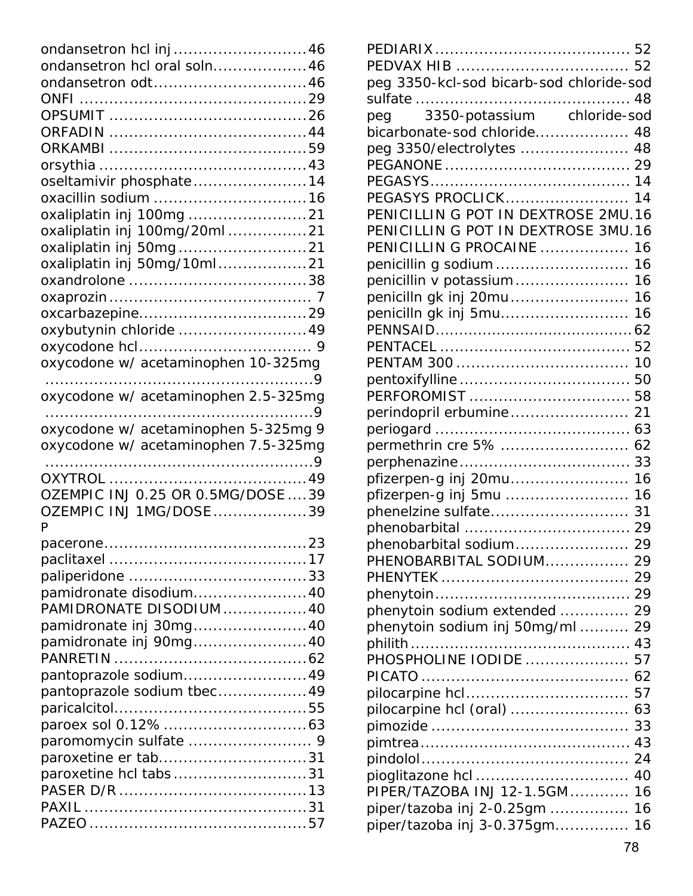| ondansetron hcl inj46                |  |
|--------------------------------------|--|
| ondansetron hcl oral soln46          |  |
| ondansetron odt46                    |  |
|                                      |  |
|                                      |  |
|                                      |  |
|                                      |  |
|                                      |  |
| oseltamivir phosphate14              |  |
| oxacillin sodium 16                  |  |
| oxaliplatin inj 100mg 21             |  |
| oxaliplatin inj 100mg/20ml 21        |  |
| oxaliplatin inj 50mg21               |  |
| oxaliplatin inj 50mg/10ml21          |  |
|                                      |  |
|                                      |  |
|                                      |  |
| oxybutynin chloride 49               |  |
|                                      |  |
| oxycodone w/ acetaminophen 10-325mg  |  |
| oxycodone w/ acetaminophen 2.5-325mg |  |
| 9                                    |  |
| oxycodone w/ acetaminophen 5-325mg 9 |  |
|                                      |  |
|                                      |  |
| oxycodone w/ acetaminophen 7.5-325mg |  |
|                                      |  |
| OZEMPIC INJ 0.25 OR 0.5MG/DOSE  39   |  |
|                                      |  |
| OZEMPIC INJ 1MG/DOSE 39<br>P         |  |
| 23<br>pacerone                       |  |
|                                      |  |
|                                      |  |
| pamidronate disodium 40              |  |
| PAMIDRONATE DISODIUM 40              |  |
| pamidronate inj 30mg40               |  |
| pamidronate inj 90mg40               |  |
|                                      |  |
| pantoprazole sodium49                |  |
| pantoprazole sodium tbec49           |  |
|                                      |  |
|                                      |  |
|                                      |  |
| paroxetine er tab31                  |  |
| paroxetine hcl tabs31                |  |
|                                      |  |
|                                      |  |

| peg 3350-kcl-sod bicarb-sod chloride-sod |    |
|------------------------------------------|----|
|                                          |    |
| peg 3350-potassium chloride-sod          |    |
| bicarbonate-sod chloride 48              |    |
| peg 3350/electrolytes  48                |    |
|                                          |    |
|                                          |    |
| PEGASYS PROCLICK 14                      |    |
| PENICILLIN G POT IN DEXTROSE 2MU.16      |    |
| PENICILLIN G POT IN DEXTROSE 3MU.16      |    |
| PENICILLIN G PROCAINE  16                |    |
| penicillin g sodium 16                   |    |
| penicillin v potassium 16                |    |
| penicilln gk inj 20mu 16                 |    |
|                                          |    |
| penicilln gk inj 5mu 16                  |    |
|                                          |    |
|                                          |    |
|                                          |    |
|                                          |    |
|                                          |    |
| perindopril erbumine 21                  |    |
|                                          |    |
| permethrin cre 5%  62                    |    |
|                                          |    |
| pfizerpen-g inj 20mu 16                  |    |
| pfizerpen-g inj 5mu  16                  |    |
|                                          |    |
|                                          |    |
| phenobarbital sodium 29                  |    |
| PHENOBARBITAL SODIUM 29                  |    |
|                                          |    |
|                                          |    |
| phenytoin sodium extended  29            |    |
| phenytoin sodium inj 50mg/ml 29          |    |
|                                          | 43 |
| .<br>PHOSPHOLINE IODIDE                  | 57 |
|                                          | 62 |
|                                          | 57 |
| pilocarpine hcl (oral)                   | 63 |
|                                          | 33 |
|                                          | 43 |
|                                          | 24 |
|                                          | 40 |
| PIPER/TAZOBA INJ 12-1.5GM                | 16 |
| piper/tazoba inj 2-0.25gm                | 16 |
| piper/tazoba inj 3-0.375gm               | 16 |
|                                          |    |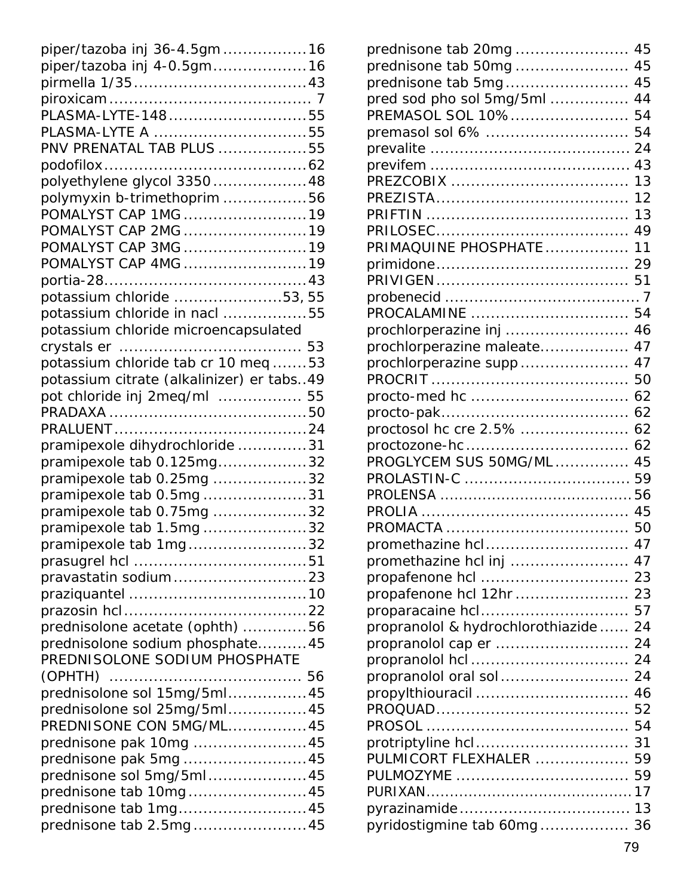| piper/tazoba inj 36-4.5gm16               |  |
|-------------------------------------------|--|
| piper/tazoba inj 4-0.5gm16                |  |
|                                           |  |
|                                           |  |
|                                           |  |
| PLASMA-LYTE A 55                          |  |
| PNV PRENATAL TAB PLUS 55                  |  |
|                                           |  |
| polyethylene glycol 3350 48               |  |
| polymyxin b-trimethoprim 56               |  |
| POMALYST CAP 1MG 19                       |  |
| POMALYST CAP 2MG 19                       |  |
| POMALYST CAP 3MG 19                       |  |
| POMALYST CAP 4MG 19                       |  |
|                                           |  |
| potassium chloride 53, 55                 |  |
| potassium chloride in nacl 55             |  |
| potassium chloride microencapsulated      |  |
|                                           |  |
| potassium chloride tab cr 10 meq 53       |  |
| potassium citrate (alkalinizer) er tabs49 |  |
| pot chloride inj 2meq/ml  55              |  |
|                                           |  |
|                                           |  |
| pramipexole dihydrochloride 31            |  |
| pramipexole tab 0.125mg32                 |  |
| pramipexole tab 0.25mg 32                 |  |
| pramipexole tab 0.5mg 31                  |  |
| pramipexole tab 0.75mg 32                 |  |
| pramipexole tab 1.5mg32                   |  |
| pramipexole tab 1mg32                     |  |
|                                           |  |
| pravastatin sodium23                      |  |
|                                           |  |
|                                           |  |
| prednisolone acetate (ophth) 56           |  |
| prednisolone sodium phosphate45           |  |
| PREDNISOLONE SODIUM PHOSPHATE             |  |
|                                           |  |
| prednisolone sol 15mg/5ml45               |  |
| prednisolone sol 25mg/5ml45               |  |
| PREDNISONE CON 5MG/ML45                   |  |
| prednisone pak 10mg 45                    |  |
| prednisone pak 5mg  45                    |  |
| prednisone sol 5mg/5ml45                  |  |
| prednisone tab 10mg45                     |  |
| prednisone tab 1mg45                      |  |
| prednisone tab 2.5mg45                    |  |
|                                           |  |

| prednisone tab 20mg                  | 45 |
|--------------------------------------|----|
| prednisone tab 50mg                  | 45 |
| prednisone tab 5mg                   | 45 |
| pred sod pho sol 5mg/5ml             | 44 |
| PREMASOL SOL 10%                     | 54 |
|                                      | 54 |
|                                      | 24 |
|                                      | 43 |
|                                      | 13 |
|                                      | 12 |
|                                      | 13 |
|                                      | 49 |
| PRIMAQUINE PHOSPHATE                 | 11 |
|                                      | 29 |
|                                      |    |
|                                      |    |
| PROCALAMINE                          | 54 |
| prochlorperazine inj                 | 46 |
| prochlorperazine maleate             | 47 |
| prochlorperazine supp                | 47 |
|                                      | 50 |
|                                      | 62 |
|                                      | 62 |
| proctosol hc cre 2.5%                | 62 |
|                                      | 62 |
| PROGLYCEM SUS 50MG/ML                | 45 |
|                                      |    |
|                                      |    |
|                                      |    |
|                                      |    |
| promethazine hcl 47                  |    |
|                                      |    |
|                                      |    |
| propafenone hcl 12hr  23             |    |
| proparacaine hcl                     | 57 |
| propranolol & hydrochlorothiazide 24 |    |
|                                      |    |
|                                      |    |
| propranolol oral sol                 | 24 |
| propylthiouracil                     | 46 |
|                                      | 52 |
|                                      | 54 |
| protriptyline hcl                    | 31 |
| PULMICORT FLEXHALER                  | 59 |
| PULMOZYME                            | 59 |
|                                      |    |
|                                      |    |
| pyridostigmine tab 60mg 36           |    |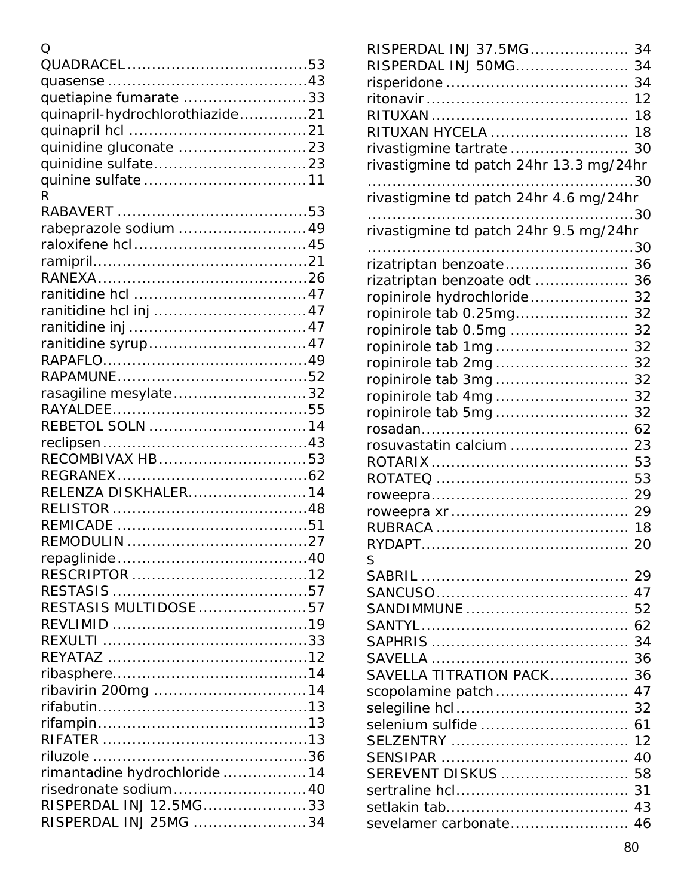| O                               |  |
|---------------------------------|--|
|                                 |  |
|                                 |  |
| quetiapine fumarate 33          |  |
| quinapril-hydrochlorothiazide21 |  |
|                                 |  |
|                                 |  |
|                                 |  |
|                                 |  |
| R                               |  |
|                                 |  |
| rabeprazole sodium  49          |  |
|                                 |  |
|                                 |  |
|                                 |  |
|                                 |  |
|                                 |  |
|                                 |  |
|                                 |  |
|                                 |  |
|                                 |  |
| rasagiline mesylate32           |  |
|                                 |  |
|                                 |  |
|                                 |  |
| RECOMBIVAX HB53                 |  |
|                                 |  |
| RELENZA DISKHALER14             |  |
|                                 |  |
|                                 |  |
|                                 |  |
|                                 |  |
|                                 |  |
|                                 |  |
| RESTASIS MULTIDOSE 57           |  |
|                                 |  |
|                                 |  |
|                                 |  |
|                                 |  |
| ribavirin 200mg 14              |  |
|                                 |  |
|                                 |  |
|                                 |  |
|                                 |  |
| rimantadine hydrochloride 14    |  |
| risedronate sodium 40           |  |
| RISPERDAL INJ 12.5MG33          |  |
| RISPERDAL INJ 25MG 34           |  |
|                                 |  |

| RISPERDAL INJ 37.5MG                    | 34   |
|-----------------------------------------|------|
| RISPERDAL INJ 50MG                      | 34   |
|                                         | 34   |
|                                         | 12   |
|                                         | 18   |
| RITUXAN HYCELA                          | 18   |
| rivastigmine tartrate                   | 30   |
| rivastigmine td patch 24hr 13.3 mg/24hr |      |
|                                         |      |
| rivastigmine td patch 24hr 4.6 mg/24hr  |      |
|                                         | . 30 |
| rivastigmine td patch 24hr 9.5 mg/24hr  |      |
|                                         | 30   |
| rizatriptan benzoate                    | 36   |
| rizatriptan benzoate odt                | 36   |
| ropinirole hydrochloride                | 32   |
| ropinirole tab 0.25mg                   | 32   |
| ropinirole tab 0.5mg                    | 32   |
| ropinirole tab 1mg                      | 32   |
| ropinirole tab 2mg                      | 32   |
| ropinirole tab 3mg                      | 32   |
|                                         | 32   |
| ropinirole tab 5mg                      | 32   |
|                                         | 62   |
| rosuvastatin calcium                    | 23   |
|                                         | 53   |
|                                         | 53   |
|                                         | 29   |
|                                         | 29   |
|                                         | 18   |
| RYDAPT                                  | 20   |
| S                                       |      |
|                                         |      |
|                                         | 47   |
|                                         |      |
|                                         |      |
|                                         | 34   |
|                                         |      |
| SAVELLA TITRATION PACK 36               |      |
| scopolamine patch                       | 47   |
|                                         |      |
|                                         |      |
|                                         | 12   |
|                                         | 40   |
| SEREVENT DISKUS  58                     |      |
|                                         |      |
|                                         | 43   |
| sevelamer carbonate 46                  |      |
|                                         |      |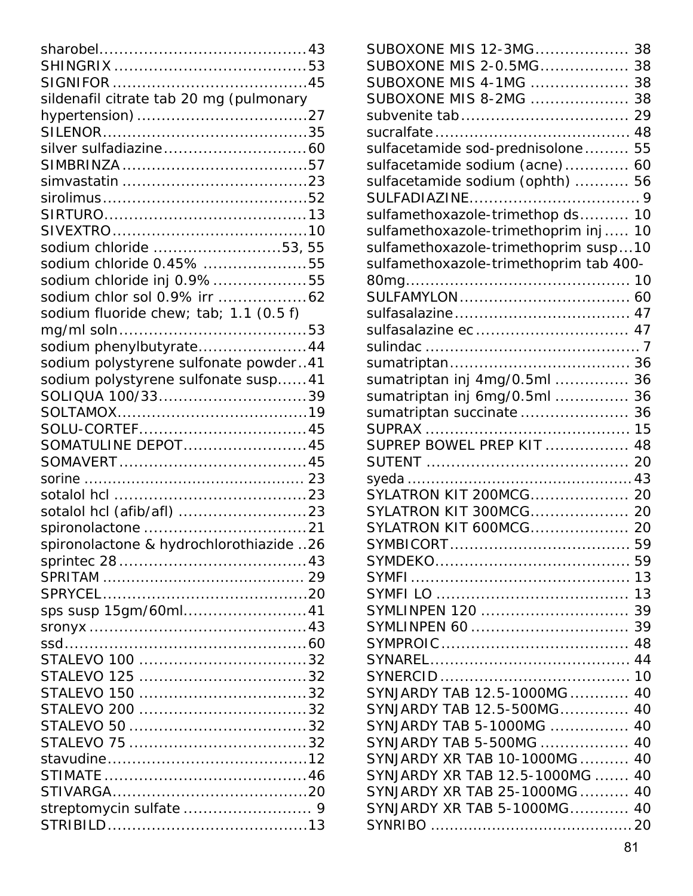| sildenafil citrate tab 20 mg (pulmonary |  |
|-----------------------------------------|--|
|                                         |  |
|                                         |  |
|                                         |  |
|                                         |  |
|                                         |  |
|                                         |  |
|                                         |  |
|                                         |  |
| sodium chloride 53, 55                  |  |
| sodium chloride 0.45% 55                |  |
| sodium chloride inj 0.9%55              |  |
| sodium chlor sol 0.9% irr 62            |  |
| sodium fluoride chew; tab; 1.1 (0.5 f)  |  |
|                                         |  |
| sodium phenylbutyrate44                 |  |
| sodium polystyrene sulfonate powder41   |  |
| sodium polystyrene sulfonate susp 41    |  |
| SOLIQUA 100/3339                        |  |
|                                         |  |
| SOLU-CORTEF45                           |  |
| SOMATULINE DEPOT45                      |  |
|                                         |  |
|                                         |  |
|                                         |  |
|                                         |  |
|                                         |  |
| spironolactone & hydrochlorothiazide 26 |  |
|                                         |  |
|                                         |  |
|                                         |  |
| sps susp 15gm/60ml41                    |  |
|                                         |  |
|                                         |  |
|                                         |  |
|                                         |  |
|                                         |  |
|                                         |  |
|                                         |  |
|                                         |  |
|                                         |  |
|                                         |  |
|                                         |  |
|                                         |  |
|                                         |  |

| SUBOXONE MIS 12-3MG 38                 |    |
|----------------------------------------|----|
| SUBOXONE MIS 2-0.5MG 38                |    |
| SUBOXONE MIS 4-1MG                     | 38 |
| SUBOXONE MIS 8-2MG                     | 38 |
|                                        | 29 |
|                                        |    |
| sulfacetamide sod-prednisolone         | 55 |
| sulfacetamide sodium (acne)            | 60 |
| sulfacetamide sodium (ophth)  56       |    |
|                                        |    |
| sulfamethoxazole-trimethop ds 10       |    |
| sulfamethoxazole-trimethoprim inj      | 10 |
| sulfamethoxazole-trimethoprim susp10   |    |
| sulfamethoxazole-trimethoprim tab 400- |    |
|                                        |    |
|                                        |    |
|                                        |    |
|                                        |    |
|                                        |    |
|                                        |    |
| sumatriptan inj 4mg/0.5ml              | 36 |
| sumatriptan inj 6mg/0.5ml              | 36 |
| sumatriptan succinate                  | 36 |
|                                        | 15 |
| SUPREP BOWEL PREP KIT                  | 48 |
|                                        | 20 |
|                                        |    |
| SYLATRON KIT 200MCG 20                 |    |
| SYLATRON KIT 300MCG 20                 |    |
| SYLATRON KIT 600MCG 20                 |    |
| SYMBICORT                              | 59 |
|                                        |    |
|                                        |    |
|                                        |    |
| SYMLINPEN 120  39                      |    |
|                                        |    |
|                                        |    |
|                                        |    |
|                                        |    |
| SYNJARDY TAB 12.5-1000MG  40           |    |
| SYNJARDY TAB 12.5-500MG 40             |    |
| SYNJARDY TAB 5-1000MG  40              |    |
| SYNJARDY TAB 5-500MG  40               |    |
| SYNJARDY XR TAB 10-1000MG  40          |    |
| SYNJARDY XR TAB 12.5-1000MG  40        |    |
| SYNJARDY XR TAB 25-1000MG 40           |    |
| SYNJARDY XR TAB 5-1000MG 40            |    |
|                                        |    |
|                                        |    |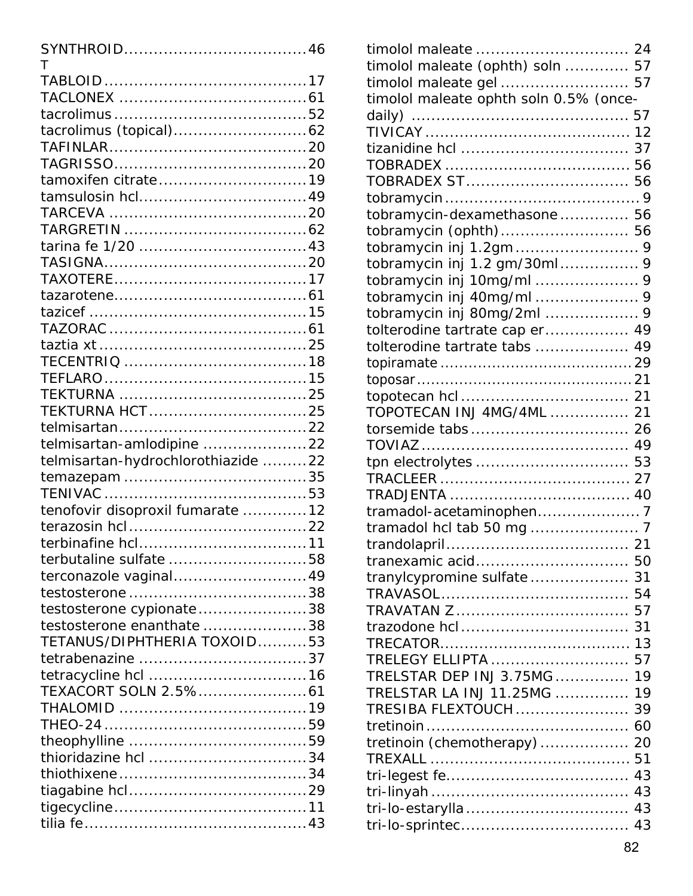| т                                  |  |
|------------------------------------|--|
|                                    |  |
|                                    |  |
|                                    |  |
|                                    |  |
|                                    |  |
|                                    |  |
| tamoxifen citrate19                |  |
|                                    |  |
|                                    |  |
|                                    |  |
|                                    |  |
|                                    |  |
|                                    |  |
|                                    |  |
|                                    |  |
|                                    |  |
|                                    |  |
|                                    |  |
|                                    |  |
| TEKTURNA HCT25                     |  |
|                                    |  |
| telmisartan-amlodipine 22          |  |
| telmisartan-hydrochlorothiazide 22 |  |
|                                    |  |
|                                    |  |
| tenofovir disoproxil fumarate 12   |  |
|                                    |  |
| terbutaline sulfate 58             |  |
| terconazole vaginal49              |  |
|                                    |  |
| testosterone cypionate38           |  |
| testosterone enanthate 38          |  |
| TETANUS/DIPHTHERIA TOXOID53        |  |
|                                    |  |
|                                    |  |
|                                    |  |
|                                    |  |
|                                    |  |
|                                    |  |
| thioridazine hcl 34                |  |
|                                    |  |
|                                    |  |
|                                    |  |
|                                    |  |

| timolol maleate (ophth) soln  57       |    |
|----------------------------------------|----|
| timolol maleate gel  57                |    |
| timolol maleate ophth soln 0.5% (once- |    |
|                                        |    |
|                                        |    |
|                                        |    |
|                                        |    |
|                                        |    |
|                                        |    |
| tobramycin-dexamethasone 56            |    |
| tobramycin (ophth) 56                  |    |
|                                        |    |
| tobramycin inj 1.2 gm/30ml 9           |    |
|                                        |    |
| tobramycin inj 40mg/ml  9              |    |
|                                        |    |
| tolterodine tartrate cap er 49         |    |
| tolterodine tartrate tabs  49          |    |
|                                        |    |
|                                        |    |
|                                        |    |
| TOPOTECAN INJ 4MG/4ML  21              |    |
|                                        |    |
|                                        |    |
|                                        |    |
|                                        |    |
|                                        |    |
|                                        |    |
|                                        |    |
|                                        |    |
| tranexamic acid 50                     |    |
| tranylcypromine sulfate                | 31 |
|                                        | 54 |
|                                        | 57 |
|                                        | 31 |
|                                        | 13 |
| TRELEGY ELLIPTA                        | 57 |
| TRELSTAR DEP INJ 3.75MG                | 19 |
| TRELSTAR LA INJ 11.25MG                | 19 |
| TRESIBA FLEXTOUCH                      | 39 |
|                                        | 60 |
| tretinoin (chemotherapy)               | 20 |
|                                        | 51 |
|                                        | 43 |
|                                        | 43 |
|                                        | 43 |
|                                        |    |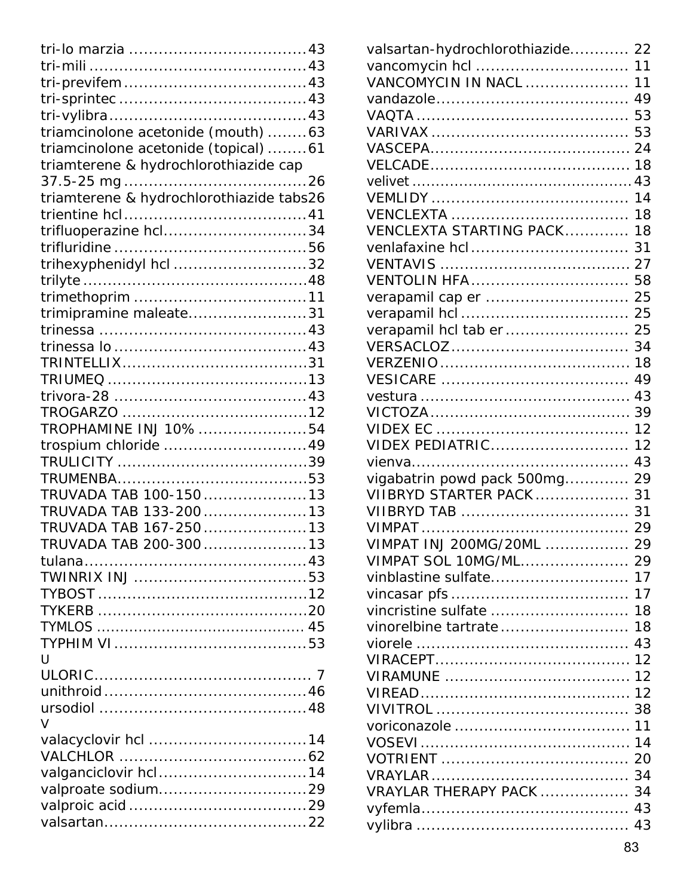| triamcinolone acetonide (mouth)63        |  |
|------------------------------------------|--|
| triamcinolone acetonide (topical)61      |  |
| triamterene & hydrochlorothiazide cap    |  |
|                                          |  |
| triamterene & hydrochlorothiazide tabs26 |  |
|                                          |  |
| trifluoperazine hcl34                    |  |
|                                          |  |
| trihexyphenidyl hcl 32                   |  |
|                                          |  |
|                                          |  |
| trimipramine maleate31                   |  |
|                                          |  |
|                                          |  |
|                                          |  |
|                                          |  |
|                                          |  |
|                                          |  |
| TROPHAMINE INJ 10% 54                    |  |
| trospium chloride 49                     |  |
|                                          |  |
|                                          |  |
| TRUVADA TAB 100-15013                    |  |
| TRUVADA TAB 133-20013                    |  |
| TRUVADA TAB 167-25013                    |  |
| TRUVADA TAB 200-30013                    |  |
|                                          |  |
|                                          |  |
|                                          |  |
|                                          |  |
|                                          |  |
|                                          |  |
| U                                        |  |
|                                          |  |
|                                          |  |
|                                          |  |
| $\vee$                                   |  |
|                                          |  |
|                                          |  |
| valganciclovir hcl14                     |  |
|                                          |  |
|                                          |  |
|                                          |  |

| valsartan-hydrochlorothiazide 22 |    |  |
|----------------------------------|----|--|
|                                  |    |  |
| <b>VANCOMYCIN IN NACL  11</b>    |    |  |
|                                  | 49 |  |
|                                  | 53 |  |
|                                  | 53 |  |
|                                  | 24 |  |
|                                  |    |  |
|                                  | 43 |  |
|                                  | 14 |  |
|                                  | 18 |  |
| VENCLEXTA STARTING PACK          | 18 |  |
| venlafaxine hcl                  | 31 |  |
|                                  | 27 |  |
| <b>VENTOLIN HFA</b>              | 58 |  |
| verapamil cap er                 | 25 |  |
|                                  | 25 |  |
| verapamil hcl tab er             | 25 |  |
|                                  | 34 |  |
|                                  | 18 |  |
|                                  | 49 |  |
|                                  | 43 |  |
|                                  | 39 |  |
|                                  | 12 |  |
| VIDEX PEDIATRIC                  | 12 |  |
|                                  | 43 |  |
| vigabatrin powd pack 500mg       | 29 |  |
| VIIBRYD STARTER PACK             | 31 |  |
| VIIBRYD TAB                      | 31 |  |
|                                  | 29 |  |
| VIMPAT INJ 200MG/20ML            | 29 |  |
| VIMPAT SOL 10MG/ML 29            |    |  |
|                                  |    |  |
|                                  | 17 |  |
| vincristine sulfate  18          |    |  |
| vinorelbine tartrate             | 18 |  |
|                                  | 43 |  |
|                                  |    |  |
|                                  |    |  |
|                                  |    |  |
|                                  |    |  |
|                                  |    |  |
|                                  |    |  |
|                                  |    |  |
|                                  |    |  |
| VRAYLAR THERAPY PACK  34         |    |  |
|                                  |    |  |
|                                  |    |  |
|                                  |    |  |